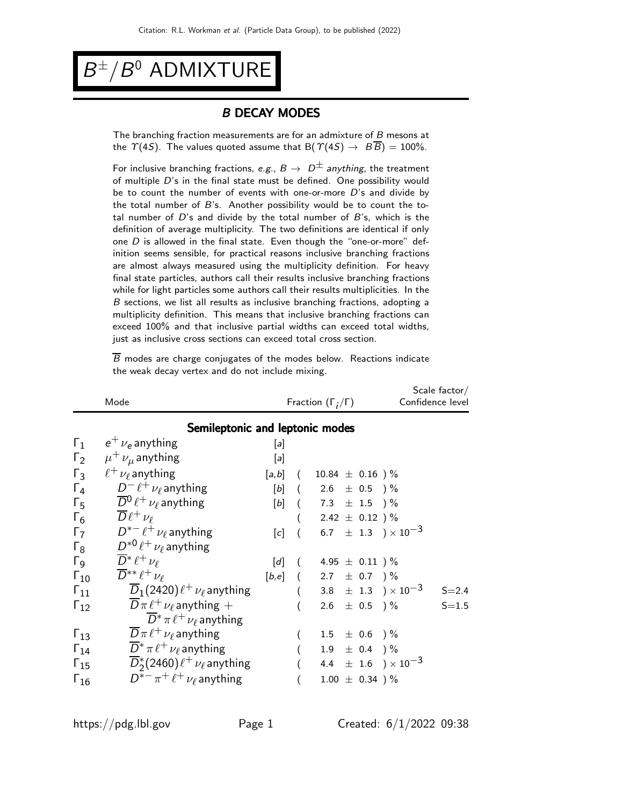$B^{\pm}/B^0$  ADMIXTURE

#### B DECAY MODES

The branching fraction measurements are for an admixture of B mesons at the  $\Upsilon(4S)$ . The values quoted assume that B( $\Upsilon(4S) \rightarrow B\overline{B}$ ) = 100%.

For inclusive branching fractions, e.g.,  $B \to D^{\pm}$  anything, the treatment of multiple D's in the final state must be defined. One possibility would be to count the number of events with one-or-more  $D$ 's and divide by the total number of  $B$ 's. Another possibility would be to count the total number of  $D$ 's and divide by the total number of  $B$ 's, which is the definition of average multiplicity. The two definitions are identical if only one  $D$  is allowed in the final state. Even though the "one-or-more" definition seems sensible, for practical reasons inclusive branching fractions are almost always measured using the multiplicity definition. For heavy final state particles, authors call their results inclusive branching fractions while for light particles some authors call their results multiplicities. In the B sections, we list all results as inclusive branching fractions, adopting a multiplicity definition. This means that inclusive branching fractions can exceed 100% and that inclusive partial widths can exceed total widths, just as inclusive cross sections can exceed total cross section.

 $\overline{B}$  modes are charge conjugates of the modes below. Reactions indicate the weak decay vertex and do not include mixing.

|                       | Mode                                            |       |                  | Fraction $(\Gamma_i/\Gamma)$   |                                  | Scale~factor/<br>Confidence level |  |  |  |  |  |  |
|-----------------------|-------------------------------------------------|-------|------------------|--------------------------------|----------------------------------|-----------------------------------|--|--|--|--|--|--|
|                       | Semileptonic and leptonic modes                 |       |                  |                                |                                  |                                   |  |  |  |  |  |  |
| $\Gamma_1$            | $e^+ \nu_e$ anything                            | [a]   |                  |                                |                                  |                                   |  |  |  |  |  |  |
| $\Gamma_2$            | $\mu^+ \nu_\mu$ anything                        | $[a]$ |                  |                                |                                  |                                   |  |  |  |  |  |  |
| $\Gamma_3$            | $\ell^+$ $\nu_{\ell}$ anything                  |       |                  | $[a,b]$ ( 10.84 $\pm$ 0.16 ) % |                                  |                                   |  |  |  |  |  |  |
| $\Gamma_4$            | $D^- \ell^+ \nu_\ell$ anything                  |       |                  | $[b]$ ( 2.6 $\pm$ 0.5 ) %      |                                  |                                   |  |  |  |  |  |  |
| $\Gamma_5$            | $\overline{D}{}^0\ell^+\nu_\ell$ anything       |       |                  | $[b]$ ( 7.3 $\pm$ 1.5 ) %      |                                  |                                   |  |  |  |  |  |  |
| $\Gamma_6$            | $\overline{D}\ell^+\nu_\ell$                    |       |                  | $($ 2.42 $\pm$ 0.12 $)$ %      |                                  |                                   |  |  |  |  |  |  |
| $\Gamma_7$            | $D^{*-} \ell^+ \nu_\ell$ anything               | [c]   |                  |                                | $(6.7 \pm 1.3) \times 10^{-3}$   |                                   |  |  |  |  |  |  |
| $\Gamma_8$            | $D^{*0}\ell^+\nu_\ell$ anything                 |       |                  |                                |                                  |                                   |  |  |  |  |  |  |
| $\Gamma$ <sub>9</sub> | $\overline{D}^*\ell^+\nu_\ell$                  |       |                  | [d] $(4.95 \pm 0.11)$ %        |                                  |                                   |  |  |  |  |  |  |
| $\Gamma_{10}$         | $\overline{D}^{**}\ell^+\nu_{\ell}$             |       |                  | $[b,e]$ ( 2.7 $\pm$ 0.7 ) %    |                                  |                                   |  |  |  |  |  |  |
| $\Gamma_{11}$         | $D_1(2420)\ell^+\nu_\ell$ anything              |       |                  |                                | $(3.8 \pm 1.3) \times 10^{-3}$   | $S = 2.4$                         |  |  |  |  |  |  |
| $\Gamma_{12}$         | $\overline{D}\pi \ell^+ \nu_\ell$ anything +    |       | $\overline{(}$   |                                | $2.6 \pm 0.5$ ) %                | $S = 1.5$                         |  |  |  |  |  |  |
|                       | $\overline{D}^* \pi \ell^+ \nu_\ell$ anything   |       |                  |                                |                                  |                                   |  |  |  |  |  |  |
| $\Gamma_{13}$         | $\overline{D}\pi \ell^+ \nu_\ell$ anything      |       |                  |                                | $1.5 \pm 0.6$ ) %                |                                   |  |  |  |  |  |  |
| $\Gamma_{14}$         | $\overline{D}^* \pi \ell^+ \nu_\ell$ anything   |       |                  |                                | $1.9 \pm 0.4$ ) %                |                                   |  |  |  |  |  |  |
| $\Gamma_{15}$         | $\overline{D}_2^*(2460)\ell^+\nu_\ell$ anything |       | $\overline{(\ }$ |                                | 4.4 $\pm$ 1.6 $) \times 10^{-3}$ |                                   |  |  |  |  |  |  |
| $\Gamma_{16}$         | $D^{*-}\pi^+\ell^+\nu_\ell$ anything            |       | $\overline{(\ }$ |                                | $1.00 \pm 0.34$ )%               |                                   |  |  |  |  |  |  |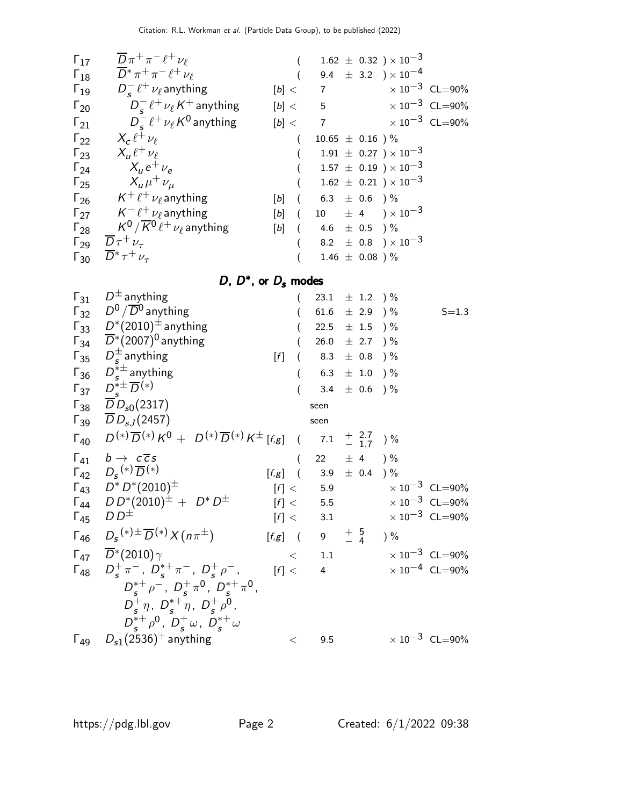| $\Gamma_{17}$ | $\overline{D}\pi^+\pi^-\ell^+\nu_\ell$                              |                         | $1.62 \pm 0.32$ ) × $10^{-3}$                      |
|---------------|---------------------------------------------------------------------|-------------------------|----------------------------------------------------|
| $\Gamma_{18}$ | $\overline{D}^* \pi^+ \pi^- \ell^+ \nu_\ell$                        |                         | 9.4 $\pm$ 3.2 $)\times 10^{-4}$                    |
| $\Gamma_{19}$ | $D_{s}^{-} \ell^{+} \nu_{\ell}$ anything                            | [b] <                   | $\times$ 10 <sup>-3</sup> CL=90%<br>$\overline{7}$ |
| $\Gamma_{20}$ | $D_{s}^{-} \ell^{+} \nu_{\ell} K^{+}$ anything                      | [b] < 5                 | $\times$ 10 <sup>-3</sup> CL=90%                   |
| $\Gamma_{21}$ | $D_{\rm s}^{-}$ $\ell^{+}$ $\nu_{\ell}$ K <sup>0</sup> anything     | [b] <                   | $\times$ 10 <sup>-3</sup> CL=90%<br>$\overline{7}$ |
| $\Gamma_{22}$ | $X_c \ell^+ \nu_\ell$                                               |                         | $10.65 \pm 0.16$ )%                                |
| $\Gamma_{23}$ | $X_{\mu} \ell^+ \nu_{\ell}$                                         |                         | $1.91 \pm 0.27$ ) $\times 10^{-3}$                 |
| $\Gamma_{24}$ | $X_{\mu}e^+\nu_{\alpha}$                                            |                         | $1.57 \pm 0.19$ ) $\times 10^{-3}$                 |
| $\Gamma_{25}$ | $X_\mu \mu^+ \nu_\mu$                                               |                         | $1.62 \pm 0.21$ $\times 10^{-3}$                   |
| $\Gamma_{26}$ | $\mathsf{K}^+\ell^+\nu_\ell$ anything                               | $[b]$<br>$\overline{a}$ | $6.3$ $\pm$ $0.6$ $)\,\%$                          |
| $\Gamma_{27}$ | $\mathcal{K}^- \, \ell^+ \, \nu_\ell$ anything                      | [b]<br>$\sqrt{ }$       | 10 $\pm$ 4 $\sqrt{10^{-3}}$                        |
| $\Gamma_{28}$ | $\mathcal{K}^0/\overline{\mathcal{K}}{}^0\ell^+\,\nu_\ell$ anything | [b]                     | 4.6 $\pm$ 0.5 ) %                                  |
| $\Gamma_{29}$ | $\overline{D} \tau^+ \nu_{\tau}$                                    |                         | 8.2 $\pm$ 0.8 $) \times 10^{-3}$                   |
|               | $\Gamma_{30}$ $\bar{D^*} \tau^+ \nu_{\tau}$                         |                         | $1.46 \pm 0.08$ )%                                 |

D,  $D^*$ , or  $D_s$  modes

| $\Gamma_{31}$ | $D^{\pm}$ anything                                                                         |                     | 23.1      | $\pm$ 1.2 ) %                                   |                                 |
|---------------|--------------------------------------------------------------------------------------------|---------------------|-----------|-------------------------------------------------|---------------------------------|
|               | $\Gamma_{32}$ $D^0/\overline{D}{}^0$ anything                                              |                     |           | 61.6 $\pm$ 2.9 ) %                              | $S = 1.3$                       |
|               | $\Gamma_{33}$ $D^*(2010)^{\pm}$ anything                                                   |                     |           | 22.5 $\pm$ 1.5 $\frac{1}{2}$                    |                                 |
|               | $\Gamma_{34}$ $\overline{D}^*(2007)^0$ anything                                            | $\left($            | 26.0      | $\pm$ 2.7 ) %                                   |                                 |
| $\Gamma_{35}$ | $D_{\epsilon}^{\pm}$ anything                                                              | $[f]$<br>(          | 8.3       | $\pm$ 0.8 ) %                                   |                                 |
| $\Gamma_{36}$ | $D_{s}^{*\pm}$ anything                                                                    |                     | 6.3       | $\pm$ 1.0 ) %                                   |                                 |
| $\Gamma_{37}$ | $D^*_{\varepsilon} \overline{D}^{(*)}$                                                     |                     |           | 3.4 $\pm$ 0.6 ) %                               |                                 |
|               | $\Gamma_{38}$ $\overline{D}D_{s0}(2317)$                                                   |                     | seen      |                                                 |                                 |
|               | $\Gamma_{39}$ $DD_{sJ}(2457)$                                                              |                     | seen      |                                                 |                                 |
| $\Gamma_{40}$ | $D^{(*)}\overline{D}^{(*)}K^0 + D^{(*)}\overline{D}^{(*)}K^{\pm}$ [f,g] ( 7.1 $\pm$ 2.7 )% |                     |           |                                                 |                                 |
| $\Gamma_{41}$ | $b \rightarrow c \overline{c} s$                                                           | $\left($            | 22        | $\pm$ 4                                         | $\frac{6}{6}$                   |
| $\Gamma_{42}$ | $D_{s}^{(*)}\overline{D}^{(*)}$                                                            |                     |           | $[f,g]$ ( 3.9 $\pm$ 0.4 )%                      |                                 |
|               | $\Gamma_{43}$ $D^* D^* (2010)^{\pm}$                                                       |                     | [f] < 5.9 |                                                 | $\times 10^{-3}$ CL=90%         |
| $\Gamma_{44}$ | $DD^*(2010)^{\pm} + D^*D^{\pm}$                                                            |                     | [f] < 5.5 |                                                 | $\times 10^{-3}$ CL=90%         |
| $\Gamma_{45}$ | $D D^{\pm}$                                                                                |                     | [f] < 3.1 |                                                 | $\times 10^{-3}$ CL=90%         |
| $\Gamma_{46}$ | $D_s^{(*)\pm} \overline{D}^{(*)}\chi(n\pi^{\pm})$                                          | $[f,g]$ ( 9         |           | $\begin{array}{cc} +& 5&\ -& 4 \end{array}$ ) % |                                 |
| $\Gamma_{47}$ | $\overline{D}^*(2010)\gamma$                                                               | $\lt$               | 1.1       |                                                 | $\times$ 10 $^{-3}~$ CL $=$ 90% |
|               | $\Gamma_{48}$ $D_{s}^{+}\pi^{-}$ , $D_{s}^{*+}\pi^{-}$ , $D_{s}^{+}\rho^{-}$ ,             | $\lceil f \rceil$ < | 4         |                                                 | $\times 10^{-4}$ CL=90%         |
|               | $D_{s}^{*+} \rho^{-}$ , $D_{s}^{+} \pi^{0}$ , $D_{s}^{*+} \pi^{0}$ ,                       |                     |           |                                                 |                                 |
|               | $D_{s}^{+}\eta$ , $D_{s}^{*+}\eta$ , $D_{s}^{+}\rho^{0}$ ,                                 |                     |           |                                                 |                                 |
|               | $D_{s}^{*+}\rho^{0}$ , $D_{s}^{+}\omega$ , $D_{s}^{*+}\omega$                              |                     |           |                                                 |                                 |
|               | $\Gamma_{49}$ $D_{s1}(2536)^+$ anything                                                    | $\,<\,$             | 9.5       |                                                 | $\times 10^{-3}$ CL=90%         |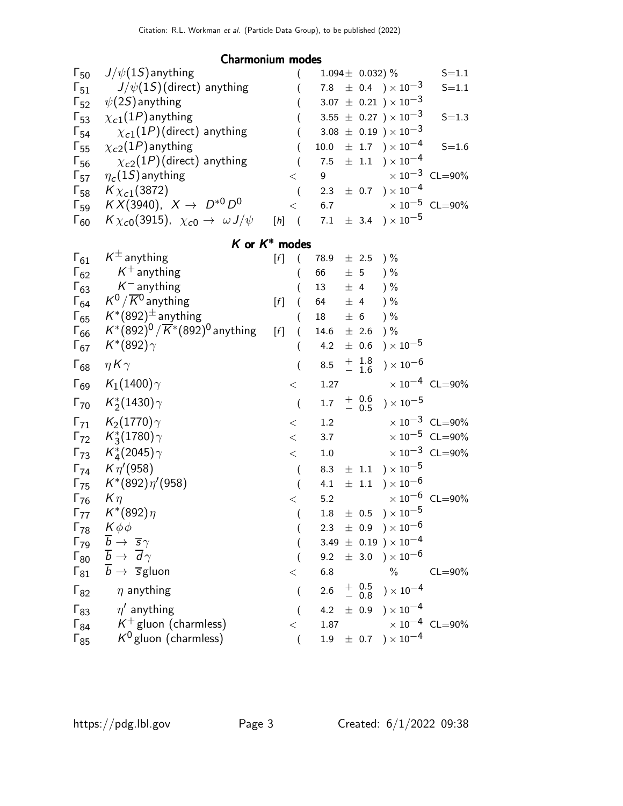#### Charmonium modes

| $\Gamma_{50}$ | $J/\psi(1S)$ anything                                           |                                                                                                                                                                                                                                                                                                                                                                                                                                                                                                                                                                                                                                                                                                                                   |         |     | 1.094 $\pm$ 0.032) % |                                                   | $S = 1.1$                        |
|---------------|-----------------------------------------------------------------|-----------------------------------------------------------------------------------------------------------------------------------------------------------------------------------------------------------------------------------------------------------------------------------------------------------------------------------------------------------------------------------------------------------------------------------------------------------------------------------------------------------------------------------------------------------------------------------------------------------------------------------------------------------------------------------------------------------------------------------|---------|-----|----------------------|---------------------------------------------------|----------------------------------|
| $\Gamma_{51}$ | $J/\psi(1S)$ (direct) anything                                  |                                                                                                                                                                                                                                                                                                                                                                                                                                                                                                                                                                                                                                                                                                                                   | 7.8     |     |                      | $\pm$ 0.4 $\rightarrow \times 10^{-3}$            | $S = 1.1$                        |
| $\Gamma_{52}$ | $\psi(2S)$ anything                                             |                                                                                                                                                                                                                                                                                                                                                                                                                                                                                                                                                                                                                                                                                                                                   |         |     |                      | $3.07 \pm 0.21$ ) $\times 10^{-3}$                |                                  |
| $\Gamma_{53}$ | $\chi_{c1}(1P)$ anything                                        |                                                                                                                                                                                                                                                                                                                                                                                                                                                                                                                                                                                                                                                                                                                                   |         |     |                      | 3.55 $\pm$ 0.27 ) $\times$ 10 <sup>-3</sup>       | $S = 1.3$                        |
| $\Gamma_{54}$ | $\chi_{c1}(1P)$ (direct) anything                               |                                                                                                                                                                                                                                                                                                                                                                                                                                                                                                                                                                                                                                                                                                                                   |         |     |                      | 3.08 $\pm$ 0.19 $) \times 10^{-3}$                |                                  |
| $\Gamma_{55}$ | $\chi_{c2}(1P)$ anything                                        |                                                                                                                                                                                                                                                                                                                                                                                                                                                                                                                                                                                                                                                                                                                                   | 10.0    |     |                      | $\pm$ 1.7 ) $\times$ 10 <sup>-4</sup>             | $S = 1.6$                        |
| $\Gamma_{56}$ | $\chi_{c2}(1P)$ (direct) anything                               |                                                                                                                                                                                                                                                                                                                                                                                                                                                                                                                                                                                                                                                                                                                                   | 7.5     |     |                      | $\pm$ 1.1 $\rightarrow$ $\times$ 10 <sup>-4</sup> |                                  |
| $\Gamma_{57}$ | $\eta_c(1S)$ anything                                           | $\lt$                                                                                                                                                                                                                                                                                                                                                                                                                                                                                                                                                                                                                                                                                                                             | 9       |     |                      |                                                   | $\times 10^{-3}$ CL=90%          |
| $\Gamma_{58}$ | $K_{\chi_{c1}}(3872)$                                           | $\overline{(}$                                                                                                                                                                                                                                                                                                                                                                                                                                                                                                                                                                                                                                                                                                                    | 2.3     |     |                      | $\pm$ 0.7 ) $\times$ 10 <sup>-4</sup>             |                                  |
| $\Gamma_{59}$ | $KX(3940), X \to D^{*0}D^0$                                     | $\lt$                                                                                                                                                                                                                                                                                                                                                                                                                                                                                                                                                                                                                                                                                                                             | 6.7     |     |                      |                                                   | $\times 10^{-5}$ CL=90%          |
| $\Gamma_{60}$ | $K\chi_{c0}(3915)$ , $\chi_{c0} \to \omega J/\psi$              | $[h]$ (                                                                                                                                                                                                                                                                                                                                                                                                                                                                                                                                                                                                                                                                                                                           | 7.1     |     |                      | $\pm$ 3.4 $\rightarrow$ $\times$ 10 <sup>-5</sup> |                                  |
|               |                                                                 | $K$ or $K^*$ modes                                                                                                                                                                                                                                                                                                                                                                                                                                                                                                                                                                                                                                                                                                                |         |     |                      |                                                   |                                  |
| $\Gamma_{61}$ | $K^{\pm}$ anything                                              | $[f] % \begin{center} % \includegraphics[width=\linewidth]{imagesSupplemental_3.png} % \end{center} % \caption { % Our method can be used for the method. % Note that the \emph{exponent} and the \emph{exponent} is used in the text. % Note that the \emph{exponent} is used in the text. % Note that the \emph{exponent} is used in the text. % Note that the \emph{exponent} is used in the text. % Note that the \emph{exponent} is used in the text. % Note that the \emph{exponent} is used in the text. % Note that the \emph{exponent} is used in the text. % Note that the \emph{exponent} is used in the text. % Note that the \emph{exponent} is used in the text. % Note that the \emph{exportector} is$<br>$\left($ | 78.9    |     | $\pm$ 2.5            | $)$ %                                             |                                  |
| $\Gamma_{62}$ | $\mathcal{K}^+$ anything                                        | (                                                                                                                                                                                                                                                                                                                                                                                                                                                                                                                                                                                                                                                                                                                                 | 66      |     | $\pm$ 5              | $)$ %                                             |                                  |
| $\Gamma_{63}$ | $K^-$ anything                                                  |                                                                                                                                                                                                                                                                                                                                                                                                                                                                                                                                                                                                                                                                                                                                   | 13      | ± 4 |                      | $)$ %                                             |                                  |
| $\Gamma_{64}$ | $K^0/\overline{K}{}^0$ anything                                 | $[f]$                                                                                                                                                                                                                                                                                                                                                                                                                                                                                                                                                                                                                                                                                                                             | 64      | ± 4 |                      | ) %                                               |                                  |
| $\Gamma_{65}$ | $K^*(892)^{\pm}$ anything                                       |                                                                                                                                                                                                                                                                                                                                                                                                                                                                                                                                                                                                                                                                                                                                   | 18      | ± 6 |                      | $)$ %                                             |                                  |
| $\Gamma_{66}$ | $K^{*}(892)^{0}/\overline{K}^{*}(892)^{0}$ anything             | $[f]$                                                                                                                                                                                                                                                                                                                                                                                                                                                                                                                                                                                                                                                                                                                             | 14.6    |     | $\pm$ 2.6            | $) \%$                                            |                                  |
| $\Gamma_{67}$ | $K^*(892)\gamma$                                                | (                                                                                                                                                                                                                                                                                                                                                                                                                                                                                                                                                                                                                                                                                                                                 | 4.2     |     | $\pm$ 0.6            | $)\times10^{-5}$                                  |                                  |
| $\Gamma_{68}$ | $\eta K \gamma$                                                 | $\overline{\phantom{a}}$                                                                                                                                                                                                                                                                                                                                                                                                                                                                                                                                                                                                                                                                                                          | $8.5\,$ |     | $+$ 1.8<br>- 1.6     | $) \times 10^{-6}$                                |                                  |
| $\Gamma_{69}$ | $K_1(1400)\gamma$                                               | $\,<$                                                                                                                                                                                                                                                                                                                                                                                                                                                                                                                                                                                                                                                                                                                             | 1.27    |     |                      |                                                   | $\times$ 10 <sup>-4</sup> CL=90% |
| $\Gamma_{70}$ | $K_2^*(1430)\gamma$                                             | (                                                                                                                                                                                                                                                                                                                                                                                                                                                                                                                                                                                                                                                                                                                                 | 1.7     |     | $+ 0.6$<br>- 0.5     | ) $\times$ 10 $^{-5}$                             |                                  |
|               | $\Gamma_{71}$ K <sub>2</sub> (1770) $\gamma$                    | $\,<\,$                                                                                                                                                                                                                                                                                                                                                                                                                                                                                                                                                                                                                                                                                                                           | 1.2     |     |                      |                                                   | $\times 10^{-3}$ CL=90%          |
|               | $\Gamma_{72}$ $K_3^*(1780)\gamma$                               | $\lt$                                                                                                                                                                                                                                                                                                                                                                                                                                                                                                                                                                                                                                                                                                                             | 3.7     |     |                      |                                                   | $\times 10^{-5}$ CL=90%          |
|               | $\Gamma_{73}$ $K_4^*(2045)\gamma$                               | $\lt$                                                                                                                                                                                                                                                                                                                                                                                                                                                                                                                                                                                                                                                                                                                             | $1.0\,$ |     |                      |                                                   | $\times$ $10^{-3}$ $\,$ CL=90%   |
|               | $\Gamma_{74}$ $K \eta'(958)$                                    | $\overline{(}$                                                                                                                                                                                                                                                                                                                                                                                                                                                                                                                                                                                                                                                                                                                    | 8.3     |     |                      | $\pm$ 1.1 $\rightarrow$ $\times$ 10 <sup>-5</sup> |                                  |
| $\Gamma_{75}$ | $K^*(892)\eta'(958)$                                            | (                                                                                                                                                                                                                                                                                                                                                                                                                                                                                                                                                                                                                                                                                                                                 | 4.1     |     | $\pm$ 1.1            | $) \times 10^{-6}$                                |                                  |
| $\Gamma_{76}$ | $K\eta$                                                         | $\lt$                                                                                                                                                                                                                                                                                                                                                                                                                                                                                                                                                                                                                                                                                                                             | 5.2     |     |                      |                                                   | $\times$ $10^{-6}\,$ CL=90%      |
| $\Gamma_{77}$ | $K^*(892)\eta$                                                  | (                                                                                                                                                                                                                                                                                                                                                                                                                                                                                                                                                                                                                                                                                                                                 | 1.8     |     |                      | $\pm$ 0.5 $\phantom{0}$ $\times$ 10 <sup>-5</sup> |                                  |
| $\Gamma_{78}$ | $K\phi\phi$                                                     |                                                                                                                                                                                                                                                                                                                                                                                                                                                                                                                                                                                                                                                                                                                                   | 2.3     |     |                      | $\pm$ 0.9 $\mathrm{)}\times10^{-6}$               |                                  |
|               | $\Gamma_{79}$ $\overline{b} \rightarrow \overline{s} \gamma$    |                                                                                                                                                                                                                                                                                                                                                                                                                                                                                                                                                                                                                                                                                                                                   |         |     |                      | $3.49 \pm 0.19$ ) $\times 10^{-4}$                |                                  |
|               | $\Gamma_{80}$ $\overline{b} \rightarrow \overline{d}\gamma$     |                                                                                                                                                                                                                                                                                                                                                                                                                                                                                                                                                                                                                                                                                                                                   | 9.2     |     |                      | $\pm$ 3.0 $\mathrm{)}\times10^{-6}$               |                                  |
|               | $\Gamma_{81}$ $\overline{b}$ $\rightarrow$ $\overline{s}$ gluon | $\lt$                                                                                                                                                                                                                                                                                                                                                                                                                                                                                                                                                                                                                                                                                                                             | 6.8     |     |                      | $\%$                                              | $CL = 90\%$                      |
| $\Gamma_{82}$ | $\eta$ anything                                                 | $\overline{(\ }$                                                                                                                                                                                                                                                                                                                                                                                                                                                                                                                                                                                                                                                                                                                  |         |     |                      | 2.6 $+$ 0.5 $\rightarrow$ 10 <sup>-4</sup>        |                                  |
| $\Gamma_{83}$ | $\eta'$ anything                                                |                                                                                                                                                                                                                                                                                                                                                                                                                                                                                                                                                                                                                                                                                                                                   |         |     |                      | 4.2 $\pm$ 0.9 $) \times 10^{-4}$                  |                                  |
| $\Gamma_{84}$ | $K^+$ gluon (charmless)                                         | $\,<\,$                                                                                                                                                                                                                                                                                                                                                                                                                                                                                                                                                                                                                                                                                                                           | 1.87    |     |                      |                                                   | $\times 10^{-4}$ CL=90%          |
| $\Gamma_{85}$ | $K^0$ gluon (charmless)                                         | (                                                                                                                                                                                                                                                                                                                                                                                                                                                                                                                                                                                                                                                                                                                                 |         |     |                      | $1.9 \pm 0.7$ $) \times 10^{-4}$                  |                                  |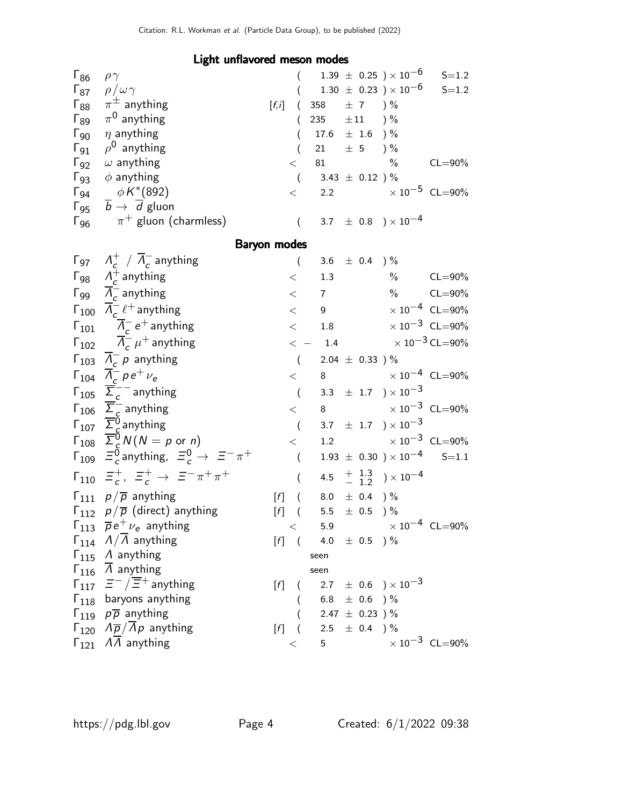### Light unflavored meson modes

| $\mathsf{\Gamma}_{86}$ | $\rho\gamma$                                                           |        |                  |                                                                                                                                                                                                                                 |                     | $(1.39 \pm 0.25)\times 10^{-6}$                      | $S = 1.2$                        |
|------------------------|------------------------------------------------------------------------|--------|------------------|---------------------------------------------------------------------------------------------------------------------------------------------------------------------------------------------------------------------------------|---------------------|------------------------------------------------------|----------------------------------|
|                        | $\Gamma_{87}$ $\rho/\omega\gamma$                                      |        |                  |                                                                                                                                                                                                                                 |                     | $(1.30 \pm 0.23) \times 10^{-6}$                     | $S = 1.2$                        |
|                        | $\Gamma_{88}$ $\pi^{\pm}$ anything                                     | [f, i] | $\left($         | 358                                                                                                                                                                                                                             | $\pm$ 7 ) %         |                                                      |                                  |
| $\mathsf{\Gamma}_{89}$ | $\pi^0$ anything                                                       |        | $\left($         | 235                                                                                                                                                                                                                             | $\pm 11$            | $) \%$                                               |                                  |
| $\Gamma_{90}$          | $\eta$ anything                                                        |        | $\left($         | $17.6 \pm 1.6$ ) %                                                                                                                                                                                                              |                     |                                                      |                                  |
| $\Gamma_{91}$          | $\rho^0$ anything                                                      |        | $\overline{(}$   | 21                                                                                                                                                                                                                              | $\pm$ 5 ) %         |                                                      |                                  |
|                        | $\Gamma_{92}$ $\omega$ anything                                        |        | $\lt$            | 81 — 100 — 100 — 100 — 100 — 100 — 100 — 100 — 100 — 100 — 100 — 100 — 100 — 100 — 100 — 100 — 100 — 100 — 100 — 100 — 100 — 100 — 100 — 100 — 100 — 100 — 100 — 100 — 100 — 100 — 100 — 100 — 100 — 100 — 100 — 100 — 100 — 10 |                     | $\frac{0}{0}$                                        | $CL = 90\%$                      |
|                        | $\Gamma_{93}$ $\phi$ anything                                          |        | $\left($         | $3.43 \; \pm \; 0.12$ ) $\%$                                                                                                                                                                                                    |                     |                                                      |                                  |
|                        | $\Gamma_{94}$ $\phi K^*(892)$                                          |        | $\lt$            |                                                                                                                                                                                                                                 |                     | 2.2 $\times 10^{-5}$ CL=90%                          |                                  |
|                        | $\Gamma_{95}$ $\overline{b}$ $\rightarrow$ $\overline{d}$ gluon        |        |                  |                                                                                                                                                                                                                                 |                     |                                                      |                                  |
|                        | $\Gamma_{96}$ $\pi^+$ gluon (charmless)                                |        | $\left($         |                                                                                                                                                                                                                                 |                     | 3.7 $\pm$ 0.8 $) \times 10^{-4}$                     |                                  |
|                        | <b>Baryon modes</b>                                                    |        |                  |                                                                                                                                                                                                                                 |                     |                                                      |                                  |
|                        | $\Gamma_{97}$ $\Lambda_c^+$ / $\Lambda_c^-$ anything                   |        | $\left($         | 3.6 $\pm$ 0.4 ) %                                                                                                                                                                                                               |                     |                                                      |                                  |
|                        | $\Gamma_{98}$ $\Lambda_c^+$ anything                                   |        | $\lt$            | 1.3                                                                                                                                                                                                                             |                     | $\%$                                                 | $CL = 90\%$                      |
|                        | $\Gamma_{99}$ $\overline{A}_c^-$ anything                              |        | $\lt$            | $7\overline{ }$                                                                                                                                                                                                                 |                     |                                                      | $\%$ CL=90%                      |
|                        | $\Gamma_{100}$ $\overline{\Lambda}_{c}^{-}$ $\ell^{+}$ anything        |        | $\lt$            | 9                                                                                                                                                                                                                               |                     |                                                      | $\times 10^{-4}$ CL=90%          |
|                        | $\Gamma_{101}$ $\overline{\Lambda}_c^-$ e <sup>+</sup> anything        |        | $\,<\,$          | 1.8                                                                                                                                                                                                                             |                     |                                                      | $\times 10^{-3}$ CL=90%          |
|                        | $\overline{\Lambda}_c^{\text{I}} \mu^+$ anything                       |        |                  |                                                                                                                                                                                                                                 |                     | $\epsilon$ - 1.4 $\times 10^{-3}$ CL=90%             |                                  |
|                        | $\Gamma_{103}$ $\Lambda_c^- p$ anything                                |        | $\left($         | 2.04 $\pm$ 0.33 ) %                                                                                                                                                                                                             |                     |                                                      |                                  |
|                        | $\Gamma_{104}$ $\Lambda_c^ \rho e^+$ $\nu_e$                           |        | $\lt$            | 8                                                                                                                                                                                                                               |                     | $\times$ 10 <sup>-4</sup> CL=90%                     |                                  |
|                        | $\Gamma_{105}$ $\overline{\Sigma}_{c}^{-}$ anything                    |        | $\left($         |                                                                                                                                                                                                                                 |                     | 3.3 $\pm$ 1.7 $\right) \times 10^{-3}$               |                                  |
|                        | $\Gamma_{106}$ $\overline{\Sigma}_{c}^{-}$ anything                    |        | $\lt$            | 8                                                                                                                                                                                                                               |                     | $\times$ 10 <sup>-3</sup> CL=90%                     |                                  |
|                        | $\Gamma_{107}$ $\Sigma_c^0$ anything                                   |        | $\overline{(\ }$ |                                                                                                                                                                                                                                 |                     | 3.7 $\pm$ 1.7 $\right) \times 10^{-3}$               |                                  |
|                        | $\Gamma_{108}$ $\overline{\Sigma}_{c}^{\delta} N(N = p \text{ or } n)$ |        | $\lt$            |                                                                                                                                                                                                                                 |                     | 1.2 $\times 10^{-3}$ CL=90%                          |                                  |
|                        | $\Gamma_{109}$ $\Xi_c^0$ anything, $\Xi_c^0 \rightarrow \Xi^- \pi^+$   |        | $\left($         |                                                                                                                                                                                                                                 |                     | $1.93 \pm 0.30$ $) \times 10^{-4}$ S=1.1             |                                  |
|                        | $\Gamma_{110}$ $\Xi_c^+$ , $\Xi_c^+$ $\to$ $\Xi^- \pi^+ \pi^+$         |        | (                |                                                                                                                                                                                                                                 |                     | 4.5 $\frac{+}{-}$ $\frac{1.3}{1.2}$ $\times 10^{-4}$ |                                  |
|                        | $\Gamma_{111}$ $p/\overline{p}$ anything                               | $[f]$  | $\left($         | 8.0 $\pm$ 0.4 $\frac{1}{6}$                                                                                                                                                                                                     |                     |                                                      |                                  |
|                        | $\Gamma_{112}$ $p/\overline{p}$ (direct) anything                      | $[f]$  | $\left($         | 5.5 $\pm$ 0.5 $\frac{1}{2}$                                                                                                                                                                                                     |                     |                                                      |                                  |
|                        | $\Gamma_{113}$ $\overline{p}e^+\nu_e$ anything                         |        |                  |                                                                                                                                                                                                                                 |                     | 5.9 $\times 10^{-4}$ CL=90%                          |                                  |
|                        | $\Gamma_{114}$ $\Lambda/\Lambda$ anything                              |        | $[f]$ (          | 4.0 $\pm$ 0.5 $\frac{1}{2}$                                                                                                                                                                                                     |                     |                                                      |                                  |
|                        | $\Gamma_{115}$ A anything                                              |        |                  | seen                                                                                                                                                                                                                            |                     |                                                      |                                  |
|                        | $\Gamma_{116}$ $\overline{\Lambda}$ anything                           |        |                  | seen                                                                                                                                                                                                                            |                     |                                                      |                                  |
|                        | $\Gamma_{117}$ $\Xi^-/\overline{\Xi}{}^+$ anything                     | [f]    | $\left($         |                                                                                                                                                                                                                                 |                     | 2.7 $\pm$ 0.6 $\right) \times 10^{-3}$               |                                  |
|                        | $\Gamma_{118}$ baryons anything                                        |        | (                | 6.8 $\pm$ 0.6 ) %                                                                                                                                                                                                               |                     |                                                      |                                  |
|                        | $\Gamma_{119}$ $p\overline{p}$ anything                                |        |                  |                                                                                                                                                                                                                                 | 2.47 $\pm$ 0.23 ) % |                                                      |                                  |
|                        | $\Gamma_{120}$ $\Lambda \overline{p}/\bar{\Lambda}p$ anything          | [f]    | $\left($         | 2.5 $\pm$ 0.4 ) %                                                                                                                                                                                                               |                     |                                                      |                                  |
|                        | $\Gamma_{121}$ $\Lambda\Lambda$ anything                               |        | $\lt$            | 5                                                                                                                                                                                                                               |                     |                                                      | $\times$ 10 <sup>-3</sup> CL=90% |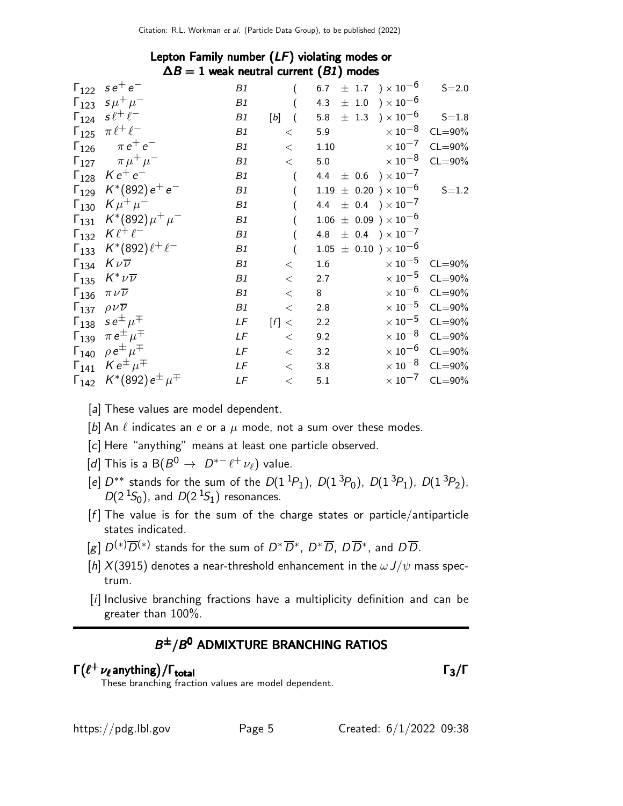| Lepton Family number $(LF)$ violating modes or |  |  |
|------------------------------------------------|--|--|
| $\Delta B = 1$ weak neutral current (B1) modes |  |  |

| $\Gamma_{122}$ se <sup>+</sup> e <sup>-</sup>           | B1 |         | 6.7 $\pm$ 1.7 $\rightarrow$ 10 <sup>-6</sup>          | $S = 2.0$                        |
|---------------------------------------------------------|----|---------|-------------------------------------------------------|----------------------------------|
| $\Gamma_{123}$ $s\mu^{+}\mu^{-}$                        | B1 |         | 4.3 $\pm$ 1.0 $) \times 10^{-6}$                      |                                  |
| $\Gamma_{124}$ s $\ell^+ \ell^-$                        | B1 | $[b]$ ( | $\pm$ 1.3 $\rightarrow$ 10 <sup>-6</sup> S=1.8<br>5.8 |                                  |
| $\Gamma_{125}$ $\pi \ell^+ \ell^-$                      | B1 | $\lt$   | $\times$ 10 $^{-8}$ $\,$ CL $=$ 90%<br>5.9            |                                  |
| $\Gamma_{126}$ $\pi e^+ e^-$                            | B1 | $\lt$   | $\times$ 10 $^{-7}$<br>1.10                           | $CL = 90\%$                      |
| $\Gamma_{127}$ $\pi \mu^+ \mu^-$                        | B1 | $\lt$   | $\times$ 10 $^{-8}$<br>5.0                            | $CL = 90\%$                      |
| $\Gamma_{128}$ $Ke^+e^-$                                | B1 |         | 4.4 $\pm$ 0.6 $) \times 10^{-7}$                      |                                  |
| $\Gamma_{129}$ $K^*(892) e^+ e^-$                       | B1 |         | $1.19~\pm~0.20~$ ) $\times~10^{-6}$                   | $S = 1.2$                        |
| $\Gamma_{130}$ $K \mu^+ \mu^-$                          | B1 |         | 4.4 $\pm$ 0.4 $) \times 10^{-7}$                      |                                  |
| $\Gamma_{131}$ $K^*(892)\mu^+\mu^-$                     | B1 |         | $1.06 \pm 0.09$ ) $\times 10^{-6}$                    |                                  |
| $\Gamma_{132}$ $K \ell^+ \ell^-$                        | B1 |         | 4.8 $\pm$ 0.4 $) \times 10^{-7}$                      |                                  |
| $\Gamma_{133}$ $K^*(892)\ell^+\ell^-$                   | B1 |         | $1.05 \pm 0.10$ ) $\times 10^{-6}$                    |                                  |
| $\Gamma_{134}$ $K\nu\overline{\nu}$                     | B1 | $\lt$   | $1.6\,$                                               | $\times 10^{-5}$ CL=90%          |
| $\Gamma_{135}$ $K^* \nu \overline{\nu}$                 | B1 | $\lt$   | $\times$ 10 $^{-5}$<br>2.7                            | $CL = 90\%$                      |
| $\Gamma_{136}$ $\pi \nu \overline{\nu}$                 | B1 | $\,<\,$ | $\times$ 10 $^{-6}$<br>8                              | $CL = 90\%$                      |
| $\Gamma_{137}$ $\rho\nu\overline{\nu}$                  | B1 | $\,<\,$ | 2.8                                                   | $\times 10^{-5}$ CL=90%          |
| $\Gamma_{138}$ se <sup><math>\pm \mu^{\mp}</math></sup> | LF | [f] <   | 2.2                                                   | $\times 10^{-5}$ CL=90%          |
| $\Gamma_{139}$ $\pi e^{\pm} \mu^{\mp}$                  | LF | $\lt$   | 9.2                                                   | $\times 10^{-8}$ CL=90%          |
| $\Gamma_{140}$ $\rho e^{\pm} \mu^{\mp}$                 | LF | $\lt$   | 3.2                                                   | $\times$ 10 <sup>-6</sup> CL=90% |
| $\Gamma_{141}$ $K e^{\pm} \mu^{\mp}$                    | LF | $\lt$   | 3.8                                                   | $\times$ 10 $^{-8}$ CL=90%       |
| $\Gamma_{142}$ $K^*(892) e^{\pm} \mu^{\mp}$             | LF | $\,<$   | 5.1                                                   | $\times 10^{-7}$ CL=90%          |
|                                                         |    |         |                                                       |                                  |

[a] These values are model dependent.

[b] An  $\ell$  indicates an e or a  $\mu$  mode, not a sum over these modes.

[c] Here "anything" means at least one particle observed.

 $[d]$  This is a  $\mathsf{B}(B^0 \to~D^{*-}\ell^+\nu_\ell)$  value.

- [e]  $D^{**}$  stands for the sum of the  $D(1^{1}P_1)$ ,  $D(1^{3}P_0)$ ,  $D(1^{3}P_1)$ ,  $D(1^{3}P_2)$ ,  $D(2<sup>1</sup>S<sub>0</sub>)$ , and  $D(2<sup>1</sup>S<sub>1</sub>)$  resonances.
- $[f]$  The value is for the sum of the charge states or particle/antiparticle states indicated.
- $[g] D^{(*)}\overline{D}^{(*)}$  stands for the sum of  $D^*\overline{D}{}^*, D^*\overline{D}, D\overline{D}{}^*,$  and  $D\overline{D}$ .
- [h]  $X(3915)$  denotes a near-threshold enhancement in the  $\omega J/\psi$  mass spectrum.
- [i] Inclusive branching fractions have a multiplicity definition and can be greater than 100%.

#### $B^{\pm}/B^0$  admixture branching ratios

# $\Gamma(\ell^+ \nu_\ell$  anything) / Γ<sub>total</sub> 3 (Γανικά) του Στου Γανικά της Γανικής της Γανικής της Γ

These branching fraction values are model dependent.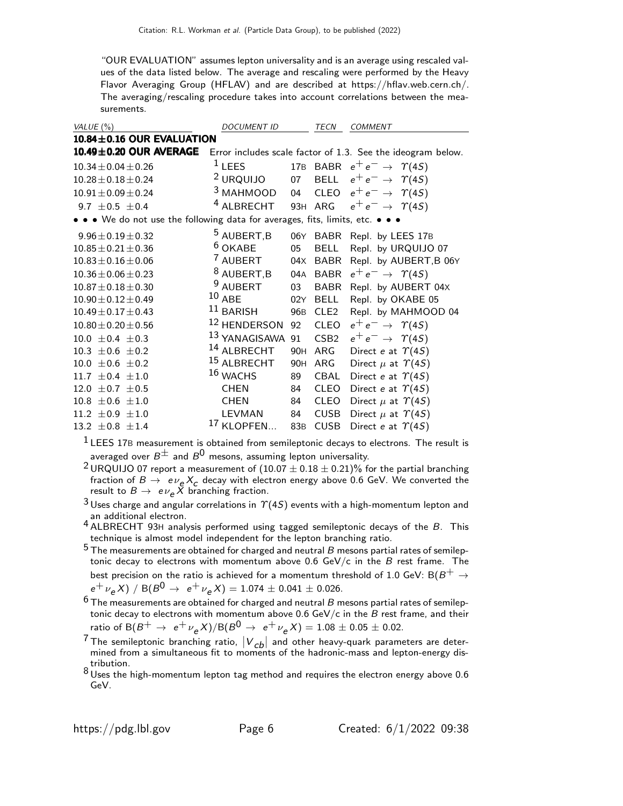"OUR EVALUATION" assumes lepton universality and is an average using rescaled values of the data listed below. The average and rescaling were performed by the Heavy Flavor Averaging Group (HFLAV) and are described at https://hflav.web.cern.ch/. The averaging/rescaling procedure takes into account correlations between the measurements.

| VALUE (%)                                                                     | <b>DOCUMENT ID</b>       |     | TECN             | <b>COMMENT</b>                                              |
|-------------------------------------------------------------------------------|--------------------------|-----|------------------|-------------------------------------------------------------|
| 10.84±0.16 OUR EVALUATION                                                     |                          |     |                  |                                                             |
| 10.49±0.20 OUR AVERAGE                                                        |                          |     |                  | Error includes scale factor of 1.3. See the ideogram below. |
| $10.34 \pm 0.04 \pm 0.26$                                                     | $1$ LEES                 |     |                  | 17B BABR $e^+e^- \rightarrow \gamma(45)$                    |
| $10.28 \pm 0.18 \pm 0.24$                                                     | <sup>2</sup> URQUIJO     | 07  |                  | BELL $e^+e^- \rightarrow \Upsilon(4S)$                      |
| $10.91 \pm 0.09 \pm 0.24$                                                     | $3$ MAHMOOD              | 04  | <b>CLEO</b>      | $e^+e^- \rightarrow \gamma(4S)$                             |
| 9.7 $\pm$ 0.5 $\pm$ 0.4                                                       | <sup>4</sup> ALBRECHT    |     | 93H ARG          | $e^+e^- \rightarrow \gamma(4S)$                             |
| • • • We do not use the following data for averages, fits, limits, etc. • • • |                          |     |                  |                                                             |
| $9.96 \pm 0.19 \pm 0.32$                                                      | <sup>5</sup> AUBERT, B   |     |                  | 06Y BABR Repl. by LEES 17B                                  |
| $10.85 \pm 0.21 \pm 0.36$                                                     | $6$ OKABE                | 05  | <b>BELL</b>      | Repl. by URQUIJO 07                                         |
| $10.83 \pm 0.16 \pm 0.06$                                                     | 7 AUBERT                 |     |                  | 04X BABR Repl. by AUBERT, B 06Y                             |
| $10.36 \pm 0.06 \pm 0.23$                                                     | $8$ AUBERT, B            |     | 04A BABR         | $e^+e^- \rightarrow \gamma(4S)$                             |
| $10.87 \pm 0.18 \pm 0.30$                                                     | <sup>9</sup> AUBERT      | 03  | <b>BABR</b>      | Repl. by AUBERT 04X                                         |
| $10.90 \pm 0.12 \pm 0.49$                                                     | $10$ ABE                 | 02Y | <b>BELL</b>      | Repl. by OKABE 05                                           |
| $10.49 \pm 0.17 \pm 0.43$                                                     | $11$ BARISH              | 96B | CLE2             | Repl. by MAHMOOD 04                                         |
| $10.80 \pm 0.20 \pm 0.56$                                                     | <sup>12</sup> HENDERSON  | 92  | <b>CLEO</b>      | $e^+e^- \rightarrow \gamma(4S)$                             |
| $10.0 \pm 0.4 \pm 0.3$                                                        | <sup>13</sup> YANAGISAWA | 91  | CSB <sub>2</sub> | $e^+e^- \rightarrow \gamma(4S)$                             |
| $10.3 \pm 0.6 \pm 0.2$                                                        | <sup>14</sup> ALBRECHT   | 90H | ARG              | Direct e at $\Upsilon(4S)$                                  |
| $10.0 \pm 0.6 \pm 0.2$                                                        | <sup>15</sup> ALBRECHT   | 90H | ARG              | Direct $\mu$ at $\Upsilon(4S)$                              |
| 11.7 $\pm$ 0.4 $\pm$ 1.0                                                      | 16 WACHS                 | 89  | CBAL             | Direct e at $\Upsilon(4S)$                                  |
| 12.0 $\pm$ 0.7 $\pm$ 0.5                                                      | <b>CHEN</b>              | 84  | <b>CLEO</b>      | Direct e at $\Upsilon(4S)$                                  |
| $10.8 \pm 0.6 \pm 1.0$                                                        | CHEN                     | 84  | <b>CLEO</b>      | Direct $\mu$ at $\Upsilon(4S)$                              |
| 11.2 $\pm 0.9 \pm 1.0$                                                        | LEVMAN                   | 84  | <b>CUSB</b>      | Direct $\mu$ at $\Upsilon(4S)$                              |
| 13.2 $\pm$ 0.8 $\pm$ 1.4                                                      | <sup>17</sup> KLOPFEN    | 83B | <b>CUSB</b>      | Direct e at $\Upsilon(4S)$                                  |

 $1$  LEES 17B measurement is obtained from semileptonic decays to electrons. The result is averaged over  $B^{\pm}$  and  $B^{0}$  mesons, assuming lepton universality.

- <sup>2</sup> URQUIJO 07 report a measurement of  $(10.07 \pm 0.18 \pm 0.21)\%$  for the partial branching fraction of  $B \to e \nu_e X_c$  decay with electron energy above 0.6 GeV. We converted the result to  $B \to e \nu_{\bm e} \tilde{X}$  branching fraction.
- $3$  Uses charge and angular correlations in  $\Upsilon(4S)$  events with a high-momentum lepton and an additional electron.
- an additional electron.<br>4 ALBRECHT 93H analysis performed using tagged semileptonic decays of the B. This technique is almost model independent for the lepton branching ratio.
- $5$  The measurements are obtained for charged and neutral B mesons partial rates of semileptonic decay to electrons with momentum above  $0.6$  GeV/c in the B rest frame. The best precision on the ratio is achieved for a momentum threshold of 1.0 GeV:  $B(B^+ \rightarrow$  $e^+ \nu_e X$ ) / B( $B^0 \rightarrow e^+ \nu_e X$ ) = 1.074  $\pm$  0.041  $\pm$  0.026.
- $^6$  The measurements are obtained for charged and neutral  $B$  mesons partial rates of semileptonic decay to electrons with momentum above 0.6 GeV/c in the  $B$  rest frame, and their ratio of  $B(B^+ \to e^+ \nu_e X)/B(B^0 \to e^+ \nu_e X) = 1.08 \pm 0.05 \pm 0.02$ .
- <sup>7</sup> The semileptonic branching ratio,  $|V_{cb}|$  and other heavy-quark parameters are deter-<br>mined from a simultaneous fit to moments of the hadronic-mass and lepton-energy distribution.

8 Uses the high-momentum lepton tag method and requires the electron energy above 0.6 GeV.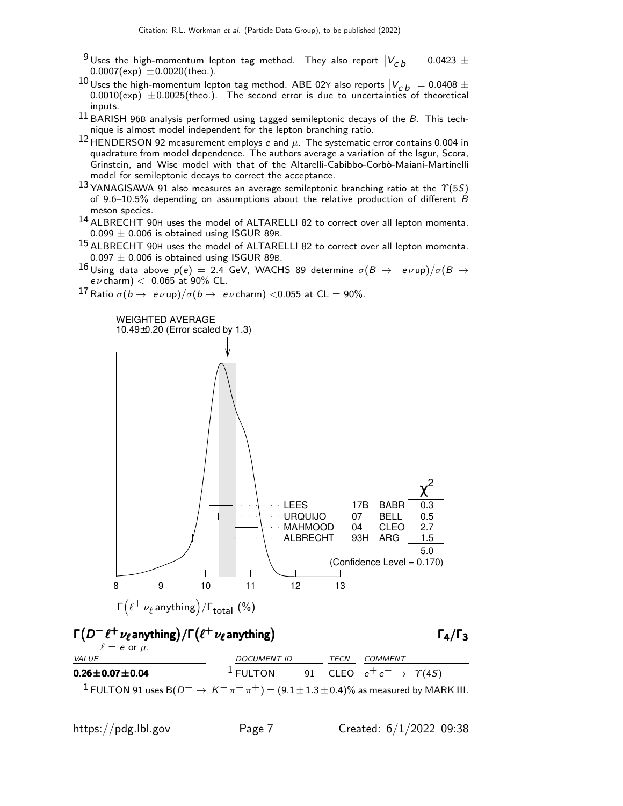- <sup>9</sup> Uses the high-momentum lepton tag method. They also report  $|V_{\text{c}}{}_{\text{b}}| = 0.0423 \pm 0.0007 \text{(exp)} \pm 0.0020 \text{(theo.)}$ .
- 10 Uses the high-momentum lepton tag method. ABE 02Y also reports  $|V_{cb}| = 0.0408 \pm 0.0010(\text{nm}) + 0.0025(\text{theo})$ . The second summarized the uncertainties of the exiting  $(0.0010(\exp)) \pm 0.0025(\text{theo.})$ . The second error is due to uncertainties of theoretical inputs.
- $11$  BARISH 96B analysis performed using tagged semileptonic decays of the  $B$ . This technique is almost model independent for the lepton branching ratio.
- 12 HENDERSON 92 measurement employs e and  $\mu$ . The systematic error contains 0.004 in quadrature from model dependence. The authors average a variation of the Isgur, Scora, Grinstein, and Wise model with that of the Altarelli-Cabibbo-Corbò-Maiani-Martinelli model for semileptonic decays to correct the acceptance.
- 13 YANAGISAWA 91 also measures an average semileptonic branching ratio at the  $\Upsilon(5S)$ of 9.6–10.5% depending on assumptions about the relative production of different B meson species.
- 14 ALBRECHT 90<sup>H</sup> uses the model of ALTARELLI 82 to correct over all lepton momenta.  $0.099 \pm 0.006$  is obtained using ISGUR 89B.
- 15 ALBRECHT 90<sup>H</sup> uses the model of ALTARELLI 82 to correct over all lepton momenta.  $0.097 \pm 0.006$  is obtained using ISGUR 89B.
- $^{16}$ Using data above  $p(e)\,=\,$  2.4 GeV, WACHS 89 determine  $\sigma(B\,\rightarrow\,\,\,e\,\nu$ up) $/\sigma(B\,\rightarrow\,\,$  $e\nu$  charm)  $<$  0.065 at 90% CL.
- $^{17}$  Ratio  $\sigma(b \to e \nu$ up) $/\sigma(b \to e \nu$ charm) <0.055 at CL = 90%.

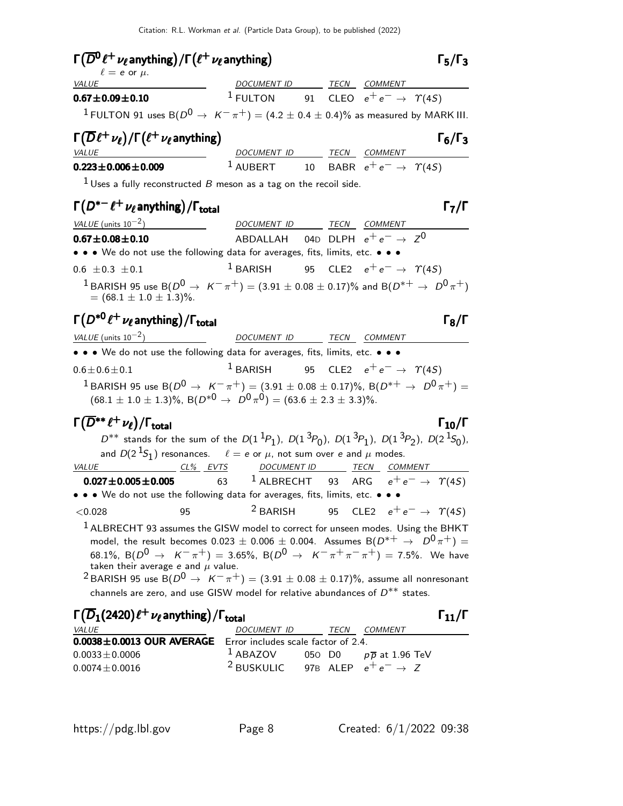# $\Gamma(\overline{D^0}\ell^+\nu_\ell$ anything $)/\Gamma(\ell^+\nu_\ell$ anything)  $\Gamma_5/\Gamma_3$

| $\ell = e$ or $\mu$ .                                                                              |                    |  |                                         |  |
|----------------------------------------------------------------------------------------------------|--------------------|--|-----------------------------------------|--|
| <i>VALUE</i>                                                                                       | <b>DOCUMENT ID</b> |  | TECN COMMENT                            |  |
| $0.67 \pm 0.09 \pm 0.10$                                                                           | $1$ FULTON         |  | 91 CLEO $e^+e^- \rightarrow \gamma(45)$ |  |
| <sup>1</sup> FULTON 91 uses B( $D^0 \to K^- \pi^+$ ) = (4.2 ± 0.4 ± 0.4)% as measured by MARK III. |                    |  |                                         |  |

#### Γ $(\overline{D}\ell^+\nu_\ell)$ /Γ $(\ell^+\nu_\ell$ anything) Γ<sub>6</sub>/Γ<sub>3</sub> VALUE **A COMMENT IS A COMMENT ID** TECN COMMENT

#### **0.223±0.006±0.009** <sup>1</sup> AUBERT 10 BABR  $e^+e^- \rightarrow \gamma(45)$

 $1$  Uses a fully reconstructed  $B$  meson as a tag on the recoil side.

 $\Gamma(D^{*-}\ell^+\nu_\ell$  anything)/ $\Gamma_{\text{total}}$  and  $\Gamma_7/\Gamma$ 

| VALUE (units $10^{-2}$ )                                                                                                                              | DOCUMENT ID TECN                                            |  | <i>COMMENT</i> |  |
|-------------------------------------------------------------------------------------------------------------------------------------------------------|-------------------------------------------------------------|--|----------------|--|
| $0.67 \pm 0.08 \pm 0.10$                                                                                                                              | ABDALLAH 04D DLPH $e^+e^- \rightarrow Z^0$                  |  |                |  |
| • • • We do not use the following data for averages, fits, limits, etc. • • •                                                                         |                                                             |  |                |  |
| $0.6 \pm 0.3 \pm 0.1$                                                                                                                                 | <sup>1</sup> BARISH 95 CLE2 $e^+e^- \rightarrow \gamma(4S)$ |  |                |  |
| <sup>1</sup> BARISH 95 use B( $D^0 \to K^- \pi^+$ ) = (3.91 $\pm$ 0.08 $\pm$ 0.17)% and B( $D^{*+} \to D^0 \pi^+$ )<br>$= (68.1 \pm 1.0 \pm 1.3)\%$ . |                                                             |  |                |  |

#### Γ $(D^{*0}\ell^+\nu_\ell$  anything)/ $\Gamma_{\text{total}}$  Γενι /Γ $\Gamma_{\text{total}}$  Γ $_8$ /Γ

| VALUE (units $10^{-2}$ )                                                                                                           | DOCUMENT ID                                                 | TECN | <i>COMMENT</i> |
|------------------------------------------------------------------------------------------------------------------------------------|-------------------------------------------------------------|------|----------------|
| • • • We do not use the following data for averages, fits, limits, etc. • • •                                                      |                                                             |      |                |
| $0.6 \pm 0.6 \pm 0.1$                                                                                                              | <sup>1</sup> BARISH 95 CLE2 $e^+e^- \rightarrow \gamma(4S)$ |      |                |
| <sup>1</sup> BARISH 95 use B( $D^0 \rightarrow K^- \pi^+$ ) = (3.91 $\pm$ 0.08 $\pm$ 0.17)%, B( $D^{*+} \rightarrow D^0 \pi^+$ ) = |                                                             |      |                |
| $(68.1 \pm 1.0 \pm 1.3)\%$ , B $(D^{*0} \rightarrow D^{0} \pi^{0}) = (63.6 \pm 2.3 \pm 3.3)\%$ .                                   |                                                             |      |                |
|                                                                                                                                    |                                                             |      |                |

#### $\Gamma(\overline{D}^{**}\ell^+\nu_\ell)/\Gamma_{\rm total}$  Γ<sub>10</sub>/Γ /Γ $_{\rm total}$  Γ $_{10}$ /Γ

 $D^{**}$  stands for the sum of the  $D(1^1P_1)$ ,  $D(1^3P_0)$ ,  $D(1^3P_1)$ ,  $D(1^3P_2)$ ,  $D(2^1S_0)$ , and  $D(2^{\text{ }1S_{1}^{\text{}})$  resonances.  $\quad \ell=\text{\textit{e or }\mu,}$  not sum over  $\text{\textit{e and }\mu}$  modes. VALUE CL% EVTS DOCUMENT ID TECN COMMENT

| $0.027 \pm 0.005 \pm 0.005$ |     | 63 <sup>1</sup> ALBRECHT 93 ARG $e^+e^- \rightarrow \gamma(45)$               |  |  |
|-----------------------------|-----|-------------------------------------------------------------------------------|--|--|
|                             |     | • • • We do not use the following data for averages, fits, limits, etc. • • • |  |  |
| $<$ 0.028                   | 95. | <sup>2</sup> BARISH 95 CLE2 $e^+e^- \rightarrow \gamma(4S)$                   |  |  |

 $1$  ALBRECHT 93 assumes the GISW model to correct for unseen modes. Using the BHKT model, the result becomes  $0.023 \pm 0.006 \pm 0.004$ . Assumes  $B(D^{*+} \rightarrow D^0 \pi^+) =$ 68.1%, B( $D^0 \rightarrow K^-\pi^+$ ) = 3.65%, B( $D^0 \rightarrow K^-\pi^+\pi^-\pi^+$ ) = 7.5%. We have taken their average e and  $\mu$  value.

<sup>2</sup> BARISH 95 use B( $D^0 \rightarrow K^-\pi^+$ ) = (3.91  $\pm$  0.08  $\pm$  0.17)%, assume all nonresonant channels are zero, and use GISW model for relative abundances of  $D^{**}$  states.

| $\Gamma(\overline{D}_1(2420)\ell^+\nu_\ell)$ anything) / $\Gamma_{\text{total}}$ |                                                       |  |      |                                    |  |
|----------------------------------------------------------------------------------|-------------------------------------------------------|--|------|------------------------------------|--|
| <i>VALUE</i>                                                                     | DOCUMENT ID                                           |  | TECN | <i>COMMENT</i>                     |  |
| <b>0.0038±0.0013 OUR AVERAGE</b> Error includes scale factor of 2.4.             |                                                       |  |      |                                    |  |
| $0.0033 \pm 0.0006$                                                              | $1$ ABAZOV                                            |  |      | 050 D0 $p\overline{p}$ at 1.96 TeV |  |
| $0.0074 \pm 0.0016$                                                              | <sup>2</sup> BUSKULIC 97B ALEP $e^+e^- \rightarrow Z$ |  |      |                                    |  |

 $\Gamma_5/\Gamma_3$ 

 $\Gamma_6/\Gamma_3$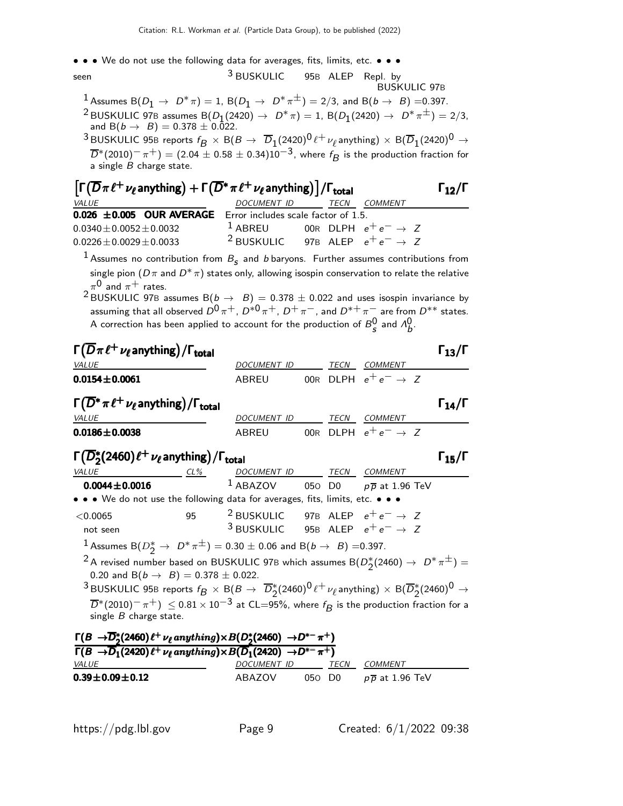• • • We do not use the following data for averages, fits, limits, etc. • • •

seen 3 BUSKULIC 95<sup>B</sup> ALEP Repl. by BUSKULIC 97B

 $1$  Assumes B $(D_1 \rightarrow D^*\pi) = 1$ , B $(D_1 \rightarrow D^*\pi^{\pm}) = 2/3$ , and B $(b \rightarrow B) = 0.397$ .  $2$  BUSKULIC 97B assumes  $B(D_1(2420) \to D^*\pi) = 1$ ,  $B(D_1(2420) \to D^*\pi^{\pm}) = 2/3$ , and B $(b \to B) = 0.378 \pm 0.022$ .

 $^3$ BUSKULIC 95B reports  $f^{}_B\,\times\,{\rm B}(B\to\overline D_1(2420)^0\ell^+\,\nu_\ell$ anything)  $\times\,{\rm B}(\overline D_1(2420)^0\to\ell^+\nu_\ell)$  $\overline{D}{}^*(2010)^-\pi^+)=(2.04\pm0.58\pm0.34)10^{-3},$  where  $f_{\pmb{\beta}}$  is the production fraction for a single  $\overrightarrow{B}$  charge state.

| $\left[\Gamma(\overline{D}\pi\ell^+\nu_\ell\text{anything})+\Gamma(\overline{D}^*\pi\ell^+\nu_\ell\text{anything})\right]/\Gamma_{\text{total}}$ |                                                       |  |  |         |  |  |
|--------------------------------------------------------------------------------------------------------------------------------------------------|-------------------------------------------------------|--|--|---------|--|--|
| VALUE                                                                                                                                            | DOCUMENT ID TECN                                      |  |  | COMMENT |  |  |
| 0.026 ±0.005 OUR AVERAGE Error includes scale factor of 1.5.                                                                                     |                                                       |  |  |         |  |  |
| $0.0340 \pm 0.0052 \pm 0.0032$                                                                                                                   | <sup>1</sup> ABREU 00R DLPH $e^+e^- \rightarrow Z$    |  |  |         |  |  |
| $0.0226 \pm 0.0029 \pm 0.0033$                                                                                                                   | <sup>2</sup> BUSKULIC 97B ALEP $e^+e^- \rightarrow Z$ |  |  |         |  |  |

 $^1$  Assumes no contribution from  $B_{\boldsymbol{\varsigma}}$  and  $b$  baryons. Further assumes contributions from single pion  $(D\pi$  and  $D^*\pi)$  states only, allowing isospin conservation to relate the relative  $\pi^{\mathsf{0}}$  and  $\pi^+$  rates.

 $2$  BUSKULIC 97B assumes B $(b \rightarrow B) = 0.378 \pm 0.022$  and uses isospin invariance by assuming that all observed  $D^0 \pi^+$ ,  $D^{*0} \pi^+$ ,  $D^+ \pi^-$ , and  $D^{*+} \pi^-$  are from  $D^{**}$  states. A correction has been applied to account for the production of  $B_{S}^0$  and  $\Lambda_b^0$ .

| $\Gamma(\overline{D}\pi\ell^+\nu_\ell)$ anything) / $\Gamma_{\rm total}$                                                                                                                                                                       |    |                                                       |  |                                                        | $\Gamma_{13}/\Gamma$ |
|------------------------------------------------------------------------------------------------------------------------------------------------------------------------------------------------------------------------------------------------|----|-------------------------------------------------------|--|--------------------------------------------------------|----------------------|
| <b>VALUE</b>                                                                                                                                                                                                                                   |    | DOCUMENT ID                                           |  | TECN COMMENT                                           |                      |
| $0.0154 \pm 0.0061$                                                                                                                                                                                                                            |    | ABREU                                                 |  | 00R DLPH $e^+e^- \rightarrow Z$                        |                      |
| $\Gamma(\overline{D}^*\pi\ell^+\nu_\ell)$ anything) / $\Gamma_{\text{total}}$                                                                                                                                                                  |    |                                                       |  |                                                        | $\Gamma_{14}/\Gamma$ |
| <b>VALUE</b>                                                                                                                                                                                                                                   |    | DOCUMENT ID                                           |  | TECN COMMENT                                           |                      |
| $0.0186 \pm 0.0038$                                                                                                                                                                                                                            |    | ABREU                                                 |  | 00R DLPH $e^+e^- \rightarrow Z$                        |                      |
| $\Gamma(\overline{D}_2^*(2460)\ell^+\nu_{\ell}$ anything) / $\Gamma_{\text{total}}$                                                                                                                                                            |    |                                                       |  |                                                        | $\Gamma_{15}/\Gamma$ |
| <b>VALUE</b><br>$CL\%$                                                                                                                                                                                                                         |    | DOCUMENT ID TECN COMMENT                              |  |                                                        |                      |
| $0.0044 \pm 0.0016$                                                                                                                                                                                                                            |    |                                                       |  | <sup>1</sup> ABAZOV 050 D0 $p\overline{p}$ at 1.96 TeV |                      |
| • • • We do not use the following data for averages, fits, limits, etc. • • •                                                                                                                                                                  |    |                                                       |  |                                                        |                      |
| $<$ 0.0065                                                                                                                                                                                                                                     | 95 | <sup>2</sup> BUSKULIC 97B ALEP $e^+e^- \rightarrow Z$ |  |                                                        |                      |
| not seen                                                                                                                                                                                                                                       |    | <sup>3</sup> BUSKULIC 95B ALEP $e^+e^- \rightarrow Z$ |  |                                                        |                      |
| 1 Assumes B $(D_2^* \to D^* \pi^{\pm}) = 0.30 \pm 0.06$ and B $(b \to B) = 0.397$ .                                                                                                                                                            |    |                                                       |  |                                                        |                      |
| <sup>2</sup> A revised number based on BUSKULIC 97B which assumes B( $D_{2}^{*}(2460) \rightarrow D^{*}\pi^{\pm}) =$                                                                                                                           |    |                                                       |  |                                                        |                      |
| 0.20 and B( $b \rightarrow B$ ) = 0.378 $\pm$ 0.022.<br><sup>3</sup> BUSKULIC 95B reports $f_B \times B(B \to \overline{D}_2^*(2460)^0 \ell^+ \nu_\ell$ anything) $\times B(\overline{D}_2^*(2460)^0 \to$                                      |    |                                                       |  |                                                        |                      |
| $\overline{D}^*(2010)^-\pi^+) \leq 0.81\times 10^{-3}$ at CL=95%, where $f_{\pmb{\beta}}$ is the production fraction for a<br>single $B$ charge state.                                                                                         |    |                                                       |  |                                                        |                      |
| $\Gamma(B \to \overline{D}_2^*(2460) \ell^+ \nu_\ell$ anything) $\times B(D_2^*(2460) \to D^{*-}\pi^+)$<br>$\Gamma(R \rightarrow \overline{D}$ . (2420) $\ell$ + $\mu$ and thing) $\times R(\overline{D}$ . (2420) $\rightarrow D^{*-} \pi$ +) |    |                                                       |  |                                                        |                      |

| $1 - 7 = 7$<br>$\Gamma(B \to \overline{D}_1(2420)\ell^+ \nu_\ell$ anything) $\times B(\overline{D}_1(2420) \to D^{*-}\pi^+)$ |                    |        |             |                                 |  |  |  |
|------------------------------------------------------------------------------------------------------------------------------|--------------------|--------|-------------|---------------------------------|--|--|--|
| <i>VALUE</i>                                                                                                                 | <i>DOCUMENT ID</i> |        | <b>TFCN</b> | COMMENT                         |  |  |  |
| $0.39 \pm 0.09 \pm 0.12$                                                                                                     | ABAZOV             | 050 DO |             | $p\,\overline{\!p}$ at 1.96 TeV |  |  |  |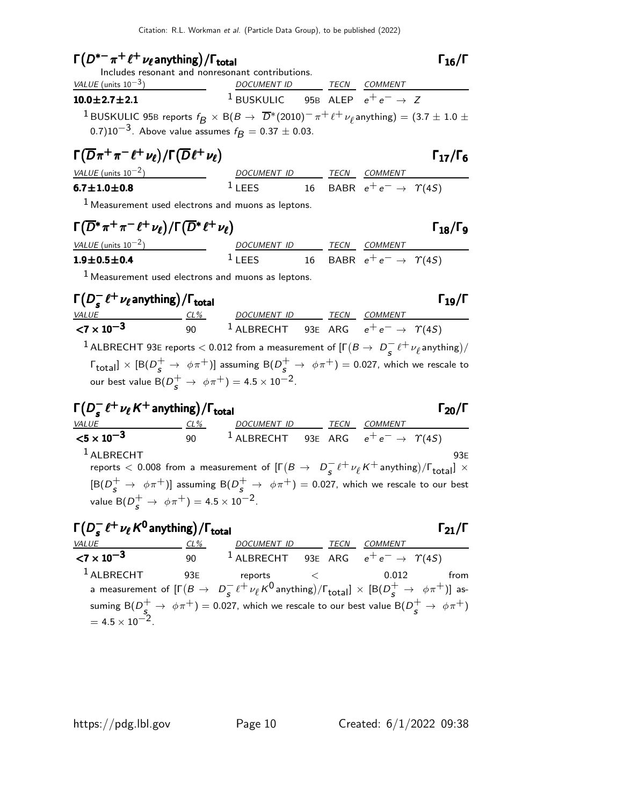# $\Gamma(D^{*-}\pi^+\ell^+\nu_\ell$  anything) /  $\Gamma_{\text{total}}$  (  $\Gamma_{\text{16}}$  /  $\Gamma_{\text{16}}$  /  $\Gamma$

Includes resonant and nonresonant contributions.

| VALUE (units $10^{-3}$ )                                                                                                                                                                                | <i>DOCUMENT ID</i>                                    |  | <i>TECN COMMENT</i> |
|---------------------------------------------------------------------------------------------------------------------------------------------------------------------------------------------------------|-------------------------------------------------------|--|---------------------|
| $10.0 \pm 2.7 \pm 2.1$                                                                                                                                                                                  | <sup>1</sup> BUSKULIC 95B ALEP $e^+e^- \rightarrow Z$ |  |                     |
| <sup>1</sup> BUSKULIC 95B reports $f_R \times B(B \to \overline{D}^*(2010)^-\pi^+\ell^+\nu_\ell$ anything) = (3.7 $\pm$ 1.0 $\pm$<br>0.7)10 <sup>-3</sup> . Above value assumes $f_B = 0.37 \pm 0.03$ . |                                                       |  |                     |

$$
\Gamma(\overline{D}\pi^+\pi^-\ell^+\nu_{\ell})/\Gamma(\overline{D}\ell^+\nu_{\ell})
$$
\n
$$
\Gamma_{17}/\Gamma_6
$$
\n
$$
\Gamma_{18}/\Gamma_{19}
$$
\n
$$
\Gamma_{19}/\Gamma_{10}
$$

| $\Gamma(\overline{D}\pi^+\pi^-\ell^+\nu_{\ell})/\Gamma(\overline{D}\ell^+\nu_{\ell})$ |             |             |                                         | $\Gamma_{17}/\Gamma$ |
|---------------------------------------------------------------------------------------|-------------|-------------|-----------------------------------------|----------------------|
| VALUE (units $10^{-2}$ )                                                              | DOCUMENT ID | <b>TFCN</b> | COMMENT                                 |                      |
| $6.7\!\pm\!1.0\!\pm\!0.8$                                                             | LEES        |             | 16 BABR $e^+e^- \rightarrow \gamma(45)$ |                      |

1 Measurement used electrons and muons as leptons.

$$
\Gamma(\overline{D}^* \pi^+ \pi^- \ell^+ \nu_{\ell}) / \Gamma(\overline{D}^* \ell^+ \nu_{\ell}) \qquad \qquad \Gamma_{18} / \Gamma_9
$$

| VALUE (units $10^{-2}$ ) | DOCUMENT ID |  | TECN COMMENT                            |
|--------------------------|-------------|--|-----------------------------------------|
| $1.9 \pm 0.5 \pm 0.4$    | $1$ LEES    |  | 16 BABR $e^+e^- \rightarrow \gamma(4S)$ |

 $<sup>1</sup>$  Measurement used electrons and muons as leptons.</sup>

 $Γ(D_5^-)$  $\Gamma(D_s^- \ell^+ \nu_\ell \text{anything})/\Gamma_{\text{total}}$  $D_s^- \ell^+ \nu_\ell$  anything) /  $\Gamma_{\text{total}}$  and  $\Gamma_{19}/\Gamma$  $+$   $\mu$  anything) VALUE CL% DOCUMENT ID TECN COMMENT  $\overline{<7\times10^{-3}}$ 90  $^1$  ALBRECHT  $^93$ E ARG  $e^+e^-\rightarrow~\varUpsilon(4S)$ <sup>1</sup> ALBRECHT 93E reports  $<$  0.012 from a measurement of  $[\Gamma(B \to D^{-}_{\epsilon}])$  $\frac{-}{s}$   $\ell^+$   $\nu_{\ell}$  anything)/  $\lceil \frac{\text{total}}{\text{total}} \rceil \times \lceil \text{B}(D_{\mathcal{S}}^+ \rightarrow \phi \pi^+) \rceil$  assuming  $\text{B}(D_{\mathcal{S}}^+ \rightarrow \phi \pi^+) =$  0.027, which we rescale to our best value  $\mathsf{B}(D_{\mathcal{S}}^+\rightarrow\ \phi\pi^+)=4.5\times10^{-2}.$ 

| $\Gamma(D_s^- e^+ \nu_\ell K^+$ anything)/\Gamma_{total} | $\Gamma_{20}/\Gamma$                    |                                                                                                                                                                                                                                                                                                                                                                                                                                                                                                                                                                                                                                                                                                                                                                                                                                                                                                                                                                                                                                                                                                                                                                   |
|----------------------------------------------------------|-----------------------------------------|-------------------------------------------------------------------------------------------------------------------------------------------------------------------------------------------------------------------------------------------------------------------------------------------------------------------------------------------------------------------------------------------------------------------------------------------------------------------------------------------------------------------------------------------------------------------------------------------------------------------------------------------------------------------------------------------------------------------------------------------------------------------------------------------------------------------------------------------------------------------------------------------------------------------------------------------------------------------------------------------------------------------------------------------------------------------------------------------------------------------------------------------------------------------|
| $\langle 5 \times 10^{-3}$                               | $\frac{0.00 \text{U M} \text{ENT}}{90}$ | $\frac{1 \text{ECN}}{200 \text{ V}} = \frac{0.00 \text{V}}{200 \text{ V}} = \frac{0.00 \text{V}}{200 \text{ V}} = \frac{0.00 \text{V}}{200 \text{ V}} = \frac{0.00 \text{V}}{200 \text{ V}} = \frac{0.00 \text{V}}{200 \text{ V}} = \frac{0.00 \text{V}}{200 \text{ V}} = \frac{0.00 \text{V}}{200 \text{ V}} = \frac{0.00 \text{V}}{200 \text{ V}} = \frac{0.00 \text{V}}{200 \text{ V}} = \frac{0.00 \text{V}}{200 \text{ V}} = \frac{0.00 \text{V}}{200 \text{ V}} = \frac{0.00 \text{V}}{200 \text{ V}} = \frac{0.00 \text{V}}{200 \text{ V}} = \frac{0.00 \text{V}}{200 \text{ V}} = \frac{0.00 \text{V}}{200 \text{ V}} = \frac{0.00 \text{V}}{200 \text{ V}} = \frac{0.00 \text{V}}{200 \text{ V}} = \frac{0.00 \text{V}}{200 \text{ V}} = \frac{0.00 \text{V}}{200 \text{ V}} = \frac{0.00 \text{V}}{200 \text{ V}} = \frac{0.00 \text{V}}{200 \text{ V}} = \frac{0.00 \text{V}}{200 \text{ V}} = \frac{0.00 \text{V}}{200 \text{ V}} = \frac{0.00 \text{V}}{200 \text{ V}} = \frac{0.00 \text{V}}{200 \text{ V}} = \frac{0.00 \text{V}}{200 \text{ V}} = \frac{0.00 \text{V}}{200 \text{ V}} = \frac{0.00 \text{V}}{200 \text{ V}} = \frac{0.00 \text{V$ |

| $\Gamma(D^-_{\varsigma}\ell^+\nu_{\ell}\, \mathsf{K}^0$ anything) / $\Gamma_{\sf total}$ |        |                                                                                                                                         |      |                | $\Gamma_{21}/\Gamma$ |
|------------------------------------------------------------------------------------------|--------|-----------------------------------------------------------------------------------------------------------------------------------------|------|----------------|----------------------|
| VALUE                                                                                    | $CL\%$ | DOCUMENT ID                                                                                                                             | TECN | <b>COMMENT</b> |                      |
| ${1 \times 10^{-3}}$                                                                     | 90     | <sup>1</sup> ALBRECHT 93E ARG $e^+e^- \rightarrow \gamma(45)$                                                                           |      |                |                      |
| $1$ ALBRECHT                                                                             | 93E    | reports                                                                                                                                 |      | 0.012          | from                 |
|                                                                                          |        | a measurement of $[\Gamma(B \to D_s^- \ell^+ \nu_\ell K^0 \text{anything})/\Gamma_{\text{total}}] \times [B(D_s^+ \to \phi \pi^+)]$ as- |      |                |                      |
|                                                                                          |        | suming B( $D_{\epsilon}^{+} \to \phi \pi^{+}$ ) = 0.027, which we rescale to our best value B( $D_{\epsilon}^{+} \to \phi \pi^{+}$ )    |      |                |                      |
| $= 4.5 \times 10^{-2}$ .                                                                 |        |                                                                                                                                         |      |                |                      |

 $\Gamma_{18}/\Gamma_{9}$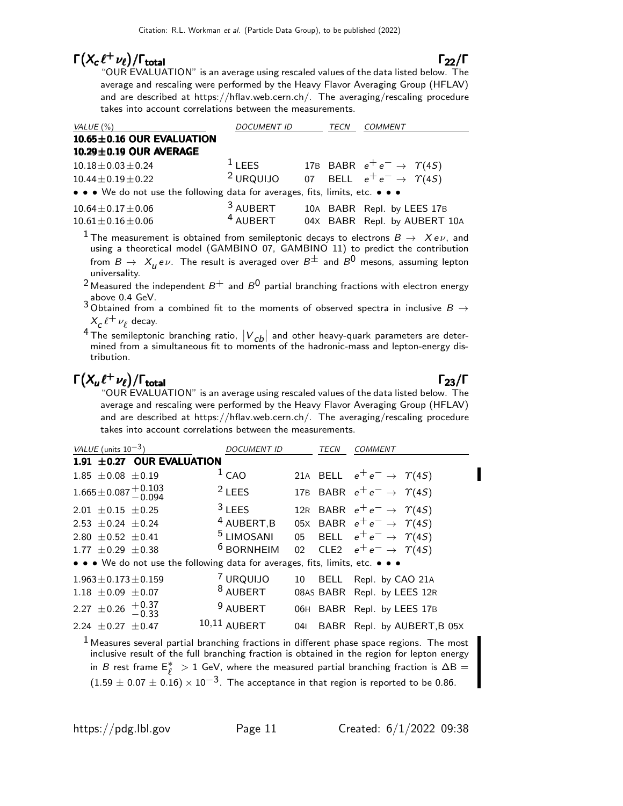# $\Gamma(X_c \ell^+ \nu_\ell)/\Gamma_{\text{total}}$  Γ<sub>22</sub>/Γ

"OUR EVALUATION" is an average using rescaled values of the data listed below. The average and rescaling were performed by the Heavy Flavor Averaging Group (HFLAV) and are described at https://hflav.web.cern.ch/. The averaging/rescaling procedure takes into account correlations between the measurements.

| VALUE (%)                                                                     | <b>DOCUMENT ID</b>  |  | TECN | <b>COMMENT</b>                                               |  |  |
|-------------------------------------------------------------------------------|---------------------|--|------|--------------------------------------------------------------|--|--|
| 10.65±0.16 OUR EVALUATION                                                     |                     |  |      |                                                              |  |  |
| $10.29 \pm 0.19$ OUR AVERAGE                                                  |                     |  |      |                                                              |  |  |
| $10.18 \pm 0.03 \pm 0.24$                                                     | $1$ LEES            |  |      | 17B BABR $e^+e^- \rightarrow \Upsilon(4S)$                   |  |  |
| $10.44 \pm 0.19 \pm 0.22$                                                     |                     |  |      | <sup>2</sup> URQUIJO 07 BELL $e^+e^- \rightarrow \gamma(45)$ |  |  |
| • • • We do not use the following data for averages, fits, limits, etc. • • • |                     |  |      |                                                              |  |  |
| $10.64 \pm 0.17 \pm 0.06$                                                     | <sup>3</sup> AUBERT |  |      | 10A BABR Repl. by LEES 17B                                   |  |  |
| $10.61 \pm 0.16 \pm 0.06$                                                     | <sup>4</sup> AUBERT |  |      | 04X BABR Repl. by AUBERT 10A                                 |  |  |

<sup>1</sup> The measurement is obtained from semileptonic decays to electrons  $B\to Xe\nu$ , and using a theoretical model (GAMBINO 07, GAMBINO 11) to predict the contribution from  $B\to~X_{\mu}$  e $\nu$ . The result is averaged over  $B^\pm$  and  $B^0$  mesons, assuming lepton universality.

<sup>2</sup> Measured the independent  $B^+$  and  $B^0$  partial branching fractions with electron energy

above 0.4 GeV.<br><sup>3</sup> Obtained from a combined fit to the moments of observed spectra in inclusive  $B\to$  $X_c \, \ell^+ \, \nu_\ell$  decay.

<sup>4</sup> The semileptonic branching ratio,  $|V_{cb}|$  and other heavy-quark parameters are deter-<br>mined from a simultaneous fit to moments of the hadronic-mass and lepton-energy distribution.

# $\Gamma(X_u \ell^+ \nu_\ell)/\Gamma_{\text{total}}$

#### $\Gamma_{23}/\Gamma$

"OUR EVALUATION" is an average using rescaled values of the data listed below. The average and rescaling were performed by the Heavy Flavor Averaging Group (HFLAV) and are described at https://hflav.web.cern.ch/. The averaging/rescaling procedure takes into account correlations between the measurements.

| VALUE (units $10^{-3}$ )                                                                                              | <b>DOCUMENT ID</b>    |     | <b>TECN</b> | <i>COMMENT</i>                                                                              |
|-----------------------------------------------------------------------------------------------------------------------|-----------------------|-----|-------------|---------------------------------------------------------------------------------------------|
| 1.91 ±0.27 OUR EVALUATION                                                                                             |                       |     |             |                                                                                             |
| $1.85 \pm 0.08 \pm 0.19$                                                                                              | 1 <sub>CAO</sub>      |     |             | 21A BELL $e^+e^- \rightarrow \Upsilon(4S)$                                                  |
| $1.665 \pm 0.087 \begin{array}{c} +0.103 \\ -0.094 \end{array}$                                                       | $2$ LEES              |     |             | 17B BABR $e^+e^- \rightarrow \gamma(4S)$                                                    |
| $2.01 \pm 0.15 \pm 0.25$                                                                                              | $3$ LEES              |     |             | 12R BABR $e^+e^- \rightarrow \Upsilon(4S)$                                                  |
| 2.53 $\pm$ 0.24 $\pm$ 0.24                                                                                            | 4 AUBERT, B           |     |             | 05X BABR $e^+e^- \rightarrow \gamma(4S)$                                                    |
| 2.80 $\pm$ 0.52 $\pm$ 0.41                                                                                            | <sup>5</sup> LIMOSANI | 05  |             | BELL $e^+e^- \rightarrow \Upsilon(4S)$                                                      |
| $1.77 \pm 0.29 \pm 0.38$                                                                                              | <sup>6</sup> BORNHEIM |     |             | 02 CLE2 $e^+e^- \rightarrow \Upsilon(4S)$                                                   |
| $\bullet \bullet \bullet$ We do not use the following data for averages, fits, limits, etc. $\bullet \bullet \bullet$ |                       |     |             |                                                                                             |
| $1.963 \pm 0.173 \pm 0.159$                                                                                           | URQUIJO               | 10  |             | BELL Repl. by CAO 21A                                                                       |
| $1.18 \pm 0.09 \pm 0.07$                                                                                              | <sup>8</sup> AUBERT   |     |             | 08AS BABR Repl. by LEES 12R                                                                 |
| 2.27 $\pm$ 0.26 $+$ 0.37                                                                                              | <sup>9</sup> AUBERT   |     |             | 06H BABR Repl. by LEES 17B                                                                  |
| 2.24 $\pm$ 0.27 $\pm$ 0.47                                                                                            | $10,11$ AUBERT        | 041 |             | BABR Repl. by AUBERT, B 05X                                                                 |
|                                                                                                                       |                       |     |             | $1$ Measures several partial branching fractions in different phase space regions. The most |

inclusive result of the full branching fraction is obtained in the region for lepton energy in *B* rest frame  $E^*$  > 1 GeV, where the measured partial branching fraction is ΔB =  $(1.59 \pm 0.07 \pm 0.16) \times 10^{-3}$ . The acceptance in that region is reported to be 0.86.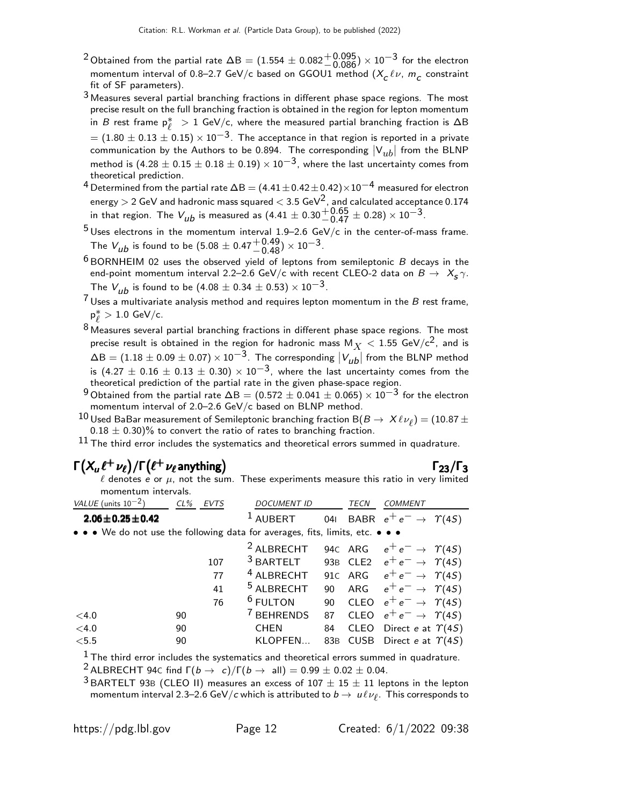- $^2$ Obtained from the partial rate  $\Delta {\sf B} = (1.554 \pm 0.082 {+0.095 \atop -0.086})\times 10^{-3}$  for the electron momentum interval of 0.8–2.7 GeV/c based on GGOU1 method  $(X_c \ell \nu, m_c$  constraint fit of SF parameters).
- 3 Measures several partial branching fractions in different phase space regions. The most precise result on the full branching fraction is obtained in the region for lepton momentum in *B* rest frame  $p^*_{\ell} > 1$  GeV/c, where the measured partial branching fraction is ΔB  $= (1.80 \pm 0.13 \pm 0.15) \times 10^{-3}$ . The acceptance in that region is reported in a private communication by the Authors to be 0.894. The corresponding  $|V_{ub}|$  from the BLNP method is (4.28  $\pm$  0.15  $\pm$  0.18  $\pm$  0.19)  $\times$  10<sup>-3</sup>, where the last uncertainty comes from theoretical prediction.
- $^4$  Determined from the partial rate  $\Delta {\sf B} = (4.41 \pm 0.42 \pm 0.42) \times 10^{-4}$  measured for electron energy  $>$  2 GeV and hadronic mass squared  $<$  3.5 GeV $^{\rm 2}$ , and calculated acceptance 0.174 in that region. The  $V_{ub}$  is measured as  $(4.41 \pm 0.30 {+0.65 \atop -0.47} \pm 0.28) \times 10^{-3}$ .
- $^5$ Uses electrons in the momentum interval 1.9–2.6 GeV/c in the center-of-mass frame. The  $V_{ub}$  is found to be  $(5.08 \pm 0.47 {+0.49 \atop -0.48}) \times 10^{-3}$ .
- $6$  BORNHEIM 02 uses the observed yield of leptons from semileptonic  $B$  decays in the end-point momentum interval 2.2–2.6 GeV/c with recent CLEO-2 data on  $B \to X_{\bf S} \gamma$ . The  $V_{\mu b}$  is found to be (4.08  $\pm$  0.34  $\pm$  0.53)  $\times$  10<sup>-3</sup>.
- $7$  Uses a multivariate analysis method and requires lepton momentum in the B rest frame, p ∗  $\ell > 1.0 \text{ GeV/c}.$
- $8$  Measures several partial branching fractions in different phase space regions. The most precise result is obtained in the region for hadronic mass  $M_X < 1.55$  GeV/c<sup>2</sup>, and is  $\Delta {\sf B} = (1.18 \pm 0.09 \pm 0.07) \times 10^{-3}$ . The corresponding  $|V_{ub}|$  from the BLNP method  $\frac{215}{100} = (1.16 \pm 0.09 \pm 0.07) \times 10^{-3}$ , where the last uncertainty comes from the theoretical prediction of the partial rate in the given phase-space region.
- $9$  Obtained from the partial rate  $\Delta B = (0.572 \pm 0.041 \pm 0.065) \times 10^{-3}$  for the electron momentum interval of 2.0–2.6 GeV/c based on BLNP method.
- 10 Used BaBar measurement of Semileptonic branching fraction B $(B \to X \ell \nu_\ell) = (10.87 \pm 0.000)$ 0.18  $\pm$  0.30)% to convert the ratio of rates to branching fraction.

 $11$  The third error includes the systematics and theoretical errors summed in quadrature.

# $\Gamma(X_u \ell^+ \nu_\ell) / \Gamma(\ell^+ \nu_\ell$ anything)  $\Gamma_{23}/\Gamma_3$

#### $\Gamma_{23}/\Gamma_3$

 $\ell$  denotes e or  $\mu$ , not the sum. These experiments measure this ratio in very limited momentum intervals.

| VALUE (units $10^{-2}$ )                                                      | $CL\%$<br><b>EVTS</b> | <b>DOCUMENT ID</b>    |     | TECN | <b>COMMENT</b>                             |
|-------------------------------------------------------------------------------|-----------------------|-----------------------|-----|------|--------------------------------------------|
| $2.06 \pm 0.25 \pm 0.42$                                                      |                       | <b>AUBERT</b>         | 041 |      | BABR $e^+e^- \rightarrow \Upsilon(4S)$     |
| • • • We do not use the following data for averages, fits, limits, etc. • • • |                       |                       |     |      |                                            |
|                                                                               |                       | <sup>2</sup> ALBRECHT |     |      | 94c ARG $e^+e^- \rightarrow \gamma(45)$    |
|                                                                               | 107                   | $3$ BARTELT           |     |      | 93B CLE2 $e^+e^- \rightarrow \Upsilon(4S)$ |
|                                                                               | 77                    | <sup>4</sup> ALBRECHT |     |      | 91c ARG $e^+e^- \rightarrow \gamma(4S)$    |
|                                                                               | 41                    | <sup>5</sup> ALBRECHT | 90  |      | ARG $e^+e^- \rightarrow \Upsilon(4S)$      |
|                                                                               | 76                    | <sup>6</sup> FULTON   |     |      | 90 CLEO $e^+e^- \rightarrow \Upsilon(4S)$  |
| $<$ 4.0                                                                       | 90                    | <sup>7</sup> BEHRENDS |     |      | 87 CLEO $e^+e^- \rightarrow \Upsilon(4S)$  |
| $<$ 4.0                                                                       | 90                    | <b>CHEN</b>           | 84  |      | CLEO Direct e at $\Upsilon(4S)$            |
| < 5.5                                                                         | 90                    | KLOPFEN               | 83B |      | CUSB Direct e at $\Upsilon(4S)$            |

 $<sup>1</sup>$  The third error includes the systematics and theoretical errors summed in quadrature.</sup>

<sup>2</sup> ALBRECHT 94C find  $\Gamma(b \to c)/\Gamma(b \to \text{all}) = 0.99 \pm 0.02 \pm 0.04$ .

 $3$  BARTELT 93B (CLEO II) measures an excess of  $107 \pm 15 \pm 11$  leptons in the lepton momentum interval 2.3–2.6 GeV/ $c$  which is attributed to  $b\to\ u\ell\nu_\ell.$  This corresponds to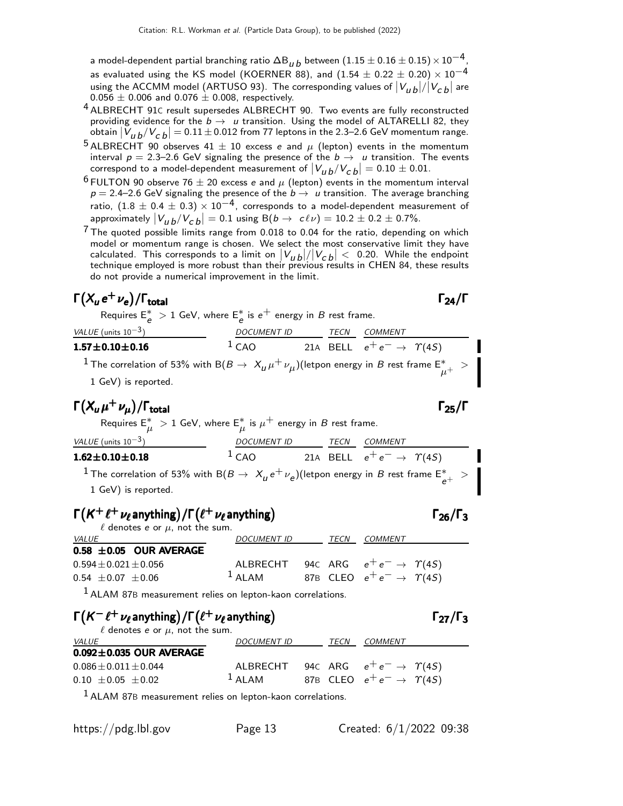a model-dependent partial branching ratio  $\Delta\mathsf{B}_{\bm{\mathit{u}}}{}_{\bm{\mathit{b}}}$  between  $(1.15\pm0.16\pm0.15)\!\times\!10^{-4}$ , as evaluated using the KS model (KOERNER 88), and  $(1.54 \pm 0.22 \pm 0.20) \times 10^{-4}$ using the ACCMM model (ARTUSO 93). The corresponding values of  $|V_{ub}|/|V_{cb}|$  are  $0.056 \pm 0.006$  and  $0.076 \pm 0.008$ , respectively.

- 4 ALBRECHT 91<sup>C</sup> result supersedes ALBRECHT 90. Two events are fully reconstructed providing evidence for the  $b \to u$  transition. Using the model of ALTARELLI 82, they obtain  $\left|V_{\bm{u}\,\bm{b}}/V_{\bm{C}\,\bm{b}}\right| = 0.11 \pm 0.012$  from 77 leptons in the 2.3–2.6 GeV momentum range.
- <sup>5</sup> ALBRECHT 90 observes 41  $\pm$  10 excess e and  $\mu$  (lepton) events in the momentum interval  $p = 2.3-2.6$  GeV signaling the presence of the  $b \rightarrow u$  transition. The events correspond to a model-dependent measurement of  $\left|V_{\mu \, b}/V_{\cal C \, b}\right|=0.10\pm0.01.$
- $6$  FULTON 90 observe 76  $\pm$  20 excess e and  $\mu$  (lepton) events in the momentum interval  $p = 2.4$ –2.6 GeV signaling the presence of the  $b \rightarrow u$  transition. The average branching ratio,  $(1.8 \pm 0.4 \pm 0.3) \times 10^{-4}$ , corresponds to a model-dependent measurement of approximately  $|V_{\mu \, b}/V_{\text{c}}{}_{\text{b}}| = 0.1$  using  $B(b \to c \ell \nu) = 10.2 \pm 0.2 \pm 0.7\%.$
- $7$  The quoted possible limits range from 0.018 to 0.04 for the ratio, depending on which model or momentum range is chosen. We select the most conservative limit they have calculated. This corresponds to a limit on  $|V_{UB}|/|V_{CB}| < 0.20$ . While the endpoint technique employed is more robust than their previous results in CHEN 84, these results do not provide a numerical improvement in the limit.

#### $\Gamma(X_u e^+ \nu_e)/\Gamma_{\text{total}}$  Γ<sub>24</sub>/Γ /Γ $_{\rm total}$  Γ $_{24}/$  Γ

Requires  $\mathsf{E}^*_e > 1$  GeV, where  $\mathsf{E}^*_e$  is  $e^+$  energy in  $B$  rest frame.

# VALUE (units  $10^{-3}$ ) DOCUMENT ID TECN COMMENT  $1.57\pm0.10\pm0.16$  1 CAO 21A BELL  $e^+e^-\rightarrow$   $\Upsilon(4S)$

 $^1$  The correlation of 53% with B $(B\to\ X_\mu \mu^+\nu_\mu)$ (letpon energy in  $B$  rest frame  $\mathsf{E}^*_{\mu^+}$   $>$ 1 GeV) is reported.

# $\Gamma(X_u \mu^+ \nu_\mu)/\Gamma_{\text{total}}$  Γ<sub>25</sub>/Γ

Requires  $\mathsf{E}^*_{\mu} > 1$  GeV, where  $\mathsf{E}^*_{\mu}$  is  $\mu^+$  energy in  $B$  rest frame.

| VALUE (units $10^{-3}$ )                                                                                                           | <b>DOCUMENT ID</b> | TECN | COMMENT                                  |  |
|------------------------------------------------------------------------------------------------------------------------------------|--------------------|------|------------------------------------------|--|
| $1.62 \pm 0.10 \pm 0.18$                                                                                                           | 1 <sub>CAO</sub>   |      | 21A BELL $e^+e^- \rightarrow \gamma(45)$ |  |
| $^{-1}$ The correlation of 53% with B(B $\rightarrow$ $\ X_{\mu}e^+\nu_e$ )(letpon energy in B rest frame $\mathsf{E}^*_{e^+}$ $>$ |                    |      |                                          |  |

1 GeV) is reported.

# $\Gamma(K^+ \ell^+ \nu_\ell$  anything) / $\Gamma(\ell^+ \nu_\ell$  anything)  $\Gamma_{26}/\Gamma_3$

| $\ell$ denotes e or $\mu$ , not the sum. |                    |      |                                            |
|------------------------------------------|--------------------|------|--------------------------------------------|
| <i>VALUE</i>                             | <i>DOCUMENT ID</i> | TECN | COMMENT                                    |
| $0.58 \pm 0.05$ OUR AVERAGE              |                    |      |                                            |
| $0.594 \pm 0.021 \pm 0.056$              | ALBRECHT           |      | 94C ARG $e^+e^- \rightarrow \Upsilon(4S)$  |
| $0.54 \pm 0.07 \pm 0.06$                 | $1$ ALAM           |      | 87B CLEO $e^+e^- \rightarrow \Upsilon(4S)$ |

 $1$  ALAM 87B measurement relies on lepton-kaon correlations.

# $\Gamma(K^-\ell^+\nu_\ell$  anything) / $\Gamma(\ell^+\nu_\ell$  anything)  $\qquad \qquad \qquad$

| $\ell$ denotes e or $\mu$ , not the sum. |                     |      |                                                  |
|------------------------------------------|---------------------|------|--------------------------------------------------|
| <i>VALUE</i>                             | DOCUMENT ID         | TECN | <i>COMMENT</i>                                   |
| $0.092 \pm 0.035$ OUR AVERAGE            |                     |      |                                                  |
| $0.086 \pm 0.011 \pm 0.044$              |                     |      | ALBRECHT 94c ARG $e^+e^- \rightarrow \gamma(4S)$ |
| $0.10 \pm 0.05 \pm 0.02$                 | $\overline{A}$ ALAM |      | 87B CLEO $e^+e^- \rightarrow \Upsilon(4S)$       |

 $1$  ALAM 87B measurement relies on lepton-kaon correlations.

 $\Gamma_{26}/\Gamma_3$ 

 $\Gamma_{25}/\Gamma$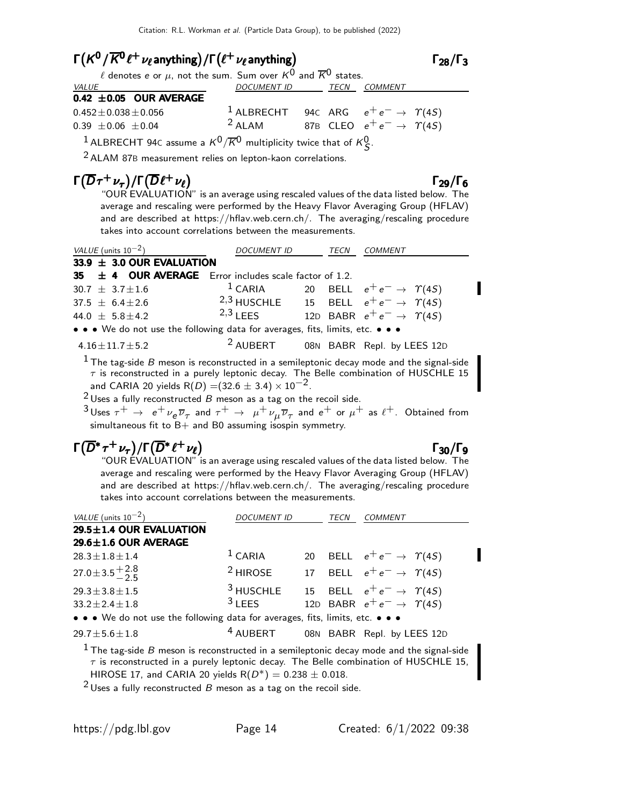# $\Gamma(K^0/\overline{K^0} \ell^+ \nu_\ell$ anything) / $\Gamma(\ell^+ \nu_\ell$ anything)  $\qquad \qquad \qquad$

 $\Gamma_{28}/\Gamma_3$ 

| $\ell$ denotes e or $\mu$ , not the sum. Sum over $K^0$ and $\overline{K}^0$ states. |                                                                                                                                                                                                                                                                                                                                                                                                                                   |  |                                                               |  |  |  |
|--------------------------------------------------------------------------------------|-----------------------------------------------------------------------------------------------------------------------------------------------------------------------------------------------------------------------------------------------------------------------------------------------------------------------------------------------------------------------------------------------------------------------------------|--|---------------------------------------------------------------|--|--|--|
| <i>VALUE</i>                                                                         | DOCUMENT ID TECN COMMENT                                                                                                                                                                                                                                                                                                                                                                                                          |  |                                                               |  |  |  |
| 0.42 $\pm$ 0.05 OUR AVERAGE                                                          |                                                                                                                                                                                                                                                                                                                                                                                                                                   |  |                                                               |  |  |  |
| $0.452 \pm 0.038 \pm 0.056$                                                          |                                                                                                                                                                                                                                                                                                                                                                                                                                   |  | <sup>1</sup> ALBRECHT 94c ARG $e^+e^- \rightarrow \gamma(45)$ |  |  |  |
| $0.39 \pm 0.06 \pm 0.04$                                                             | $2$ ALAM                                                                                                                                                                                                                                                                                                                                                                                                                          |  | 87B CLEO $e^+e^- \rightarrow \gamma(4S)$                      |  |  |  |
| 1.722222222223                                                                       | $\therefore$ 0 $\therefore$ 0 $\therefore$ 0 $\therefore$ 0 $\therefore$ 0 $\therefore$ 0 $\therefore$ 0 $\therefore$ 0 $\therefore$ 0 $\therefore$ 0 $\therefore$ 0 $\therefore$ 0 $\therefore$ 0 $\therefore$ 0 $\therefore$ 0 $\therefore$ 0 $\therefore$ 0 $\therefore$ 0 $\therefore$ 0 $\therefore$ 0 $\therefore$ 0 $\therefore$ 0 $\therefore$ 0 $\therefore$ 0 $\therefore$ 0 $\therefore$ 0 $\therefore$ 0 $\therefore$ |  |                                                               |  |  |  |

 $^1$  ALBRECHT 94c assume a  $\kappa^0/\overline{\kappa}{}^0$  multiplicity twice that of  $\kappa^0_{\cal S}$ .

2 ALAM 87<sup>B</sup> measurement relies on lepton-kaon correlations.

# $\Gamma(\overline{D}\tau^+\nu_{\tau})/\Gamma(\overline{D}\ell^+\nu_{\ell})$   $\Gamma_{29}/\Gamma_6$

 $+\nu_{\ell}$ ) Γ<sub>29</sub>/Γ "OUR EVALUATION" is an average using rescaled values of the data listed below. The average and rescaling were performed by the Heavy Flavor Averaging Group (HFLAV) and are described at https://hflav.web.cern.ch/. The averaging/rescaling procedure takes into account correlations between the measurements.

| VALUE (units $10^{-2}$ )                                                                                                                                                              | <b>DOCUMENT ID</b> |  | TECN | COMMENT                                                    |  |  |
|---------------------------------------------------------------------------------------------------------------------------------------------------------------------------------------|--------------------|--|------|------------------------------------------------------------|--|--|
| 33.9 $\pm$ 3.0 OUR EVALUATION                                                                                                                                                         |                    |  |      |                                                            |  |  |
| 35 $\pm$ 4 OUR AVERAGE Error includes scale factor of 1.2.                                                                                                                            |                    |  |      |                                                            |  |  |
| $30.7 \pm 3.7 \pm 1.6$                                                                                                                                                                |                    |  |      | <sup>1</sup> CARIA 20 BELL $e^+e^- \rightarrow \gamma(4S)$ |  |  |
| $37.5 \pm 6.4 \pm 2.6$                                                                                                                                                                |                    |  |      | 2,3 HUSCHLE 15 BELL $e^+e^- \rightarrow \gamma(45)$        |  |  |
| 44.0 $\pm$ 5.8 $\pm$ 4.2                                                                                                                                                              | $2,3$   FFS        |  |      | 12D BABR $e^+e^- \rightarrow \gamma(45)$                   |  |  |
| • • • We do not use the following data for averages, fits, limits, etc. • • •                                                                                                         |                    |  |      |                                                            |  |  |
| $4.16 \pm 11.7 \pm 5.2$                                                                                                                                                               |                    |  |      | <sup>2</sup> AUBERT 08N BABR Repl. by LEES 12D             |  |  |
| $1$ The tag-side B meson is reconstructed in a semileptonic decay mode and the signal-side<br>$\tau$ is reconstructed in a purely leptonic decay. The Belle combination of HUSCHLE 15 |                    |  |      |                                                            |  |  |

and CARIA 20 yields R(D) =(32.6  $\pm$  3.4)  $\times$  10<sup>-2</sup>.

 $2$  Uses a fully reconstructed  $B$  meson as a tag on the recoil side.

 $^3$ Uses  $\tau^+$   $\;\rightarrow$   $\;$  e $^+\nu_e\overline{\nu}_\tau$  and  $\tau^+$   $\;\rightarrow$   $\;$   $\mu^+\nu_\mu\overline{\nu}_\tau$  and  $e^+$  or  $\mu^+$  as  $\ell^+$ . Obtained from simultaneous fit to B+ and B0 assuming isospin symmetry.

# $\Gamma(\overline{D}^* \tau^+ \nu_\tau)/\Gamma(\overline{D}^* \ell^+ \nu_\ell)$  Γ<sub>30</sub>/Γ<sub>9</sub>

 $\tau^+ \nu_\tau) / \Gamma(D^* \ell^+ \nu_\ell)$ <br>"OUR EVALUATION" is an average using rescaled values of the data listed below. The average and rescaling were performed by the Heavy Flavor Averaging Group (HFLAV) and are described at https://hflav.web.cern.ch/. The averaging/rescaling procedure takes into account correlations between the measurements.

| VALUE (units $10^{-2}$ )                                                                                                                                                                                                                                       | DOCUMENT ID          |  | TECN | <i>COMMENT</i>                            |  |  |  |
|----------------------------------------------------------------------------------------------------------------------------------------------------------------------------------------------------------------------------------------------------------------|----------------------|--|------|-------------------------------------------|--|--|--|
| 29.5±1.4 OUR EVALUATION                                                                                                                                                                                                                                        |                      |  |      |                                           |  |  |  |
| $29.6 \pm 1.6$ OUR AVERAGE                                                                                                                                                                                                                                     |                      |  |      |                                           |  |  |  |
| $28.3 \pm 1.8 \pm 1.4$                                                                                                                                                                                                                                         | $1$ CARIA            |  |      | 20 BELL $e^+e^- \rightarrow \Upsilon(4S)$ |  |  |  |
| $27.0 \pm 3.5 \pm 2.8$                                                                                                                                                                                                                                         | $2$ HIROSE           |  |      | 17 BELL $e^+e^- \rightarrow \Upsilon(4S)$ |  |  |  |
| $29.3 \pm 3.8 \pm 1.5$                                                                                                                                                                                                                                         | <sup>3</sup> HUSCHLE |  |      | 15 BELL $e^+e^- \rightarrow \Upsilon(4S)$ |  |  |  |
| $33.2 \pm 2.4 \pm 1.8$                                                                                                                                                                                                                                         | $3$ I FFS            |  |      | 12D BABR $e^+e^- \rightarrow \gamma(4S)$  |  |  |  |
| • • • We do not use the following data for averages, fits, limits, etc. • • •                                                                                                                                                                                  |                      |  |      |                                           |  |  |  |
| $29.7 \pm 5.6 \pm 1.8$                                                                                                                                                                                                                                         | $4$ AUBERT           |  |      | 08N BABR Repl. by LEES 12D                |  |  |  |
| <sup>1</sup> The tag-side B meson is reconstructed in a semileptonic decay mode and the signal-side<br>$\tau$ is reconstructed in a purely leptonic decay. The Belle combination of HUSCHLE 15,<br>HIROSE 17, and CARIA 20 yields $R(D^*) = 0.238 \pm 0.018$ . |                      |  |      |                                           |  |  |  |

 $2$  Uses a fully reconstructed B meson as a tag on the recoil side.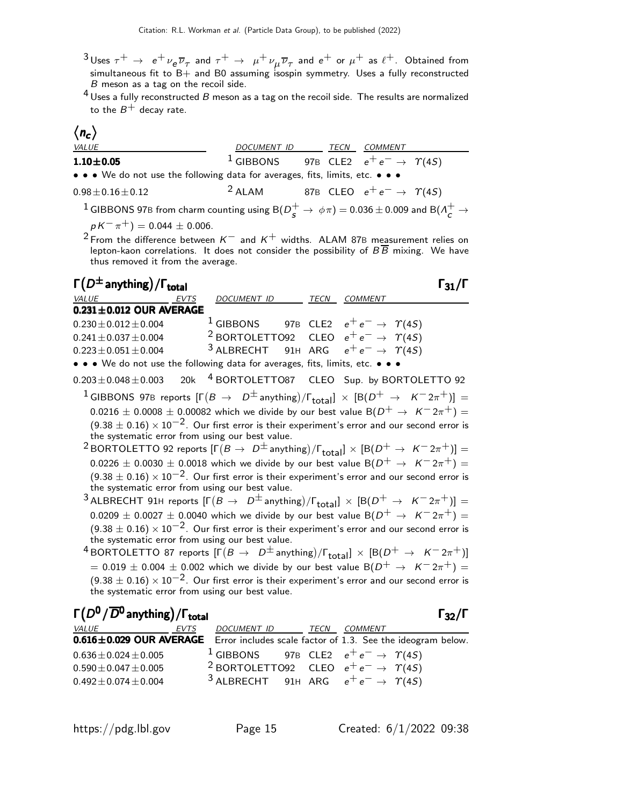$^3$ Uses  $\tau^+$   $\;\rightarrow$   $\;$  e $^+\nu_{\bm e} \overline{\nu}_{\tau}$  and  $\tau^+$   $\;\rightarrow$   $\;$   $\mu^+\nu_{\mu} \overline{\nu}_{\tau}$  and  $e^+$  or  $\mu^+$  as  $\ell^+$ . Obtained from simultaneous fit to  $B+$  and B0 assuming isospin symmetry. Uses a fully reconstructed  $B$  meson as a tag on the recoil side.

 $4$  Uses a fully reconstructed B meson as a tag on the recoil side. The results are normalized to the  $B^+$  decay rate.

# $\langle n_c \rangle$

| <i>VALUE</i>                                                                  | <i>DOCUMENT ID</i> |  | TECN | <i>COMMENT</i>                                                |  |  |  |
|-------------------------------------------------------------------------------|--------------------|--|------|---------------------------------------------------------------|--|--|--|
| $1.10 + 0.05$                                                                 |                    |  |      | <sup>1</sup> GIBBONS 97B CLE2 $e^+e^- \rightarrow \gamma(45)$ |  |  |  |
| • • • We do not use the following data for averages, fits, limits, etc. • • • |                    |  |      |                                                               |  |  |  |
| $0.98 \pm 0.16 \pm 0.12$                                                      | $2$ ALAM           |  |      | 87B CLEO $e^+e^- \rightarrow \Upsilon(4S)$                    |  |  |  |

 $^1$  GIBBONS 97B from charm counting using B $(D^+_{{\bf s}}\to\,\phi\pi)=$  0.036  $\pm$  0.009 and B( $\Lambda^+_{{\bf c}}\to$  $p K^{-} \pi^{+}$ ) = 0.044 ± 0.006.

 $^2$ From the difference between  $\kappa^-$  and  $\kappa^+$  widths. ALAM 87B measurement relies on lepton-kaon correlations. It does not consider the possibility of  $B\,B$  mixing. We have thus removed it from the average.

| $\Gamma(D^{\pm}$ anything) / $\Gamma_{total}$                                                                                           |             |                                                                |  |                |  |
|-----------------------------------------------------------------------------------------------------------------------------------------|-------------|----------------------------------------------------------------|--|----------------|--|
| VALUE                                                                                                                                   | <b>EVTS</b> | DOCUMENT ID TECN                                               |  | <b>COMMENT</b> |  |
| $0.231 \pm 0.012$ OUR AVERAGE                                                                                                           |             |                                                                |  |                |  |
| $0.230 \pm 0.012 \pm 0.004$                                                                                                             |             | <sup>1</sup> GIBBONS 97B CLE2 $e^+e^- \rightarrow \gamma(45)$  |  |                |  |
| $0.241 \pm 0.037 \pm 0.004$                                                                                                             |             | <sup>2</sup> BORTOLETTO92 CLEO $e^+e^- \rightarrow \gamma(45)$ |  |                |  |
| $0.223 \pm 0.051 \pm 0.004$                                                                                                             |             | <sup>3</sup> ALBRECHT 91H ARG $e^+e^- \rightarrow \gamma(45)$  |  |                |  |
| • • • We do not use the following data for averages, fits, limits, etc. • • •                                                           |             |                                                                |  |                |  |
| $0.203 \pm 0.048 \pm 0.003$ 20k <sup>4</sup> BORTOLETTO87 CLEO Sup. by BORTOLETTO 92                                                    |             |                                                                |  |                |  |
| <sup>1</sup> GIBBONS 97B reports $[\Gamma(B \to D^{\pm} \text{anything})/\Gamma_{\text{total}}] \times [B(D^{+} \to K^{-} 2\pi^{+})] =$ |             |                                                                |  |                |  |
| $0.0216 \pm 0.0008 \pm 0.00082$ which we divide by our best value B( $D^+ \rightarrow K^- 2\pi^+$ ) =                                   |             |                                                                |  |                |  |
| $(9.38 \pm 0.16) \times 10^{-2}$ . Our first error is their experiment's error and our second error is                                  |             |                                                                |  |                |  |
| the systematic error from using our best value.                                                                                         |             |                                                                |  |                |  |
| $2\overline{OR}$                                                                                                                        |             |                                                                |  |                |  |

 $^2$ BORTOLETTO 92 reports  $[\Gamma(B \to \ D^\pm$ anything $)/\Gamma_{\rm total}] \times [ \mathsf{B}(D^+ \to \ K^- 2 \pi^+ )] =$  $0.0226 \pm 0.0030 \pm 0.0018$  which we divide by our best value B $(D^{+} \rightarrow K^{-} 2\pi^{+})$  $(9.38 \pm 0.16) \times 10^{-2}$ . Our first error is their experiment's error and our second error is the systematic error from using our best value.

 $^3$ ALBRECHT 91H reports  $[\Gamma(B\to~D^\pm$ anything $)/\Gamma_\mathrm{total}] \, \times \, [\mathrm{B}(D^+\to~\mathcal{K}^-2\pi^+)] =$  $0.0209 \pm 0.0027 \pm 0.0040$  which we divide by our best value B $(D^{+} \rightarrow K^{-} 2\pi^{+}) =$  $(9.38 \pm 0.16) \times 10^{-2}$ . Our first error is their experiment's error and our second error is the systematic error from using our best value.

 $^4$ BORTOLETTO 87 reports  $[\Gamma(B\to~D^\pm$ anything)/ $\Gamma_\text{total}] \, \times \, [ \mathsf{B}(D^+\to~\mathsf{K}^-2\pi^+ ) ]$  $= 0.019 \pm 0.004 \pm 0.002$  which we divide by our best value B( $D^+ \rightarrow K^- 2\pi^+$ ) =  $(9.38 \pm 0.16) \times 10^{-2}$ . Our first error is their experiment's error and our second error is the systematic error from using our best value.

| $\Gamma(D^0/\overline{D}{}^0$ anything) / $\Gamma_{\rm total}$                      |      |                                                                |      |                | $\Gamma_{32}/\Gamma$ |
|-------------------------------------------------------------------------------------|------|----------------------------------------------------------------|------|----------------|----------------------|
| <i>VALUE</i>                                                                        | EVTS | DOCUMENT ID                                                    | TECN | <i>COMMENT</i> |                      |
| 0.616±0.029 OUR AVERAGE Error includes scale factor of 1.3. See the ideogram below. |      |                                                                |      |                |                      |
| $0.636 \pm 0.024 \pm 0.005$                                                         |      | <sup>1</sup> GIBBONS 97B CLE2 $e^+e^- \rightarrow \gamma(45)$  |      |                |                      |
| $0.590 \pm 0.047 \pm 0.005$                                                         |      | <sup>2</sup> BORTOLETTO92 CLEO $e^+e^- \rightarrow \gamma(45)$ |      |                |                      |
| $0.492 \pm 0.074 \pm 0.004$                                                         |      | <sup>3</sup> ALBRECHT 91H ARG $e^+e^- \rightarrow \gamma(4S)$  |      |                |                      |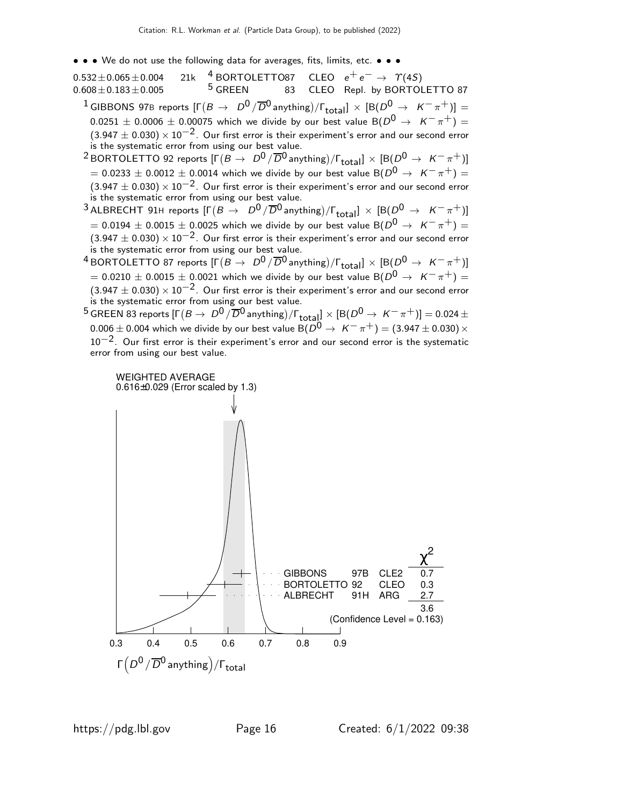• • • We do not use the following data for averages, fits, limits, etc. • • •

 $0.532\pm0.065\pm0.004$  21k  $^4$  BORTOLETTO87 CLEO  $e^+ \, e^- \rightarrow \; \Upsilon(4S)$  $0.608\pm0.183\pm0.005$   $5$  GREEN 83 CLEO Repl. by BORTOLETTO 87  $^{-1}$ GIBBONS 97B reports  $[\Gamma\bigl(B\to -D^0/\overline{D}{}^0$ anything $)\sf/\Gamma_{total}] \, \times \, [B(D^0\to~\sf K^-\pi^+)] =$  $0.0251 \pm 0.0006 \pm 0.00075$  which we divide by our best value B( $D^0 \rightarrow K^- \pi^+$ ) =  $(3.947 \pm 0.030) \times 10^{-2}$ . Our first error is their experiment's error and our second error is the systematic error from using our best value.  $^2$ BORTOLETTO 92 reports  $[\Gamma(B \to \ D^0/\overline{D}{}^0$ anything $)/\Gamma_{\rm total}] \times [\rm B(\bar{D}^0 \to \ K^-\pi^+)]$ 

 $= 0.0233 \pm 0.0012 \pm 0.0014$  which we divide by our best value B $(D^0 \rightarrow K^-\pi^+) =$  $(3.947 \pm 0.030) \times 10^{-2}$ . Our first error is their experiment's error and our second error is the systematic error from using our best value.

 $^3$ ALBRECHT 91H reports  $[\Gamma(B\to\;\;D^{\textsf{O}}\,/\,\overline{D}{}^{\textsf{O}}$ anything) $/\Gamma_{\textsf{total}}]\,\times\,[\textsf{B}(D^{\textsf{O}}\,\to\,\;K^-\,\pi^+)]$  $=$  0.0194  $\pm$  0.0015  $\pm$  0.0025 which we divide by our best value B( $D^0\,\rightarrow\,\,$  K $^{-}\,\pi^{+})=$  $(3.947 \pm 0.030) \times 10^{-2}$ . Our first error is their experiment's error and our second error is the systematic error from using our best value.

 $^4$ BORTOLETTO 87 reports  $[\Gamma(B\to\ D^0/\overline{D}{}^0$  anything) $/\Gamma_{\rm total}]\times[{\rm B}(D^0\to\ K^-\pi^+)]$  $=$  0.0210  $\pm$  0.0015  $\pm$  0.0021 which we divide by our best value B( $D^0\,\rightarrow\,\,$  K $^{-}\,\pi^{+})=$  $(3.947 \pm 0.030) \times 10^{-2}$ . Our first error is their experiment's error and our second error is the systematic error from using our best value.

 $^5$  GREEN 83 reports  $[\Gamma(B\to\ D^0/\overline{D}{}^0$  anything $)/\Gamma_{\rm total}]\times[{\rm B}(D^0\to\ K^-\pi^+)] =$  0.024  $\pm$  $0.006 \pm 0.004$  which we divide by our best value B $(D^0 \rightarrow K^-\pi^+) = (3.947 \pm 0.030) \times$  $10^{-2}$ . Our first error is their experiment's error and our second error is the systematic error from using our best value.

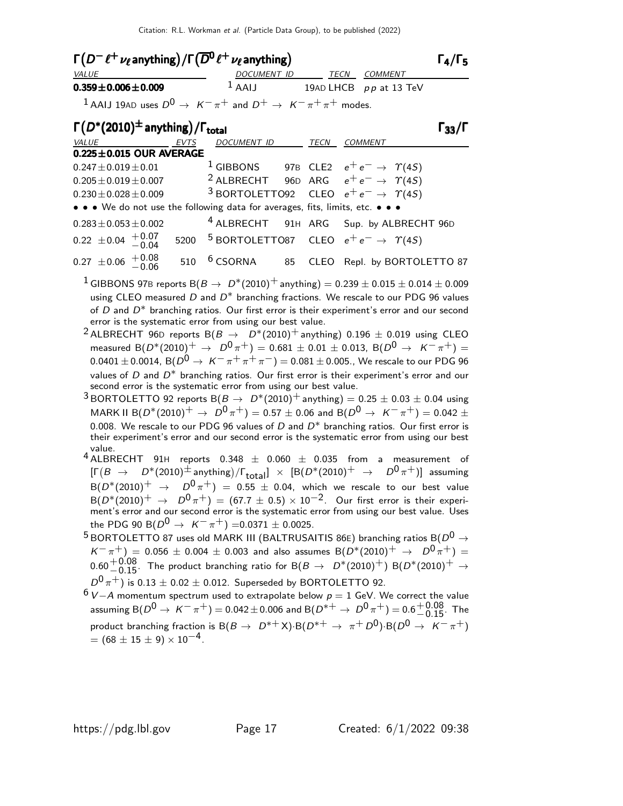| $\Gamma(D^-\ell^+\nu_\ell)$ anything) / $\Gamma(\overline{D^0}\ell^+\nu_\ell)$ anything)          |                    |      |                          |                      |  |
|---------------------------------------------------------------------------------------------------|--------------------|------|--------------------------|----------------------|--|
| <i>VALUE</i>                                                                                      | <b>DOCUMENT ID</b> | TECN | COMMENT                  |                      |  |
| $0.359 \pm 0.006 \pm 0.009$                                                                       | $1$ AAIJ           |      | 19AD LHCB $pp$ at 13 TeV |                      |  |
| <sup>1</sup> AAIJ 19AD uses $D^0 \rightarrow K^-\pi^+$ and $D^+ \rightarrow K^-\pi^+\pi^+$ modes. |                    |      |                          |                      |  |
| $\Gamma(D^*(2010)^{\pm})$ anything) / $\Gamma_{total}$                                            |                    |      |                          | $\Gamma_{33}/\Gamma$ |  |

| $\Gamma(D^*(2010)^{\pm}$ anything)/ $\Gamma_{total}$                          |             |                    |             |                                                                |
|-------------------------------------------------------------------------------|-------------|--------------------|-------------|----------------------------------------------------------------|
| VALUE                                                                         | <b>EVTS</b> | <b>DOCUMENT ID</b> | <b>TECN</b> | <b>COMMENT</b>                                                 |
| $0.225 \pm 0.015$ OUR AVERAGE                                                 |             |                    |             |                                                                |
| $0.247 \pm 0.019 \pm 0.01$                                                    |             |                    |             | <sup>1</sup> GIBBONS 97B CLE2 $e^+e^- \rightarrow \gamma(45)$  |
| $0.205 \pm 0.019 \pm 0.007$                                                   |             |                    |             | <sup>2</sup> ALBRECHT 96D ARG $e^+e^- \rightarrow \gamma(45)$  |
| $0.230 \pm 0.028 \pm 0.009$                                                   |             |                    |             | <sup>3</sup> BORTOLETTO92 CLEO $e^+e^- \rightarrow \gamma(45)$ |
| • • • We do not use the following data for averages, fits, limits, etc. • • • |             |                    |             |                                                                |
| $0.283 \pm 0.053 \pm 0.002$                                                   |             |                    |             | <sup>4</sup> ALBRECHT 91H ARG Sup. by ALBRECHT 96D             |
| $0.22 \pm 0.04 + 0.07$                                                        |             |                    |             | 5200 $5$ BORTOLETTO87 CLEO $e^+e^- \rightarrow \gamma(45)$     |
| $0.27 \pm 0.06 \pm 0.08$                                                      | 510         |                    |             | <sup>6</sup> CSORNA 85 CLEO Repl. by BORTOLETTO 87             |

- <sup>1</sup> GIBBONS 97B reports B $(B \to D^*(2010)^+$  anything) = 0.239  $\pm$  0.015  $\pm$  0.014  $\pm$  0.009 using CLEO measured  $D$  and  $D^*$  branching fractions. We rescale to our PDG 96 values of  $D$  and  $D^*$  branching ratios. Our first error is their experiment's error and our second error is the systematic error from using our best value.
- <sup>2</sup> ALBRECHT 96D reports B( $B \rightarrow D^*(2010)^+$  anything) 0.196  $\pm$  0.019 using CLEO measured B( $D^*(2010)^+$  →  $D^0 \pi^+$ ) = 0.681 ± 0.01 ± 0.013, B( $D^0 \rightarrow K^- \pi^+$ ) =  $0.0401 \pm 0.0014$ , B( $D^0 \rightarrow K^- \pi^+ \pi^+ \pi^-$ ) = 0.081  $\pm$  0.005., We rescale to our PDG 96 values of  $D$  and  $D^*$  branching ratios. Our first error is their experiment's error and our second error is the systematic error from using our best value.
- <sup>3</sup> BORTOLETTO 92 reports B $(B \to D^*(2010)^+$  anything) = 0.25  $\pm$  0.03  $\pm$  0.04 using MARK II B( $D^*(2010)^+$   $\rightarrow$   $D^0 \pi^+$ ) = 0.57  $\pm$  0.06 and B( $D^0 \rightarrow K^- \pi^+$ ) = 0.042  $\pm$ 0.008. We rescale to our PDG 96 values of  $D$  and  $D^*$  branching ratios. Our first error is their experiment's error and our second error is the systematic error from using our best value.
- $4$  ALBRECHT 91H reports 0.348  $\pm$  0.060  $\pm$  0.035 from a measurement of  $[\Gamma(B \to D^*(2010)^\pm \text{ anything})/\Gamma_\text{total}] \times [B(D^*(2010)^\pm \to D^0 \pi^\pm)]$  assuming  $B(D^*(2010)^+ \rightarrow D^0 \pi^+) = 0.55 \pm 0.04$ , which we rescale to our best value  ${\cal B}(D^*(2010)^+\ \to\ D^0\pi^+)=(67.7\pm0.5)\times10^{-2}.$  Our first error is their experiment's error and our second error is the systematic error from using our best value. Uses the PDG 90 B( $D^0 \rightarrow K^-\pi^+$ ) =0.0371 ± 0.0025.
- <sup>5</sup> BORTOLETTO 87 uses old MARK III (BALTRUSAITIS 86E) branching ratios B( $D^0 \rightarrow$  $K^-\pi^+$ ) = 0.056 ± 0.004 ± 0.003 and also assumes B $(D^*(2010)^+$   $\rightarrow$   $D^0\pi^+)$  =  $0.60 {+0.08 \atop -0.15}.$  The product branching ratio for  $\text{B}(B \to D^*(2010)^+)$   $\text{B}(D^*(2010)^+ \to 0.05)$  $D^0\,\pi^+)$  is 0.13  $\pm$  0.02  $\pm$  0.012. Superseded by BORTOLETTO 92.

 $6$  V − A momentum spectrum used to extrapolate below  $p = 1$  GeV. We correct the value assuming  ${\sf B}(D^0 \to \ K^-\ \pi^+) =$  0.042 $\pm$ 0.006 and  ${\sf B}(D^{*+} \to \ D^0\ \pi^+) =$  0.6 $^{+0.08}_{-0.15}$ . The product branching fraction is  $B(B \to D^{*+}X) \cdot B(D^{*+} \to \pi^+ D^0) \cdot B(D^0 \to K^-\pi^+)$  $= (68 \pm 15 \pm 9) \times 10^{-4}$ .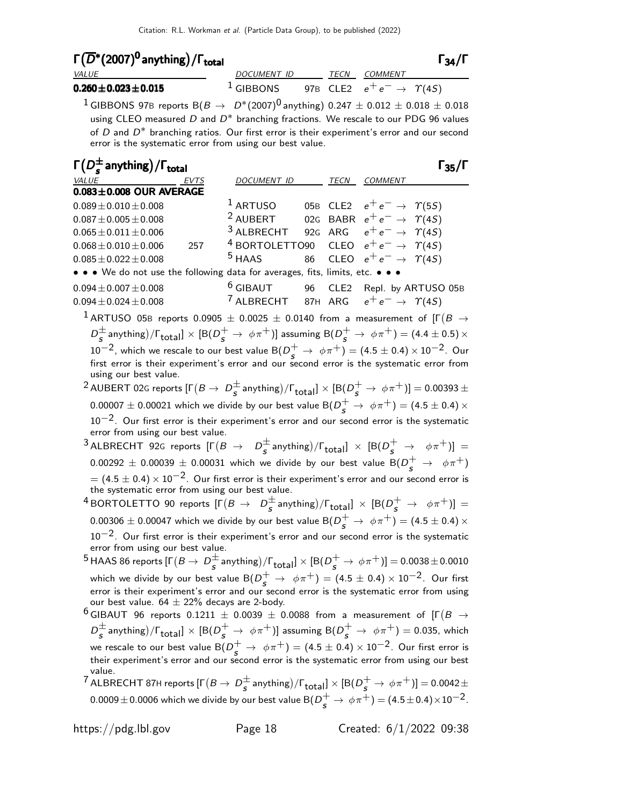# $\Gamma(\overline{D}^*(2007)^{0})$  anything)  $/\Gamma_{\rm total}$  and  $\Gamma_{34}/\Gamma_{34}$

| i (D <sup>+</sup> (2007)° anything)/i <sub>total</sub> |             |  |                                          | 134/1 |
|--------------------------------------------------------|-------------|--|------------------------------------------|-------|
| <b>VALUE</b>                                           | DOCUMENT ID |  | TECN COMMENT                             |       |
| $0.260 \pm 0.023 \pm 0.015$                            | $1$ GIBBONS |  | 97B CLE2 $e^+e^- \rightarrow \gamma(4S)$ |       |

<sup>1</sup> GIBBONS 97B reports  $B(B \to D^*(2007)^0)$  anything) 0.247  $\pm$  0.012  $\pm$  0.018  $\pm$  0.018 using CLEO measured  $D$  and  $D^*$  branching fractions. We rescale to our PDG 96 values of  $D$  and  $D^*$  branching ratios. Our first error is their experiment's error and our second error is the systematic error from using our best value.

| $\Gamma(D_s^{\pm}$ anything) / $\Gamma_{\text{total}}$                                                                                                           |                           |     |                  |                                            | $\Gamma_{35}/\Gamma$ |
|------------------------------------------------------------------------------------------------------------------------------------------------------------------|---------------------------|-----|------------------|--------------------------------------------|----------------------|
| <i>VALUE</i><br>EVTS                                                                                                                                             | DOCUMENT ID               |     |                  | TECN COMMENT                               |                      |
| $0.083 \pm 0.008$ OUR AVERAGE                                                                                                                                    |                           |     |                  |                                            |                      |
| $0.089 \pm 0.010 \pm 0.008$                                                                                                                                      | $1$ ARTUSO                |     |                  | 05B CLE2 $e^+e^- \rightarrow \Upsilon(5S)$ |                      |
| $0.087 \pm 0.005 \pm 0.008$                                                                                                                                      | <sup>2</sup> AUBERT       | 02G |                  | BABR $e^+e^- \rightarrow \Upsilon(4S)$     |                      |
| $0.065 \pm 0.011 \pm 0.006$                                                                                                                                      | <sup>3</sup> ALBRECHT     |     | 92G ARG          | $e^+e^- \rightarrow \gamma(4S)$            |                      |
| $0.068 \pm 0.010 \pm 0.006$<br>257                                                                                                                               | <sup>4</sup> BORTOLETTO90 |     | CLEO             | $e^+e^- \rightarrow \gamma(4S)$            |                      |
| $0.085 \pm 0.022 \pm 0.008$                                                                                                                                      | $5$ HAAS                  | 86  | <b>CLEO</b>      | $e^+e^- \rightarrow \gamma(4S)$            |                      |
| • • • We do not use the following data for averages, fits, limits, etc. • •                                                                                      |                           |     |                  |                                            |                      |
| $0.094 \pm 0.007 \pm 0.008$                                                                                                                                      | $6$ GIBAUT                | 96  | CLE <sub>2</sub> |                                            | Repl. by ARTUSO 05B  |
| $0.094 \pm 0.024 \pm 0.008$                                                                                                                                      | <sup>7</sup> ALBRECHT     |     | 87H ARG          | $e^+e^- \rightarrow \gamma(45)$            |                      |
| $^{\text{1}}$ ARTUSO 05B reports 0.0905 $\pm$ 0.0025 $\pm$ 0.0140 from a measurement of [F $(B\rightarrow$                                                       |                           |     |                  |                                            |                      |
| $D_s^{\pm}$ anything)/ $\Gamma_{\text{total}}$ ] $\times$ [B( $D_s^+ \to \phi \pi^+$ )] assuming B( $D_s^+ \to \phi \pi^+$ ) = (4.4 $\pm$ 0.5) $\times$          |                           |     |                  |                                            |                      |
| $10^{-2}$ , which we rescale to our best value B $(D_s^+ \rightarrow \phi \pi^+) = (4.5 \pm 0.4) \times 10^{-2}$ . Our                                           |                           |     |                  |                                            |                      |
| first error is their experiment's error and our second error is the systematic error from                                                                        |                           |     |                  |                                            |                      |
| using our best value.                                                                                                                                            |                           |     |                  |                                            |                      |
| <sup>2</sup> AUBERT 02G reports $[\Gamma(B \to D^{\pm}_{s} \text{anything})/\Gamma_{\text{total}}] \times [B(D^{+}_{s} \to \phi \pi^{+})] = 0.00393 \pm 0.00393$ |                           |     |                  |                                            |                      |
| 0.00007 $\pm$ 0.00021 which we divide by our best value B( $D_s^+ \rightarrow \phi \pi^+$ ) = (4.5 $\pm$ 0.4) $\times$                                           |                           |     |                  |                                            |                      |
| $10^{-2}$ . Our first error is their experiment's error and our second error is the systematic                                                                   |                           |     |                  |                                            |                      |
| error from using our best value.                                                                                                                                 |                           |     |                  |                                            |                      |
| 3 ALBRECHT 92G reports $[\Gamma(B \to D_S^{\pm} \text{anything})/\Gamma_{\text{total}}] \times [B(D_S^+ \to \phi \pi^+)] =$                                      |                           |     |                  |                                            |                      |
| 0.00292 $\pm$ 0.00039 $\pm$ 0.00031 which we divide by our best value B( $D_s^+ \rightarrow \phi \pi^+$ )                                                        |                           |     |                  |                                            |                      |
| $= (4.5 \pm 0.4) \times 10^{-2}$ . Our first error is their experiment's error and our second error is                                                           |                           |     |                  |                                            |                      |
| the systematic error from using our best value.                                                                                                                  |                           |     |                  |                                            |                      |
| <sup>4</sup> BORTOLETTO 90 reports $[\Gamma(B \to D_S^{\pm}$ anything)/ $\Gamma_{\text{total}}] \times [B(D_S^+ \to \phi \pi^+)] =$                              |                           |     |                  |                                            |                      |
| $0.00306 \pm 0.00047$ which we divide by our best value B $(D^+_s \rightarrow \ \phi\pi^+)=(4.5\pm0.4)\times$                                                    |                           |     |                  |                                            |                      |
| $10^{-2}$ . Our first error is their experiment's error and our second error is the systematic                                                                   |                           |     |                  |                                            |                      |
| error from using our best value.                                                                                                                                 |                           |     |                  |                                            |                      |
| <sup>5</sup> HAAS 86 reports $[\Gamma(B \to D_S^{\pm}$ anything)/ $\Gamma_{\text{total}}] \times [B(D_S^+ \to \phi \pi^+)] = 0.0038 \pm 0.0010$                  |                           |     |                  |                                            |                      |
| which we divide by our best value $B(D_s^+ \rightarrow \phi \pi^+) = (4.5 \pm 0.4) \times 10^{-2}$ . Our first                                                   |                           |     |                  |                                            |                      |
| error is their experiment's error and our second error is the systematic error from using                                                                        |                           |     |                  |                                            |                      |
| our best value. $64 \pm 22\%$ decays are 2-body.<br>$^6$ GIBAUT 96 reports 0.1211 $\pm$ 0.0039 $\pm$ 0.0088 from a measurement of [F $(B \rightarrow$            |                           |     |                  |                                            |                      |
|                                                                                                                                                                  |                           |     |                  |                                            |                      |
| $D_s^{\pm}$ anything)/ $\Gamma_{\text{total}}] \times [B(D_s^+ \rightarrow \phi \pi^+)]$ assuming $B(D_s^+ \rightarrow \phi \pi^+) = 0.035$ , which              |                           |     |                  |                                            |                      |
| we rescale to our best value B $(D_{\cal S}^+ \to \ \phi \pi^+)=(4.5\pm0.4)\times 10^{-2}$ . Our first error is                                                  |                           |     |                  |                                            |                      |
| their experiment's error and our second error is the systematic error from using our best                                                                        |                           |     |                  |                                            |                      |

value. <sup>7</sup> ALBRECHT 87H reports  $[\Gamma(B \to D \frac{B}{c})]$  $\frac{\pm}{s}$  anything)/ $\Gamma_{\rm total}$ ]  $\times$  [B( $D_{\cal S}^{+} \rightarrow \, \phi \, \pi^{+}$ )]  $=$  0.0042 $\pm$  $0.0009\pm0.0006$  which we divide by our best value  ${\sf B}(D_{_{\bf S}}^{+}\to\,\phi\pi^{+})=(4.5\pm0.4)\times10^{-2}$ .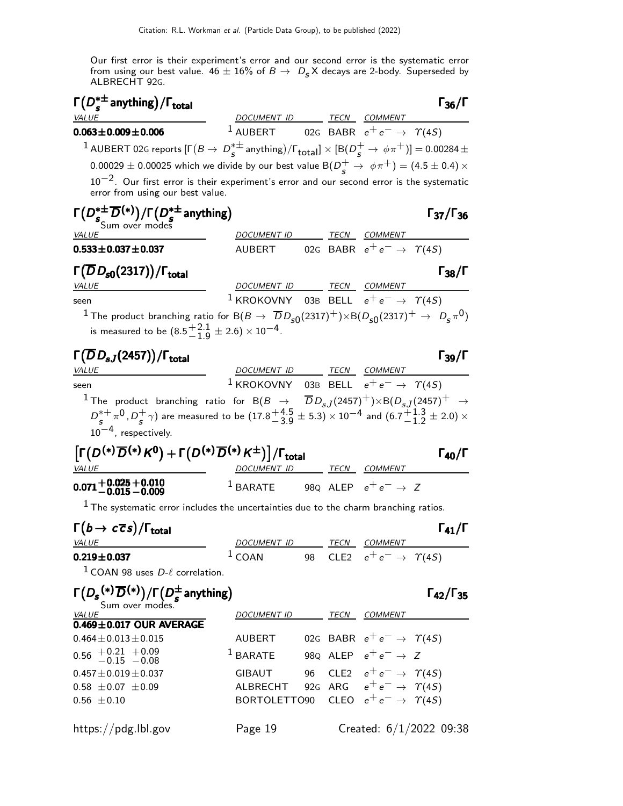Our first error is their experiment's error and our second error is the systematic error from using our best value.  $46 \pm 16\%$  of  $B \to D_S X$  decays are 2-body. Superseded by ALBRECHT 92G.

| $\Gamma(D_s^{*\pm}$ anything) / $\Gamma_{\text{total}}$<br>VALUE                                                                                                                                                                                                                                                        | DOCUMENT ID TECN COMMENT                                       |  |                                                         | $\Gamma_{36}/\Gamma$      |
|-------------------------------------------------------------------------------------------------------------------------------------------------------------------------------------------------------------------------------------------------------------------------------------------------------------------------|----------------------------------------------------------------|--|---------------------------------------------------------|---------------------------|
| $0.063 \pm 0.009 \pm 0.006$                                                                                                                                                                                                                                                                                             | 1 AUBERT 02G BABR $e^+e^- \rightarrow \gamma(4S)$              |  |                                                         |                           |
| $^1$ AUBERT 02G reports [F $(B\to D_S^{*\pm}$ anything)/F $_{\rm total}$ ] $\times$ [B $(D_S^+\to\phi\pi^+)$ ] $=$ 0.00284 $\pm$                                                                                                                                                                                        |                                                                |  |                                                         |                           |
| 0.00029 $\pm$ 0.00025 which we divide by our best value B( $D_{\rm s}^+ \rightarrow \phi \pi^+$ ) = (4.5 $\pm$ 0.4) $\times$                                                                                                                                                                                            |                                                                |  |                                                         |                           |
| $10^{-2}$ . Our first error is their experiment's error and our second error is the systematic<br>error from using our best value.                                                                                                                                                                                      |                                                                |  |                                                         |                           |
| $\Gamma\big(D_{s_{\text{Sum over modes}}}^{*\pm}\overline{D}^{(*)}\big)/\Gamma\big(D_{s}^{*\pm}\text{anything}\big)$                                                                                                                                                                                                    |                                                                |  |                                                         | $\Gamma_{37}/\Gamma_{36}$ |
| <b>VALUE</b>                                                                                                                                                                                                                                                                                                            | DOCUMENT ID TECN COMMENT                                       |  |                                                         |                           |
| $0.533 \pm 0.037 \pm 0.037$                                                                                                                                                                                                                                                                                             | AUBERT 02G BABR $e^+e^- \rightarrow \gamma(45)$                |  |                                                         |                           |
| $\Gamma(\overline{D}D_{\text{s}0}(2317))/\Gamma_{\text{total}}$<br><i>VALUE</i>                                                                                                                                                                                                                                         | DOCUMENT ID TECN COMMENT                                       |  |                                                         | $\Gamma_{38}/\Gamma$      |
| seen                                                                                                                                                                                                                                                                                                                    | <sup>1</sup> KROKOVNY 03B BELL $e^+e^- \rightarrow \gamma(45)$ |  |                                                         |                           |
| $^1$ The product branching ratio for B( $B\to\overline{~}D_{s0}(2317)^+)\times$ B( $D_{s0}(2317)^+\to~D_s\pi^0)$                                                                                                                                                                                                        |                                                                |  |                                                         |                           |
| is measured to be $(8.5\frac{+2.1}{-1.9} \pm 2.6) \times 10^{-4}$ .                                                                                                                                                                                                                                                     |                                                                |  |                                                         |                           |
| $\Gamma(\overline{D}D_{sJ}(2457))/\Gamma_{\rm total}$<br>VALUE                                                                                                                                                                                                                                                          | DOCUMENT ID TECN COMMENT                                       |  |                                                         | $\Gamma_{39}/\Gamma$      |
| seen                                                                                                                                                                                                                                                                                                                    | <sup>1</sup> KROKOVNY 03B BELL $e^+e^- \rightarrow \gamma(45)$ |  |                                                         |                           |
| $^1$ The product branching ratio for B( $B$ $\rightarrow$ $\overline{D}D_{s,I}(2457)^+){\times}{\textsf B}(D_{s,I}(2457)^+$ $\rightarrow$<br>$D_5^{*+} \pi^0$ , $D_5^+ \gamma$ ) are measured to be $(17.8^{+4.5}_{-3.9} \pm 5.3) \times 10^{-4}$ and $(6.7^{+1.3}_{-1.2} \pm 2.0) \times$<br>$10^{-4}$ , respectively. |                                                                |  |                                                         |                           |
| $\left[\Gamma(D^{(*)}\overline{D}^{(*)}K^0)+\Gamma(D^{(*)}\overline{D}^{(*)}K^{\pm})\right]/\Gamma_{total}$<br><i>VALUE</i>                                                                                                                                                                                             | DOCUMENT ID TECN COMMENT                                       |  |                                                         | $\Gamma_{40}/\Gamma$      |
| $0.071 + 0.025 + 0.010$<br>$-0.015 - 0.009$                                                                                                                                                                                                                                                                             | <sup>1</sup> BARATE 980 ALEP $e^+e^- \rightarrow Z$            |  |                                                         |                           |
| $1$ The systematic error includes the uncertainties due to the charm branching ratios.                                                                                                                                                                                                                                  |                                                                |  |                                                         |                           |
| $\Gamma(b \to c\overline{c}s)/\Gamma_{\text{total}}$                                                                                                                                                                                                                                                                    |                                                                |  |                                                         | $\Gamma_{41}/\Gamma$      |
| <i>VALUE</i><br>$0.219 \pm 0.037$                                                                                                                                                                                                                                                                                       | <u>DOCUMENT ID</u><br>$1$ COAN                                 |  | TECN COMMENT<br>98 CLE2 $e^+e^- \rightarrow \gamma(45)$ |                           |
| $1$ COAN 98 uses $D-\ell$ correlation.                                                                                                                                                                                                                                                                                  |                                                                |  |                                                         |                           |
| $\Gamma(D_s^{(*)}\overline{D}^{(*)})/\Gamma(D_{s}^{\pm}$ anything)<br>Sum over modes.                                                                                                                                                                                                                                   |                                                                |  |                                                         | $\Gamma_{42}/\Gamma_{35}$ |
| <b>VALUE</b><br>$0.469 \pm 0.017$ OUR AVERAGE                                                                                                                                                                                                                                                                           | DOCUMENT ID TECN COMMENT                                       |  |                                                         |                           |
| $0.464 \pm 0.013 \pm 0.015$                                                                                                                                                                                                                                                                                             | AUBERT                                                         |  | 02G BABR $e^+e^- \rightarrow \Upsilon(4S)$              |                           |
| $0.56$ $+0.21$ $+0.09$<br>$-0.15$ $-0.08$                                                                                                                                                                                                                                                                               | <sup>1</sup> BARATE 98Q ALEP $e^+e^- \rightarrow Z$            |  |                                                         |                           |
| $0.457 \pm 0.019 \pm 0.037$                                                                                                                                                                                                                                                                                             | GIBAUT                                                         |  | 96 CLE2 $e^+e^- \rightarrow \Upsilon(4S)$               |                           |
| $0.58 \pm 0.07 \pm 0.09$                                                                                                                                                                                                                                                                                                | ALBRECHT 92G ARG $e^+e^- \rightarrow \gamma(4S)$               |  |                                                         |                           |
| $0.56 \pm 0.10$                                                                                                                                                                                                                                                                                                         | BORTOLETTO90 CLEO $e^+e^- \rightarrow \gamma(45)$              |  |                                                         |                           |

https://pdg.lbl.gov Page 19 Created: 6/1/2022 09:38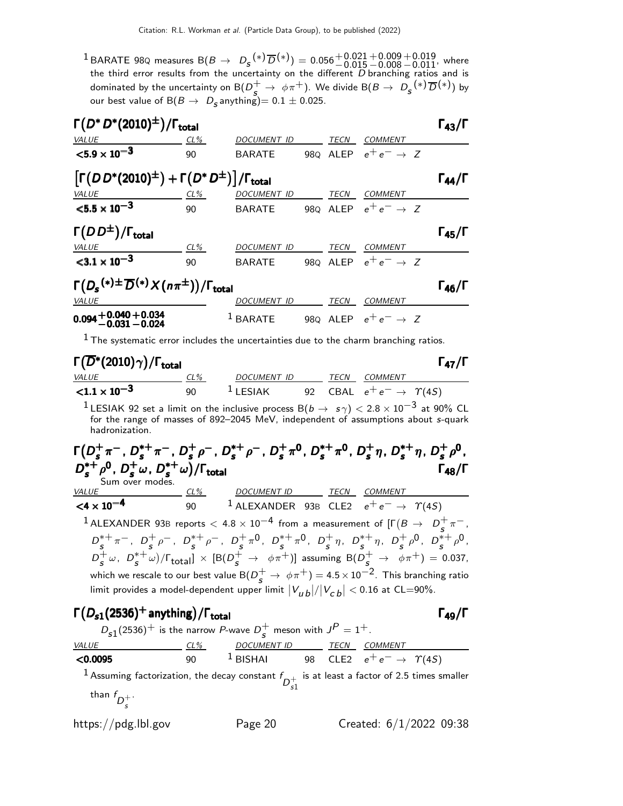$^1$ BARATE 98Q measures B $(B\to D_s^{(*)}\overline{D}^{(*)})=0.056^{+0.021}_{-0.015}$  $+0.009$  $-0.008$  $^{+0.019}_{-0.011}$ , where the third error results from the uncertainty on the different  $D$  branching ratios and is dominated by the uncertainty on  $\text{B}(Ds+_{\mathcal{S}} \to \phi\pi^+)$ . We divide  $\text{B}(B\to D_{\mathcal{S}}(*)\,\overline{D}(*)$  by our best value of  $\mathsf{B}(B\to D_{\mathsf{S}}$ anything) $=0.1\pm0.025.$ 

| $\Gamma(D^*D^*(2010)^{\pm})/\Gamma_{\rm total}$                                               |     |             |  |      |                                 |                      |  |
|-----------------------------------------------------------------------------------------------|-----|-------------|--|------|---------------------------------|----------------------|--|
| VALUE                                                                                         | CL% | DOCUMENT ID |  | TECN | <b>COMMENT</b>                  |                      |  |
| $<$ 5.9 $\times$ 10 <sup>-3</sup>                                                             | 90  | BARATE      |  |      | 980 ALEP $e^+e^- \rightarrow Z$ |                      |  |
| $\left[ \Gamma (DD^{*}(2010)^{\pm}) + \Gamma (D^{*} D^{\pm}) \right] / \Gamma_{\text{total}}$ |     |             |  |      |                                 | $\Gamma_{44}/\Gamma$ |  |
| <b>VALUE</b>                                                                                  | CL% | DOCUMENT ID |  | TECN | <b>COMMENT</b>                  |                      |  |
| $< 5.5 \times 10^{-3}$                                                                        | 90  | BARATE      |  |      | 980 ALEP $e^+e^- \rightarrow Z$ |                      |  |
| $\Gamma(DD^{\pm})/\Gamma_{\rm total}$                                                         |     |             |  |      |                                 | $\Gamma_{45}/\Gamma$ |  |
| VALUE                                                                                         | CL% | DOCUMENT ID |  | TECN | <b>COMMENT</b>                  |                      |  |
| $<$ 3.1 $\times$ 10 <sup>-3</sup>                                                             | 90  | BARATE      |  |      | 980 ALEP $e^+e^- \rightarrow Z$ |                      |  |
| $\Gamma(D_s^{(*)\pm}\overline{D}^{(*)}\times(n\pi^{\pm}))/\Gamma_{\rm total}$                 |     |             |  |      |                                 |                      |  |
| VALUE                                                                                         |     | DOCUMENT ID |  | TECN | <b>COMMENT</b>                  |                      |  |
| $0.094 + 0.040 + 0.034$<br>$-0.031 - 0.024$                                                   |     | $1$ BARATE  |  |      | 980 ALEP $e^+e^- \rightarrow Z$ |                      |  |

 $1$  The systematic error includes the uncertainties due to the charm branching ratios.

| $\Gamma(\overline{D}^*(2010)\gamma)/\Gamma_{\rm total}$ |     |             |      |                                           | $\Gamma_{47}/\Gamma$ |
|---------------------------------------------------------|-----|-------------|------|-------------------------------------------|----------------------|
| <i>VALUE</i>                                            | CL% | DOCUMENT ID | TECN | COMMENT                                   |                      |
| ${<}1.1 \times 10^{-3}$                                 | 90  | $1$ LESIAK  |      | 92 CBAL $e^+e^- \rightarrow \Upsilon(4S)$ |                      |

<sup>1</sup> LESIAK 92 set a limit on the inclusive process B( $b \rightarrow s \gamma$ ) < 2.8 × 10<sup>-3</sup> at 90% CL for the range of masses of 892–2045 MeV, independent of assumptions about s-quark hadronization.

| $D_s^{*+}\rho^0$ , $D_s^+\omega$ , $D_s^{*+}\omega$ )/ $\Gamma_{total}$<br>Sum over modes. |     | $\Gamma(D_s^+\pi^-$ , $D_s^{*+}\pi^-$ , $D_s^+\rho^-$ , $D_s^{*+}\rho^-$ , $D_s^+\pi^0$ , $D_s^{*+}\pi^0$ , $D_s^+\eta$ , $D_s^{*+}\eta$ , $D_s^+\rho^0$ , |  | $\Gamma_{\bf 48} / \Gamma$ |
|--------------------------------------------------------------------------------------------|-----|------------------------------------------------------------------------------------------------------------------------------------------------------------|--|----------------------------|
| <i>VALUE</i>                                                                               | CL% | DOCUMENT ID TECN COMMENT                                                                                                                                   |  |                            |
| $<$ 4 $\times$ 10 <sup>-4</sup>                                                            | 90  | <sup>1</sup> ALEXANDER 93B CLE2 $e^+e^- \rightarrow \gamma(45)$                                                                                            |  |                            |
|                                                                                            |     | <sup>1</sup> ALEXANDER 93B reports $< 4.8 \times 10^{-4}$ from a measurement of $[\Gamma(B \to D_{\rm s}^+\pi^-)]$                                         |  |                            |
|                                                                                            |     | ∩ این ∩ این این این این این این این این                                                                                                                    |  |                            |

 $D_{\epsilon}^{*+}$  $s^{*+} \pi^-$ ,  $D_s^+$  $s^+$ <sub>s</sub>  $\rho^-$ ,  $D_s^{*+}$  $s^{*+} \rho^-$ ,  $D_s^+$  $\frac{1}{s} \pi^0$ ,  $D_s^{*+}$  $s^{*+}\pi^0$ ,  $D_s^+$  $\frac{1}{s}$   $\eta$ ,  $D_{s}^{*+}$  $s^{*+}$ η,  $D_s^+$  $s^+$ <sub>p</sub>0,  $D_s^{*+}$  $_{s}^{*+}$   $_{\rho}$ 0,  $D_{c}^{+}$  $\frac{1}{s} \omega$ ,  $D_{s}^{*+}$  $\frac{1}{s}(s^+ \omega)/\Gamma_{\rm total}] \, \times \, [ {\rm B}(D_{\cal S}^+ \, \rightarrow \, \phi \pi^+ ) ]$  assuming  ${\rm B}(D_{\cal S}^+ \, \rightarrow \, \phi \pi^+ ) \, = \, 0.037 ,$ which we rescale to our best value  $\mathsf{B}(D_{\bm{s}}^+\to\,\phi\pi^+)=$  4.5  $\times\,10^{-2}.$  This branching ratio limit provides a model-dependent upper limit  $\left|V_{\bm{\mu}\,\bm{b}}\right|/\left|V_{\bm{c}\,\bm{b}}\right| < 0.16$  at CL=90%.

# $\Gamma(D_{s1}(2536)^+)$  anything) /  $\Gamma_{\text{total}}$  (π

|                                                                                                    |     | $D_{s1}(2536)^+$ is the narrow P-wave $D_c^+$ meson with $J^P = 1^+$ . |  |                                                             |  |
|----------------------------------------------------------------------------------------------------|-----|------------------------------------------------------------------------|--|-------------------------------------------------------------|--|
| <i>VALUE</i>                                                                                       |     |                                                                        |  |                                                             |  |
| $<$ 0.0095                                                                                         | 90. |                                                                        |  | <sup>1</sup> BISHAI 98 CLE2 $e^+e^- \rightarrow \gamma(4S)$ |  |
| $\frac{1}{2}$ Assuming factorization the decay constant f is at least a factor of 2.5 times smalle |     |                                                                        |  |                                                             |  |

 $^1$  Assuming factorization, the decay constant  $f_{D_{s1}^+}$ is at least a factor of 2.5 times smaller .

than  $f_{D_{\stackrel{.}{s}}^+}$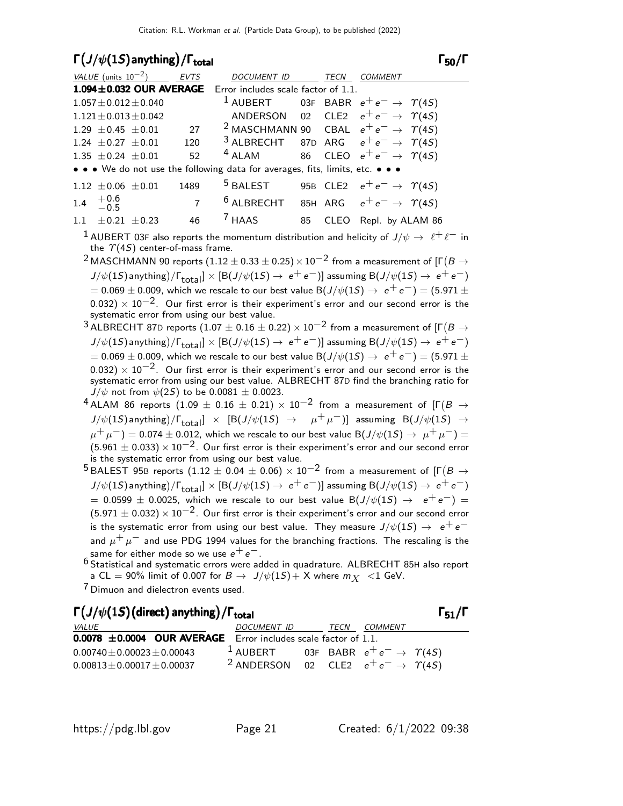### $\Gamma(J/\psi(1S)$  anything) /  $\Gamma_{\text{total}}$  and  $\Gamma_{\text{50}}$ /Γ

#### $\Gamma_{50}/\Gamma$

|     | VALUE (units $10^{-2}$ ) |                             | <b>EVTS</b>    | <b>DOCUMENT ID</b>                                                            |    | TECN | COMMENT                                  |  |
|-----|--------------------------|-----------------------------|----------------|-------------------------------------------------------------------------------|----|------|------------------------------------------|--|
|     |                          |                             |                | 1.094±0.032 OUR AVERAGE Error includes scale factor of 1.1.                   |    |      |                                          |  |
|     |                          | $1.057 \pm 0.012 \pm 0.040$ |                | <sup>1</sup> AUBERT 03F BABR $e^+e^- \rightarrow \gamma(45)$                  |    |      |                                          |  |
|     |                          | $1.121 \pm 0.013 \pm 0.042$ |                | ANDERSON 02 CLE2 $e^+e^- \rightarrow \Upsilon(4S)$                            |    |      |                                          |  |
|     | $1.29 \pm 0.45 \pm 0.01$ |                             | 27             | <sup>2</sup> MASCHMANN 90 CBAL $e^+e^- \rightarrow \gamma(45)$                |    |      |                                          |  |
|     | $1.24 \pm 0.27 \pm 0.01$ |                             | 120            | <sup>3</sup> ALBRECHT 87D ARG $e^+e^- \rightarrow \gamma(45)$                 |    |      |                                          |  |
|     | $1.35 \pm 0.24 \pm 0.01$ |                             | 52             | $4$ ALAM                                                                      |    |      | 86 CLEO $e^+e^- \rightarrow \gamma(45)$  |  |
|     |                          |                             |                | • • • We do not use the following data for averages, fits, limits, etc. • • • |    |      |                                          |  |
|     | $1.12 \pm 0.06 \pm 0.01$ |                             | 1489           | $^5$ BALEST                                                                   |    |      | 95B CLE2 $e^+e^- \rightarrow \gamma(4S)$ |  |
| 1.4 | $^{+0.6}_{-0.5}$         |                             | $\overline{7}$ | <sup>6</sup> ALBRECHT 85H ARG $e^+e^- \rightarrow \gamma(45)$                 |    |      |                                          |  |
|     | $1.1 + 0.21$             | $+0.23$                     | 46             | $^7$ HAAS                                                                     | 85 |      | CLEO Repl. by ALAM 86                    |  |

<sup>1</sup> AUBERT 03F also reports the momentum distribution and helicity of  $J/\psi \to \ell^+ \ell^-$  in the  $\Upsilon(4S)$  center-of-mass frame.

- $^2$ MASCHMANN 90 reports  $(1.12 \pm 0.33 \pm 0.25) \times 10^{-2}$  from a measurement of [Г $(B \rightarrow$  $J/\psi(1S)$  anything $)/\Gamma_{\rm total}]\times [ {\rm B}(J/\psi(1S) \rightarrow~e^+~e^-)]$  assuming  ${\rm B}(J/\psi(1S) \rightarrow~e^+~e^-)$  $= 0.069 \pm 0.009$ , which we rescale to our best value B $(J/\psi(1S) \rightarrow e^+e^-) = (5.971 \pm 0.009)$  $0.032$ ) ×  $10^{-2}$ . Our first error is their experiment's error and our second error is the systematic error from using our best value.
- $^3$ ALBRECHT 87D reports (1.07  $\pm$  0.16  $\pm$  0.22)  $\times$  10 $^{-2}$  from a measurement of [Г $(B\to$  $J/\psi(1S)$  anything $)/\Gamma_{\rm total}]\times [ {\rm B}(J/\psi(1S) \rightarrow~e^+~e^-)]$  assuming  ${\rm B}(J/\psi(1S) \rightarrow~e^+~e^-)$  $= 0.069 \pm 0.009$ , which we rescale to our best value B( $J/\psi(1S) \rightarrow e^+e^-) = (5.971 \pm 1.009)$ 0.032)  $\times$  10<sup>-2</sup>. Our first error is their experiment's error and our second error is the systematic error from using our best value. ALBRECHT 87D find the branching ratio for  $J/\psi$  not from  $\psi(2S)$  to be 0.0081  $\pm$  0.0023.
- $^4$  ALAM 86 reports  $(1.09 \, \pm \, 0.16 \, \pm \, 0.21) \times 10^{-2}$  from a measurement of [Г $(B \, \rightarrow \,$  $J/\psi(1S)$  anything $)/\Gamma_{\rm total}$   $]\;\times\;\;$   ${\rm [B}(J/\psi(1S) \;\rightarrow\;\;\;\; \mu^+\,\mu^-)]\;$  assuming  $\;\;{\rm B}(J/\psi(1S) \;\rightarrow\;\;$  $\mu^+ \mu^-) = 0.074 \pm 0.012$ , which we rescale to our best value B(J/ $\psi(1S) \rightarrow \mu^+ \mu^-) =$  $(5.961 \pm 0.033) \times 10^{-2}$ . Our first error is their experiment's error and our second error is the systematic error from using our best value.
- $^5$ BALEST 95B reports (1.12  $\pm$  0.04  $\pm$  0.06)  $\times$  10 $^{-2}$  from a measurement of [Г $(B\rightarrow$  $J/\psi(1S)$  anything $)/\Gamma_{\rm total}]\times [ {\rm B}(J/\psi(1S) \to \, e^+ \, e^-)]$  assuming  ${\rm B}(J/\psi(1S) \to \, e^+ \, e^-)$  $= 0.0599 \pm 0.0025$ , which we rescale to our best value B $(J/\psi(1S) \rightarrow e^+e^-)$  $(5.971 \pm 0.032) \times 10^{-2}$ . Our first error is their experiment's error and our second error is the systematic error from using our best value. They measure  $J/\psi(1S) \rightarrow e^+e^$ and  $\mu^+ \mu^-$  and use PDG 1994 values for the branching fractions. The rescaling is the same for either mode so we use  $e^+ \, e^-.$

 $^6$  Statistical and systematic errors were added in quadrature. ALBRECHT 85H also report a CL  $=$  90% limit of 0.007 for  $B \to \frac{1}{\psi(1S)} + X$  where  $m_X \leq 1$  GeV.

7 Dimuon and dielectron events used.

| $\Gamma\left(J/\psi(1S)\right)$ (direct) anything) / $\Gamma_{\text{total}}$ |                                                               |             |                | $\Gamma_{51}/\Gamma$ |
|------------------------------------------------------------------------------|---------------------------------------------------------------|-------------|----------------|----------------------|
| <i>VALUE</i>                                                                 | <i>DOCUMENT ID</i>                                            | <i>TECN</i> | <i>COMMENT</i> |                      |
| $0.0078 \pm 0.0004$ OUR AVERAGE Error includes scale factor of 1.1.          |                                                               |             |                |                      |
| $0.00740 \pm 0.00023 \pm 0.00043$                                            | <sup>1</sup> AUBERT 03F BABR $e^+e^- \rightarrow \gamma(45)$  |             |                |                      |
| $0.00813 \pm 0.00017 \pm 0.00037$                                            | <sup>2</sup> ANDERSON 02 CLE2 $e^+e^- \rightarrow \gamma(4S)$ |             |                |                      |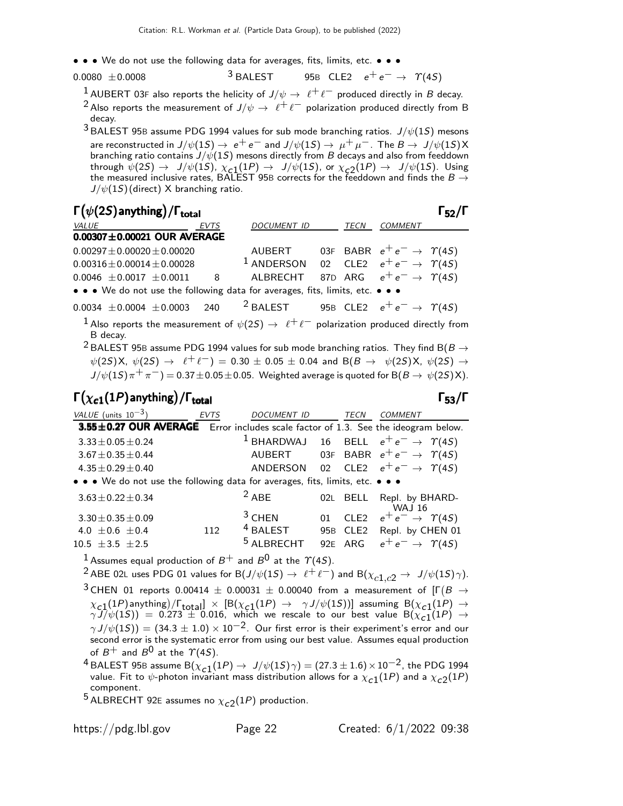- • We do not use the following data for averages, fits, limits, etc. • •
- $0.0080 \pm 0.0008$  3 BALEST 95B CLE2  $e^+ e^- \rightarrow \gamma(45)$ 
	- <sup>1</sup> AUBERT 03F also reports the helicity of  $J/\psi \to \ell^+ \ell^-$  produced directly in B decay.
	- <sup>2</sup> Also reports the measurement of  $J/\psi \rightarrow \ell^+ \ell^-$  polarization produced directly from B decay.
	- $3$  BALEST 95B assume PDG 1994 values for sub mode branching ratios.  $J/\psi(1S)$  mesons are reconstructed in  $J/\psi(1S) \to \, e^+ \, e^-$  and  $J/\psi(1S) \to \, \mu^+ \, \mu^-$  . The  $B \to \, J/\psi(1S)$  X branching ratio contains  $J/\psi(1S)$  mesons directly from  $B$  decays and also from feeddown through  $\psi(2S) \to J/\psi(1S)$ ,  $\chi_{\bf C1}(1P) \to J/\psi(1S)$ , or  $\chi_{\bf C2}(1P) \to J/\psi(1S)$ . Using the measured inclusive rates, BALEST 95B corrects for the feeddown and finds the  $B\to$  $J/\psi(1S)$  (direct) X branching ratio.

| $\Gamma(\psi(2S)$ anything) / $\Gamma_{\text{total}}$                         |  |             |                                                               |  |      |                                          |  |  |  |
|-------------------------------------------------------------------------------|--|-------------|---------------------------------------------------------------|--|------|------------------------------------------|--|--|--|
| <b>VALUE</b>                                                                  |  | <b>EVTS</b> | <b>DOCUMENT ID</b>                                            |  | TECN | <b>COMMENT</b>                           |  |  |  |
| $0.00307 \pm 0.00021$ OUR AVERAGE                                             |  |             |                                                               |  |      |                                          |  |  |  |
| $0.00297 \pm 0.00020 \pm 0.00020$                                             |  |             | AUBERT                                                        |  |      | 03F BABR $e^+e^- \rightarrow \gamma(4S)$ |  |  |  |
| $0.00316 \pm 0.00014 \pm 0.00028$                                             |  |             | <sup>1</sup> ANDERSON 02 CLE2 $e^+e^- \rightarrow \gamma(45)$ |  |      |                                          |  |  |  |
| $0.0046 \pm 0.0017 \pm 0.0011$                                                |  | 8           | ALBRECHT 87D ARG $e^+e^- \rightarrow \Upsilon(4S)$            |  |      |                                          |  |  |  |
| • • • We do not use the following data for averages, fits, limits, etc. • • • |  |             |                                                               |  |      |                                          |  |  |  |
| $0.0034 \pm 0.0004 \pm 0.0003$ 240                                            |  |             | <sup>2</sup> BALEST 95B CLE2 $e^+e^- \rightarrow \gamma(4S)$  |  |      |                                          |  |  |  |
|                                                                               |  |             |                                                               |  |      |                                          |  |  |  |

<sup>1</sup> Also reports the measurement of  $\psi(2S) \rightarrow \ell^+ \ell^-$  polarization produced directly from B decay.

<sup>2</sup> BALEST 95B assume PDG 1994 values for sub mode branching ratios. They find B(B  $\rightarrow$  $\psi(2S)X, \ \psi(2S) \to \ell^+ \ell^-) = 0.30 \pm 0.05 \pm 0.04$  and  $B(B \to \psi(2S)X, \ \psi(2S) \to$  $J/\psi(1S)\pi^{+}\pi^{-}$ ) = 0.37 $\pm$ 0.05 $\pm$ 0.05. Weighted average is quoted for B( $B \to \psi(2S)X$ ).

### Γ $(\chi_{\bm{c1}}(1P)$ anything)/Γ<sub>total</sub> Γ<sub>53</sub>/Γ

| VALUE (units $10^{-3}$ )                                                          | <b>EVTS</b> | <b>DOCUMENT ID</b>    |                 | TECN    | <b>COMMENT</b>                                                  |
|-----------------------------------------------------------------------------------|-------------|-----------------------|-----------------|---------|-----------------------------------------------------------------|
| 3.55±0.27 OUR AVERAGE Error includes scale factor of 1.3. See the ideogram below. |             |                       |                 |         |                                                                 |
| $3.33 \pm 0.05 \pm 0.24$                                                          |             |                       |                 |         | <sup>1</sup> BHARDWAJ 16 BELL $e^+e^- \rightarrow \Upsilon(4S)$ |
| $3.67 \pm 0.35 \pm 0.44$                                                          |             | AUBERT                |                 |         | 03F BABR $e^+e^- \rightarrow \gamma(4S)$                        |
| $4.35 \pm 0.29 \pm 0.40$                                                          |             | ANDERSON              |                 |         | 02 CLE2 $e^+e^- \rightarrow \gamma(4S)$                         |
| • • • We do not use the following data for averages, fits, limits, etc. • • •     |             |                       |                 |         |                                                                 |
| $3.63 \pm 0.22 \pm 0.34$                                                          |             | $2$ ABE               |                 |         | 02L BELL Repl. by BHARD-                                        |
| $3.30 \pm 0.35 \pm 0.09$                                                          |             | $3$ CHEN              |                 | 01 CLE2 | <b>WAJ 16</b><br>$e^+e^- \rightarrow \gamma(45)$                |
| 4.0 $\pm$ 0.6 $\pm$ 0.4                                                           | 112         | $4$ BALEST            | 95 <sub>B</sub> | CLE2    | Repl. by CHEN 01                                                |
| $10.5 \pm 3.5 \pm 2.5$                                                            |             | <sup>5</sup> ALBRECHT |                 | 92E ARG | $e^+e^- \rightarrow \gamma(4S)$                                 |

<sup>1</sup> Assumes equal production of  $B^+$  and  $B^0$  at the  $\gamma(4S)$ .

<sup>2</sup> ABE 02L uses PDG 01 values for B $(J/\psi(1S) \rightarrow \ell^+ \ell^-)$  and B $(\chi_{c1,c2} \rightarrow J/\psi(1S)\gamma)$ .

 $^3$  CHEN 01 reports 0.00414  $\pm$  0.00031  $\pm$  0.00040 from a measurement of [Г $(B\rightarrow$  $\chi_{c,1}(1P)$  anything)  $/$   $\Gamma_{\text{total}} \propto [B(\chi_{c,1}(1P) \rightarrow \gamma J/\psi(1S))]$  assuming  $B(\chi_{c,1}(1P) \rightarrow \gamma J/\psi(1S))$  $\gamma \overline{J} / \psi(1S)$ ) = 0.273  $\pm$  0.016, which we rescale to our best value  $B(\chi_{\bf c1}^{-1}(1P) \rightarrow$  $\gamma\,J/\psi(1S))=(34.3\pm1.0)\times10^{-2}.$  Our first error is their experiment's error and our second error is the systematic error from using our best value. Assumes equal production of  $B^+$  and  $B^0$  at the  $\Upsilon(4S)$ .

<sup>4</sup> BALEST 95B assume  $B(\chi_{c1}(1P) \to J/\psi(1S)\gamma) = (27.3 \pm 1.6) \times 10^{-2}$ , the PDG 1994 value. Fit to  $\psi$ -photon invariant mass distribution allows for a  $\chi_{\mathtt{c}1}(1P)$  and a  $\chi_{\mathtt{c}2}(1P)$ component.

 $^5$  ALBRECHT 92E assumes no  $\chi_{c2}(1P)$  production.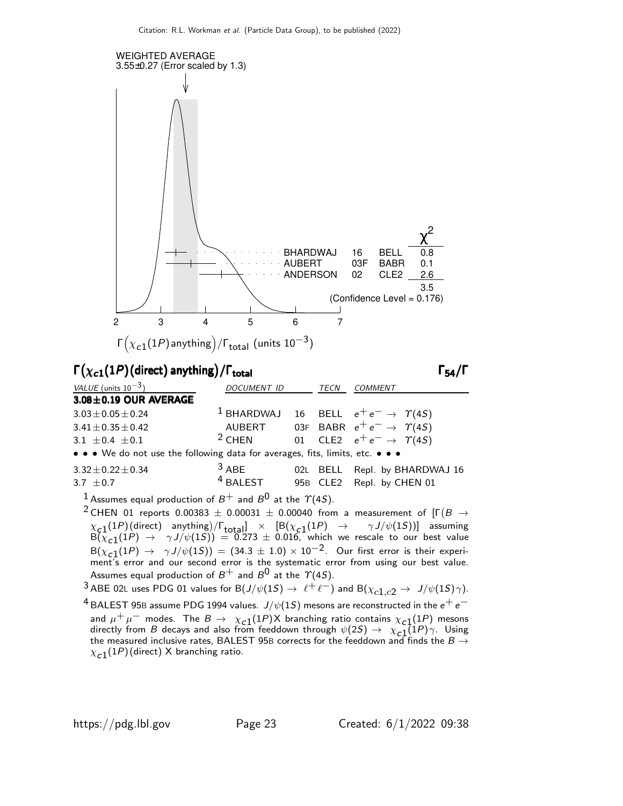

#### $\Gamma(\chi_{c1}(1P)(\text{direct})$  anything) /  $\Gamma_{\text{total}}$  (Γ

VALUE (units  $10^{-3}$ ) DOCUMENT ID TECN COMMENT  $3.08\pm0.19$  OUR AVERAGE  $3.03\pm0.05\pm0.24$  1 BHARDWAJ 16 BELL  $e^+e^- \rightarrow \gamma(45)$  $3.41\pm0.35\pm0.42$  AUBERT 03F BABR  $e^+e^- \rightarrow \gamma(4S)$ <br>  $3.1\pm0.4\pm0.1$   $3.1\pm0.4\pm0.1$   $3.1\pm0.4\pm0.1$ 3.1  $\pm$  0.4  $\pm$  0.1 01 CLE2  $e^+e^- \rightarrow \gamma(45)$ • • • We do not use the following data for averages, fits, limits, etc. • • •  $3.32 \pm 0.22 \pm 0.34$   $3.32 \pm 0.7$   $3.32 \pm 0.7$   $4.8$  BALEST  $95B$  CLE2 Repl. by CHEN 01

$$
3.7\ \pm0.7
$$

<sup>1</sup> Assumes equal production of  $B^+$  and  $B^0$  at the  $\gamma$ (4S).

 $^2$  CHEN 01 reports 0.00383  $\pm$  0.00031  $\pm$  0.00040 from a measurement of [Г $(B\rightarrow$  $\chi_{\mathcal{G}}(1P)($  direct) anything)/ $\Gamma_{\text{total}}$   $\times$   $\left[\text{B}(\chi_{\mathcal{G}}(1P) \rightarrow \gamma J/\psi(1S))\right]$  assuming  $B(\overline{\chi}_{c1}(1P) \rightarrow \gamma J/\psi(1S)) = 0.273 \pm 0.016$ , which we rescale to our best value  $B(\chi_{c,1}(1P) \to \gamma J/\psi(1S)) = (34.3 \pm 1.0) \times 10^{-2}$ . Our first error is their experiment's error and our second error is the systematic error from using our best value. Assumes equal production of  $B^+$  and  $B^0$  at the  $\Upsilon(4S)$ .

# 3 ABE 02L uses PDG 01 values for B $(J/\psi(1S) \rightarrow \ell^+ \ell^-)$  and B $(\chi_{c1,c2} \rightarrow J/\psi(1S)\gamma)$ .

 $^4$ BALEST 95B assume PDG 1994 values.  $J/\psi(1S)$  mesons are reconstructed in the  $e^+ \, e^$ and  $\mu^+ \mu^-$  modes. The  $B \to \chi_{c1}(1P)$ X branching ratio contains  $\chi_{c1}(1P)$  mesons directly from B decays and also from feeddown through  $\psi(25) \rightarrow \chi_{c1}(1P) \gamma$ . Using the measured inclusive rates, BALEST 95B corrects for the feeddown and finds the  $B \rightarrow$  $\chi_{\bf C1}(1P)$ (direct) X branching ratio.

95B CLE2 Repl. by CHEN 01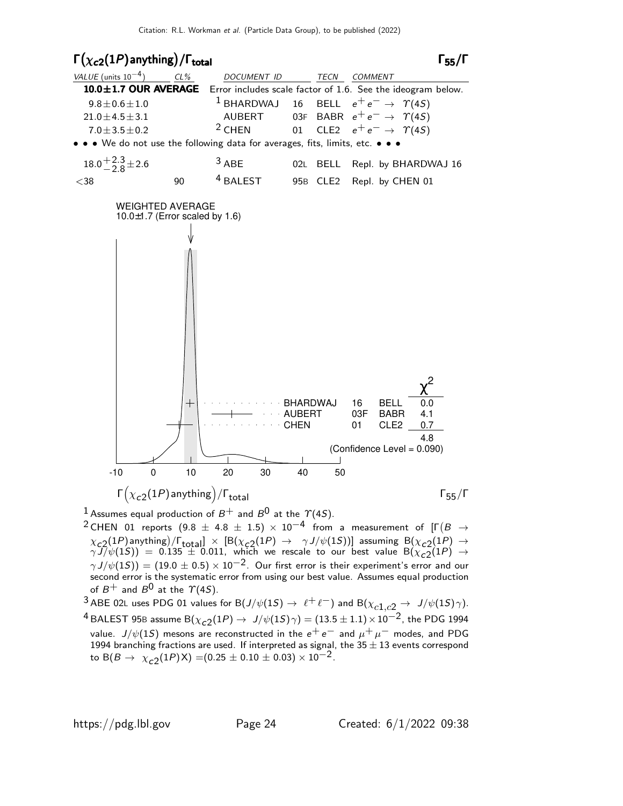

<sup>1</sup> Assumes equal production of  $B^+$  and  $B^0$  at the  $\gamma$ (4S).

 $^2$ CHEN 01 reports  $(9.8~\pm~4.8~\pm~1.5)~\times~10^{-4}$  from a measurement of [Г $(B~\rightarrow$  $\chi_{c,2}(1P)$  anything)  $/$ F<sub>total</sub>]  $\times$  [B( $\chi_{c,2}(1P)$   $\rightarrow$   $\gamma J/\psi(1S)$ )] assuming B( $\chi_{c,2}(1P)$   $\rightarrow$  $\gamma \overline{J} / \psi(1S)$ ) = 0.135  $\pm$  0.011, which we rescale to our best value  $B(\chi_{c2}^{-}(1P) \rightarrow$  $\gamma J/\psi(1S)$ ) = (19.0 ± 0.5) × 10<sup>-2</sup>. Our first error is their experiment's error and our second error is the systematic error from using our best value. Assumes equal production of  $B^+$  and  $B^0$  at the  $\Upsilon(4S)$ .

3 ABE 02L uses PDG 01 values for B $(J/\psi(1S) \rightarrow \ell^+ \ell^-)$  and B $(\chi_{c1,c2} \rightarrow J/\psi(1S)\gamma)$ .  $^4$  BALEST 95B assume B $(\chi_{c2}(1P) \to \ J/\psi(1S) \gamma) = (13.5 \pm 1.1) \times 10^{-2}$ , the PDG 1994 value.  $J/\psi(1S)$  mesons are reconstructed in the  $e^+ \, e^-$  and  $\mu^+ \, \mu^-$  modes, and PDG 1994 branching fractions are used. If interpreted as signal, the 35  $\pm$  13 events correspond to B $(B \to \chi_{c2}(1P)X) = (0.25 \pm 0.10 \pm 0.03) \times 10^{-2}$ .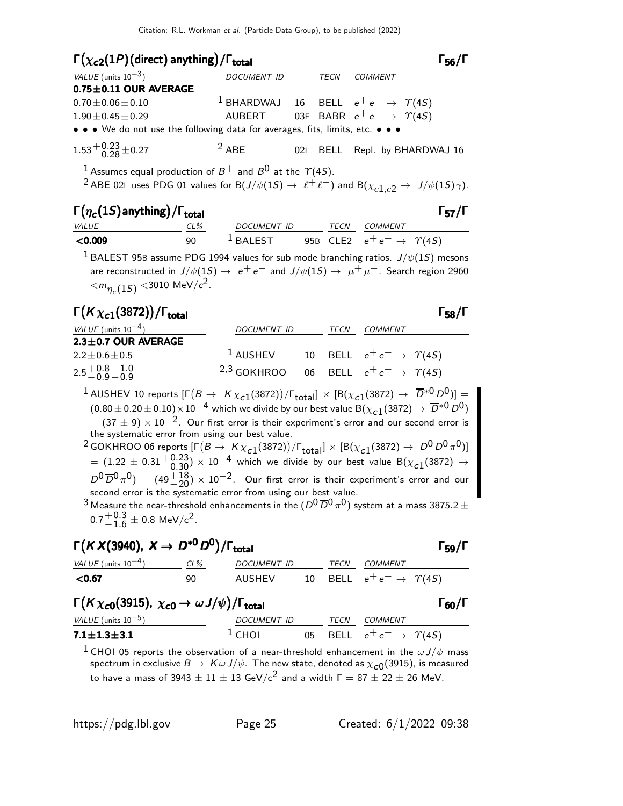#### $\Gamma(\chi_{c2}(1P)(\text{direct})$  anything) /  $\Gamma_{\text{total}}$  6 anything 56/Γ

| VALUE (units $10^{-3}$ )                                                      | DOCUMENT ID | TECN | <b>COMMENT</b>                                                |
|-------------------------------------------------------------------------------|-------------|------|---------------------------------------------------------------|
| $0.75 \pm 0.11$ OUR AVERAGE                                                   |             |      |                                                               |
| $0.70 \pm 0.06 \pm 0.10$                                                      |             |      | <sup>1</sup> BHARDWAJ 16 BELL $e^+e^- \rightarrow \gamma(45)$ |
| $1.90 \pm 0.45 \pm 0.29$                                                      |             |      | AUBERT 03F BABR $e^+e^- \rightarrow \gamma(45)$               |
| • • • We do not use the following data for averages, fits, limits, etc. • • • |             |      |                                                               |
| $1.53^{+0.23}_{-0.28}$ ± 0.27                                                 | $2$ ABE     |      | 02L BELL Repl. by BHARDWAJ 16                                 |

<sup>1</sup> Assumes equal production of  $B^+$  and  $B^0$  at the  $\gamma(4S)$ .

<sup>2</sup> ABE 02L uses PDG 01 values for B $(J/\psi(1S) \rightarrow \ell^+ \ell^-)$  and B $(\chi_{c1,c2} \rightarrow J/\psi(1S)\gamma)$ .

| $\Gamma(\eta_c(1S)$ anything) / $\Gamma_{total}$ |     |             |      |                                            | $\Gamma_{57}/\Gamma$ |
|--------------------------------------------------|-----|-------------|------|--------------------------------------------|----------------------|
| <i>VALUE</i>                                     | CL% | DOCUMENT ID | TECN | <i>COMMENT</i>                             |                      |
| $<$ 0.009                                        | 90  | $1$ BALEST  |      | 95B CLE2 $e^+e^- \rightarrow \Upsilon(4S)$ |                      |

<sup>1</sup> BALEST 95B assume PDG 1994 values for sub mode branching ratios.  $J/\psi(1S)$  mesons are reconstructed in  $J/\psi(1S) \rightarrow e^+e^-$  and  $J/\psi(1S) \rightarrow \mu^+\mu^-$ . Search region 2960  $<$  $m_{\eta_c(1S)}$   $<$ 3010 MeV/ $c^2$ .

# Γ $(K \chi_{c1}(3872))/\Gamma_{\text{total}}$

VALUE (units  $10^{-4}$ ) DOCUMENT ID TECN COMMENT  $2.3 \pm 0.7$  OUR AVERAGE  $2.2 \pm 0.6 \pm 0.5$ <sup>1</sup> AUSHEV 10 BELL  $e^+e^- \rightarrow \gamma(45)$  $2.5 + 0.8$  $-0.9$  $+1.0$  $-0.9$ 2,3 GOKHROO 06 BELL  $e^+e^- \rightarrow \gamma(45)$ 

 $^1$ AUSHEV 10 reports  $[\Gamma(B\to~K\chi_{c1}(3872))/\Gamma_{\text{total}}]\times[{\text{B}}(\chi_{c1}(3872)\to~\overline{D}^{*0}D^0)] =$  $(0.80\pm0.20\pm0.10)\times10^{-4}$  which we divide by our best value  $\rm B(\chi_{c1}(3872)\to~\overline{D}^{*0}$   $D^0)$  $= (37 \pm 9) \times 10^{-2}$ . Our first error is their experiment's error and our second error is the systematic error from using our best value.  $^2$  GOKHROO 06 reports  $[\Gamma(B \to K\chi_{c1}(3872))/\Gamma_{\text{total}}] \times [B(\chi_{c1}(3872) \to D^0\overline{D}^0\pi^0)]$  $=(1.22\,\pm\,0.31\frac{+0.23}{-0.30})\times10^{-4}$  which we divide by our best value  $\mathsf{B}(\chi_{\mathcal{C}1}(3872)\rightarrow\chi_{\mathcal{C}1}(3872))$ 

 $D^0\,\overline{D}{}^0\,\pi^0)$  =  $(49\frac{+18}{-20})\times 10^{-2}.$  Our first error is their experiment's error and our second error is the systematic error from using our best value.

 $^3$ Measure the near-threshold enhancements in the  $(D^0\overline{D}^0\pi^0)$  system at a mass 3875.2  $\pm$  $0.7 + 0.3$  $^{+0.3}_{-1.6}$   $\pm$  0.8 MeV/c<sup>2</sup>.

# $\Gamma(KX(3940), X \to D^{*0}D^0)/\Gamma_{\text{total}}$  Γ<sub>59</sub>/Γ

| VALUE (units $10^{-4}$ ) | CL% | <i>DOCUMENT ID</i> | TFCN | <i>COMMENT</i>                          |  |
|--------------------------|-----|--------------------|------|-----------------------------------------|--|
| $<$ 0.67                 | 90  | AUSHEV             |      | 10 BELL $e^+e^- \rightarrow \gamma(4S)$ |  |

# $\Gamma(K \chi_{c0}(3915), \chi_{c0} \to \omega J/\psi)/\Gamma_{\text{total}}$  Γ<sub>60</sub>/Γ

| VALUE (units $10^{-5}$ ) | DOCUMENT ID |  | TECN COMMENT                                     |
|--------------------------|-------------|--|--------------------------------------------------|
| $7.1 \pm 1.3 \pm 3.1$    | $\pm$ CHOL  |  | 05 BELL $e^+e^- \rightarrow \,\,\, \Upsilon(4S)$ |

<sup>1</sup> CHOI 05 reports the observation of a near-threshold enhancement in the  $\omega J/\psi$  mass spectrum in exclusive  $B\to~K\omega$  J/ $\psi$ . The new state, denoted as  $\chi_{\mathsf{c} \mathsf{0}}(3915)$ , is measured to have a mass of 3943  $\pm$  11  $\pm$  13 GeV/c<sup>2</sup> and a width  $\Gamma = 87 \pm 22 \pm 26$  MeV.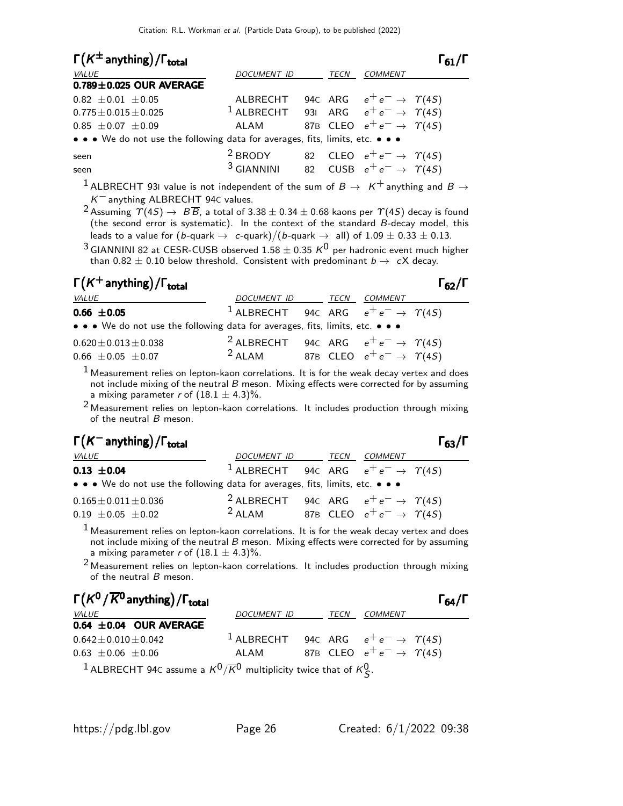| $\Gamma(K^{\pm}$ anything) / $\Gamma_{\text{total}}$                          |                                                               |             |                                            |  |
|-------------------------------------------------------------------------------|---------------------------------------------------------------|-------------|--------------------------------------------|--|
| <i>VALUE</i>                                                                  | DOCUMENT ID                                                   | <b>TECN</b> | <b>COMMENT</b>                             |  |
| $0.789 \pm 0.025$ OUR AVERAGE                                                 |                                                               |             |                                            |  |
| $0.82 \pm 0.01 \pm 0.05$                                                      | ALBRECHT 94c ARG $e^+e^- \rightarrow \gamma(4S)$              |             |                                            |  |
| $0.775 \pm 0.015 \pm 0.025$                                                   | <sup>1</sup> ALBRECHT 931 ARG $e^+e^- \rightarrow \gamma(45)$ |             |                                            |  |
| $0.85 \pm 0.07 \pm 0.09$                                                      | ALAM                                                          |             | 87B CLEO $e^+e^- \rightarrow \Upsilon(4S)$ |  |
| • • • We do not use the following data for averages, fits, limits, etc. • • • |                                                               |             |                                            |  |
| seen                                                                          | <sup>2</sup> BRODY                                            |             | 82 CLEO $e^+e^- \rightarrow \Upsilon(4S)$  |  |
| seen                                                                          | $3$ GIANNINI                                                  |             | 82 CUSB $e^+e^- \rightarrow \Upsilon(4S)$  |  |

<sup>1</sup> ALBRECHT 93I value is not independent of the sum of  $B \rightarrow K^+$  anything and  $B \rightarrow$  $K^-$  anything ALBRECHT 94C values.

<sup>2</sup> Assuming  $\varUpsilon(4S) \to \varTheta \overline{\mathcal{B}}$ , a total of 3.38  $\pm$  0.34  $\pm$  0.68 kaons per  $\varUpsilon(4S)$  decay is found (the second error is systematic). In the context of the standard  $\vec{B}$ -decay model, this leads to a value for (b-quark  $\rightarrow ~~$  c-quark)/(b-quark  $\rightarrow ~~$  all) of  $1.09 \pm 0.33 \pm 0.13.$ 

 $^3$ GIANNINI 82 at CESR-CUSB observed 1.58  $\pm$  0.35  $\mathrm{{\it K}^{0}}$  per hadronic event much higher than 0.82  $\pm$  0.10 below threshold. Consistent with predominant  $b\to~$  cX decay.

| $\Gamma(K^+$ anything) / $\Gamma_{\text{total}}$                              |                                                               |      |                                          | $\Gamma_{62}/\Gamma$ |  |
|-------------------------------------------------------------------------------|---------------------------------------------------------------|------|------------------------------------------|----------------------|--|
| <i>VALUE</i>                                                                  | DOCUMENT ID                                                   | TECN | <i>COMMENT</i>                           |                      |  |
| $0.66 \pm 0.05$                                                               | <sup>1</sup> ALBRECHT 94C ARG $e^+e^- \rightarrow \gamma(45)$ |      |                                          |                      |  |
| • • • We do not use the following data for averages, fits, limits, etc. • • • |                                                               |      |                                          |                      |  |
| $0.620 \pm 0.013 \pm 0.038$                                                   | <sup>2</sup> ALBRECHT 94C ARG $e^+e^- \rightarrow \gamma(45)$ |      |                                          |                      |  |
| $0.66 \pm 0.05 \pm 0.07$                                                      | $2$ ALAM                                                      |      | 87B CLEO $e^+e^- \rightarrow \gamma(4S)$ |                      |  |

 $<sup>1</sup>$  Measurement relies on lepton-kaon correlations. It is for the weak decay vertex and does</sup> not include mixing of the neutral B meson. Mixing effects were corrected for by assuming a mixing parameter r of  $(18.1 \pm 4.3)\%$ .

 $2$  Measurement relies on lepton-kaon correlations. It includes production through mixing of the neutral  $B$  meson.

| $\Gamma(K^-$ anything) / $\Gamma_{\text{total}}$                              |                                                               |             |                                          | $\Gamma_{63}/\Gamma$ |
|-------------------------------------------------------------------------------|---------------------------------------------------------------|-------------|------------------------------------------|----------------------|
| <i>VALUE</i>                                                                  | DOCUMENT ID                                                   | <b>TECN</b> | COMMENT                                  |                      |
| $0.13 \pm 0.04$                                                               | <sup>1</sup> ALBRECHT 94C ARG $e^+e^- \rightarrow \gamma(45)$ |             |                                          |                      |
| • • • We do not use the following data for averages, fits, limits, etc. • • • |                                                               |             |                                          |                      |
| $0.165 \pm 0.011 \pm 0.036$                                                   | <sup>2</sup> ALBRECHT 94c ARG $e^+e^- \rightarrow \gamma(45)$ |             |                                          |                      |
| $0.19 \pm 0.05 \pm 0.02$                                                      | $2$ ALAM                                                      |             | 87B CLEO $e^+e^- \rightarrow \gamma(4S)$ |                      |

 $<sup>1</sup>$  Measurement relies on lepton-kaon correlations. It is for the weak decay vertex and does</sup> not include mixing of the neutral  $B$  meson. Mixing effects were corrected for by assuming a mixing parameter r of  $(18.1 \pm 4.3)\%$ .

<sup>2</sup> Measurement relies on lepton-kaon correlations. It includes production through mixing of the neutral  $B$  meson.

| $\Gamma(K^0/\overline{K^0})$ anything) / $\Gamma_{\rm total}$                                |                                                               |      |                                            | $\Gamma_{64}/\Gamma$ |
|----------------------------------------------------------------------------------------------|---------------------------------------------------------------|------|--------------------------------------------|----------------------|
| <i>VALUE</i>                                                                                 | <i>DOCUMENT ID</i>                                            | TECN | <i>COMMENT</i>                             |                      |
| $0.64 \pm 0.04$ OUR AVERAGE                                                                  |                                                               |      |                                            |                      |
| $0.642 \pm 0.010 \pm 0.042$                                                                  | <sup>1</sup> ALBRECHT 94C ARG $e^+e^- \rightarrow \gamma(4S)$ |      |                                            |                      |
| $0.63 \pm 0.06 \pm 0.06$                                                                     | ALAM                                                          |      | 87B CLEO $e^+e^- \rightarrow \Upsilon(4S)$ |                      |
| <sup>1</sup> ALBRECHT 94C assume a $K^0/\overline{K}^0$ multiplicity twice that of $K^0_S$ . |                                                               |      |                                            |                      |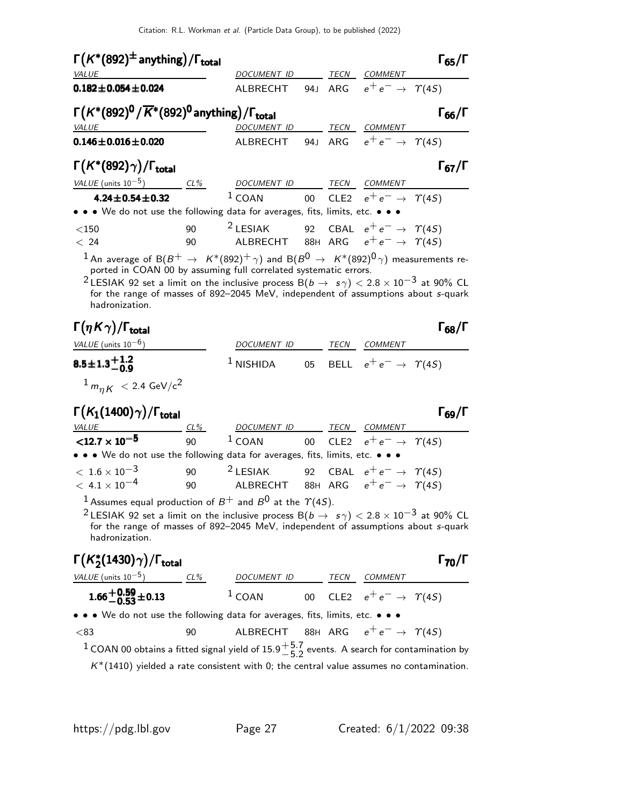| $\Gamma(K^*(892)^{\pm}$ anything)/ $\Gamma_{\text{total}}$                                                                                                                                                                                                                                                                                                       |        | DOCUMENT ID TECN COMMENT                                                          |    |                                           | $\Gamma_{65}/\Gamma$ |
|------------------------------------------------------------------------------------------------------------------------------------------------------------------------------------------------------------------------------------------------------------------------------------------------------------------------------------------------------------------|--------|-----------------------------------------------------------------------------------|----|-------------------------------------------|----------------------|
| <b>VALUE</b><br>$0.182 \pm 0.054 \pm 0.024$                                                                                                                                                                                                                                                                                                                      |        | ALBRECHT                                                                          |    | 94J ARG $e^+e^- \rightarrow \gamma(45)$   |                      |
|                                                                                                                                                                                                                                                                                                                                                                  |        |                                                                                   |    |                                           |                      |
| $\Gamma(K^*(892)^0/\overline{K}^*(892)^0$ anything) / $\Gamma_{\rm total}$                                                                                                                                                                                                                                                                                       |        |                                                                                   |    |                                           | $\Gamma_{66}/\Gamma$ |
| <i>VALUE</i>                                                                                                                                                                                                                                                                                                                                                     |        | DOCUMENT ID                                                                       |    | TECN COMMENT                              |                      |
| $0.146 \pm 0.016 \pm 0.020$                                                                                                                                                                                                                                                                                                                                      |        | ALBRECHT 94J ARG $e^+e^- \rightarrow \Upsilon(4S)$                                |    |                                           |                      |
| $\Gamma(K^*(892)\gamma)/\Gamma_{\rm total}$                                                                                                                                                                                                                                                                                                                      |        |                                                                                   |    |                                           | $\Gamma_{67}/\Gamma$ |
| VALUE (units $10^{-5}$ )                                                                                                                                                                                                                                                                                                                                         | $CL\%$ | DOCUMENT ID TECN COMMENT                                                          |    |                                           |                      |
| $4.24 \pm 0.54 \pm 0.32$                                                                                                                                                                                                                                                                                                                                         |        | $1$ COAN                                                                          |    | 00 CLE2 $e^+e^- \rightarrow \Upsilon(45)$ |                      |
| • • • We do not use the following data for averages, fits, limits, etc. • • •                                                                                                                                                                                                                                                                                    |        |                                                                                   |    |                                           |                      |
| $<$ 150                                                                                                                                                                                                                                                                                                                                                          | 90     | $2$ LESIAK                                                                        |    | 92 CBAL $e^+e^- \rightarrow \Upsilon(4S)$ |                      |
| < 24                                                                                                                                                                                                                                                                                                                                                             | 90     | ALBRECHT 88H ARG $e^+e^- \rightarrow \, \, \gamma(4S)$                            |    |                                           |                      |
| <sup>2</sup> LESIAK 92 set a limit on the inclusive process B( $b \rightarrow s \gamma$ ) < 2.8 × 10 <sup>-3</sup> at 90% CL<br>hadronization.                                                                                                                                                                                                                   |        | for the range of masses of 892-2045 MeV, independent of assumptions about s-quark |    |                                           |                      |
| $\Gamma(\eta K \gamma)/\Gamma_{\rm total}$                                                                                                                                                                                                                                                                                                                       |        |                                                                                   |    |                                           | $\Gamma_{68}/\Gamma$ |
| VALUE (units $10^{-6}$ )                                                                                                                                                                                                                                                                                                                                         |        | DOCUMENT ID                                                                       |    | TECN COM <u>MENT</u>                      |                      |
|                                                                                                                                                                                                                                                                                                                                                                  |        |                                                                                   |    | 05 BELL $e^+e^- \rightarrow \Upsilon(4S)$ |                      |
| $8.5 \pm 1.3 \frac{+1.2}{-0.9}$                                                                                                                                                                                                                                                                                                                                  |        | $^1$ NISHIDA                                                                      |    |                                           |                      |
| $1 m_{\eta K} < 2.4 \text{ GeV/c}^2$                                                                                                                                                                                                                                                                                                                             |        |                                                                                   |    |                                           |                      |
|                                                                                                                                                                                                                                                                                                                                                                  |        |                                                                                   |    |                                           | $\Gamma_{69}/\Gamma$ |
|                                                                                                                                                                                                                                                                                                                                                                  | $CL\%$ | DOCUMENT ID _______ TECN ___ COMMENT                                              |    |                                           |                      |
|                                                                                                                                                                                                                                                                                                                                                                  | 90     | $1$ COAN                                                                          | 00 | CLE2 $e^+e^- \rightarrow \gamma(45)$      |                      |
| $\Gamma(K_1(1400)\gamma)/\Gamma_{\rm total}$<br><b>VALUE</b><br>$<$ 12.7 $\times$ 10 <sup>-5</sup><br>• • • We do not use the following data for averages, fits, limits, etc. • • •                                                                                                                                                                              |        |                                                                                   |    |                                           |                      |
|                                                                                                                                                                                                                                                                                                                                                                  | 90     | <sup>2</sup> LESIAK 92 CBAL $e^+e^- \rightarrow \gamma(45)$                       |    |                                           |                      |
|                                                                                                                                                                                                                                                                                                                                                                  |        |                                                                                   |    |                                           |                      |
| $<\,1.6\times10^{-3}$<br>$<\,$ 4.1 $\times$ 10 $^{-4}$<br>$^1$ Assumes equal production of $B^+$ and $B^0$ at the $\varUpsilon(4S)$ .<br><sup>2</sup> LESIAK 92 set a limit on the inclusive process B $(b \to s \gamma) <$ 2.8 $\times$ 10 <sup>-3</sup> at 90% CL<br>hadronization.                                                                            |        | for the range of masses of 892-2045 MeV, independent of assumptions about s-quark |    |                                           |                      |
|                                                                                                                                                                                                                                                                                                                                                                  |        |                                                                                   |    |                                           |                      |
|                                                                                                                                                                                                                                                                                                                                                                  |        |                                                                                   |    |                                           | $\Gamma_{70}/\Gamma$ |
|                                                                                                                                                                                                                                                                                                                                                                  |        |                                                                                   |    |                                           |                      |
|                                                                                                                                                                                                                                                                                                                                                                  |        |                                                                                   |    |                                           |                      |
| $\Gamma(K^*_2(1430)\gamma)/\Gamma_{\rm total}$<br>$\frac{\text{VALUE (units 10}^{-5})}{1.66 \pm 0.53 \pm 0.13}$ $\frac{\text{CL\%}}{1 \text{ COAN}}$ $\frac{\text{DOCUMENT ID}}{00 \text{ CLE2}}$ $\frac{\text{TECN}}{e^+ e^-}$ $\frac{\text{COMMENT}}{1 \text{ COAN}}$<br>• • • We do not use the following data for averages, fits, limits, etc. • • •<br>< 83 | 90     | ALBRECHT 88H ARG $e^+e^- \rightarrow \gamma(4S)$                                  |    |                                           |                      |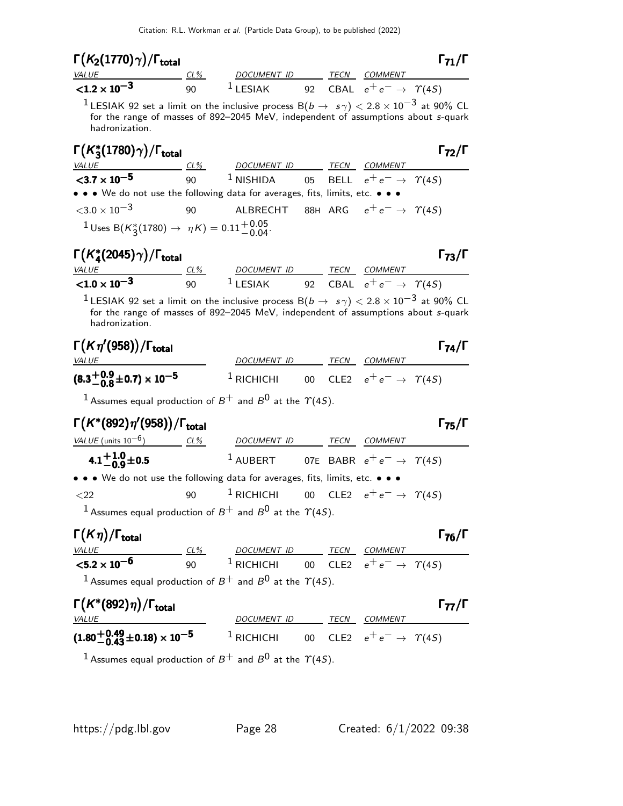| $\Gamma(K_2(1770)\gamma)/\Gamma_{\rm total}$                                                                                                                                                                                      |    |                                                                                                         |  | $\Gamma_{71}/\Gamma$                         |
|-----------------------------------------------------------------------------------------------------------------------------------------------------------------------------------------------------------------------------------|----|---------------------------------------------------------------------------------------------------------|--|----------------------------------------------|
| $VALUE$ CL%                                                                                                                                                                                                                       |    | DOCUMENT ID TECN COMMENT                                                                                |  |                                              |
| $< 1.2 \times 10^{-3}$                                                                                                                                                                                                            |    | 90 <sup>1</sup> LESIAK 92 CBAL $e^+e^- \rightarrow \gamma(45)$                                          |  |                                              |
| $^{-1}$ LESIAK 92 set a limit on the inclusive process B(b $\rightarrow$ $s\gamma) <$ 2.8 $\times$ 10 $^{-3}$ at 90% CL<br>for the range of masses of 892-2045 MeV, independent of assumptions about s-quark<br>hadronization.    |    |                                                                                                         |  |                                              |
| $\Gamma(K_3^*(1780)\gamma)/\Gamma_{\rm total}$                                                                                                                                                                                    |    |                                                                                                         |  | $\Gamma_{72}/\Gamma$                         |
| VALUE $\underbrace{CL\%}_{90}$ 1 NISHIDA 05 BELL $e^+e^- \rightarrow \gamma(45)$                                                                                                                                                  |    |                                                                                                         |  |                                              |
| • • • We do not use the following data for averages, fits, limits, etc. • • •                                                                                                                                                     |    |                                                                                                         |  |                                              |
| $<$ 3.0 $\times$ 10 $^{-3}$                                                                                                                                                                                                       | 90 | ALBRECHT 88H ARG $e^+e^- \rightarrow \Upsilon(4S)$                                                      |  |                                              |
| $1 \text{ Uses B}(K_3^*(1780) \rightarrow \eta K) = 0.11_{-0.04}^{+0.05}$                                                                                                                                                         |    |                                                                                                         |  |                                              |
| $\Gamma(K_4^*(2045)\gamma)/\Gamma_{\rm total}$                                                                                                                                                                                    |    |                                                                                                         |  | $\Gamma_{73}/\Gamma$                         |
| <b>VALUE</b>                                                                                                                                                                                                                      |    | <u>CL% DOCUMENT ID TECN COMMENT</u>                                                                     |  |                                              |
| $< 1.0 \times 10^{-3}$                                                                                                                                                                                                            |    | 90 $^1$ LESIAK 92 CBAL $e^+e^- \rightarrow \gamma(4S)$                                                  |  |                                              |
| <sup>1</sup> LESIAK 92 set a limit on the inclusive process B( $b \rightarrow s \gamma$ ) $< 2.8 \times 10^{-3}$ at 90% CL<br>for the range of masses of 892-2045 MeV, independent of assumptions about s-quark<br>hadronization. |    |                                                                                                         |  |                                              |
|                                                                                                                                                                                                                                   |    |                                                                                                         |  |                                              |
|                                                                                                                                                                                                                                   |    |                                                                                                         |  |                                              |
| $\Gamma(K\eta'(958))/\Gamma_{\rm total}$<br><b>VALUE</b>                                                                                                                                                                          |    | DOCUMENT ID TECN COMMENT                                                                                |  |                                              |
| $(8.3\frac{+0.9}{-0.8}\pm0.7)\times10^{-5}$                                                                                                                                                                                       |    | <sup>1</sup> RICHICHI 00 CLE2 $e^+e^- \rightarrow \gamma(45)$                                           |  |                                              |
| <sup>1</sup> Assumes equal production of $B^+$ and $B^0$ at the $\Upsilon(4S)$ .                                                                                                                                                  |    |                                                                                                         |  |                                              |
| $\Gamma(K^*(892)\eta'(958))/\Gamma_{\rm total}$                                                                                                                                                                                   |    |                                                                                                         |  |                                              |
| <u>VALUE</u> (units $10^{-6}$ ) CL%                                                                                                                                                                                               |    |                                                                                                         |  | $\Gamma_{74}/\Gamma$<br>$\Gamma_{75}/\Gamma$ |
| 4.1 <sup>+1.0</sup> $\pm$ 0.5                                                                                                                                                                                                     |    | DOCUMENT ID TECN COMMENT<br>$^1$ AUBERT 07E BABR $e^+e^- \rightarrow \gamma(4S)$                        |  |                                              |
| • • • We do not use the following data for averages, fits, limits, etc. • • •                                                                                                                                                     |    |                                                                                                         |  |                                              |
| $<$ 22                                                                                                                                                                                                                            | 90 | <sup>1</sup> RICHICHI 00 CLE2 $e^+e^- \rightarrow \gamma(4S)$                                           |  |                                              |
| <sup>1</sup> Assumes equal production of $B^+$ and $B^0$ at the $\Upsilon(4S)$ .                                                                                                                                                  |    |                                                                                                         |  |                                              |
| $\Gamma(K\eta)/\Gamma_{\rm total}$                                                                                                                                                                                                |    |                                                                                                         |  |                                              |
|                                                                                                                                                                                                                                   |    |                                                                                                         |  |                                              |
| $\frac{VALUE}{5.2 \times 10^{-6}}$                                                                                                                                                                                                |    | $\frac{CL\%}{90}$ $\frac{DCUMENT ID}{1}$ $\frac{TECN}{1}$ $\frac{COMMENT}{e^+ e^-}$ $\frac{COMMENT}{1}$ |  |                                              |
| <sup>1</sup> Assumes equal production of $B^+$ and $B^0$ at the $\gamma$ (4S).                                                                                                                                                    |    |                                                                                                         |  |                                              |
| $\Gamma(K^*(892)\eta)/\Gamma_{\text{total}}$                                                                                                                                                                                      |    |                                                                                                         |  |                                              |
| <u>VALUE</u><br>$(1.80 + 0.49 + 0.18) \times 10^{-5}$ 1 RICHICHI 00 CLE2 $e^+e^- \rightarrow \gamma(45)$                                                                                                                          |    | <u>DOCUMENT ID TECN COMMENT</u>                                                                         |  | $\Gamma_{76}/\Gamma$<br>$\Gamma_{77}/\Gamma$ |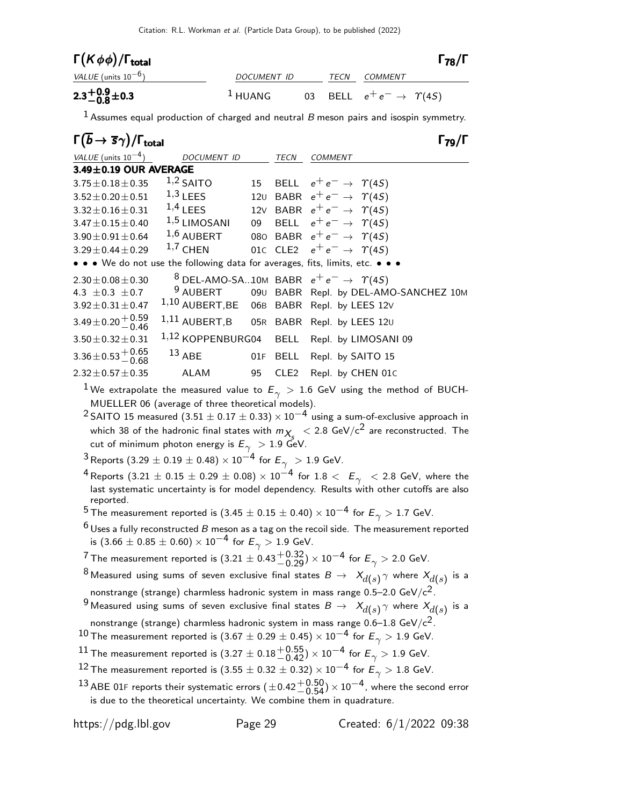| $\Gamma(K\phi\phi)/\Gamma_{\rm total}$ |                    |      |                                           | $\Gamma_{78}/\Gamma$ |
|----------------------------------------|--------------------|------|-------------------------------------------|----------------------|
| VALUE (units $10^{-6}$ )               | <i>DOCUMENT ID</i> | TECN | <i>COMMENT</i>                            |                      |
| $2.3^{+0.9}_{-0.8}$ ± 0.3              | $1$ HUANG          |      | 03 BELL $e^+e^- \rightarrow \Upsilon(4S)$ |                      |

 $1$  Assumes equal production of charged and neutral  $B$  meson pairs and isospin symmetry.

| $\Gamma(\overline{b} \to \overline{s}\gamma)/\Gamma_{\rm total}$ |                                          |    |                  |                                                                               |
|------------------------------------------------------------------|------------------------------------------|----|------------------|-------------------------------------------------------------------------------|
| VALUE (units $10^{-4}$ )                                         | DOCUMENT ID                              |    | TECN             | <b>COMMENT</b>                                                                |
| $3.49 \pm 0.19$ OUR AVERAGE                                      |                                          |    |                  |                                                                               |
| $3.75 \pm 0.18 \pm 0.35$                                         | $1,2$ SAITO                              |    |                  | 15 BELL $e^+e^- \rightarrow \Upsilon(4S)$                                     |
| $3.52 \pm 0.20 \pm 0.51$                                         | $1,3$ LEES                               |    |                  | 120 BABR $e^+e^- \rightarrow \Upsilon(4S)$                                    |
| $3.32 \pm 0.16 \pm 0.31$                                         | $1,4$ LEES                               |    |                  | 12V BABR $e^+e^- \rightarrow \gamma(45)$                                      |
| $3.47 \pm 0.15 \pm 0.40$                                         | $1,5$ LIMOSANI                           | 09 |                  | BELL $e^+e^- \rightarrow \Upsilon(4S)$                                        |
| $3.90 \pm 0.91 \pm 0.64$                                         | $1,6$ AUBERT                             |    |                  | 080 BABR $e^+e^- \rightarrow \Upsilon(4S)$                                    |
| $3.29 \pm 0.44 \pm 0.29$                                         | $1,7$ CHEN                               |    |                  | 010 CLE2 $e^+e^- \rightarrow \gamma(45)$                                      |
|                                                                  |                                          |    |                  | • • • We do not use the following data for averages, fits, limits, etc. • • • |
| $2.30 \pm 0.08 \pm 0.30$                                         |                                          |    |                  | <sup>8</sup> DEL-AMO-SA10M BABR $e^+e^- \rightarrow \gamma(45)$               |
| 4.3 $\pm$ 0.3 $\pm$ 0.7                                          |                                          |    |                  | 9 AUBERT 090 BABR Repl. by DEL-AMO-SANCHEZ 10M                                |
| $3.92 \pm 0.31 \pm 0.47$                                         |                                          |    |                  | 1,10 AUBERT, BE 06B BABR Repl. by LEES 12V                                    |
| $3.49 \pm 0.20 \pm 0.59$                                         | 1,11 AUBERT,B 05R BABR Repl. by LEES 120 |    |                  |                                                                               |
| $3.50 \pm 0.32 \pm 0.31$                                         |                                          |    |                  | 1,12 KOPPENBURG04 BELL Repl. by LIMOSANI 09                                   |
| $3.36 \pm 0.53 + 0.65$<br>-0.68                                  | $13$ ABE                                 |    |                  | 01F BELL Repl. by SAITO 15                                                    |
| $2.32 \pm 0.57 \pm 0.35$                                         | ALAM                                     | 95 | CLE <sub>2</sub> | Repl. by CHEN 01C                                                             |

 $1\,$ We extrapolate the measured value to  $E_\gamma$   $>$  1.6 GeV using the method of BUCH-MUELLER 06 (average of three theoretical models).

<sup>2</sup> SAITO 15 measured  $(3.51 \pm 0.17 \pm 0.33) \times 10^{-4}$  using a sum-of-exclusive approach in which 38 of the hadronic final states with  $m_{\chi_{S}} < 2.8$  GeV/c<sup>2</sup> are reconstructed. The cut of minimum photon energy is  $E_{\gamma} > 1.9 \text{ GeV}.$ 

3 Reports (3.29  $\pm$  0.19  $\pm$  0.48)  $\times$  10<sup>-4</sup> for  $E_{\gamma}$  > 1.9 GeV.

4 Reports  $(3.21 \pm 0.15 \pm 0.29 \pm 0.08) \times 10^{-4}$  for  $1.8 < E_{\gamma}$  < 2.8 GeV, where the last systematic uncertainty is for model dependency. Results with other cutoffs are also reported.

<sup>5</sup> The measurement reported is (3.45  $\pm$  0.15  $\pm$  0.40)  $\times$  10<sup>−4</sup> for  $E_{\gamma}$  > 1.7 GeV.

 $6$  Uses a fully reconstructed B meson as a tag on the recoil side. The measurement reported is  $(3.66 \pm 0.85 \pm 0.60) \times 10^{-4}$  for  $E_{\gamma} > 1.9$  GeV.

 $^7$ The measurement reported is  $(3.21\pm0.43 {+0.32\atop -0.29})\times 10^{-4}$  for  $E_\gamma>2.0$  GeV.

 $^8$ Measured using sums of seven exclusive final states  $\emph{B} \rightarrow \emph{ } X_{d(s)}^{\vphantom{\dag}} \gamma$  where  $\emph{ } X_{d(s)}^{\vphantom{\dag}}$  is a nonstrange (strange) charmless hadronic system in mass range  $0.5-2.0 \text{ GeV}/c^2$ .

 $^9$ Measured using sums of seven exclusive final states  $\mathcal{B} \to~\mathcal{X}_{d(s)}\gamma$  where  $\mathcal{X}_{d(s)}$  is a nonstrange (strange) charmless hadronic system in mass range  $0.6-1.8$  GeV/ $c^2$ .

10 The measurement reported is  $(3.67 \pm 0.29 \pm 0.45) \times 10^{-4}$  for  $E_{\gamma} > 1.9$  GeV.

- 
- $^{11}$  The measurement reported is  $(3.27\pm0.18 {+0.55 \atop -0.42})\times 10^{-4}$  for  $E_\gamma > 1.9$  GeV.
- 12 The measurement reported is  $(3.55 \pm 0.32 \pm 0.32) \times 10^{-4}$  for  $E_{\gamma} > 1.8$  GeV.
- $^{13}$  ABE 01F reports their systematic errors  $(\pm 0.42 {+ 0.50 \atop 0.54}) \times 10^{-4}$ , where the second error is due to the theoretical uncertainty. We combine them in quadrature.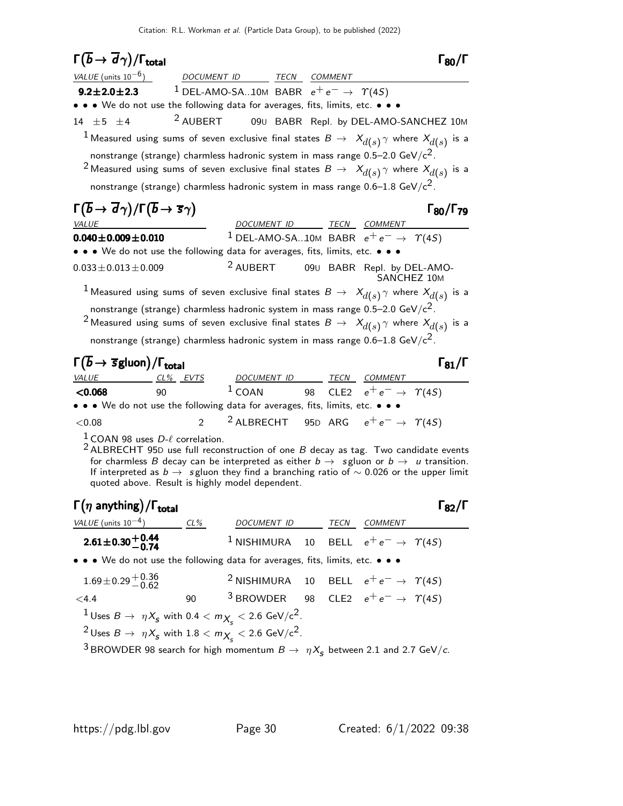| $\Gamma(\overline{b} \to \overline{d}\gamma)/\Gamma_{\rm total}$                                                                                                                                                                                                                                                                                                                                                |                                                                 |                                                                 |    |                                      | $\Gamma_{80}/\Gamma$      |
|-----------------------------------------------------------------------------------------------------------------------------------------------------------------------------------------------------------------------------------------------------------------------------------------------------------------------------------------------------------------------------------------------------------------|-----------------------------------------------------------------|-----------------------------------------------------------------|----|--------------------------------------|---------------------------|
| <i>VALUE</i> (units $10^{-6}$ )                                                                                                                                                                                                                                                                                                                                                                                 |                                                                 | DOCUMENT ID TECN COMMENT                                        |    |                                      |                           |
| $9.2 \pm 2.0 \pm 2.3$                                                                                                                                                                                                                                                                                                                                                                                           | <sup>1</sup> DEL-AMO-SA10M BABR $e^+e^- \rightarrow \gamma(45)$ |                                                                 |    |                                      |                           |
| • • • We do not use the following data for averages, fits, limits, etc. • • •                                                                                                                                                                                                                                                                                                                                   |                                                                 |                                                                 |    |                                      |                           |
| 14 $\pm$ 5<br>±4                                                                                                                                                                                                                                                                                                                                                                                                | <sup>2</sup> AUBERT                                             | 090 BABR Repl. by DEL-AMO-SANCHEZ 10M                           |    |                                      |                           |
| $^1$ Measured using sums of seven exclusive final states $\emph{B} \rightarrow \emph{ } X_{d(s)} \gamma$ where $\emph{X}_{d(s)}$ is a                                                                                                                                                                                                                                                                           |                                                                 |                                                                 |    |                                      |                           |
| nonstrange (strange) charmless hadronic system in mass range $0.5-2.0$ GeV/ $c^2$ .                                                                                                                                                                                                                                                                                                                             |                                                                 |                                                                 |    |                                      |                           |
| $^2$ Measured using sums of seven exclusive final states $B\,\rightarrow\,\,X_{d(s)}\,\gamma$ where $X_{d(s)}$ is a                                                                                                                                                                                                                                                                                             |                                                                 |                                                                 |    |                                      |                           |
| nonstrange (strange) charmless hadronic system in mass range $0.6-1.8$ GeV/ $c^2$ .                                                                                                                                                                                                                                                                                                                             |                                                                 |                                                                 |    |                                      |                           |
| $\Gamma(\overline{b} \to \overline{d}\gamma)/\Gamma(\overline{b} \to \overline{s}\gamma)$<br><i>VALUE</i>                                                                                                                                                                                                                                                                                                       |                                                                 | DOCUMENT ID TECN COMMENT                                        |    |                                      | $\Gamma_{80}/\Gamma_{79}$ |
| $0.040 \pm 0.009 \pm 0.010$                                                                                                                                                                                                                                                                                                                                                                                     |                                                                 | <sup>1</sup> DEL-AMO-SA10M BABR $e^+e^- \rightarrow \gamma(45)$ |    |                                      |                           |
| • • • We do not use the following data for averages, fits, limits, etc. • • •                                                                                                                                                                                                                                                                                                                                   |                                                                 |                                                                 |    |                                      |                           |
| $0.033 \pm 0.013 \pm 0.009$                                                                                                                                                                                                                                                                                                                                                                                     |                                                                 | <sup>2</sup> AUBERT 090 BABR Repl. by DEL-AMO-                  |    | SANCHEZ 10M                          |                           |
| $^1$ Measured using sums of seven exclusive final states $\mathcal{B}\,\to\,\,X_{d(s)}\gamma$ where $X_{d(s)}$ is a                                                                                                                                                                                                                                                                                             |                                                                 |                                                                 |    |                                      |                           |
| nonstrange (strange) charmless hadronic system in mass range $0.5-2.0 \text{ GeV}/c^2$ .                                                                                                                                                                                                                                                                                                                        |                                                                 |                                                                 |    |                                      |                           |
| $^2$ Measured using sums of seven exclusive final states $B\,\rightarrow\,\,X_{d(s)}\,\gamma$ where $X_{d(s)}$ is a                                                                                                                                                                                                                                                                                             |                                                                 |                                                                 |    |                                      |                           |
| nonstrange (strange) charmless hadronic system in mass range $0.6-1.8$ GeV/ $c^2$ .                                                                                                                                                                                                                                                                                                                             |                                                                 |                                                                 |    |                                      |                           |
| $\Gamma(\overline{b} \to \overline{s}$ gluon)/ $\Gamma_{total}$                                                                                                                                                                                                                                                                                                                                                 |                                                                 |                                                                 |    |                                      | $\Gamma_{81}/\Gamma$      |
| <i>VALUE</i>                                                                                                                                                                                                                                                                                                                                                                                                    | CL% EVTS                                                        | DOCUMENT ID TECN COMMENT                                        |    |                                      |                           |
| < 0.068<br>90                                                                                                                                                                                                                                                                                                                                                                                                   |                                                                 | $1$ COAN                                                        | 98 | CLE2 $e^+e^- \rightarrow \gamma(4S)$ |                           |
| • • • We do not use the following data for averages, fits, limits, etc. • • •                                                                                                                                                                                                                                                                                                                                   |                                                                 |                                                                 |    |                                      |                           |
| ${<}0.08$                                                                                                                                                                                                                                                                                                                                                                                                       | $\mathfrak{p}$                                                  | <sup>2</sup> ALBRECHT 95D ARG $e^+e^- \rightarrow \gamma(45)$   |    |                                      |                           |
| <sup>1</sup> COAN 98 uses $D-\ell$ correlation.<br>$2$ ALBRECHT 95D use full reconstruction of one $B$ decay as tag. Two candidate events<br>for charmless B decay can be interpreted as either $b \rightarrow s$ gluon or $b \rightarrow u$ transition.<br>If interpreted as $b \to s$ gluon they find a branching ratio of $\sim 0.026$ or the upper limit<br>quoted above. Result is highly model dependent. |                                                                 |                                                                 |    |                                      |                           |
| $\Gamma(\eta \text{ anything})/\Gamma_{\text{total}}$                                                                                                                                                                                                                                                                                                                                                           |                                                                 |                                                                 |    |                                      | $\Gamma_{82}/\Gamma$      |

|                                                                               |     |                                                                |      |                | . OZ 1. |
|-------------------------------------------------------------------------------|-----|----------------------------------------------------------------|------|----------------|---------|
| <i>VALUE</i> (units $10^{-4}$ )                                               | CL% | <b>DOCUMENT ID</b>                                             | TECN | <i>COMMENT</i> |         |
| $2.61 \pm 0.30 \pm 0.44$<br>-0.74                                             |     | <sup>1</sup> NISHIMURA 10 BELL $e^+e^- \rightarrow \gamma(45)$ |      |                |         |
| • • • We do not use the following data for averages, fits, limits, etc. • • • |     |                                                                |      |                |         |

| $1.69 \pm 0.29 \, {}^{+0.36}_{-0.62}$                                              |     | <sup>2</sup> NISHIMURA 10 BELL $e^+e^- \rightarrow \gamma(4S)$ |  |                        |
|------------------------------------------------------------------------------------|-----|----------------------------------------------------------------|--|------------------------|
| < 4.4                                                                              | 90. | <sup>3</sup> BROWDER 98 CLE2 $e^+e^- \rightarrow \gamma(45)$   |  |                        |
| <sup>1</sup> Uses $B \to \eta X_s$ with 0.4 $< m_{X_s} <$ 2.6 GeV/c <sup>2</sup> . |     |                                                                |  |                        |
| <sup>2</sup> Uses $B \to \eta X_s$ with $1.8 < m_{X_s} < 2.6$ GeV/c <sup>2</sup> . |     |                                                                |  |                        |
|                                                                                    |     |                                                                |  | $\sim$ $\cdot$ $\cdot$ |

 $^3$ BROWDER 98 search for high momentum  $B\to~\eta\, \mathrm{\mathsf{X}_{S}}$  between 2.1 and 2.7 GeV/c.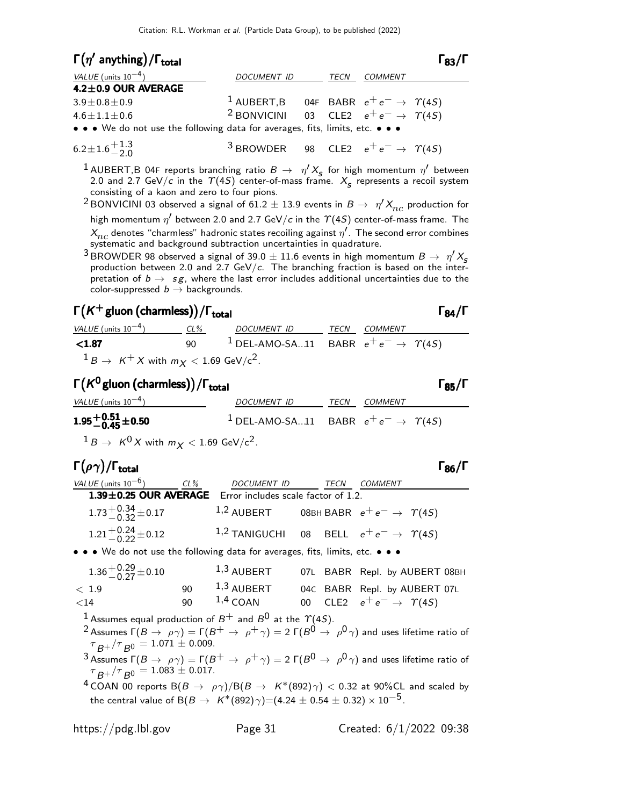| $\Gamma(\eta'$ anything)/ $\Gamma_{total}$                                    |                                                                |  |  |                | $\Gamma_{83}/\Gamma$ |
|-------------------------------------------------------------------------------|----------------------------------------------------------------|--|--|----------------|----------------------|
| VALUE (units $10^{-4}$ )                                                      | DOCUMENT ID                                                    |  |  | <b>COMMENT</b> |                      |
| 4.2±0.9 OUR AVERAGE                                                           |                                                                |  |  |                |                      |
| $3.9 \pm 0.8 \pm 0.9$                                                         | <sup>1</sup> AUBERT,B 04F BABR $e^+e^- \rightarrow \gamma(4S)$ |  |  |                |                      |
| $4.6 \pm 1.1 \pm 0.6$                                                         | <sup>2</sup> BONVICINI 03 CLE2 $e^+e^- \rightarrow \gamma(45)$ |  |  |                |                      |
| • • • We do not use the following data for averages, fits, limits, etc. • • • |                                                                |  |  |                |                      |
| $6.2 \pm 1.6 \frac{+1.3}{2.0}$                                                | <sup>3</sup> BROWDER 98 CLE2 $e^+e^- \rightarrow \gamma(4S)$   |  |  |                |                      |

1 AUBERT,B 04F reports branching ratio  $B \to \eta' X_s$  for high momentum  $\eta'$  between 2.0 and 2.7 GeV/c in the  $\Upsilon(4S)$  center-of-mass frame.  $X_{\mathcal{S}}$  represents a recoil system consisting of a kaon and zero to four pions.

 $^2$ BONVICINI 03 observed a signal of 61.2  $\pm$  13.9 events in  $\emph{B} \rightarrow \; \eta' \emph{X}_{nc}$  production for high momentum  $\eta'$  between 2.0 and 2.7 GeV/c in the  $\varUpsilon(4S)$  center-of-mass frame. The  $\lambda_{nc}^{}$  denotes "charmless" hadronic states recoiling against  $\eta^{\prime}$  . The second error combines systematic and background subtraction uncertainties in quadrature.

<sup>3</sup> BROWDER 98 observed a signal of 39.0  $\pm$  11.6 events in high momentum  $B \to \eta' X_S$ production between 2.0 and  $2.7$  GeV/ $c$ . The branching fraction is based on the interpretation of  $b \rightarrow s g$ , where the last error includes additional uncertainties due to the color-suppressed  $b \rightarrow$  backgrounds.

# $\Gamma(K^+$ gluon (charmless))/Γ<sub>total</sub>Γ84/Γ

 $-2.0$ 

 $VALUE$  (units 10<sup>-4</sup>) CL% DOCUMENT ID TECN COMMENT **<1.87** 90  $1$  DEL-AMO-SA...11 BABR  $e^+e^- \rightarrow \gamma(4S)$  $1 B \rightarrow K^+ X$  with  $m_X < 1.69$  GeV/c<sup>2</sup>.

#### Γ $(K^0$ gluon (charmless)) / Γ<sub>total</sub> Γερματιών του Γεργανικό Γερματιών Γερματιών Γερματιών Γερ VALUE (units 10<sup>-4</sup>) DOCUMENT ID TECN COMMENT  $1.95 \, {+} \, 0.51 \pm 0.50$ <sup>1</sup> DEL-AMO-SA...11 BABR  $e^+e^- \rightarrow \gamma(4S)$

 $1 B \rightarrow K^0 X$  with  $m_X < 1.69$  GeV/c<sup>2</sup>.

| $\Gamma(\rho\gamma)/\Gamma_{\rm total}$                   |                                                                  |      |                                           | $\Gamma_{86}/\Gamma$ |
|-----------------------------------------------------------|------------------------------------------------------------------|------|-------------------------------------------|----------------------|
| VALUE (units $10^{-6}$ )<br>CL%                           | DOCUMENT ID                                                      | TECN | COMMENT                                   |                      |
| 1.39±0.25 OUR AVERAGE Error includes scale factor of 1.2. |                                                                  |      |                                           |                      |
| $1.73^{+0.34}_{-0.32}$ ± 0.17                             | $1,2$ AUBERT                                                     |      | 08BH BABR $e^+e^- \rightarrow \gamma(45)$ |                      |
| $1.21 + 0.24 + 0.12$                                      | <sup>1,2</sup> TANIGUCHI 08 BELL $e^+e^- \rightarrow \gamma(45)$ |      |                                           |                      |
| $\frac{1}{2}$                                             |                                                                  |      |                                           |                      |

• • • We do not use the following data for averages, fits, limits, etc. • • •

| $1.36 + 0.29 + 0.10$ |    | $1,3$ AUBERT |  | O7L BABR Repl. by AUBERT 08BH             |  |
|----------------------|----|--------------|--|-------------------------------------------|--|
| < 1.9                | 90 | $1,3$ AUBERT |  | 04C BABR Repl. by AUBERT 07L              |  |
| ${<}14$              | 90 | $1,4$ COAN   |  | 00 CLE2 $e^+e^- \rightarrow \Upsilon(4S)$ |  |

 $^1$  Assumes equal production of  $B^+$  and  $B^0$  at the  $\varUpsilon(4S).$ 

- $^2$ Assumes Γ( $B\to\rho\gamma) = \Gamma(B^+\to\rho^+\gamma) =$  2 Γ( $B^0\to\rho^0\gamma)$  and uses lifetime ratio of  $\tau_{B^+}/\tau_{B^0} = 1.071 \pm 0.009.$
- $^3$ Assumes Г $(B\to \ \rho\gamma)=\Gamma(B^+\to \ \rho^+\gamma)=$  2 Г $(B^0\to \ \rho^0\gamma)$  and uses lifetime ratio of  $\tau_{B^+}/\tau_{B^0} = 1.083 \pm 0.017.$

<sup>4</sup> COAN 00 reports B $(B \to \rho \gamma)/B(B \to K^*(892)\gamma) < 0.32$  at 90%CL and scaled by the central value of B( $B \to K^*(892)\gamma$ )=(4.24 ± 0.54 ± 0.32) × 10<sup>-5</sup>.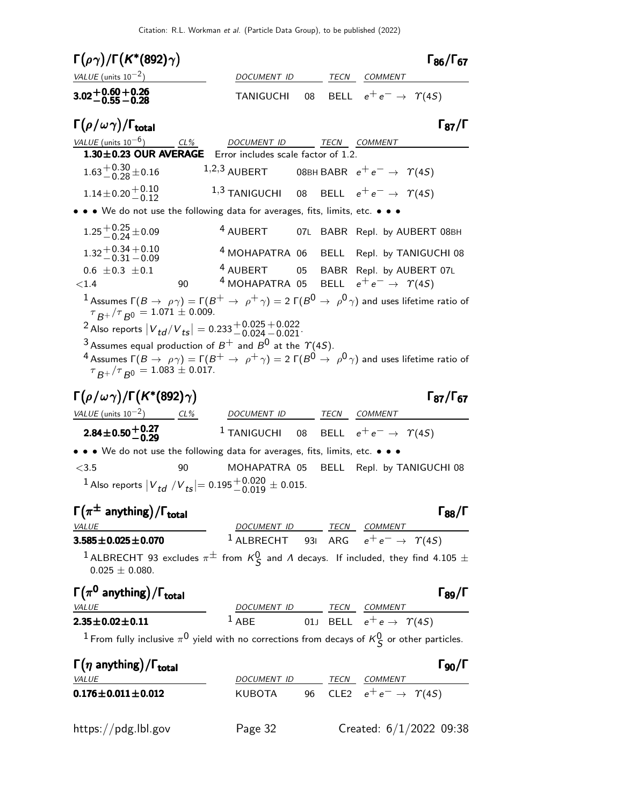| $\Gamma(\rho\gamma)/\Gamma(K^*(892)\gamma)$                                                                                                                                        |                                                                                   |                                                                | $\Gamma_{86}/\Gamma_{67}$ |
|------------------------------------------------------------------------------------------------------------------------------------------------------------------------------------|-----------------------------------------------------------------------------------|----------------------------------------------------------------|---------------------------|
| VALUE (units $10^{-2}$ )                                                                                                                                                           | DOCUMENT ID                                                                       | TECN COMMENT                                                   |                           |
| $3.02 + 0.60 + 0.26$<br>$-0.55 - 0.28$                                                                                                                                             | TANIGUCHI                                                                         | 08 BELL $e^+e^- \rightarrow \gamma(4S)$                        |                           |
| $\Gamma(\rho/\omega\gamma)/\Gamma_{\rm total}$                                                                                                                                     |                                                                                   |                                                                | $\Gamma_{87}/\Gamma$      |
| VALUE (units $10^{-6}$ )<br>1.30±0.23 OUR AVERAGE Error includes scale factor of 1.2.                                                                                              | CL% DOCUMENT ID TECN COMMENT                                                      |                                                                |                           |
| $1.63^{+0.30}_{-0.28}$ ± 0.16                                                                                                                                                      | 1,2,3 AUBERT 08BH BABR $e^+e^- \rightarrow \gamma(45)$                            |                                                                |                           |
|                                                                                                                                                                                    |                                                                                   |                                                                |                           |
| $1.14 \pm 0.20 \begin{array}{c} +0.10 \\ -0.12 \end{array}$                                                                                                                        | $^{1,3}$ TANIGUCHI 08 BELL $e^+e^-\rightarrow ~\varUpsilon(4S)$                   |                                                                |                           |
| • • We do not use the following data for averages, fits, limits, etc. • • •                                                                                                        |                                                                                   |                                                                |                           |
| $1.25 + 0.25 + 0.09$                                                                                                                                                               |                                                                                   | 4 AUBERT 07L BABR Repl. by AUBERT 08BH                         |                           |
| $1.32 + 0.34 + 0.10$<br>$-0.31 - 0.09$                                                                                                                                             |                                                                                   | <sup>4</sup> MOHAPATRA 06 BELL Repl. by TANIGUCHI 08           |                           |
| $0.6 \pm 0.3 \pm 0.1$                                                                                                                                                              | <sup>4</sup> AUBERT                                                               | 05 BABR Repl. by AUBERT 07L                                    |                           |
| 90<br>${<}1.4$                                                                                                                                                                     | $^4$ MOHAPATRA 05 $\,$ BELL $\,$ $\mathrm{e^+e^-} \rightarrow \,$ $\, \gamma(4S)$ |                                                                |                           |
| $^1$ Assumes $\Gamma(B\to \ \rho\gamma)=\Gamma(B^+\to \ \rho^+\gamma)=$ 2 $\Gamma(B^0\to \ \rho^0\gamma)$ and uses lifetime ratio of<br>$\tau_{B+}/\tau_{B0} = 1.071 \pm 0.009.$   |                                                                                   |                                                                |                           |
| <sup>2</sup> Also reports $ V_{td}/V_{ts}  = 0.233^{+0.025}_{-0.024}$ - 0.022                                                                                                      |                                                                                   |                                                                |                           |
| <sup>3</sup> Assumes equal production of $B^+$ and $B^0$ at the $\Upsilon(4S)$ .                                                                                                   |                                                                                   |                                                                |                           |
| $^4$ Assumes $\Gamma(B\to \ \rho\gamma)=\Gamma(B^+\to \ \rho^+\gamma)=$ 2 $\Gamma(B^0\to \ \rho^0\gamma)$ and uses lifetime ratio of<br>$\tau_{B^+}/\tau_{B^0} = 1.083 \pm 0.017.$ |                                                                                   |                                                                |                           |
|                                                                                                                                                                                    |                                                                                   |                                                                |                           |
| $\Gamma(\rho/\omega\gamma)/\Gamma(K^*(892)\gamma)$                                                                                                                                 |                                                                                   |                                                                | $\Gamma_{87}/\Gamma_{67}$ |
| <u>VALUE</u> (units $10^{-2}$ ) CL%                                                                                                                                                | DOCUMENT ID TECN COMMENT                                                          |                                                                |                           |
| $2.84 \pm 0.50 \pm 0.27$                                                                                                                                                           |                                                                                   | <sup>1</sup> TANIGUCHI 08 BELL $e^+e^- \rightarrow \gamma(45)$ |                           |
| • • • We do not use the following data for averages, fits, limits, etc. • • •                                                                                                      |                                                                                   |                                                                |                           |
| < 3.5<br>90                                                                                                                                                                        |                                                                                   | MOHAPATRA 05 BELL Repl. by TANIGUCHI 08                        |                           |
| <sup>1</sup> Also reports $ V^t_{td}/V^t_{ts}  = 0.195^{+0.020}_{-0.019} \pm 0.015$ .                                                                                              |                                                                                   |                                                                |                           |
| $\Gamma(\pi^{\pm}$ anything)/ $\Gamma_{\text{total}}$                                                                                                                              |                                                                                   |                                                                | $\Gamma_{88}/\Gamma$      |
| VALUE                                                                                                                                                                              | DOCUMENT ID TECN COMMENT                                                          |                                                                |                           |
| $3.585 \pm 0.025 \pm 0.070$                                                                                                                                                        |                                                                                   | <sup>1</sup> ALBRECHT 931 ARG $e^+e^- \rightarrow \gamma(45)$  |                           |
| $^1$ ALBRECHT 93 excludes $\pi^{\pm}$ from $\kappa_\mathsf{S}^0$ and $\Lambda$ decays. If included, they find 4.105 $\pm$<br>$0.025 \pm 0.080$ .                                   |                                                                                   |                                                                |                           |
| $\Gamma(\pi^0$ anything)/ $\Gamma_{total}$                                                                                                                                         |                                                                                   |                                                                | $\Gamma_{89}/\Gamma$      |
| <b>VALUE</b>                                                                                                                                                                       |                                                                                   | DOCUMENT ID TECN COMMENT                                       |                           |
| $2.35 \pm 0.02 \pm 0.11$                                                                                                                                                           |                                                                                   | <sup>1</sup> ABE 01J BELL $e^+e \rightarrow \gamma(4S)$        |                           |
| <sup>1</sup> From fully inclusive $\pi^0$ yield with no corrections from decays of $\kappa_S^0$ or other particles.                                                                |                                                                                   |                                                                |                           |
| $\Gamma(\eta \text{ anything})/\Gamma_{\text{total}}$                                                                                                                              |                                                                                   |                                                                | $\Gamma_{90}/\Gamma$      |
| <b>VALUE</b>                                                                                                                                                                       |                                                                                   | DOCUMENT ID TECN COMMENT                                       |                           |
| $0.176 \pm 0.011 \pm 0.012$                                                                                                                                                        |                                                                                   | KUBOTA 96 CLE2 $e^+e^- \rightarrow \gamma(45)$                 |                           |
|                                                                                                                                                                                    |                                                                                   |                                                                |                           |
| https://pdg.lbl.gov                                                                                                                                                                | Page 32                                                                           | Created: $6/1/2022$ 09:38                                      |                           |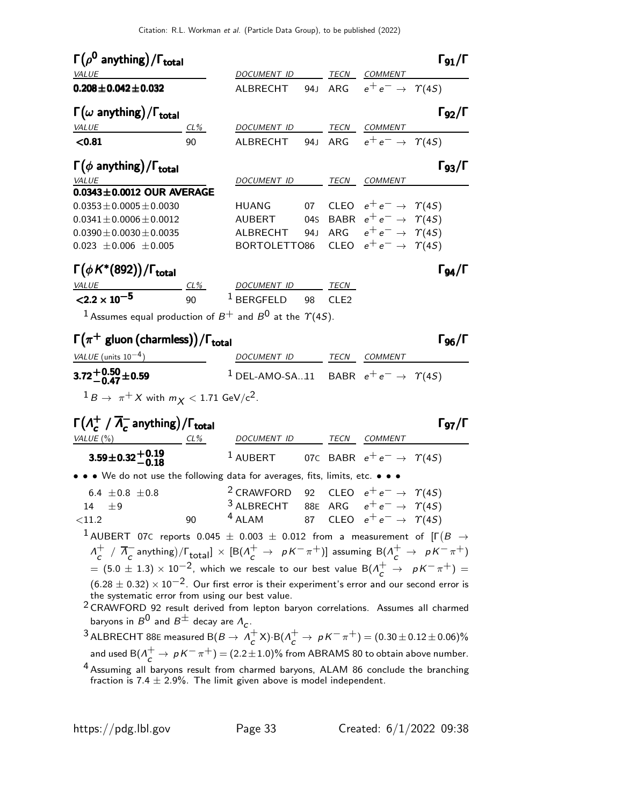| $\Gamma(\rho^0$ anything)/ $\Gamma_{total}$                                                                                                                              |        |                                                                |       |                                           | $\Gamma_{91}/\Gamma$      |
|--------------------------------------------------------------------------------------------------------------------------------------------------------------------------|--------|----------------------------------------------------------------|-------|-------------------------------------------|---------------------------|
| <b>VALUE</b>                                                                                                                                                             |        | DOCUMENT ID TECN COMMENT                                       |       |                                           |                           |
| $0.208 \pm 0.042 \pm 0.032$                                                                                                                                              |        | ALBRECHT 94J ARG $e^+e^- \rightarrow \gamma(45)$               |       |                                           |                           |
| $\Gamma(\omega \text{ anything})/\Gamma_\text{total}$                                                                                                                    |        |                                                                |       |                                           | $\Gamma_{92}/\Gamma$      |
| <b>VALUE</b>                                                                                                                                                             | $CL\%$ | DOCUMENT ID TECN COMMENT                                       |       |                                           |                           |
| < 0.81                                                                                                                                                                   | 90     | ALBRECHT 94J ARG $e^+e^- \rightarrow \gamma(45)$               |       |                                           |                           |
| $\Gamma(\phi \text{ anything})/\Gamma_{\text{total}}$                                                                                                                    |        |                                                                |       |                                           | $\Gamma_{93}/\Gamma$      |
| VALUE<br>$0.0343 \pm 0.0012$ OUR AVERAGE                                                                                                                                 |        | DOCUMENT ID TECN COMMENT                                       |       |                                           |                           |
| $0.0353 \pm 0.0005 \pm 0.0030$                                                                                                                                           |        | HUANG                                                          |       | 07 CLEO $e^+e^- \rightarrow \Upsilon(4S)$ |                           |
| $0.0341 \pm 0.0006 \pm 0.0012$                                                                                                                                           |        | AUBERT 04s BABR $e^+e^- \rightarrow \gamma(45)$                |       |                                           |                           |
| $0.0390 \pm 0.0030 \pm 0.0035$                                                                                                                                           |        | ALBRECHT 94J ARG $e^+e^- \rightarrow \gamma(4S)$               |       |                                           |                           |
| $0.023 \pm 0.006 \pm 0.005$                                                                                                                                              |        | BORTOLETT086                                                   |       | CLEO $e^+e^- \rightarrow \Upsilon(4S)$    |                           |
| $\Gamma(\phi K^*(892))/\Gamma_{\text{total}}$                                                                                                                            |        |                                                                |       |                                           | $\Gamma_{94}/\Gamma$      |
|                                                                                                                                                                          | CL%    | DOCUMENT ID TECN                                               |       |                                           |                           |
| $\frac{VALUE}{< 2.2 \times 10^{-5}}$                                                                                                                                     | 90     | $^1$ BERGFELD 98                                               | CI F2 |                                           |                           |
| <sup>1</sup> Assumes equal production of $B^+$ and $B^0$ at the $\Upsilon(4S)$ .                                                                                         |        |                                                                |       |                                           |                           |
| $\Gamma(\pi^+$ gluon (charmless))/ $\Gamma_{total}$                                                                                                                      |        |                                                                |       |                                           | $\Gamma_{96}/\Gamma$      |
| $VALUE$ (units $10^{-4}$ ) DOCUMENT ID TECN COMMENT                                                                                                                      |        |                                                                |       |                                           |                           |
| $3.72^{+0.50}_{-0.47}$ ± 0.59                                                                                                                                            |        | <sup>1</sup> DEL-AMO-SA11 BABR $e^+e^- \rightarrow \gamma(45)$ |       |                                           |                           |
| $1 B \rightarrow \pi^+ X$ with $m_X < 1.71$ GeV/c <sup>2</sup> .                                                                                                         |        |                                                                |       |                                           |                           |
| $\Gamma(\Lambda_c^+ / \overline{\Lambda_c}$ anything)/ $\Gamma_{\text{total}}$                                                                                           |        |                                                                |       |                                           | $\Gamma$ <sub>97</sub> /Г |
| $CL\%$<br>VALUE $(\%)$                                                                                                                                                   |        | DOCUMENT ID TECN COMMENT                                       |       |                                           |                           |
| $3.59 \pm 0.32 \begin{array}{c} +0.19 \\ -0.18 \end{array}$                                                                                                              |        | <sup>1</sup> AUBERT 07C BABR $e^+e^- \rightarrow \gamma(45)$   |       |                                           |                           |
| • • • We do not use the following data for averages, fits, limits, etc. • • •                                                                                            |        |                                                                |       |                                           |                           |
| 6.4 $\pm$ 0.8 $\pm$ 0.8                                                                                                                                                  |        | <sup>2</sup> CRAWFORD 92 CLEO $e^+e^- \rightarrow \gamma(45)$  |       |                                           |                           |
| 14 $\pm$ 9                                                                                                                                                               |        | <sup>3</sup> ALBRECHT 88E ARG $e^+e^- \rightarrow \gamma(45)$  |       |                                           |                           |
| $<$ 11.2                                                                                                                                                                 | 90     | <sup>4</sup> ALAM                                              |       | 87 CLEO $e^+e^- \rightarrow \gamma(45)$   |                           |
| $^{\text{1}}$ AUBERT 07C reports 0.045 $\pm$ 0.003 $\pm$ 0.012 from a measurement of [F $(B$ $\rightarrow$                                                               |        |                                                                |       |                                           |                           |
| $A_c^+$ / $\overline{A}_c^-$ anything)/ $\Gamma_{\text{total}}$ ] $\times$ [B( $A_c^+ \rightarrow pK^-\pi^+$ )] assuming B( $A_c^+ \rightarrow pK^-\pi^+$ )              |        |                                                                |       |                                           |                           |
| $\sigma = (5.0 \pm 1.3) \times 10^{-2}$ , which we rescale to our best value B( $\Lambda_c^+ \rightarrow \ \rho \, \mathcal{K}^- \, \pi^+) = 0$                          |        |                                                                |       |                                           |                           |
| $(6.28 \pm 0.32) \times 10^{-2}$ . Our first error is their experiment's error and our second error is<br>the systematic error from using our best value.                |        |                                                                |       |                                           |                           |
| <sup>2</sup> CRAWFORD 92 result derived from lepton baryon correlations. Assumes all charmed                                                                             |        |                                                                |       |                                           |                           |
| baryons in $B^0$ and $B^{\pm}$ decay are $A_{c}$ .                                                                                                                       |        |                                                                |       |                                           |                           |
| <sup>3</sup> ALBRECHT 88E measured B( $B \to \Lambda_c^+ \times$ )·B( $\Lambda_c^+ \to pK^-\pi^+)$ = (0.30 $\pm$ 0.12 $\pm$ 0.06)%                                       |        |                                                                |       |                                           |                           |
| and used B( $A^+_\text{c} \rightarrow pK^-\pi^+)$ = (2.2 $\pm$ 1.0)% from ABRAMS 80 to obtain above number.                                                              |        |                                                                |       |                                           |                           |
| <sup>4</sup> Assuming all baryons result from charmed baryons, ALAM 86 conclude the branching<br>fraction is 7.4 $\pm$ 2.9%. The limit given above is model independent. |        |                                                                |       |                                           |                           |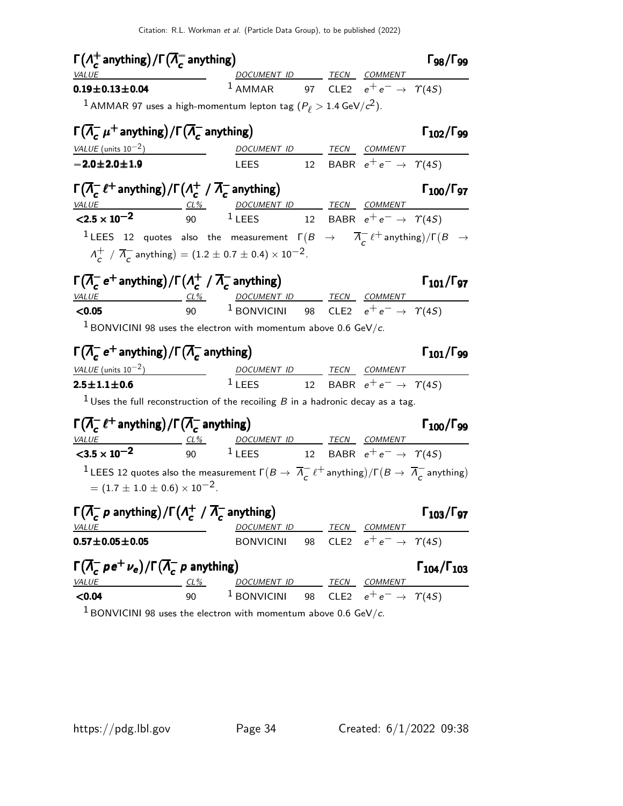| $\Gamma(\Lambda_c^+$ anything) / $\Gamma(\overline{\Lambda}_c^-$ anything)                                                                                         |        |                                                                                                                                                                            |    |                                        | $\Gamma_{98}/\Gamma_{99}$   |
|--------------------------------------------------------------------------------------------------------------------------------------------------------------------|--------|----------------------------------------------------------------------------------------------------------------------------------------------------------------------------|----|----------------------------------------|-----------------------------|
| <i>VALUE</i>                                                                                                                                                       |        | DOCUMENT ID TECN COMMENT                                                                                                                                                   |    |                                        |                             |
| $0.19 \pm 0.13 \pm 0.04$                                                                                                                                           |        | <sup>1</sup> AMMAR 97 CLE2 $e^+e^- \rightarrow \gamma(45)$                                                                                                                 |    |                                        |                             |
| <sup>1</sup> AMMAR 97 uses a high-momentum lepton tag ( $P_\ell > 1.4$ GeV/ $c^2$ ).                                                                               |        |                                                                                                                                                                            |    |                                        |                             |
| $\Gamma(\overline{\Lambda}_{c}^{-}\mu^{+}$ anything) / $\Gamma(\overline{\Lambda}_{c}^{-}$ anything)                                                               |        |                                                                                                                                                                            |    |                                        | $\Gamma_{102}/\Gamma_{99}$  |
| VALUE (units $10^{-2}$ )                                                                                                                                           |        | DOCUMENT ID TECN COMMENT                                                                                                                                                   |    |                                        |                             |
| $-2.0 \pm 2.0 \pm 1.9$                                                                                                                                             |        | LEES 12 BABR $e^+e^- \rightarrow \gamma(45)$                                                                                                                               |    |                                        |                             |
| $\Gamma(\overline{\Lambda}_{c}^{-}\ell^{+}$ anything) / $\Gamma(\Lambda_{c}^{+}\; / \; \overline{\Lambda}_{c}^{-}$ anything)                                       |        |                                                                                                                                                                            |    |                                        | $\Gamma_{100}/\Gamma_{97}$  |
| $\frac{VALUE}{2.5 \times 10^{-2}}$ $\frac{CL\%}{90}$ $\frac{DOCUMENT ID}{1 \text{ LEES}}$ $\frac{TECN}{12}$ $\frac{COMMENT}{BABR}$ $e^+e^- \rightarrow \gamma(4S)$ |        |                                                                                                                                                                            |    |                                        |                             |
|                                                                                                                                                                    |        |                                                                                                                                                                            |    |                                        |                             |
| <sup>1</sup> LEES 12 quotes also the measurement $\Gamma(B \to \overline{\Lambda}^-_c \ell^+$ anything)/ $\Gamma(B \to \overline{\Lambda}^-_c \ell^-_c)$           |        |                                                                                                                                                                            |    |                                        |                             |
| $\Lambda_c^+$ / $\overline{\Lambda}_c^-$ anything) = (1.2 ± 0.7 ± 0.4) × 10 <sup>-2</sup> .                                                                        |        |                                                                                                                                                                            |    |                                        |                             |
| $\Gamma(\overline{\Lambda}_{c}^{-} e^{+}$ anything) / $\Gamma(\Lambda_{c}^{+} / \overline{\Lambda}_{c}^{-}$ anything)                                              |        |                                                                                                                                                                            |    |                                        | $\Gamma_{101}/\Gamma_{97}$  |
| VALUE                                                                                                                                                              |        | <u>CL% DOCUMENT ID TECN COMMENT</u>                                                                                                                                        |    |                                        |                             |
| < 0.05                                                                                                                                                             |        | 90 $^1$ BONVICINI 98 CLE2 $e^+e^- \rightarrow \gamma(4S)$                                                                                                                  |    |                                        |                             |
| <sup>1</sup> BONVICINI 98 uses the electron with momentum above 0.6 GeV/c.                                                                                         |        |                                                                                                                                                                            |    |                                        |                             |
| $\Gamma(\overline{\Lambda}_{c}^{-}e^{+}$ anything) / $\Gamma(\overline{\Lambda}_{c}^{-}$ anything)                                                                 |        |                                                                                                                                                                            |    |                                        | $\Gamma_{101}/\Gamma_{99}$  |
| VALUE (units $10^{-2}$ )                                                                                                                                           |        |                                                                                                                                                                            |    |                                        |                             |
| $2.5 \pm 1.1 \pm 0.6$                                                                                                                                              |        | $\begin{array}{ccccc}\n & \textit{DCUMENT ID} & \textit{TECN} & \textit{COMMENT} \\ 1 \textit{LEES} & 12 & \textit{BABR} & e^+e^- \rightarrow & \Upsilon(4S)\n\end{array}$ |    |                                        |                             |
| <sup>1</sup> Uses the full reconstruction of the recoiling $B$ in a hadronic decay as a tag.                                                                       |        |                                                                                                                                                                            |    |                                        |                             |
| $\Gamma(\overline{\Lambda}_{c}^{-}\ell^{+}$ anything) / $\Gamma(\overline{\Lambda}_{c}^{-}$ anything)                                                              |        |                                                                                                                                                                            |    |                                        | $\Gamma_{100}/\Gamma_{99}$  |
| $\frac{VALUE}{0.5 \times 10^{-2}}$ $\frac{CL\%}{90}$ $\frac{DOCUMENTID}{LEES}$ $\frac{TECN}{12}$ $\frac{COMMENT}{BABR}$ $e^+e^- \rightarrow \gamma(4S)$            |        |                                                                                                                                                                            |    |                                        |                             |
|                                                                                                                                                                    |        |                                                                                                                                                                            |    |                                        |                             |
| <sup>1</sup> LEES 12 quotes also the measurement $\Gamma(B \to \overline{\Lambda}^-_c \ell^+$ anything)/ $\Gamma(B \to \overline{\Lambda}^-_c$ anything)           |        |                                                                                                                                                                            |    |                                        |                             |
| $= (1.7 \pm 1.0 \pm 0.6) \times 10^{-2}$ .                                                                                                                         |        |                                                                                                                                                                            |    |                                        |                             |
| $\Gamma(\overline{\Lambda}_{c}^{-} p$ anything)/ $\Gamma(\Lambda_{c}^{+} / \overline{\Lambda}_{c}^{-}$ anything)                                                   |        |                                                                                                                                                                            |    |                                        | $\Gamma_{103}/\Gamma_{97}$  |
| VALUE                                                                                                                                                              |        | DOCUMENT ID                                                                                                                                                                |    | TECN COMMENT                           |                             |
| $0.57 \pm 0.05 \pm 0.05$                                                                                                                                           |        | <b>BONVICINI</b>                                                                                                                                                           | 98 | CLE2 $e^+e^- \rightarrow \gamma(4S)$   |                             |
| $\Gamma(\overline{\Lambda}_{c}^{-} \rho e^{+} \nu_{e})/\Gamma(\overline{\Lambda}_{c}^{-} \rho$ anything)                                                           |        |                                                                                                                                                                            |    |                                        | $\Gamma_{104}/\Gamma_{103}$ |
| VALUE                                                                                                                                                              | $CL\%$ | DOCUMENT ID                                                                                                                                                                |    | TECN COMMENT                           |                             |
| < 0.04                                                                                                                                                             | 90     | <sup>1</sup> BONVICINI                                                                                                                                                     | 98 | CLE2 $e^+e^- \rightarrow \Upsilon(45)$ |                             |

 $1$  BONVICINI 98 uses the electron with momentum above 0.6 GeV/c.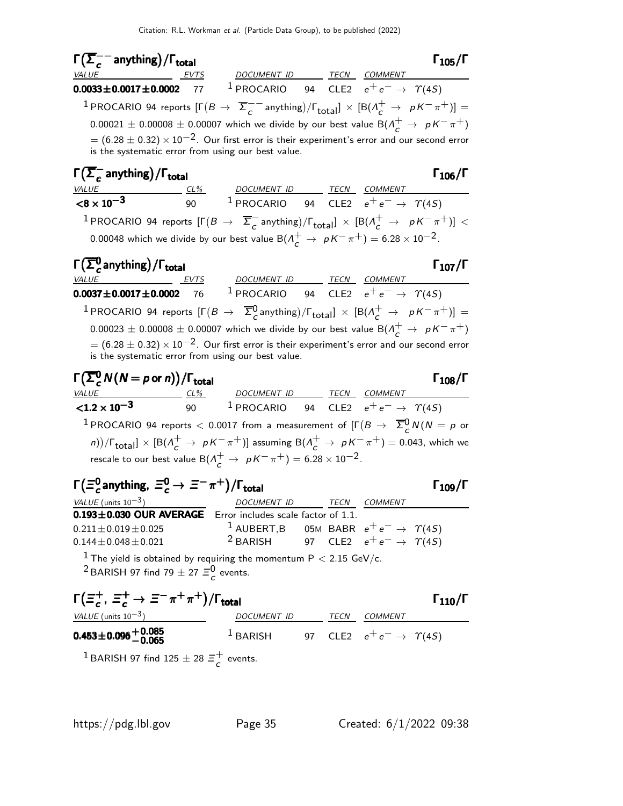$\Gamma(\overline{\Sigma}^{--}_c$  $\Gamma(\overline{\Sigma}_c^{--}$  anything)/ $\Gamma_{\rm total}$  Γ<sub>105</sub>/Γ /Γ $_{\rm total}$ Γ $_{105}$ /Γ VALUE EVTS DOCUMENT ID TECN COMMENT  ${\bf 0.0033} \pm {\bf 0.0017} \pm {\bf 0.0002}$  77  $^1$  procario 94 cle2  $e^+ \, e^- \rightarrow \; \Upsilon(4S)$ <sup>1</sup> PROCARIO 94 reports  $[\Gamma(B \to \overline{\Sigma}^{--}_c$  $\frac{1}{c}$  anything)/ $\Gamma_{\text{total}}$ ]  $\times$  [B( $\Lambda_c^+$   $\rightarrow$   $\,$   $\,$   $pK^-\pi^+)$ ]  $\,$  $0.00021\,\pm\,0.00008\,\pm\,0.00007$  which we divide by our best value  $\mathsf{B}(\varLambda_{\mathsf{C}}^{+}\,\rightarrow\,\, \rho\, \mathsf{K}^{-}\,\pi^{+})$  $= (6.28 \pm 0.32) \times 10^{-2}$ . Our first error is their experiment's error and our second error is the systematic error from using our best value.  $\mathsf{\Gamma}(\overline{\mathsf{\Sigma}}_{\mathsf{\mathsf{c}}}^ \frac{1}{c}$  anything) Γ $(\overline{\Sigma}^-_{c}$  anything)/Γ<sub>total</sub> Γ<sub>106</sub>/Γ VALUE CL% DOCUMENT ID TECN COMMENT  $< 8 \times 10^{-3}$ 90  $1$  PROCARIO 94 CLE2  $e^+e^- \rightarrow \Upsilon(4S)$ <sup>1</sup> PROCARIO 94 reports  $[\Gamma(B \to \overline{\Sigma}^{-}_{c}$  $\frac{1}{c}$  anything)/ $\lceil \frac{\text{total}}{c} \rceil \times \frac{[B(\Lambda_c^+ \to \rho \, \text{K}^- \, \pi^+)]}{\sigma} \rceil$ 0.00048 which we divide by our best value  $\mathsf{B}(\Lambda^+_c\to~pK^-\pi^+)=6.28\times 10^{-2}.$ Γ $(\overline{\Sigma}^0_c$ anything) Γ $(\overline{\Sigma_c^0})$  anything) / Γ<sub>total</sub> 2007 (Σεντριανό του Στον 107 (Γ VALUE EVTS DOCUMENT ID TECN COMMENT  ${\bf 0.0037}\pm{\bf 0.0017}\pm{\bf 0.0002}$  76  $^{-1}$  procario 94 cle $2$   $e^+e^-\rightarrow$   $\varUpsilon(4S)$  $^1$  PROCARIO 94 reports  $[\Gamma(B \to \overline{\Sigma}^0_c$ anything)/ $\Gamma_{\text{total}}] \times [B(\Lambda_c^+ \to \rho K^- \pi^+)] =$ 

 $0.00023\,\pm\,0.00008\,\pm\,0.00007$  which we divide by our best value  $\mathsf{B}(\varLambda_{\mathsf{C}}^{+}\,\rightarrow\,\, \rho\, \mathsf{K}^{-}\,\pi^{+})$  $= (6.28 \pm 0.32) \times 10^{-2}$ . Our first error is their experiment's error and our second error is the systematic error from using our best value.

| $\Gamma(\overline{\Sigma}_{c}^{0}N(N = p \text{ or } n)) / \Gamma_{\text{total}}$                                                                                                                                                                                                                                                                                                                     | $\Gamma_{108} / \Gamma$ |                                          |                                               |
|-------------------------------------------------------------------------------------------------------------------------------------------------------------------------------------------------------------------------------------------------------------------------------------------------------------------------------------------------------------------------------------------------------|-------------------------|------------------------------------------|-----------------------------------------------|
| $\frac{VALUE}{12 \times 10^{-3}}$                                                                                                                                                                                                                                                                                                                                                                     | $\frac{CL\%}{90}$       | $\frac{DOCUMENT ID}{1 \text{ PROCARIO}}$ | $\frac{TECN}{2e^+e^-} \rightarrow \gamma(4S)$ |
| $1 \text{ PROCARIO}$ 94 reports $\leq$ 0.0017 from a measurement of $[\Gamma(B \rightarrow \overline{\Sigma}_{c}^{0}N(N = p \text{ or } n))/\Gamma_{\text{total}}] \times [B(\Lambda_{c}^{+} \rightarrow pK^{-}\pi^{+})]$ assuming $B(\Lambda_{c}^{+} \rightarrow pK^{-}\pi^{+}) = 0.043$ , which we rescale to our best value $B(\Lambda_{c}^{+} \rightarrow pK^{-}\pi^{+}) = 6.28 \times 10^{-2}$ . |                         |                                          |                                               |

| $\Gamma(\Xi_c^0$ anything, $\Xi_c^0 \to \Xi^- \pi^+)/\Gamma_{\text{total}}$                                       |                                                                | $\Gamma_{109}/\Gamma$ |         |  |
|-------------------------------------------------------------------------------------------------------------------|----------------------------------------------------------------|-----------------------|---------|--|
| VALUE (units $10^{-3}$ )                                                                                          | DOCUMENT ID                                                    | <b>TECN</b>           | COMMENT |  |
| 0.193±0.030 OUR AVERAGE Error includes scale factor of 1.1.                                                       |                                                                |                       |         |  |
| $0.211 \pm 0.019 \pm 0.025$                                                                                       | <sup>1</sup> AUBERT,B 05M BABR $e^+e^- \rightarrow \gamma(45)$ |                       |         |  |
| $0.144 \pm 0.048 \pm 0.021$                                                                                       | <sup>2</sup> BARISH 97 CLE2 $e^+e^- \rightarrow \gamma(45)$    |                       |         |  |
| $\pm \tau_{\text{loc}}$ vialed in a later in all lay requirements the presentations $D \times 2.15 \text{ GeV/s}$ |                                                                |                       |         |  |

The yield is obtained by requiring the momentum  $\mathsf{P} < 2.15$  GeV/c. <sup>2</sup> BARISH 97 find 79  $\pm$  27  $\Xi_c^0$  events.

$$
\Gamma(\Xi_c^+, \Xi_c^+ \to \Xi^- \pi^+ \pi^+)/\Gamma_{\text{total}} \qquad \qquad \Gamma_{110}/\Gamma
$$

| VALUE (units $10^{-3}$ )            | DOCUMENT ID |  | <i>TECN COMMENT</i>                       |  |
|-------------------------------------|-------------|--|-------------------------------------------|--|
| $0.453 \pm 0.096 \, {+}\, 0.085 \,$ | $1$ BARISH  |  | 97 CLE2 $e^+e^- \rightarrow \Upsilon(4S)$ |  |
|                                     |             |  |                                           |  |

<sup>1</sup> BARISH 97 find 125  $\pm$  28  $\Xi_c^+$  $\overline{c}$  events.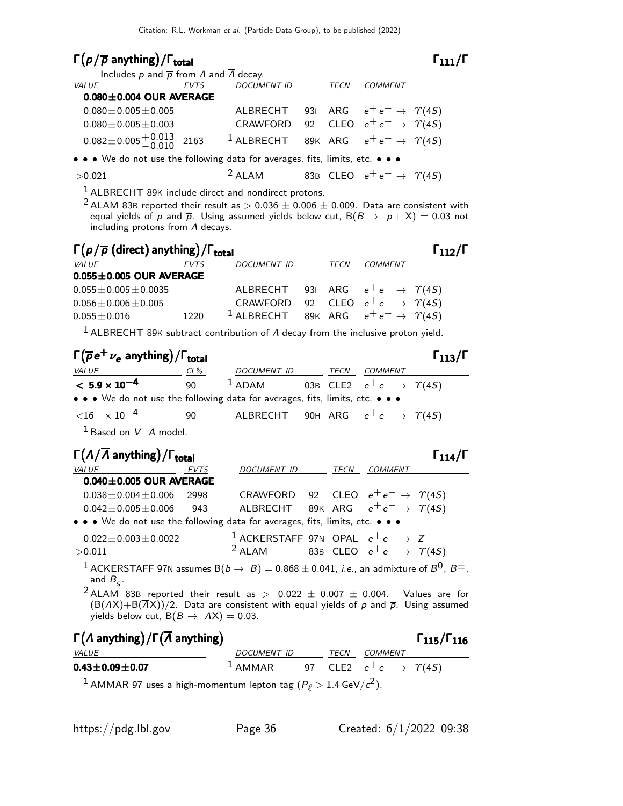# $\Gamma(p/\overline{p})$  anything)/ $\Gamma_{\text{total}}$

#### Includes p and  $\bar{p}$  from  $\Lambda$  and  $\bar{\Lambda}$  decay. VALUE EVTS DOCUMENT ID TECN COMMENT  $0.080\pm0.004$  OUR AVERAGE  $0.080\pm0.005\pm0.005$  ALBRECHT 93I ARG  $e^+e^- \rightarrow \gamma(45)$  $0.080\pm0.005\pm0.003$  CRAWFORD 92 CLEO  $e^+e^- \rightarrow \gamma(45)$  $0.082 \pm 0.005 \begin{array}{c} +0.013 \\ -0.010 \end{array}$ 2163 <sup>1</sup> ALBRECHT 89K ARG  $e^+e^- \rightarrow \gamma(45)$

• • • We do not use the following data for averages, fits, limits, etc. • • •

#### $>0.021$  2 ALAM 83B CLEO  $e^+e^- \rightarrow \gamma(45)$

1 ALBRECHT 89<sup>K</sup> include direct and nondirect protons.

<sup>2</sup> ALAM 83B reported their result as  $> 0.036 \pm 0.006 \pm 0.009$ . Data are consistent with equal yields of p and  $\bar{p}$ . Using assumed yields below cut,  $B(B \to p + X) = 0.03$  not including protons from  $\Lambda$  decays.

#### Γ $(p/\overline{p}$  (direct) anything)/Γ<sub>total</sub> Γ<sub>112</sub>/Γ

|                               |  |      |                                                               |      |                | ---- |
|-------------------------------|--|------|---------------------------------------------------------------|------|----------------|------|
| <i>VALUE</i>                  |  | EVTS | <b>DOCUMENT ID</b>                                            | TECN | <i>COMMENT</i> |      |
| $0.055 \pm 0.005$ OUR AVERAGE |  |      |                                                               |      |                |      |
| $0.055 \pm 0.005 \pm 0.0035$  |  |      | ALBRECHT 931 ARG $e^+e^- \rightarrow \gamma(4S)$              |      |                |      |
| $0.056 \pm 0.006 \pm 0.005$   |  |      | CRAWFORD 92 CLEO $e^+e^- \rightarrow \gamma(4S)$              |      |                |      |
| $0.055 \pm 0.016$             |  | 1220 | <sup>1</sup> ALBRECHT 89K ARG $e^+e^- \rightarrow \gamma(45)$ |      |                |      |
|                               |  |      |                                                               |      |                |      |

 $1$  ALBRECHT 89K subtract contribution of  $\Lambda$  decay from the inclusive proton yield.

#### $\Gamma(\overline{\rho}e^{+}\nu_{e}$  anything)/ $\Gamma_{\rm total}$  et al. (113/Γ VALUE CL% DOCUMENT ID TECN COMMENT  $< 5.9 \times 10^{-4}$ 90 <sup>1</sup> ADAM 03B CLE2  $e^+e^- \rightarrow \gamma(45)$ • • • We do not use the following data for averages, fits, limits, etc. • • •  $<$ 16  $\times$  10<sup>-4</sup> 90 ALBRECHT 90H ARG  $e^+e^-$  →  $\gamma$ (4*S*)

<sup>1</sup> Based on V-A model.

| $\Gamma(\Lambda/\overline{\Lambda}$ anything)/ $\Gamma_{\text{total}}$        |      |                                                            |      |         |  |
|-------------------------------------------------------------------------------|------|------------------------------------------------------------|------|---------|--|
| <b>VALUE</b>                                                                  | EVTS | DOCUMENT ID                                                | TECN | COMMENT |  |
| $0.040 \pm 0.005$ OUR AVERAGE                                                 |      |                                                            |      |         |  |
| $0.038 \pm 0.004 \pm 0.006$                                                   | 2998 | CRAWFORD 92 CLEO $e^+e^- \rightarrow \gamma(4S)$           |      |         |  |
| $0.042 \pm 0.005 \pm 0.006$                                                   | 943  | ALBRECHT 89K ARG $e^+e^- \rightarrow \gamma(4S)$           |      |         |  |
| • • • We do not use the following data for averages, fits, limits, etc. • • • |      |                                                            |      |         |  |
| $0.022 \pm 0.003 \pm 0.0022$                                                  |      | <sup>1</sup> ACKERSTAFF 97N OPAL $e^+e^- \rightarrow Z$    |      |         |  |
| >0.011                                                                        |      | <sup>2</sup> ALAM 83B CLEO $e^+e^- \rightarrow \gamma(45)$ |      |         |  |
| 1.01502715507                                                                 |      |                                                            |      |         |  |

<sup>1</sup> ACKERSTAFF 97N assumes B $(b \rightarrow B) = 0.868 \pm 0.041$ , *i.e.*, an admixture of  $B^{0}$ ,  $B^{\pm}$ , and  $B_{\mathcal{S}}$ .

 $^2$ ALAM 83B reported their result as  $>$  0.022  $\pm$  0.007  $\pm$  0.004. Values are for  $(B(AX)+B(\overline{A}X))/2$ . Data are consistent with equal yields of p and  $\overline{p}$ . Using assumed yields below cut,  $B(B \to AX) = 0.03$ .

### $\Gamma(\Lambda \text{ anything})/\Gamma(\overline{\Lambda} \text{ anything})$  Γ115/Γ116

#### $\Gamma_{115}/\Gamma_{116}$

| <b>VALUE</b>                           | DOCUMENT ID |  | <i>TECN COMMENT</i>                                |  |
|----------------------------------------|-------------|--|----------------------------------------------------|--|
| $0.43 \pm 0.09 \pm 0.07$               |             |  | $^1$ AMMAR 97 CLE2 $e^+e^- \rightarrow \gamma(4S)$ |  |
| $1.11111007$ $1.1$ $1.1$ $(0.11611)^2$ |             |  |                                                    |  |

 $^1$  AMMAR 97 uses a high-momentum lepton tag ( $P_\ell >$  1.4 GeV/ $c^2$ ).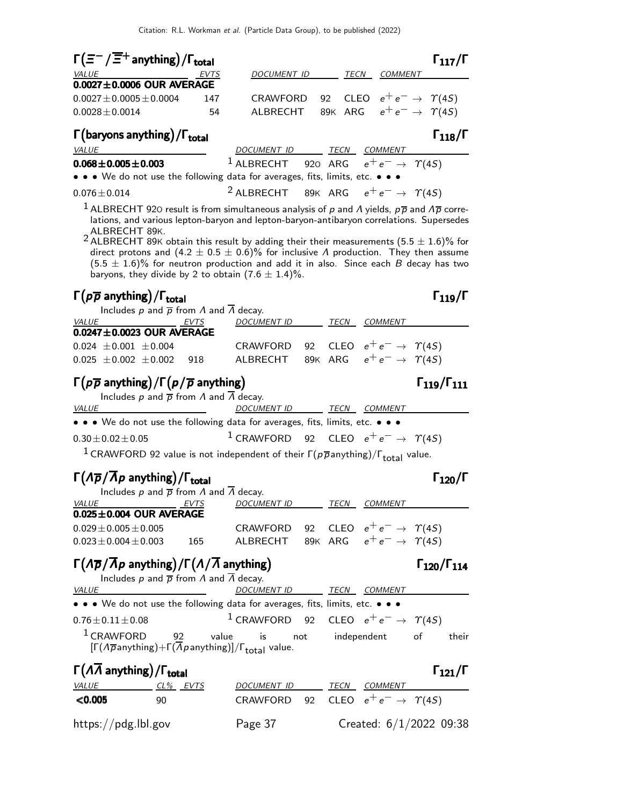| $\Gamma(\equiv^-/\overline{\equiv}^+$ anything) / $\Gamma_{\text{total}}$                                                                                                                                                                                                                                                                                                                                                                                                     |             |                                                               |    |                                           |              |                                         | $\Gamma_{117}/\Gamma$ |
|-------------------------------------------------------------------------------------------------------------------------------------------------------------------------------------------------------------------------------------------------------------------------------------------------------------------------------------------------------------------------------------------------------------------------------------------------------------------------------|-------------|---------------------------------------------------------------|----|-------------------------------------------|--------------|-----------------------------------------|-----------------------|
| VALUE                                                                                                                                                                                                                                                                                                                                                                                                                                                                         | <b>EVTS</b> | DOCUMENT ID                                                   |    |                                           | TECN COMMENT |                                         |                       |
| $0.0027 \pm 0.0006$ OUR AVERAGE                                                                                                                                                                                                                                                                                                                                                                                                                                               |             |                                                               |    |                                           |              |                                         |                       |
| $0.0027 \pm 0.0005 \pm 0.0004$<br>$0.0028 \pm 0.0014$                                                                                                                                                                                                                                                                                                                                                                                                                         | 147<br>54   | CRAWFORD 92 CLEO $e^+e^- \rightarrow \gamma(45)$<br>ALBRECHT  |    |                                           |              | 89K ARG $e^+e^- \rightarrow \gamma(4S)$ |                       |
|                                                                                                                                                                                                                                                                                                                                                                                                                                                                               |             |                                                               |    |                                           |              |                                         |                       |
| $\Gamma$ (baryons anything)/ $\Gamma_{total}$<br><i>VALUE</i>                                                                                                                                                                                                                                                                                                                                                                                                                 |             | DOCUMENT ID TECN COMMENT                                      |    |                                           |              |                                         | $\Gamma_{118}/\Gamma$ |
| $0.068 \pm 0.005 \pm 0.003$                                                                                                                                                                                                                                                                                                                                                                                                                                                   |             | <sup>1</sup> ALBRECHT 920 ARG $e^+e^- \rightarrow \gamma(45)$ |    |                                           |              |                                         |                       |
| • • • We do not use the following data for averages, fits, limits, etc. • • •                                                                                                                                                                                                                                                                                                                                                                                                 |             |                                                               |    |                                           |              |                                         |                       |
| $0.076 \pm 0.014$                                                                                                                                                                                                                                                                                                                                                                                                                                                             |             | <sup>2</sup> ALBRECHT                                         |    | 89K ARG $e^+e^- \rightarrow \gamma(45)$   |              |                                         |                       |
| lations, and various lepton-baryon and lepton-baryon-antibaryon correlations. Supersedes<br>ALBRECHT 89K.<br><sup>2</sup> ALBRECHT 89K obtain this result by adding their their measurements (5.5 $\pm$ 1.6)% for<br>direct protons and (4.2 $\pm$ 0.5 $\pm$ 0.6)% for inclusive $\Lambda$ production. They then assume<br>$(5.5 \pm 1.6)\%$ for neutron production and add it in also. Since each B decay has two<br>baryons, they divide by 2 to obtain $(7.6 \pm 1.4)\%$ . |             |                                                               |    |                                           |              |                                         |                       |
| $\Gamma(p\overline{p})$ anything)/ $\Gamma_{\text{total}}$<br>Includes $p$ and $\overline{p}$ from $\Lambda$ and $\overline{\Lambda}$ decay.                                                                                                                                                                                                                                                                                                                                  |             |                                                               |    |                                           |              |                                         | $\Gamma_{119}/\Gamma$ |
| VALUE                                                                                                                                                                                                                                                                                                                                                                                                                                                                         | EVTS        | DOCUMENT ID TECN COMMENT                                      |    |                                           |              |                                         |                       |
| $0.0247 \pm 0.0023$ OUR AVERAGE                                                                                                                                                                                                                                                                                                                                                                                                                                               |             |                                                               |    |                                           |              |                                         |                       |
| $0.024 \pm 0.001 \pm 0.004$                                                                                                                                                                                                                                                                                                                                                                                                                                                   |             | CRAWFORD                                                      | 92 |                                           |              | CLEO $e^+e^- \rightarrow \Upsilon(4S)$  |                       |
| $0.025 \pm 0.002 \pm 0.002$                                                                                                                                                                                                                                                                                                                                                                                                                                                   | 918         | ALBRECHT                                                      |    | 89K ARG $e^+e^- \rightarrow \gamma(45)$   |              |                                         |                       |
| $\Gamma(p\overline{p})$ anything) / $\Gamma(p/\overline{p})$ anything)<br>Includes p and $\bar{p}$ from $\Lambda$ and $\bar{\Lambda}$ decay.                                                                                                                                                                                                                                                                                                                                  |             |                                                               |    |                                           |              | $\Gamma_{119}/\Gamma_{111}$             |                       |
| <b>VALUE</b>                                                                                                                                                                                                                                                                                                                                                                                                                                                                  |             | <b>DOCUMENT ID</b>                                            |    | TECN COMMENT                              |              |                                         |                       |
| • • • We do not use the following data for averages, fits, limits, etc. • • •                                                                                                                                                                                                                                                                                                                                                                                                 |             |                                                               |    |                                           |              |                                         |                       |
| $0.30 \pm 0.02 \pm 0.05$                                                                                                                                                                                                                                                                                                                                                                                                                                                      |             | $1$ CRAWFORD                                                  |    | 92 CLEO $e^+e^- \rightarrow \Upsilon(4S)$ |              |                                         |                       |
| $^1$ CRAWFORD 92 value is not independent of their $\Gamma(p\overline{p}$ anything)/ $\Gamma_{\text{total}}$ value.                                                                                                                                                                                                                                                                                                                                                           |             |                                                               |    |                                           |              |                                         |                       |
| $\Gamma(\Lambda \overline{p}/\Lambda p$ anything)/ $\Gamma_{\rm total}$<br>Includes p and $\bar{p}$ from $\Lambda$ and $\bar{\Lambda}$ decay.                                                                                                                                                                                                                                                                                                                                 |             |                                                               |    |                                           |              |                                         | $\Gamma_{120}/I$      |
| <b>VALUE</b><br>EVTS                                                                                                                                                                                                                                                                                                                                                                                                                                                          |             | DOCUMENT ID TECN COMMENT                                      |    |                                           |              |                                         |                       |
| $0.025 \pm 0.004$ OUR AVERAGE                                                                                                                                                                                                                                                                                                                                                                                                                                                 |             |                                                               |    |                                           |              |                                         |                       |
|                                                                                                                                                                                                                                                                                                                                                                                                                                                                               |             | CRAWFORD                                                      |    | 92 CLEO $e^+e^- \rightarrow \Upsilon(4S)$ |              |                                         |                       |
|                                                                                                                                                                                                                                                                                                                                                                                                                                                                               |             | ALBRECHT 89K ARG $e^+e^- \rightarrow \gamma(45)$              |    |                                           |              |                                         |                       |
| $0.029 \pm 0.005 \pm 0.005$<br>$0.023 \pm 0.004 \pm 0.003$                                                                                                                                                                                                                                                                                                                                                                                                                    | 165         |                                                               |    |                                           |              |                                         |                       |
| $\Gamma(\Lambda \overline{p}/\overline{\Lambda} p$ anything)/ $\Gamma(\Lambda/\overline{\Lambda}$ anything)<br>Includes $p$ and $\overline{p}$ from $\Lambda$ and $\Lambda$ decay.                                                                                                                                                                                                                                                                                            |             |                                                               |    |                                           |              | $\Gamma_{120}/\Gamma_{114}$             |                       |
| VALUE                                                                                                                                                                                                                                                                                                                                                                                                                                                                         |             | DOCUMENT ID TECN COMMENT                                      |    |                                           |              |                                         |                       |
| • • • We do not use the following data for averages, fits, limits, etc. • • •<br>$0.76 \pm 0.11 \pm 0.08$                                                                                                                                                                                                                                                                                                                                                                     |             | <sup>1</sup> CRAWFORD 92 CLEO $e^+e^- \rightarrow \gamma(45)$ |    |                                           |              |                                         |                       |

|                     |          |                                                    |      |                | ----                    |
|---------------------|----------|----------------------------------------------------|------|----------------|-------------------------|
| <i>VALUE</i>        | CL% EVTS | DOCUMENT ID                                        | TECN | <i>COMMENT</i> |                         |
| $<$ 0.005           | 90       | CRAWFORD 92 CLEO $e^+e^- \rightarrow \Upsilon(4S)$ |      |                |                         |
| https://pdg.lbl.gov |          | Page 37                                            |      |                | Created: 6/1/2022 09:38 |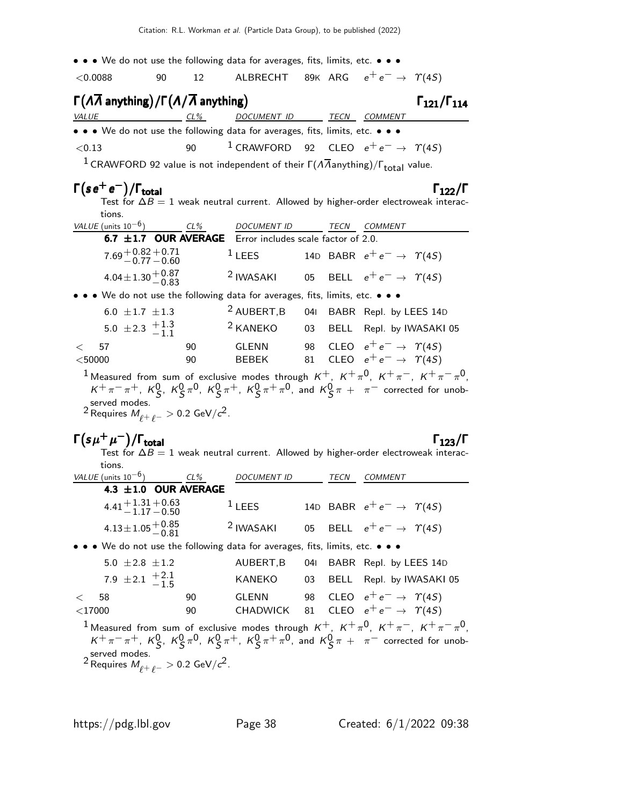| • • • We do not use the following data for averages, fits, limits, etc. • • •                                                                                                                                                                                                                                      |          |                                                  |     |                                                                                      |                             |
|--------------------------------------------------------------------------------------------------------------------------------------------------------------------------------------------------------------------------------------------------------------------------------------------------------------------|----------|--------------------------------------------------|-----|--------------------------------------------------------------------------------------|-----------------------------|
| 90<br>$<$ 0.0088                                                                                                                                                                                                                                                                                                   | 12       | ALBRECHT 89K ARG $e^+e^- \rightarrow \gamma(4S)$ |     |                                                                                      |                             |
| $\Gamma(\Lambda\overline{\Lambda}$ anything)/ $\Gamma(\Lambda/\overline{\Lambda}$ anything)<br><b>VALUE</b><br>$CL\%$                                                                                                                                                                                              |          | DOCUMENT ID                                      |     | TECN COMMENT                                                                         | $\Gamma_{121}/\Gamma_{114}$ |
| • • • We do not use the following data for averages, fits, limits, etc. • • •                                                                                                                                                                                                                                      |          |                                                  |     |                                                                                      |                             |
| < 0.13                                                                                                                                                                                                                                                                                                             | 90       | <sup>1</sup> CRAWFORD                            |     | 92 CLEO $e^+e^- \rightarrow \gamma(4S)$                                              |                             |
| <sup>1</sup> CRAWFORD 92 value is not independent of their $\Gamma(\Lambda\overline{\Lambda}$ anything)/ $\Gamma_{total}$ value.                                                                                                                                                                                   |          |                                                  |     |                                                                                      |                             |
| $\Gamma(s e^+ e^-)/\Gamma_{\rm total}$                                                                                                                                                                                                                                                                             |          |                                                  |     |                                                                                      | $\Gamma_{122}/\Gamma$       |
| Test for $\Delta B = 1$ weak neutral current. Allowed by higher-order electroweak interac-<br>tions.                                                                                                                                                                                                               |          |                                                  |     |                                                                                      |                             |
| VALUE (units $10^{-6}$ )                                                                                                                                                                                                                                                                                           | CL%      | DOCUMENT ID TECN COMMENT                         |     |                                                                                      |                             |
| 6.7 $\pm$ 1.7 OUR AVERAGE Error includes scale factor of 2.0.                                                                                                                                                                                                                                                      |          |                                                  |     |                                                                                      |                             |
| $7.69 + 0.82 + 0.71$<br>$-0.77 - 0.60$                                                                                                                                                                                                                                                                             |          | $1$ LEES                                         |     | 14D BABR $e^+e^- \rightarrow \Upsilon(4S)$                                           |                             |
| $4.04 \pm 1.30 \pm 0.87$                                                                                                                                                                                                                                                                                           |          | <sup>2</sup> IWASAKI                             |     | 05 BELL $e^+e^- \rightarrow \gamma(4S)$                                              |                             |
| • • We do not use the following data for averages, fits, limits, etc. • • •                                                                                                                                                                                                                                        |          |                                                  |     |                                                                                      |                             |
| 6.0 $\pm 1.7$ $\pm 1.3$                                                                                                                                                                                                                                                                                            |          | <sup>2</sup> AUBERT, B                           |     | 041 BABR Repl. by LEES 14D                                                           |                             |
| 5.0 $\pm$ 2.3 $\frac{+1.3}{-1.1}$                                                                                                                                                                                                                                                                                  |          | <sup>2</sup> KANEKO                              |     | 03 BELL Repl. by IWASAKI 05                                                          |                             |
| 57<br>$\,<\,$<br>$<$ 50000                                                                                                                                                                                                                                                                                         | 90<br>90 | GLENN<br><b>BEBEK</b>                            |     | 98 CLEO $e^+e^- \rightarrow \gamma(45)$<br>81 CLEO $e^+e^- \rightarrow \Upsilon(4S)$ |                             |
| $K^+\pi^-\pi^+$ , $K^0_S$ , $K^0_S\pi^0$ , $K^0_S\pi^+$ , $K^0_S\pi^+\pi^0$ , and $K^0_S\pi^+$ $\pi^-$ corrected for unob-<br>served modes.<br><sup>2</sup> Requires $M_{\rho+\rho-} > 0.2$ GeV/ $c^2$ .<br>$\Gamma(s\mu^+\mu^-)/\Gamma_{\rm total}$                                                               |          |                                                  |     |                                                                                      | $\Gamma_{123}/\Gamma$       |
| Test for $\Delta B = 1$ weak neutral current. Allowed by higher-order electroweak interac-                                                                                                                                                                                                                         |          |                                                  |     |                                                                                      |                             |
| tions.<br>VALUE (units $10^{-6}$ )                                                                                                                                                                                                                                                                                 | $CL\%$   | DOCUMENT ID TECN COMMENT                         |     |                                                                                      |                             |
| 4.3 $\pm 1.0$ OUR AVERAGE                                                                                                                                                                                                                                                                                          |          |                                                  |     |                                                                                      |                             |
| $4.41 + 1.31 + 0.63$<br>$-1.17 - 0.50$                                                                                                                                                                                                                                                                             |          | $1$ LEES                                         |     | 14D BABR $e^+e^- \rightarrow \Upsilon(45)$                                           |                             |
| $4.13 \pm 1.05 \begin{array}{l} +0.85 \\ -0.81 \end{array}$                                                                                                                                                                                                                                                        |          | <sup>2</sup> IWASAKI                             | 05  | BELL $e^+e^- \rightarrow \Upsilon(4S)$                                               |                             |
| • We do not use the following data for averages, fits, limits, etc. • • •                                                                                                                                                                                                                                          |          |                                                  |     |                                                                                      |                             |
| 5.0 $\pm 2.8 \pm 1.2$                                                                                                                                                                                                                                                                                              |          | AUBERT, B                                        | 041 | BABR Repl. by LEES 14D                                                               |                             |
| 7.9 ± 2.1 $\frac{+2.1}{-1.5}$                                                                                                                                                                                                                                                                                      |          | KANEKO                                           | 03  | BELL Repl. by IWASAKI 05                                                             |                             |
| 58<br><                                                                                                                                                                                                                                                                                                            | 90       | <b>GLENN</b>                                     | 98  | CLEO $e^+e^- \rightarrow \gamma(4S)$                                                 |                             |
| $<$ 17000                                                                                                                                                                                                                                                                                                          | 90       | CHADWICK                                         | 81  | CLEO $e^+e^- \rightarrow \gamma(4S)$                                                 |                             |
| <sup>1</sup> Measured from sum of exclusive modes through $K^+$ , $K^+\pi^0$ , $K^+\pi^-$ , $K^+\pi^-\pi^0$ ,<br>$K^+\pi^-\pi^+$ , $K^0_S$ , $K^0_S\pi^0$ , $K^0_S\pi^+$ , $K^0_S\pi^+\pi^0$ , and $K^0_S\pi^+$ $\pi^-$ corrected for unob-<br>served modes.<br>$^2$ Requires $M_{\rho+\ \rho-}>$ 0.2 GeV/ $c^2$ . |          |                                                  |     |                                                                                      |                             |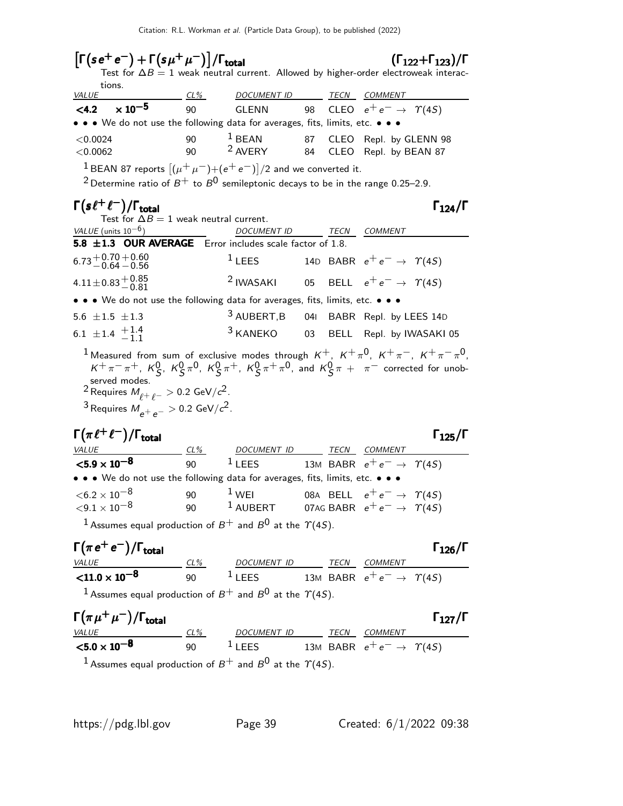| $\left\lceil \Gamma( s e^+ e^- ) + \Gamma(s \mu^+ \mu^- ) \right\rceil / \Gamma_{\textsf{total}}$                                                                                    |            |                                |    |             | $(\Gamma_{122} + \Gamma_{123})/\Gamma$<br>Test for $\Delta B = 1$ weak neutral current. Allowed by higher-order electroweak interac- |
|--------------------------------------------------------------------------------------------------------------------------------------------------------------------------------------|------------|--------------------------------|----|-------------|--------------------------------------------------------------------------------------------------------------------------------------|
| tions.<br><b>VALUE</b>                                                                                                                                                               | <u>CL%</u> | DOCUMENT ID TECN COMMENT       |    |             |                                                                                                                                      |
| $\times 10^{-5}$<br>< 4.2                                                                                                                                                            | 90         | <b>GLENN</b>                   | 98 |             | CLEO $e^+e^- \rightarrow \Upsilon(45)$                                                                                               |
| • • • We do not use the following data for averages, fits, limits, etc. • • •                                                                                                        |            |                                |    |             |                                                                                                                                      |
| < 0.0024                                                                                                                                                                             | 90<br>90   | $1$ BEAN<br><sup>2</sup> AVERY | 87 |             | CLEO Repl. by GLENN 98                                                                                                               |
| < 0.0062                                                                                                                                                                             |            |                                | 84 |             | CLEO Repl. by BEAN 87                                                                                                                |
| <sup>1</sup> BEAN 87 reports $[(\mu^+ \mu^-) + (e^+ e^-)]/2$ and we converted it.<br><sup>2</sup> Determine ratio of $B^+$ to $B^0$ semileptonic decays to be in the range 0.25–2.9. |            |                                |    |             |                                                                                                                                      |
|                                                                                                                                                                                      |            |                                |    |             |                                                                                                                                      |
| $\Gamma(s\ell^+\ell^-)/\Gamma_{\rm total}$<br>Test for $\Delta B = 1$ weak neutral current.                                                                                          |            |                                |    |             | $\Gamma_{124}/\Gamma$                                                                                                                |
| VALUE (units $10^{-6}$ )                                                                                                                                                             |            | DOCUMENT ID TECN COMMENT       |    |             |                                                                                                                                      |
| 5.8 ±1.3 OUR AVERAGE Error includes scale factor of 1.8.                                                                                                                             |            |                                |    |             |                                                                                                                                      |
| $6.73 + 0.70 + 0.60$<br>$-0.64 - 0.56$                                                                                                                                               |            | $1$ LEES                       |    |             | 14D BABR $e^+e^- \rightarrow \Upsilon(4S)$                                                                                           |
| $4.11 \pm 0.83 \pm 0.85$                                                                                                                                                             |            | <sup>2</sup> IWASAKI           | 05 |             | BELL $e^+e^- \rightarrow \Upsilon(45)$                                                                                               |
| • • • We do not use the following data for averages, fits, limits, etc. • • •                                                                                                        |            |                                |    |             |                                                                                                                                      |
| 5.6 $\pm 1.5$ $\pm 1.3$                                                                                                                                                              |            | $3$ AUBERT, B                  |    |             | 041 BABR Repl. by LEES 14D                                                                                                           |
| 6.1 $\pm$ 1.4 $\frac{+1.4}{-1.1}$                                                                                                                                                    |            | $3$ KANEKO                     | 03 |             | BELL Repl. by IWASAKI 05                                                                                                             |
|                                                                                                                                                                                      |            |                                |    |             | <sup>1</sup> Measured from sum of exclusive modes through $K^+$ , $K^+\pi^0$ , $K^+\pi^-$ , $K^+\pi^-\pi^0$ ,                        |
|                                                                                                                                                                                      |            |                                |    |             | $K^+\pi^-\pi^+$ , $K^0_S$ , $K^0_S\pi^0$ , $K^0_S\pi^+$ , $K^0_S\pi^+\pi^0$ , and $K^0_S\pi^+$ $\pi^-$ corrected for unob-           |
| served modes.<br><sup>2</sup> Requires $M_{\rho+\rho-}$ > 0.2 GeV/ $c^2$ .                                                                                                           |            |                                |    |             |                                                                                                                                      |
| <sup>3</sup> Requires $M_{e^+e^-}$ $>$ 0.2 GeV/ $c^2$ .                                                                                                                              |            |                                |    |             |                                                                                                                                      |
|                                                                                                                                                                                      |            |                                |    |             |                                                                                                                                      |
| $\Gamma(\pi\ell^+\ell^-)/\Gamma_{\rm total}$                                                                                                                                         |            |                                |    |             | $\Gamma_{125}/\Gamma$                                                                                                                |
| <b>VALUE</b>                                                                                                                                                                         | $CL\%$     | DOCUMENT ID TECN COMMENT       |    |             |                                                                                                                                      |
| ${<}5.9\times10^{-8}$<br>• • • We do not use the following data for averages, fits, limits, etc. • • •                                                                               | 90         | $1$ LEES                       |    |             | 13M BABR $e^+e^- \rightarrow \gamma(45)$                                                                                             |
| $<$ 6.2 $\times$ 10 $^{-8}$                                                                                                                                                          |            | $1$ WEI                        |    |             |                                                                                                                                      |
| ${<}9.1\times10^{-8}$                                                                                                                                                                | 90<br>90   |                                |    |             | 08A BELL $e^+e^- \rightarrow \Upsilon(4S)$<br>$^{-1}$ AUBERT 07AG BABR $e^+e^- \rightarrow \gamma(4S)$                               |
| <sup>1</sup> Assumes equal production of $B^+$ and $B^0$ at the $\Upsilon(4S)$ .                                                                                                     |            |                                |    |             |                                                                                                                                      |
|                                                                                                                                                                                      |            |                                |    |             |                                                                                                                                      |
| $\Gamma(\pi e^+ e^-)/\Gamma_{\rm total}$<br><b>VALUE</b>                                                                                                                             | CL%        | DOCUMENT ID                    |    | <b>TECN</b> | $\Gamma_{126}/\Gamma$<br><b>COMMENT</b>                                                                                              |

 $<$ 11.0  $\times$  10<sup>-8</sup> 90  $1$  LEES 13M BABR  $e^+e^- \rightarrow \; \gamma(4S)$ <sup>1</sup> Assumes equal production of  $B^+$  and  $B^0$  at the  $\Upsilon(4S)$ .

| $\Gamma(\pi \mu^+ \mu^-)/\Gamma_{\rm total}$ |     |                    |                                          |         | $\Gamma_{127}/\Gamma$ |
|----------------------------------------------|-----|--------------------|------------------------------------------|---------|-----------------------|
| <i>VALUE</i>                                 | CL% | DOCUMENT ID        | TECN                                     | COMMENT |                       |
| $<$ 5.0 $\times$ 10 $^{-8}$                  | 90  | $\frac{1}{2}$ LEES | 13M BABR $e^+e^- \rightarrow \gamma(45)$ |         |                       |
|                                              |     |                    | $\sim$ $\sim$ $\sim$ $\sim$ $\sim$       |         |                       |

<sup>1</sup> Assumes equal production of  $B^+$  and  $B^0$  at the  $\Upsilon(4S)$ .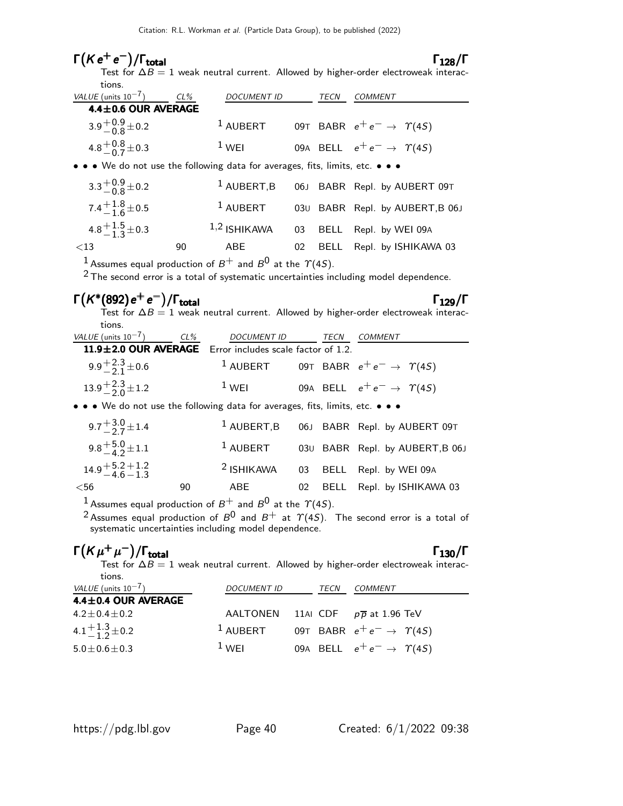Citation: R.L. Workman et al. (Particle Data Group), to be published (2022)

# $\Gamma(K e^+ e^-)/\Gamma_{\rm total}$  Γ<sub>128</sub>/Γ

Test for  $\Delta B = 1$  weak neutral current. Allowed by higher-order electroweak interactions.

| VALUE (units $10^{-7}$ )                                                                                              | $CL\%$ | <b>DOCUMENT ID</b> |    | TECN | <b>COMMENT</b>                             |
|-----------------------------------------------------------------------------------------------------------------------|--------|--------------------|----|------|--------------------------------------------|
| 4.4±0.6 OUR AVERAGE                                                                                                   |        |                    |    |      |                                            |
| $3.9^{+0.9}_{-0.8}$ ± 0.2                                                                                             |        | $1$ AUBERT         |    |      | 09T BABR $e^+e^- \rightarrow \gamma(4S)$   |
| 4.8 $^{+0.8}_{-0.7}$ ± 0.3                                                                                            |        | $1$ WEI            |    |      | 09A BELL $e^+e^- \rightarrow \Upsilon(4S)$ |
| $\bullet \bullet \bullet$ We do not use the following data for averages, fits, limits, etc. $\bullet \bullet \bullet$ |        |                    |    |      |                                            |
| $3.3^{+0.9}_{-0.8}$ ± 0.2                                                                                             |        | $1$ AUBERT, B      |    |      | 06J BABR Repl. by AUBERT 09T               |
| 7.4 $^{+1.8}_{-1.6}$ ± 0.5                                                                                            |        | $1$ AUBERT         |    |      | 030 BABR Repl. by AUBERT, B 06J            |
| 4.8 $\frac{+1.5}{-1.3}$ ± 0.3                                                                                         |        | $1,2$ ISHIKAWA     | 03 |      | BELL Repl. by WEI 09A                      |
| $<$ 13                                                                                                                | 90     | ABE                | 02 |      | BELL Repl. by ISHIKAWA 03                  |
| 1 Accuracy squal production of $P^+$ and $P^0$ at the $\gamma(15)$                                                    |        |                    |    |      |                                            |

Assumes equal production of  $B^+$  and  $B^0$  at the  $\Upsilon(4S)$ .

 $2$  The second error is a total of systematic uncertainties including model dependence.

## $\Gamma(K^*(892)$ e<sup>+</sup>e<sup>-</sup>)/Γ<sub>total</sub> Γ<sub>129</sub>/Γ

Test for  $\Delta B = 1$  weak neutral current. Allowed by higher-order electroweak interactions.

| VALUE (units $10^{-7}$ ) CL%                             | DOCUMENT ID | TECN | COMMENT                                                      |  |
|----------------------------------------------------------|-------------|------|--------------------------------------------------------------|--|
| 11.9±2.0 OUR AVERAGE Error includes scale factor of 1.2. |             |      |                                                              |  |
| $9.9 + \frac{2.3}{2.1} \pm 0.6$                          |             |      | <sup>1</sup> AUBERT 09T BABR $e^+e^- \rightarrow \gamma(45)$ |  |
| $13.9^{+2.3}_{-2.0}$ ± 1.2                               | $1$ WEI     |      | 09A BELL $e^+e^- \rightarrow \Upsilon(4S)$                   |  |
|                                                          |             |      |                                                              |  |

• • • We do not use the following data for averages, fits, limits, etc. • • •

| 9.7 $\frac{13.0}{2}$ ± 1.4         |    |             |  | <sup>1</sup> AUBERT, B 06J BABR Repl. by AUBERT 09T |
|------------------------------------|----|-------------|--|-----------------------------------------------------|
| 9.8 $^{+5.0}_{-4.2}$ ± 1.1         |    | $^1$ AUBERT |  | 030 BABR Repl. by AUBERT, B 06J                     |
| $14.9 + 5.2 + 1.2$<br>$-4.6 - 1.3$ |    |             |  | <sup>2</sup> ISHIKAWA 03 BELL Repl. by WEI 09A      |
| $<$ 56                             | 90 | ABE         |  | 02 BELL Repl. by ISHIKAWA 03                        |

<sup>1</sup> Assumes equal production of  $B^+$  and  $B^0$  at the  $\gamma$ (4S).

 $^2$ Assumes equal production of  $B^{\mathsf{0}}$  and  $B^+$  at  $\varUpsilon(4S)$ . The second error is a total of systematic uncertainties including model dependence.

### $Γ(Kμ^+μ^-)$ Γ $(Kμ^+μ^-)/\Gamma_{\text{total}}$  Γ<sub>130</sub>/Γ

Test for  $\Delta B=1$  weak neutral current. Allowed by higher-order electroweak interac-

| tions.<br>VALUE (units $10^{-7}$ ) | <b>DOCUMENT ID</b>  | TECN | COMMENT                                  |
|------------------------------------|---------------------|------|------------------------------------------|
| 4.4±0.4 OUR AVERAGE                |                     |      |                                          |
| $4.2 \pm 0.4 \pm 0.2$              | AALTONEN            |      | 11AI CDF $p\overline{p}$ at 1.96 TeV     |
| $4.1 + \frac{1.3}{1.2} \pm 0.2$    | <sup>1</sup> AUBERT |      | 09T BABR $e^+e^- \rightarrow \gamma(45)$ |
| $5.0 \pm 0.6 \pm 0.3$              | $1$ WFI             |      | 09A BELL $e^+e^- \rightarrow \gamma(45)$ |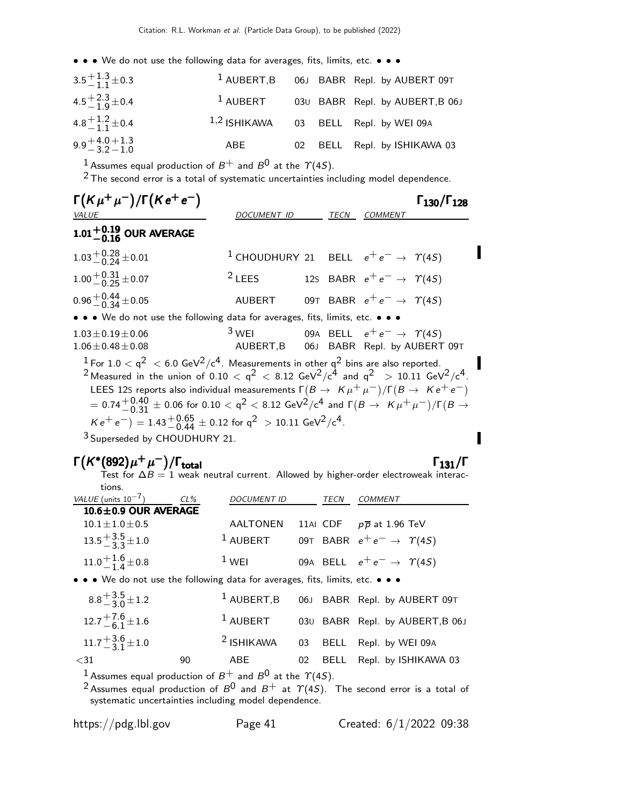| $3.5 + 1.3 + 0.3$                 |             |  | <sup>1</sup> AUBERT, B 06J BABR Repl. by AUBERT 09T |
|-----------------------------------|-------------|--|-----------------------------------------------------|
| $4.5 + 2.3 + 0.4$                 | $^1$ AUBERT |  | 03U BABR Repl. by AUBERT, B 06J                     |
| 4.8 $\pm$ 1.2 $\pm$ 0.4           |             |  | 1,2 ISHIKAWA 03 BELL Repl. by WEI 09A               |
| $9.9 + 4.0 + 1.3$<br>$-3.2 - 1.0$ | ABE         |  | 02 BELL Repl. by ISHIKAWA 03                        |

 $^1$  Assumes equal production of  $B^+$  and  $B^0$  at the  $\varUpsilon(4S).$ 

 $2$  The second error is a total of systematic uncertainties including model dependence.

| $\Gamma(K\mu^+\mu^-)/\Gamma(Ke^+e^-)$                                                                                                                                                                                                                                                                                                                                                                                                                                                                                                                                                |                                                                                                     |  |      |                                            | $\Gamma_{130}/\Gamma_{128}$ |
|--------------------------------------------------------------------------------------------------------------------------------------------------------------------------------------------------------------------------------------------------------------------------------------------------------------------------------------------------------------------------------------------------------------------------------------------------------------------------------------------------------------------------------------------------------------------------------------|-----------------------------------------------------------------------------------------------------|--|------|--------------------------------------------|-----------------------------|
| <b>VALUE</b>                                                                                                                                                                                                                                                                                                                                                                                                                                                                                                                                                                         | DOCUMENT ID                                                                                         |  | TECN | <b>COMMENT</b>                             |                             |
| $1.01^{+0.19}_{-0.16}$ OUR AVERAGE                                                                                                                                                                                                                                                                                                                                                                                                                                                                                                                                                   |                                                                                                     |  |      |                                            |                             |
| $1.03 + 0.28 + 0.01$                                                                                                                                                                                                                                                                                                                                                                                                                                                                                                                                                                 | <sup>1</sup> CHOUDHURY 21 BELL $e^+e^- \rightarrow \gamma(45)$                                      |  |      |                                            |                             |
| $1.00 + 0.31 + 0.07$                                                                                                                                                                                                                                                                                                                                                                                                                                                                                                                                                                 | $2$ LEES                                                                                            |  |      | 12s BABR $e^+e^- \rightarrow \Upsilon(4S)$ |                             |
| $0.96 + 0.44 + 0.05$                                                                                                                                                                                                                                                                                                                                                                                                                                                                                                                                                                 | AUBERT                                                                                              |  |      | 09T BABR $e^+e^- \rightarrow \gamma(4S)$   |                             |
| • • • We do not use the following data for averages, fits, limits, etc. • • •                                                                                                                                                                                                                                                                                                                                                                                                                                                                                                        |                                                                                                     |  |      |                                            |                             |
| $1.03 \pm 0.19 \pm 0.06$<br>$1.06 \pm 0.48 \pm 0.08$                                                                                                                                                                                                                                                                                                                                                                                                                                                                                                                                 | <sup>3</sup> WEI 09A BELL $e^+e^- \rightarrow \gamma(4S)$<br>AUBERT, B 06J BABR Repl. by AUBERT 09T |  |      |                                            |                             |
| $1$ For 1.0 $<$ q <sup>2</sup> $<$ 6.0 GeV <sup>2</sup> /c <sup>4</sup> . Measurements in other q <sup>2</sup> bins are also reported.<br><sup>2</sup> Measured in the union of 0.10 $<$ q <sup>2</sup> $<$ 8.12 GeV <sup>2</sup> /c <sup>4</sup> and q <sup>2</sup> $>$ 10.11 GeV <sup>2</sup> /c <sup>4</sup> .<br>LEES 12S reports also individual measurements $\Gamma(B \to K \mu^+ \mu^-)/\Gamma(B \to K e^+ e^-)$<br>$= 0.74^{+0.40}_{-0.31} \pm 0.06$ for $0.10 < q^2 < 8.12$ GeV <sup>2</sup> /c <sup>4</sup> and $\Gamma(B \to K \mu^+ \mu^-)/\Gamma(B \to K \mu^+ \mu^-)$ |                                                                                                     |  |      |                                            |                             |
| $Ke^+e^-$ = 1.43 $^{+0.65}_{-0.44}$ ± 0.12 for q <sup>2</sup> > 10.11 GeV <sup>2</sup> /c <sup>4</sup> .                                                                                                                                                                                                                                                                                                                                                                                                                                                                             |                                                                                                     |  |      |                                            |                             |
| <sup>3</sup> Superseded by CHOUDHURY 21.                                                                                                                                                                                                                                                                                                                                                                                                                                                                                                                                             |                                                                                                     |  |      |                                            |                             |

## $\Gamma(K^*(892)\mu^+\mu^-)/\Gamma_{\rm total}$

Test for  $\Delta B=1$  weak neutral current. Allowed by higher-order electroweak interactions.

| VALUE (units $10^{-7}$ )<br>$CL\%$                                            | <b>DOCUMENT ID</b> | TECN | <b>COMMENT</b>                           |
|-------------------------------------------------------------------------------|--------------------|------|------------------------------------------|
| 10.6±0.9 OUR AVERAGE                                                          |                    |      |                                          |
| $10.1 \pm 1.0 \pm 0.5$                                                        | <b>AALTONEN</b>    |      | 11AI CDF $p\overline{p}$ at 1.96 TeV     |
| $13.5\frac{+3.5}{-3.3}\pm1.0$                                                 | $1$ AUBERT         |      | 09T BABR $e^+e^- \rightarrow \gamma(45)$ |
| $11.0 + {}^{1.6}_{-1.4} \pm 0.8$                                              | $1$ WEI            |      | 09A BELL $e^+e^- \rightarrow \gamma(4S)$ |
| • • • We do not use the following data for averages, fits, limits, etc. • • • |                    |      |                                          |
| $8.8 + \frac{3.5}{3}$ $\pm 1.2$                                               | $^1$ AUBERT, B     |      | 06J BABR Repl. by AUBERT 09T             |

| $0.0 - 3.0 + 1.2$                 |    |            |  | AUDLINI,D 00J DADIN REPI. DY AUDLINI 09T       |
|-----------------------------------|----|------------|--|------------------------------------------------|
| $12.7^{+7.6}_{-6.1}$ ± 1.6        |    | $1$ AUBERT |  | 030 BABR Repl. by AUBERT, B 06J                |
| $11.7 + {3.6 \atop -3.1} \pm 1.0$ |    |            |  | <sup>2</sup> ISHIKAWA 03 BELL Repl. by WEI 09A |
| $31$                              | 90 | ABE        |  | 02 BELL Repl. by ISHIKAWA 03                   |
|                                   |    |            |  |                                                |

<sup>1</sup> Assumes equal production of  $B^+$  and  $B^0$  at the  $\gamma$ (4S).

<sup>2</sup> Assumes equal production of  $B^0$  and  $B^+$  at  $\Upsilon(4S)$ . The second error is a total of systematic uncertainties including model dependence.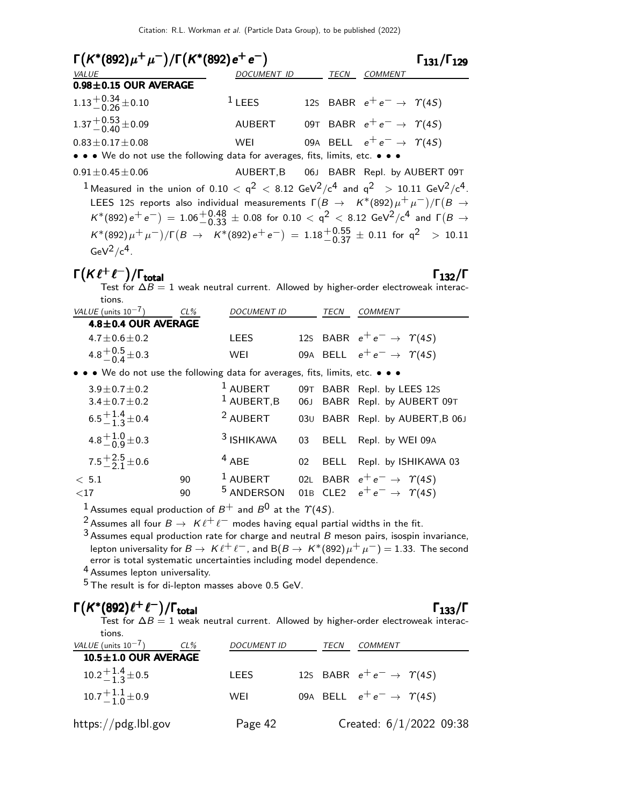| $\Gamma(K^*(892)\mu^+\mu^-)/\Gamma(K^*(892)e^+e^-)$                                                                                             |                                        |      |                                            | $\Gamma$ <sub>131</sub> / $\Gamma$ <sub>129</sub> |
|-------------------------------------------------------------------------------------------------------------------------------------------------|----------------------------------------|------|--------------------------------------------|---------------------------------------------------|
| VALUE                                                                                                                                           | <b>DOCUMENT ID</b>                     | TECN | <i>COMMENT</i>                             |                                                   |
| $0.98 \pm 0.15$ OUR AVERAGE                                                                                                                     |                                        |      |                                            |                                                   |
| $1.13 + 0.34 + 0.10$                                                                                                                            | $1$ LEES                               |      | 12s BABR $e^+e^- \rightarrow \Upsilon(4S)$ |                                                   |
| $1.37 + 0.53 + 0.09$                                                                                                                            | AUBERT                                 |      | 09T BABR $e^+e^- \rightarrow \gamma(4S)$   |                                                   |
| $0.83 \pm 0.17 \pm 0.08$                                                                                                                        | WEI                                    |      | 09A BELL $e^+e^- \rightarrow \Upsilon(4S)$ |                                                   |
| • • • We do not use the following data for averages, fits, limits, etc. • • •                                                                   |                                        |      |                                            |                                                   |
| $0.91 \pm 0.45 \pm 0.06$                                                                                                                        | AUBERT, B 06J BABR Repl. by AUBERT 09T |      |                                            |                                                   |
| <sup>1</sup> Measured in the union of 0.10 < $q^2$ < 8.12 GeV <sup>2</sup> /c <sup>4</sup> and $q^2$ > 10.11 GeV <sup>2</sup> /c <sup>4</sup> . |                                        |      |                                            |                                                   |
| LEES 12S reports also individual measurements $\Gamma(B \to K^*(892)\mu^+\mu^-)/\Gamma(B \to$                                                   |                                        |      |                                            |                                                   |
| $K^*(892) e^+ e^-$ = 1.06 $^+0.48$ $\pm$ 0.08 for 0.10 $\lt q^2$ $\lt 8.12$ GeV <sup>2</sup> /c <sup>4</sup> and $\Gamma(B \to K^*)$            |                                        |      |                                            |                                                   |
| $K^*(892)\mu^+\mu^-)/\Gamma(B\to K^*(892)e^+e^-)=1.18^{+0.55}_{-0.37}\pm0.11$ for $q^2$ > 10.11                                                 |                                        |      |                                            |                                                   |
| $GeV^2/c^4$ .                                                                                                                                   |                                        |      |                                            |                                                   |

## $\Gamma(K\ell^+\ell^-)/\Gamma_{\text{total}}$  Γ<sub>132</sub>/Γ

/Γ $_{\rm total}$ Γ $_{132}$ /Γ Test for  $\Delta B=1$  weak neutral current. Allowed by higher-order electroweak interactions.

| VALUE (units $10^{-7}$ )                                                      | $CL\%$ | <b>DOCUMENT ID</b>          | TECN | COMMENT                                                    |
|-------------------------------------------------------------------------------|--------|-----------------------------|------|------------------------------------------------------------|
| 4.8±0.4 OUR AVERAGE                                                           |        |                             |      |                                                            |
| $4.7 \pm 0.6 \pm 0.2$                                                         |        | LEES                        |      | 12s BABR $e^+e^- \rightarrow \gamma(4S)$                   |
| 4.8 $^{+0.5}_{-0.4}$ ± 0.3                                                    |        | WEI                         |      | 09A BELL $e^+e^- \rightarrow \Upsilon(4S)$                 |
| • • • We do not use the following data for averages, fits, limits, etc. • • • |        |                             |      |                                                            |
| $3.9 \pm 0.7 \pm 0.2$<br>$3.4 \pm 0.7 \pm 0.2$                                |        | $1$ AUBERT<br>$1$ AUBERT, B |      | 09T BABR Repl. by LEES 12s<br>06J BABR Repl. by AUBERT 09T |
| $6.5\frac{+1.4}{-1.3}\pm0.4$                                                  |        | <sup>2</sup> AUBERT         |      | 030 BABR Repl. by AUBERT, B 06J                            |

| 4.8 $^{+1.0}_{-0.9}$ ± 0.3      |    |             |  | <sup>3</sup> ISHIKAWA 03 BELL Repl. by WEI 09A                 |
|---------------------------------|----|-------------|--|----------------------------------------------------------------|
| $7.5 + {2.5 \atop -} 2.1 + 0.6$ |    | $4$ ABE     |  | 02 BELL Repl. by ISHIKAWA 03                                   |
| < 5.1                           | 90 | $^1$ AUBERT |  | 02L BABR $e^+e^- \rightarrow \Upsilon(4S)$                     |
| ${<}17$                         | 90 |             |  | <sup>5</sup> ANDERSON 01B CLE2 $e^+e^- \rightarrow \gamma(45)$ |

 $^1$  Assumes equal production of  $B^+$  and  $B^0$  at the  $\varUpsilon(4S).$ 

<sup>2</sup> Assumes all four  $B \to K \ell^+ \ell^-$  modes having equal partial widths in the fit.

 $3$  Assumes equal production rate for charge and neutral  $B$  meson pairs, isospin invariance, lepton universality for  $B \to K \ell^+ \ell^-$ , and  $B(B \to K^*(892)\mu^+ \mu^-) = 1.33$ . The second error is total systematic uncertainties including model dependence.

4 Assumes lepton universality.

 $5$  The result is for di-lepton masses above 0.5 GeV.

## $\Gamma(K^*(892)\ell^+\ell^-)/\Gamma_{\rm total}$  Γ<sub>133</sub>/Γ

### $\Gamma_{133}/\Gamma$

Test for  $\Delta B = 1$  weak neutral current. Allowed by higher-order electroweak interactions.

| VALUE (units $10^{-7}$ )<br>CL%  | <b>DOCUMENT ID</b> | TECN | COMMENT                                    |
|----------------------------------|--------------------|------|--------------------------------------------|
| $10.5 \pm 1.0$ OUR AVERAGE       |                    |      |                                            |
| $10.2\frac{+1.4}{-1.3}\pm0.5$    | LEES               |      | 125 BABR $e^+e^- \rightarrow \gamma(45)$   |
| $10.7 + {}^{1.1}_{-1.0} \pm 0.9$ | WEI                |      | 09A BELL $e^+e^- \rightarrow \Upsilon(45)$ |
| https://pdg.lbl.gov              | Page 42            |      | Created: $6/1/2022$ 09:38                  |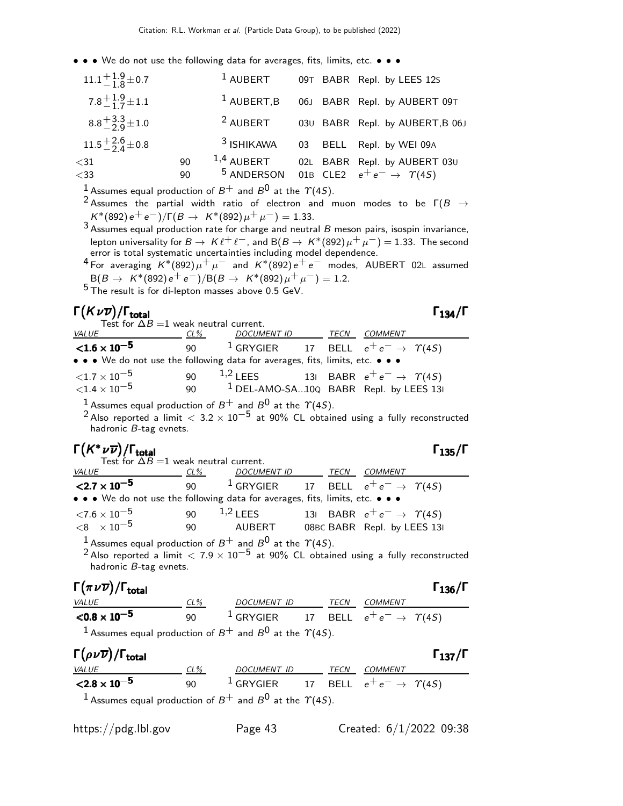| $11.1 + {1.9 \over -1.8} \pm 0.7$ |    | $1$ AUBERT          |  | 09T BABR Repl. by LEES 12S                                     |
|-----------------------------------|----|---------------------|--|----------------------------------------------------------------|
| $7.8^{+1.9}_{-1.7}$ ± 1.1         |    | $1$ AUBERT, B       |  | 06J BABR Repl. by AUBERT 09T                                   |
| $8.8 + \frac{3.3}{2} \pm 1.0$     |    | <sup>2</sup> AUBERT |  | 030 BABR Repl. by AUBERT, B 06J                                |
| $11.5 + {2.6 \atop -} 2.6 + 0.8$  |    | $3$ ISHIKAWA        |  | 03 BELL Repl. by WEI 09A                                       |
| $<$ 31                            | 90 | $1,4$ AUBERT        |  | 02L BABR Repl. by AUBERT 03U                                   |
| $<$ 33                            | 90 |                     |  | <sup>5</sup> ANDERSON 01B CLE2 $e^+e^- \rightarrow \gamma(45)$ |

<sup>1</sup> Assumes equal production of  $B^+$  and  $B^0$  at the  $\gamma$ (4S).

- 2 Assumes the partial width ratio of electron and muon modes to be  $\Gamma(B \to$  $K^*(892) e^+ e^-)/\Gamma(B \to K^*(892) \mu^+ \mu^-) = 1.33.$
- $3$  Assumes equal production rate for charge and neutral  $B$  meson pairs, isospin invariance, lepton universality for  $B\to~K\ell^+\ell^-$  , and  ${\sf B}(B\to~K^*(892)\mu^+\mu^-)=1.33.$  The second error is total systematic uncertainties including model dependence.

 $^4$  For averaging  $K^*(892)\mu^+\mu^-$  and  $K^*(892)\,e^+ \,e^-$  modes, <code>AUBERT 02L</code> assumed  $B(B \to K^*(892)e^+e^-)/B(B \to K^*(892)\mu^+\mu^-) = 1.2.$ 

 $5$  The result is for di-lepton masses above 0.5 GeV.

| $\Gamma(K\nu\overline{\nu})/\Gamma_{\rm total}$                                                                                                                                                                        |        |                                                              |  | $\Gamma_{134}/\Gamma$ |
|------------------------------------------------------------------------------------------------------------------------------------------------------------------------------------------------------------------------|--------|--------------------------------------------------------------|--|-----------------------|
| Test for $\Delta B = 1$ weak neutral current.<br>$VALU E$ CL%                                                                                                                                                          |        | DOCUMENT ID TECN COMMENT                                     |  |                       |
| ${<}1.6 \times 10^{-5}$                                                                                                                                                                                                |        | 90 $^1$ GRYGIER 17 BELL $e^+e^- \rightarrow \; \Upsilon(4S)$ |  |                       |
| • • • We do not use the following data for averages, fits, limits, etc. • • •                                                                                                                                          |        |                                                              |  |                       |
| ${<}1.7\times10^{-5}$                                                                                                                                                                                                  |        | 90 <sup>1,2</sup> LEES 131 BABR $e^+e^- \to \gamma(45)$      |  |                       |
| ${<}1.4\times10^{-5}$                                                                                                                                                                                                  |        | 90 $1$ DEL-AMO-SA10Q BABR Repl. by LEES 13                   |  |                       |
| <sup>1</sup> Assumes equal production of $B^+$ and $B^0$ at the $\Upsilon(4S)$ .<br><sup>2</sup> Also reported a limit $< 3.2 \times 10^{-5}$ at 90% CL obtained using a fully reconstructed<br>hadronic B-tag evnets. |        |                                                              |  |                       |
| $\Gamma(K^*\nu\overline{\nu})/\Gamma_{\rm total}$<br>Test for $\Delta B = 1$ weak neutral current.                                                                                                                     |        |                                                              |  | $\Gamma_{135}/\Gamma$ |
| <u>VALUE</u> CL%                                                                                                                                                                                                       |        | DOCUMENT ID _______ TECN ___ COMMENT                         |  |                       |
| $\leq$ 2.7 x 10 <sup>-5</sup> 90 <sup>1</sup> GRYGIER 17 BELL $e^+e^- \rightarrow \gamma(45)$                                                                                                                          |        |                                                              |  |                       |
| • • • We do not use the following data for averages, fits, limits, etc. • • •                                                                                                                                          |        |                                                              |  |                       |
| ${<}7.6\times10^{-5}$                                                                                                                                                                                                  |        | 90 $^{1,2}$ LEES 131 BABR $e^+e^- \rightarrow \gamma(4S)$    |  |                       |
| $<$ 8 $\times10^{-5}$                                                                                                                                                                                                  |        | 90 AUBERT 08BC BABR Repl. by LEES 13I                        |  |                       |
| $^1$ Assumes equal production of $B^+$ and $B^0$ at the $\varUpsilon(4S)$ .<br>$2$ Also reported a limit $< 7.9 \times 10^{-5}$ at 90% CL obtained using a fully reconstructed<br>hadronic B-tag evnets.               |        |                                                              |  |                       |
| $\Gamma(\pi\nu\overline{\nu})/\Gamma_{\rm total}$                                                                                                                                                                      |        |                                                              |  | $\Gamma_{136}/\Gamma$ |
| $\frac{VALUE}{0.8 \times 10^{-5}}$ $\frac{CL\%}{90}$ $\frac{DOCUMENTID}{1 \text{GRYGIER}}$ $\frac{TECN}{17}$ $\frac{COMMENT}{BEL}$ $e^+e^- \rightarrow \gamma(45)$                                                     |        |                                                              |  |                       |
|                                                                                                                                                                                                                        |        |                                                              |  |                       |
| <sup>1</sup> Assumes equal production of $B^+$ and $B^0$ at the $\gamma$ (4S).                                                                                                                                         |        |                                                              |  |                       |
| $\Gamma(\rho\nu\overline{\nu})/\Gamma_{\rm total}$                                                                                                                                                                     |        |                                                              |  | $\Gamma_{137}/\Gamma$ |
| VALUE<br>r.                                                                                                                                                                                                            | $CL\%$ | DOCUMENT ID ______ TECN COMMENT                              |  |                       |

| $< 2.8 \times 10^{-5}$                                                           | 90 | $^{-1}$ GRYGIER 17 BELL $e^+e^- \rightarrow \gamma(4S)$ |  |  |
|----------------------------------------------------------------------------------|----|---------------------------------------------------------|--|--|
| <sup>1</sup> Assumes equal production of $B^+$ and $B^0$ at the $\Upsilon(4S)$ . |    |                                                         |  |  |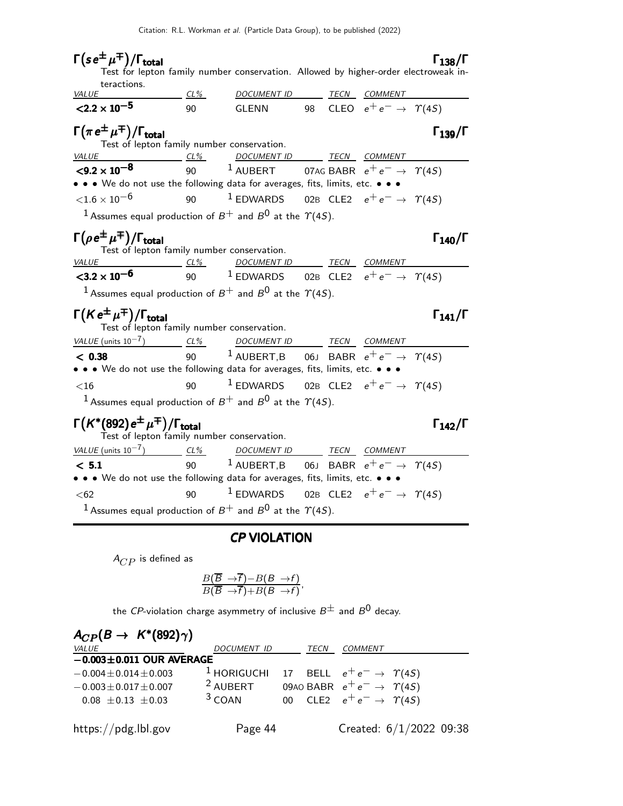| $\Gamma(s e^{\pm} \mu^{\mp})/\Gamma_{\text{total}}$                                                      |        | Test for lepton family number conservation. Allowed by higher-order electroweak in- |  |                                           | $\Gamma_{138}/\Gamma$ |
|----------------------------------------------------------------------------------------------------------|--------|-------------------------------------------------------------------------------------|--|-------------------------------------------|-----------------------|
| teractions.                                                                                              |        |                                                                                     |  |                                           |                       |
| <i>VALUE</i>                                                                                             | $CL\%$ | DOCUMENT ID TECN COMMENT                                                            |  |                                           |                       |
| $<$ 2.2 $\times$ 10 <sup>-5</sup>                                                                        | 90     | GLENN                                                                               |  | 98 CLEO $e^+e^- \rightarrow \Upsilon(4S)$ |                       |
| $\Gamma(\pi e^{\pm} \mu^{\mp})/\Gamma_{\text{total}}$<br>Test of lepton family number conservation.      |        |                                                                                     |  |                                           | $\Gamma_{139}/\Gamma$ |
| <i>VALUE</i><br>$CL\%$                                                                                   |        | DOCUMENT ID TECN COMMENT                                                            |  |                                           |                       |
| $<$ 9.2 $\times$ 10 <sup>-8</sup>                                                                        |        | 90 $1$ AUBERT 07AG BABR $e^+e^- \rightarrow \gamma(45)$                             |  |                                           |                       |
| • • • We do not use the following data for averages, fits, limits, etc. • • •                            |        |                                                                                     |  |                                           |                       |
| ${<}1.6\times10^{-6}$                                                                                    | 90     | $^1$ EDWARDS 02B CLE2 $e^+e^- \rightarrow \gamma(4S)$                               |  |                                           |                       |
| <sup>1</sup> Assumes equal production of $B^+$ and $B^0$ at the $\Upsilon(4S)$ .                         |        |                                                                                     |  |                                           |                       |
| $\Gamma(\rho e^{\pm} \mu^{\mp})/\Gamma_{\text{total}}$<br>Test of lepton family number conservation.     |        |                                                                                     |  |                                           | $\Gamma_{140}/\Gamma$ |
| $VALUE$ CL%                                                                                              |        | DOCUMENT ID TECN COMMENT                                                            |  |                                           |                       |
| $<$ 3.2 $\times$ 10 <sup>-6</sup>                                                                        |        | 90 $1$ EDWARDS 02B CLE2 $e^+e^- \rightarrow \gamma(4S)$                             |  |                                           |                       |
| <sup>1</sup> Assumes equal production of $B^+$ and $B^0$ at the $\gamma$ (4S).                           |        |                                                                                     |  |                                           |                       |
| $\Gamma(Ke^{\pm}\mu^{\mp})/\Gamma_{\text{total}}$<br>Test of lepton family number conservation.          |        |                                                                                     |  |                                           | $\Gamma_{141}/\Gamma$ |
| VALUE (units $10^{-7}$ ) CL%                                                                             |        | DOCUMENT ID TECN COMMENT                                                            |  |                                           |                       |
| < 0.38                                                                                                   |        | 90 $1$ AUBERT, B 06J BABR $e^+e^- \rightarrow \gamma(45)$                           |  |                                           |                       |
| • • • We do not use the following data for averages, fits, limits, etc. • • •                            |        |                                                                                     |  |                                           |                       |
| $<$ 16                                                                                                   | 90     | $^{-1}$ EDWARDS 02B CLE2 $e^+e^- \rightarrow \gamma(4S)$                            |  |                                           |                       |
| $^1$ Assumes equal production of $B^+$ and $B^0$ at the $\varUpsilon(4S)$ .                              |        |                                                                                     |  |                                           |                       |
| $\Gamma(K^*(892) e^{\pm} \mu^{\mp})/\Gamma_{\text{total}}$<br>Test of lepton family number conservation. |        |                                                                                     |  |                                           | $\Gamma_{142}/\Gamma$ |
| VALUE (units $10^{-7}$ ) CL%                                                                             |        | DOCUMENT ID TECN COMMENT                                                            |  |                                           |                       |
| < 5.1                                                                                                    | 90     | $^1$ AUBERT,B 06J BABR $e^+e^- \rightarrow \gamma(4S)$                              |  |                                           |                       |
| • • • We do not use the following data for averages, fits, limits, etc. • • •                            |        |                                                                                     |  |                                           |                       |
| $62$                                                                                                     | 90     | $1$ EDWARDS 02B CLE2 $e^+e^- \rightarrow \gamma(4S)$                                |  |                                           |                       |
| <sup>1</sup> Assumes equal production of $B^+$ and $B^0$ at the $\Upsilon(4S)$ .                         |        |                                                                                     |  |                                           |                       |

## CP VIOLATION

 $A_{CP}$  is defined as

$$
\frac{B(\overline{B} \to \overline{f}) - B(B \to f)}{B(\overline{B} \to \overline{f}) + B(B \to f)},
$$

the CP-violation charge asymmetry of inclusive  $B^{\pm}$  and  $B^0$  decay.

| $A_{CP}(B \rightarrow K^*(892)\gamma)$ |                     |      |                                           |  |
|----------------------------------------|---------------------|------|-------------------------------------------|--|
| <i>VALUE</i>                           | DOCUMENT ID         | TECN | COMMENT                                   |  |
| $-0.003 \pm 0.011$ OUR AVERAGE         |                     |      |                                           |  |
| $-0.004 \pm 0.014 \pm 0.003$           | $1$ HORIGUCHI       |      | 17 BELL $e^+e^- \rightarrow \Upsilon(4S)$ |  |
| $-0.003 \pm 0.017 \pm 0.007$           | <sup>2</sup> AUBERT |      | 09AO BABR $e^+e^- \rightarrow \gamma(4S)$ |  |
| $0.08 \pm 0.13 \pm 0.03$               | $3$ COAN            |      | 00 CLE2 $e^+e^- \rightarrow \Upsilon(4S)$ |  |
| https://pdg.lbl.gov                    | Page 44             |      | Created: $6/1/2022$ 09:38                 |  |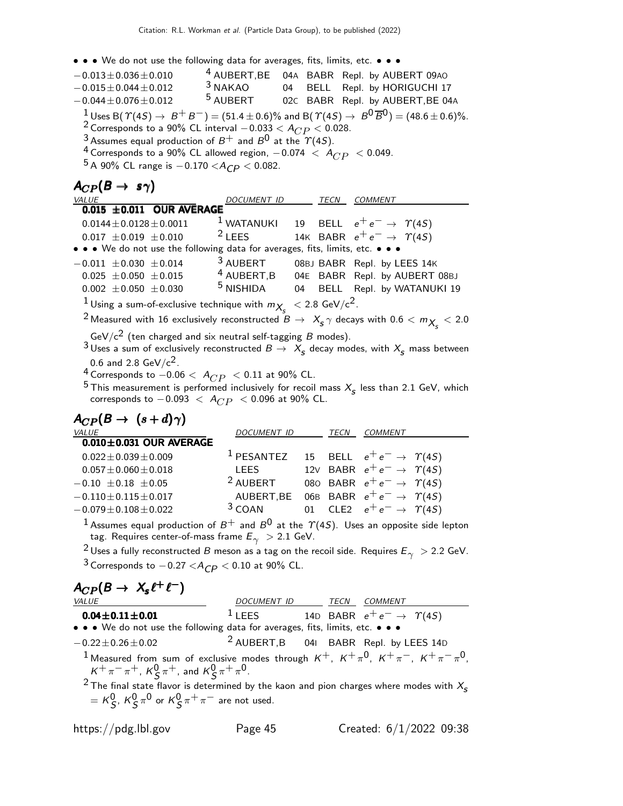$\bullet \bullet \bullet$  We do not use the following data for averages, fits, limits, etc.  $\bullet \bullet \bullet$ 

| $\sim$ and the documental resolution of averages, these minimum errors.                                                                                                                                                                                                                                                                                                                                                                                          |                      |  |                                                               |  |
|------------------------------------------------------------------------------------------------------------------------------------------------------------------------------------------------------------------------------------------------------------------------------------------------------------------------------------------------------------------------------------------------------------------------------------------------------------------|----------------------|--|---------------------------------------------------------------|--|
| $-0.013\!\pm\!0.036\!\pm\!0.010$                                                                                                                                                                                                                                                                                                                                                                                                                                 |                      |  | <sup>4</sup> AUBERT, BE 04A BABR Repl. by AUBERT 09AO         |  |
| $-0.015\pm0.044\pm0.012$                                                                                                                                                                                                                                                                                                                                                                                                                                         | $3$ NAKAO            |  | 04 BELL Repl. by HORIGUCHI 17                                 |  |
| $-0.044 \pm 0.076 \pm 0.012$ 5 AUBERT 02C BABR Repl. by AUBERT, BE 04A                                                                                                                                                                                                                                                                                                                                                                                           |                      |  |                                                               |  |
| $1 \text{ Uses B}(\Upsilon(4S) \rightarrow B^+ B^-) = (51.4 \pm 0.6)\%$ and B( $\Upsilon(4S) \rightarrow B^0 \overline{B}^0$ ) = (48.6 ± 0.6)%.<br><sup>2</sup> Corresponds to a 90% CL interval $-0.033 < A_{CP} < 0.028$ .<br><sup>3</sup> Assumes equal production of $B^+$ and $B^0$ at the $\gamma$ (4S).<br><sup>4</sup> Corresponds to a 90% CL allowed region, $-0.074 < A_{CP} < 0.049$ .<br><sup>5</sup> A 90% CL range is $-0.170 < A_{CP} < 0.082$ . |                      |  |                                                               |  |
| $A_{CP}(B \rightarrow s\gamma)$                                                                                                                                                                                                                                                                                                                                                                                                                                  |                      |  |                                                               |  |
| VALUE                                                                                                                                                                                                                                                                                                                                                                                                                                                            | DOCUMENT ID          |  | TECN COMMENT                                                  |  |
| $0.015 \pm 0.011$ OUR AVERAGE                                                                                                                                                                                                                                                                                                                                                                                                                                    |                      |  |                                                               |  |
| $0.0144 \pm 0.0128 \pm 0.0011$                                                                                                                                                                                                                                                                                                                                                                                                                                   |                      |  | <sup>1</sup> WATANUKI 19 BELL $e^+e^- \rightarrow \gamma(45)$ |  |
| $0.017 \pm 0.019 \pm 0.010$                                                                                                                                                                                                                                                                                                                                                                                                                                      |                      |  | <sup>2</sup> LEES 14K BABR $e^+e^- \rightarrow \gamma(4S)$    |  |
| • • • We do not use the following data for averages, fits, limits, etc. • • •                                                                                                                                                                                                                                                                                                                                                                                    |                      |  |                                                               |  |
| $-0.011 \pm 0.030 \pm 0.014$                                                                                                                                                                                                                                                                                                                                                                                                                                     |                      |  | 3 AUBERT 08BJ BABR Repl. by LEES 14K                          |  |
| 0.025 $\pm$ 0.050 $\pm$ 0.015 <sup>4</sup> AUBERT, B 04E BABR Repl. by AUBERT 08BJ                                                                                                                                                                                                                                                                                                                                                                               |                      |  |                                                               |  |
| $0.002\ \pm0.050\ \pm0.030$                                                                                                                                                                                                                                                                                                                                                                                                                                      | <sup>5</sup> NISHIDA |  | 04 BELL Repl. by WATANUKI 19                                  |  |
| $^{-1}$ Using a sum-of-exclusive technique with $m_{X_s}$ $\ <$ 2.8 GeV/c <sup>2</sup> .                                                                                                                                                                                                                                                                                                                                                                         |                      |  |                                                               |  |
| <sup>2</sup> Measured with 16 exclusively reconstructed $B \rightarrow X_{\rm s} \gamma$ decays with $0.6 < m_{X_{\rm s}} < 2.0$                                                                                                                                                                                                                                                                                                                                 |                      |  |                                                               |  |
| GeV/ $c^2$ (ten charged and six neutral self-tagging B modes).<br>$3$ Uses a sum of exclusively reconstructed $B \to X_{\rm s}$ decay modes, with $X_{\rm s}$ mass between                                                                                                                                                                                                                                                                                       |                      |  |                                                               |  |

0.6 and 2.8 GeV/c $^2$ .

 $\frac{4}{5}$  Corresponds to  $-0.06 < A_{CP} < 0.11$  at 90% CL.

<sup>5</sup> This measurement is performed inclusively for recoil mass  $X_s$  less than 2.1 GeV, which corresponds to  $-0.093~<~A_{CP}~< 0.096$  at  $90\%$  CL.

| $A_{CP}(B \rightarrow (s+d)\gamma)$ |                       |             |                                            |
|-------------------------------------|-----------------------|-------------|--------------------------------------------|
| VALUE                               | <b>DOCUMENT ID</b>    | <b>TECN</b> | <b>COMMENT</b>                             |
| $0.010 \pm 0.031$ OUR AVERAGE       |                       |             |                                            |
| $0.022 \pm 0.039 \pm 0.009$         | <sup>1</sup> PESANTEZ |             | 15 BELL $e^+e^- \rightarrow \gamma(4S)$    |
| $0.057 \pm 0.060 \pm 0.018$         | LEES                  |             | 12V BABR $e^+e^- \rightarrow \gamma(45)$   |
| $-0.10 \pm 0.18 \pm 0.05$           | <sup>2</sup> AUBERT   |             | 080 BABR $e^+e^- \rightarrow \Upsilon(4S)$ |
| $-0.110 \pm 0.115 \pm 0.017$        | AUBERT, BE            |             | 06B BABR $e^+e^- \rightarrow \gamma(4S)$   |
| $-0.079 \pm 0.108 \pm 0.022$        | $3$ COAN              |             | 01 CLE2 $e^+e^- \rightarrow \gamma(4S)$    |
|                                     |                       |             |                                            |

 $^1$ Assumes equal production of  $B^+$  and  $B^{\mathsf{0}}$  at the  $\varUpsilon(4S)$ . Uses an opposite side lepton tag. Requires center-of-mass frame  $E_\gamma~>$  2.1 GeV.

<sup>2</sup> Uses a fully reconstructed B meson as a tag on the recoil side. Requires  $E_{\gamma} >$  2.2 GeV.  $3$  Corresponds to  $-0.27 < A_{CP} < 0.10$  at 90% CL.

| $A_{CP}(B \rightarrow X_s \ell^+ \ell^-)$                                                                                                                            | DOCUMENT ID               | TECN                                       | COMMENT |
|----------------------------------------------------------------------------------------------------------------------------------------------------------------------|---------------------------|--------------------------------------------|---------|
| <b>0.04 ± 0.11 ± 0.01</b>                                                                                                                                            | 1 LEES                    | 14D BABR $e^+e^- \rightarrow \Upsilon(4S)$ |         |
| $\bullet \bullet \bullet \text{ We do not use the following data for averages, fits, limits, etc.}$                                                                  | $\bullet \bullet \bullet$ |                                            |         |
| $-0.22 \pm 0.26 \pm 0.02$                                                                                                                                            | 2 AUBERT, B               | 04I BABR Repl. by LEES 14D                 |         |
| 1 Measured from sum of exclusive modes through $K^+$ , $K^+ \pi^0$ , $K^+ \pi^-$ , $K^+ \pi^- \pi^0$ , $K^+ \pi^- \pi^+$ , $K^0_S \pi^+$ , and $K^0_S \pi^+ \pi^0$ . |                           |                                            |         |
| 2 The final state flavor is determined by the kaon and pion charges where modes with $X_S = K^0_S$ , $K^0_S \pi^0$ or $K^0_S \pi^+ \pi^-$ are not used.              |                           |                                            |         |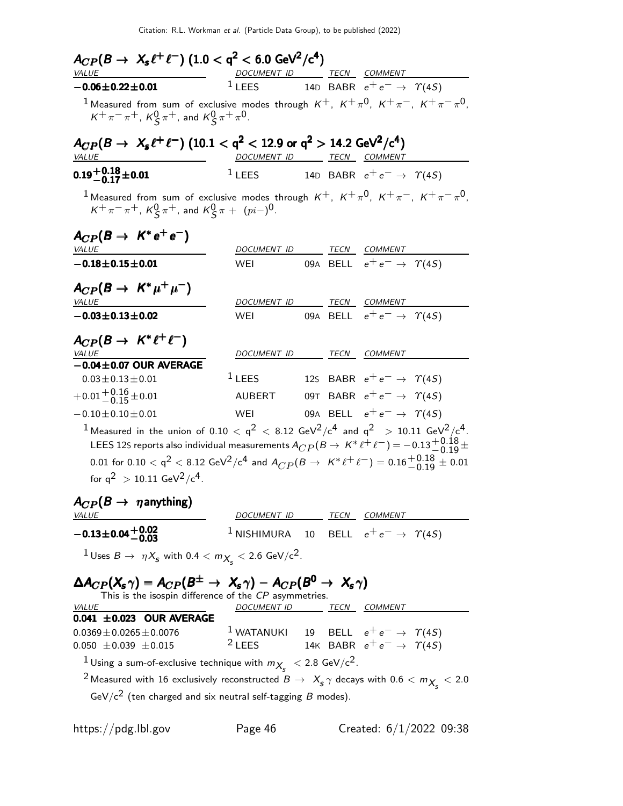| VALUE                                                                                                                                                                                                                                                                                                                                                                                                                                    | DOCUMENT ID TECN COMMENT        |  |                                                                |
|------------------------------------------------------------------------------------------------------------------------------------------------------------------------------------------------------------------------------------------------------------------------------------------------------------------------------------------------------------------------------------------------------------------------------------------|---------------------------------|--|----------------------------------------------------------------|
| $-0.06 \pm 0.22 \pm 0.01$                                                                                                                                                                                                                                                                                                                                                                                                                | $1$ LEES                        |  | 14D BABR $e^+e^- \rightarrow \gamma(4S)$                       |
| <sup>1</sup> Measured from sum of exclusive modes through $K^+$ , $K^+\pi^0$ , $K^+\pi^-$ , $K^+\pi^-\pi^0$ ,<br>$K^+\pi^-\pi^+$ , $K^0_S\pi^+$ , and $K^0_S\pi^+\pi^0$ .                                                                                                                                                                                                                                                                |                                 |  |                                                                |
| $A_{CP}(B \to X_s \ell^+ \ell^-)$ (10.1 < q <sup>2</sup> < 12.9 or q <sup>2</sup> > 14.2 GeV <sup>2</sup> /c <sup>4</sup> )<br>VALUE                                                                                                                                                                                                                                                                                                     | DOCUMENT ID TECN COMMENT        |  |                                                                |
| $0.19 + 0.18 + 0.01$                                                                                                                                                                                                                                                                                                                                                                                                                     | $1$ LEES                        |  | 14D BABR $e^+e^- \rightarrow \gamma(45)$                       |
| <sup>1</sup> Measured from sum of exclusive modes through $K^+$ , $K^+\pi^0$ , $K^+\pi^-$ , $K^+\pi^-\pi^0$ ,<br>$K^+\pi^-\pi^+$ , $K^0_S\pi^+$ , and $K^0_S\pi + (pi-)^0$ .                                                                                                                                                                                                                                                             |                                 |  |                                                                |
| $A_{CP}(B \rightarrow K^*e^+e^-)$                                                                                                                                                                                                                                                                                                                                                                                                        |                                 |  |                                                                |
| <i>VALUE</i><br>$-0.18 \pm 0.15 \pm 0.01$                                                                                                                                                                                                                                                                                                                                                                                                | DOCUMENT ID TECN COMMENT<br>WEI |  | 09A BELL $e^+e^- \rightarrow \Upsilon(4S)$                     |
| $A_{CP}(B \rightarrow K^* \mu^+ \mu^-)$<br><b>VALUE</b>                                                                                                                                                                                                                                                                                                                                                                                  | DOCUMENT ID TECN COMMENT        |  |                                                                |
| $-0.03 \pm 0.13 \pm 0.02$                                                                                                                                                                                                                                                                                                                                                                                                                | WEI                             |  | 09A BELL $e^+e^- \rightarrow \gamma(45)$                       |
| $A_{CP}(B \rightarrow K^* \ell^+ \ell^-)$<br><i>VALUE</i>                                                                                                                                                                                                                                                                                                                                                                                | DOCUMENT ID TECN COMMENT        |  |                                                                |
| $-0.04 \pm 0.07$ OUR AVERAGE<br>$0.03 \pm 0.13 \pm 0.01$                                                                                                                                                                                                                                                                                                                                                                                 | $1$ LEES                        |  | 125 BABR $e^+e^- \rightarrow \gamma(45)$                       |
| $+0.01 + 0.16 + 0.01$                                                                                                                                                                                                                                                                                                                                                                                                                    | <b>AUBERT</b>                   |  | 09T BABR $e^+e^- \rightarrow \gamma(45)$                       |
| $-0.10\pm0.10\pm0.01$                                                                                                                                                                                                                                                                                                                                                                                                                    | WEI                             |  | 09A BELL $e^+e^- \rightarrow \Upsilon(4S)$                     |
| <sup>1</sup> Measured in the union of 0.10 $<$ q <sup>2</sup> $<$ 8.12 GeV <sup>2</sup> /c <sup>4</sup> and q <sup>2</sup> $>$ 10.11 GeV <sup>2</sup> /c <sup>4</sup> .<br>LEES 12S reports also individual measurements $A_{CP}(B\to K^{*} \ell^+ \ell^-)$ $=$ $-0.13 {+0.18 \atop -0.19}$ $\pm$<br>0.01 for 0.10 $< q^2 < 8.12$ GeV <sup>2</sup> /c <sup>4</sup> and $A_{CP}(B \to K^* \ell^+ \ell^-) = 0.16_{-0.19}^{+0.18} \pm 0.01$ |                                 |  |                                                                |
| for $q^2 > 10.11$ GeV <sup>2</sup> /c <sup>4</sup> .                                                                                                                                                                                                                                                                                                                                                                                     |                                 |  |                                                                |
| $A_{CP}(B \rightarrow \eta$ anything)<br><b>VALUE</b>                                                                                                                                                                                                                                                                                                                                                                                    | DOCUMENT ID TECN COMMENT        |  |                                                                |
| $-0.13\pm0.04\frac{+0.02}{-0.03}$                                                                                                                                                                                                                                                                                                                                                                                                        |                                 |  | <sup>1</sup> NISHIMURA 10 BELL $e^+e^- \rightarrow \gamma(45)$ |
| $1$ Uses $B \to \eta X_{\sf s}$ with 0.4 $< m_{\sf X_{\sf s}} <$ 2.6 GeV/c <sup>2</sup> .                                                                                                                                                                                                                                                                                                                                                |                                 |  |                                                                |

This is the isospin difference of the CP asymmetries.

| <i>VALUE</i>                                                  | <b>DOCUMENT ID</b>       | TECN | COMMENT                                                                               |
|---------------------------------------------------------------|--------------------------|------|---------------------------------------------------------------------------------------|
| $0.041 \pm 0.023$ OUR AVERAGE                                 |                          |      |                                                                                       |
| $0.0369 \pm 0.0265 \pm 0.0076$<br>$0.050 \pm 0.039 \pm 0.015$ | $1$ WATANUKI<br>$2$ LEES |      | 19 BELL $e^+e^- \rightarrow \gamma(4S)$<br>14K BABR $e^+e^- \rightarrow \Upsilon(4S)$ |
|                                                               |                          |      |                                                                                       |

 $\frac{1}{\gamma}$ Using a sum-of-exclusive technique with  $m_{X_s} < 2.8$  GeV/c<sup>2</sup>.

 $^2$ Measured with 16 exclusively reconstructed  $B\to~X_{\bf S}\,\gamma$  decays with  $0.6 < m_{X_{\bf S}} < 2.0$ GeV/c $^2$  (ten charged and six neutral self-tagging  $B$  modes).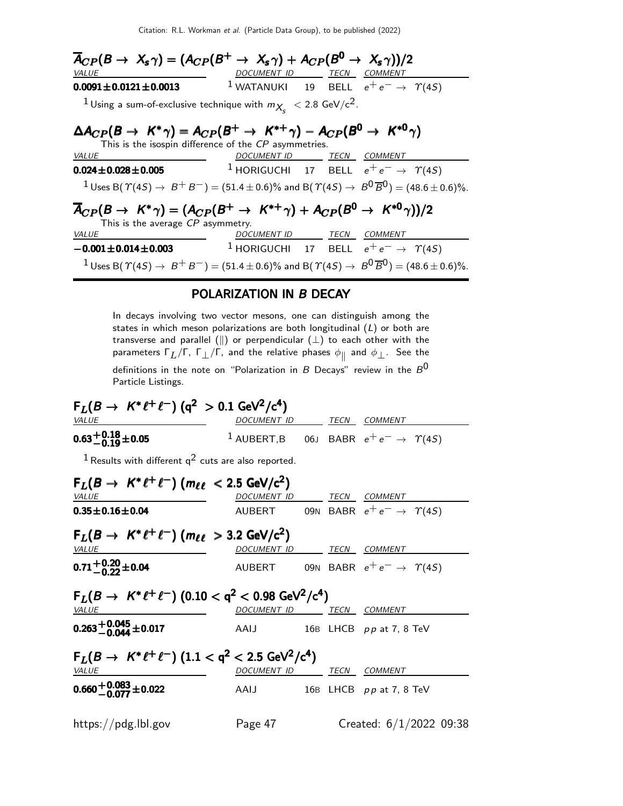Citation: R.L. Workman et al. (Particle Data Group), to be published (2022)

| $\overline{A}_{CP}(B \to X_s \gamma) = (A_{CP}(B^+ \to X_s \gamma) + A_{CP}(B^0 \to X_s \gamma))/2$                                               |                                           |  |                                                                |
|---------------------------------------------------------------------------------------------------------------------------------------------------|-------------------------------------------|--|----------------------------------------------------------------|
| <b>VALUE</b>                                                                                                                                      | <u>DOCUMENT ID ______ TECN __ COMMENT</u> |  |                                                                |
| $0.0091 \pm 0.0121 \pm 0.0013$                                                                                                                    |                                           |  | <sup>1</sup> WATANUKI 19 BELL $e^+e^- \rightarrow \gamma(45)$  |
| $1$ Using a sum-of-exclusive technique with $m_{X_c}$ $<$ 2.8 GeV/c <sup>2</sup> .                                                                |                                           |  |                                                                |
| $\Delta A_{CP}(B \to K^* \gamma) = A_{CP}(B^+ \to K^{*+} \gamma) - A_{CP}(B^0 \to K^{*0} \gamma)$                                                 |                                           |  |                                                                |
| This is the isospin difference of the CP asymmetries.                                                                                             |                                           |  |                                                                |
| <b>VALUE</b>                                                                                                                                      | DOCUMENT ID TECN COMMENT                  |  |                                                                |
| $0.024 \pm 0.028 \pm 0.005$                                                                                                                       |                                           |  | <sup>1</sup> HORIGUCHI 17 BELL $e^+e^- \rightarrow \gamma(45)$ |
| $1_{\text{Uses B}}(\Upsilon(45) \rightarrow B^+B^-) = (51.4 \pm 0.6)\%$ and B( $\Upsilon(45) \rightarrow B^0 \overline{B}^0$ ) = (48.6 ± 0.6)%.   |                                           |  |                                                                |
| $\overline{A}_{CP}(B \to K^* \gamma) = (A_{CP}(B^+ \to K^{*+} \gamma) + A_{CP}(B^0 \to K^{*0} \gamma))/2$<br>This is the average $CP$ asymmetry.  |                                           |  |                                                                |
| <b>VALUE</b>                                                                                                                                      | DOCUMENT ID TECN COMMENT                  |  |                                                                |
| $-0.001 \pm 0.014 \pm 0.003$                                                                                                                      |                                           |  | $^1$ HORIGUCHI 17 BELL $e^+e^- \rightarrow \, \, \gamma(4S)$   |
| $1_{\text{Uses B}}(\Upsilon(45) \rightarrow B^+B^-) = (51.4 \pm 0.6)\%$ and B $(\Upsilon(45) \rightarrow B^0 \overline{B}^0) = (48.6 \pm 0.6)\%.$ |                                           |  |                                                                |

### POLARIZATION IN B DECAY

In decays involving two vector mesons, one can distinguish among the states in which meson polarizations are both longitudinal  $(L)$  or both are transverse and parallel ( $\parallel$ ) or perpendicular  $(\perp)$  to each other with the parameters  $\mathsf{\Gamma}_L / \mathsf{\Gamma}$ ,  $\mathsf{\Gamma}_\bot / \mathsf{\Gamma}$ , and the relative phases  $\phi_\parallel$  and  $\phi_\bot.$  See the definitions in the note on "Polarization in B Decays" review in the  $B^0$ Particle Listings.

 $F_L(B \to K^* \ell^+ \ell^-)$  (q<sup>2</sup> > 0.1 GeV<sup>2</sup>/c<sup>4</sup>) VALUE DOCUMENT ID TECN COMMENT  $0.63^{+0.18}_{-0.19}$  ± 0.05  $1$  AUBERT,B 06J BABR  $e^+e^- \rightarrow \gamma(4S)$  $1$  Results with different  $q^2$  cuts are also reported.  $F_L(B \to K^* \ell^+ \ell^-)$  ( $m_{\ell \ell}$   $<$  2.5 GeV/c<sup>2</sup>) VALUE DOCUMENT ID TECN COMMENT **0.35±0.16±0.04** AUBERT 09N BABR  $e^+e^- \rightarrow \gamma(45)$  $F_L(B \to K^* \ell^+ \ell^-)$   $(m_{\ell \ell} > 3.2 \text{ GeV/c}^2)$ VALUE <u>DOCUMENT ID</u> TECN COMMENT  $0.71^{+0.20}_{-0.22}$ ±0.04 AUBERT 09N BABR  $e^+e^- \rightarrow \gamma(4S)$  $\mathsf{F}_L(B \to~\mathsf{K}^*\ell^+\ell^-)~(0.10 < \mathsf{q}^2 < 0.98~\mathrm{GeV}^2/\mathrm{c}^4)$ VALUE **Example 2012 COMMENT DE COMMENT ID** TECN COMMENT  $0.263^{\,+\,0.045}_{\,-\,0.044}$ ±0.017 <sup>−</sup>0.<sup>044</sup> .AAIJ 16<sup>B</sup> LHCB p p at 7, 8 TeV  $\mathsf{F}_L(B \to K^* \ell^+ \ell^-)$   $(1.1 < \mathsf{q}^2 < 2.5 \ \mathsf{GeV}^2/\mathsf{c}^4)$ VALUE DOCUMENT ID TECN COMMENT  $0.660\, {}^{+\, 0.083}_{-\, 0.077} \pm 0.022$ <sup>−</sup>0.077.AAIJ 16<sup>B</sup> LHCB p p at 7, 8 TeV https://pdg.lbl.gov Page 47 Created: 6/1/2022 09:38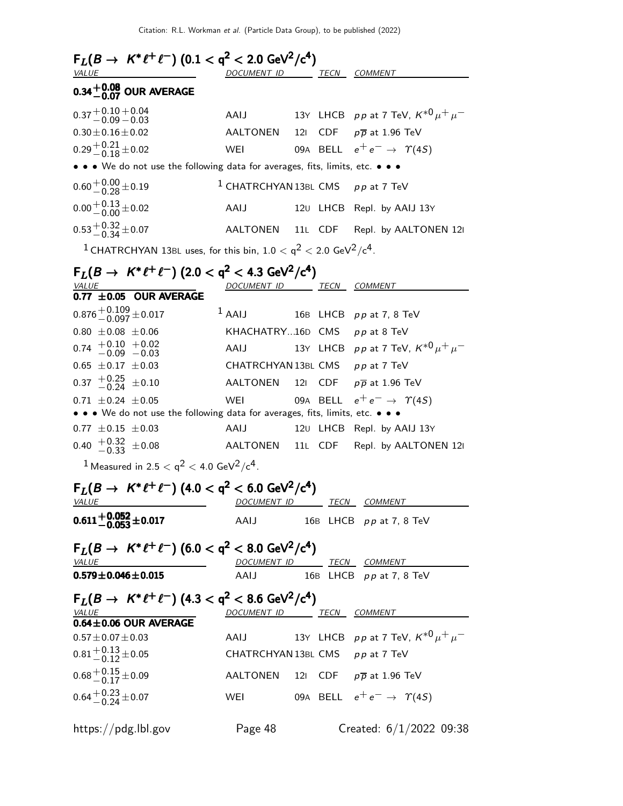| $F_L(B \to K^* \ell^+ \ell^-)$ (0.1 < q <sup>2</sup> < 2.0 GeV <sup>2</sup> /c <sup>4</sup> )<br><u>VALUE</u> | DOCUMENT ID TECN COMMENT                       |                 |          |                                                     |
|---------------------------------------------------------------------------------------------------------------|------------------------------------------------|-----------------|----------|-----------------------------------------------------|
| $0.34^{+0.08}_{-0.07}$ OUR AVERAGE                                                                            |                                                |                 |          |                                                     |
| $0.37 + 0.10 + 0.04$<br>-0.09 -0.03                                                                           | AAIJ                                           |                 |          | 13Y LHCB pp at 7 TeV, $K^{*0} \mu^+ \mu^-$          |
| $0.30 \pm 0.16 \pm 0.02$                                                                                      | AALTONEN                                       | 12 <sub>1</sub> |          | CDF $p\overline{p}$ at 1.96 TeV                     |
| $0.29 + 0.21 + 0.02$                                                                                          | WEI                                            |                 |          | 09A BELL $e^+e^- \rightarrow \Upsilon(4S)$          |
| • • • We do not use the following data for averages, fits, limits, etc. • • •                                 |                                                |                 |          |                                                     |
| $0.60 + 0.00 + 0.19$                                                                                          | <sup>1</sup> CHATRCHYAN 13BL CMS $pp$ at 7 TeV |                 |          |                                                     |
| $0.00 + 0.13 + 0.02$                                                                                          | AAIJ                                           |                 |          | 120 LHCB Repl. by AAIJ 13Y                          |
| $0.53^{+0.32}_{-0.34}$ ± 0.07                                                                                 | <b>AALTONEN</b>                                |                 | 11L CDF  | Repl. by AALTONEN 121                               |
| <sup>1</sup> CHATRCHYAN 13BL uses, for this bin, $1.0 < q^2 < 2.0$ GeV <sup>2</sup> /c <sup>4</sup> .         |                                                |                 |          |                                                     |
| $F_L(B \to K^* \ell^+ \ell^-)$ (2.0 < q <sup>2</sup> < 4.3 GeV <sup>2</sup> /c <sup>4</sup> )                 |                                                |                 |          |                                                     |
| <u>VALUE</u>                                                                                                  | DOCUMENT ID TECN COMMENT                       |                 |          |                                                     |
| 0.77 $\pm$ 0.05 OUR AVERAGE                                                                                   |                                                |                 |          |                                                     |
| $0.876 + 0.109 \pm 0.017$                                                                                     | $1$ AAIJ                                       |                 |          | 16B LHCB pp at 7, 8 TeV                             |
| $0.80 \pm 0.08 \pm 0.06$                                                                                      | KHACHATRY16D CMS pp at 8 TeV                   |                 |          |                                                     |
| $0.74$ $+0.10$ $+0.02$<br>$-0.09$ $-0.03$                                                                     | AAIJ                                           |                 |          | 13Y LHCB pp at 7 TeV, $K^{*0} \mu^+ \mu^-$          |
| $0.65 \pm 0.17 \pm 0.03$                                                                                      | CHATRCHYAN 13BL CMS pp at 7 TeV                |                 |          |                                                     |
| $0.37$ $^{+0.25}_{-0.24}$ $\pm 0.10$                                                                          | AALTONEN                                       |                 |          | 121 CDF $p\overline{p}$ at 1.96 TeV                 |
| $0.71 \pm 0.24 \pm 0.05$<br>• • • We do not use the following data for averages, fits, limits, etc. • • •     | WEI                                            |                 |          | 09A BELL $e^+e^- \rightarrow \Upsilon(45)$          |
| $0.77 \pm 0.15 \pm 0.03$                                                                                      | AAIJ                                           |                 | 120 LHCB | Repl. by AAIJ 13Y                                   |
| $0.40 \begin{array}{l} +0.32 \\ -0.33 \end{array} \pm 0.08$                                                   | AALTONEN                                       |                 | 11L CDF  | Repl. by AALTONEN 121                               |
| <sup>1</sup> Measured in 2.5 $<$ q <sup>2</sup> $<$ 4.0 GeV <sup>2</sup> /c <sup>4</sup> .                    |                                                |                 |          |                                                     |
| $F_L(B \to K^* \ell^+ \ell^-)$ (4.0 < q <sup>2</sup> < 6.0 GeV <sup>2</sup> /c <sup>4</sup> )                 |                                                |                 |          |                                                     |
| <i>VALUE</i>                                                                                                  | DOCUMENT ID                                    |                 |          | <u>TECN COMMENT</u>                                 |
| $0.611 + 0.052 + 0.017$                                                                                       | AAIJ                                           |                 |          | 16B LHCB pp at 7, 8 TeV                             |
| $F_L(B \to K^* \ell^+ \ell^-)$ (6.0 < q <sup>2</sup> < 8.0 GeV <sup>2</sup> /c <sup>4</sup> )                 |                                                |                 |          |                                                     |
| <i>VALUE</i>                                                                                                  | DOCUMENT ID TECN COMMENT                       |                 |          |                                                     |
| $0.579 \pm 0.046 \pm 0.015$                                                                                   |                                                |                 |          | AAIJ 16B LHCB pp at 7, 8 TeV                        |
| $F_L(B \to K^* \ell^+ \ell^-)$ (4.3 < q <sup>2</sup> < 8.6 GeV <sup>2</sup> /c <sup>4</sup> )<br><u>VALUE</u> | DOCUMENT ID TECN COMMENT                       |                 |          |                                                     |
| $0.64 \pm 0.06$ OUR AVERAGE                                                                                   |                                                |                 |          |                                                     |
| $0.57 \pm 0.07 \pm 0.03$                                                                                      | AAIJ                                           |                 |          | 13Y LHCB $\rho \rho$ at 7 TeV, $K^{*0} \mu^+ \mu^-$ |
| $0.81 + 0.13 + 0.05$                                                                                          | CHATRCHYAN 13BL CMS pp at 7 TeV                |                 |          |                                                     |
| $0.68 + 0.15 + 0.09$                                                                                          |                                                |                 |          | AALTONEN 121 CDF $p\overline{p}$ at 1.96 TeV        |
| $0.64 + 0.23 + 0.07$                                                                                          |                                                |                 |          | WEI 09A BELL $e^+e^- \rightarrow \gamma(4S)$        |
| https://pdg.lbl.gov                                                                                           | Page 48                                        |                 |          | Created: $6/1/2022$ 09:38                           |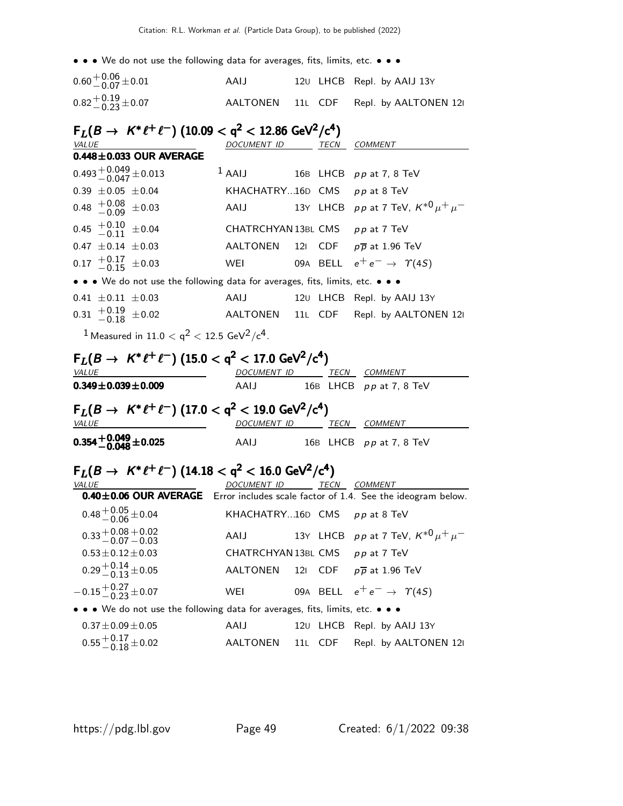| $0.60 + 0.06 + 0.01$ | AAIJ |  | 120 LHCB Repl. by AAIJ 13Y             |
|----------------------|------|--|----------------------------------------|
| $0.82 + 0.19 + 0.07$ |      |  | AALTONEN 11L CDF Repl. by AALTONEN 121 |

| $F_L(B \to K^* \ell^+ \ell^-)$ (10.09 < q <sup>2</sup> < 12.86 GeV <sup>2</sup> /c <sup>4</sup> )                   |                          |                 |             |                                                                             |
|---------------------------------------------------------------------------------------------------------------------|--------------------------|-----------------|-------------|-----------------------------------------------------------------------------|
| VALUE                                                                                                               | <u>DOCUMENT ID</u>       |                 | TECN        | COMMENT                                                                     |
| $0.448 \pm 0.033$ OUR AVERAGE                                                                                       |                          |                 |             |                                                                             |
| $0.493 + 0.049 + 0.013$                                                                                             | $1$ AAIJ                 | 16B             | <b>LHCB</b> | <i>pp</i> at 7, 8 TeV                                                       |
| $0.39 \pm 0.05 \pm 0.04$                                                                                            | KHACHATRY16D             |                 | CMS         | pp at 8 TeV                                                                 |
| $^{+0.08}_{-0.09}$<br>0.48<br>±0.03                                                                                 | AAIJ                     |                 | 13Y LHCB    | $\rho\,\rho$ at 7 TeV, $\,{\mathsf K}^{*0}\, \mu^+\,\mu^-$                  |
| $^{+0.10}_{-0.11}$ $\pm$ 0.04<br>0.45                                                                               | CHATRCHYAN 13BL CMS      |                 |             | pp at 7 TeV                                                                 |
| $0.47 \pm 0.14 \pm 0.03$                                                                                            | AALTONEN                 | 12 <sub>1</sub> | CDF.        | $p\overline{p}$ at 1.96 TeV                                                 |
| $^{+0.17}_{-0.15}$<br>0.17<br>$\pm 0.03$                                                                            | WEI                      |                 | 09A BELL    | $e^+e^- \rightarrow \gamma(45)$                                             |
| • • We do not use the following data for averages, fits, limits, etc. • • •                                         |                          |                 |             |                                                                             |
| $0.41 \pm 0.11 \pm 0.03$                                                                                            | AAIJ                     | 120             | LHCB        | Repl. by AAIJ 13Y                                                           |
| $0.31 \begin{array}{c} +0.19 \\ -0.18 \end{array}$<br>$\pm 0.02$                                                    | AALTONEN                 | 11L –           | CDF.        | Repl. by AALTONEN 121                                                       |
| <sup>1</sup> Measured in 11.0 < $q^2$ < 12.5 GeV <sup>2</sup> /c <sup>4</sup> .                                     |                          |                 |             |                                                                             |
| $F_L(B \to K^* \ell^+ \ell^-)$ (15.0 < q <sup>2</sup> < 17.0 GeV <sup>2</sup> /c <sup>4</sup> )                     |                          |                 |             |                                                                             |
| VALUE                                                                                                               | <i>DOCUMENT ID</i>       |                 |             | TECN COMMENT                                                                |
|                                                                                                                     |                          |                 |             |                                                                             |
| $0.349 \pm 0.039 \pm 0.009$                                                                                         | AAIJ                     |                 |             | 16B LHCB pp at 7, 8 TeV                                                     |
|                                                                                                                     |                          |                 |             |                                                                             |
| $F_L(B \to K^* \ell^+ \ell^-)$ (17.0 $<$ q <sup>2</sup> $<$ 19.0 GeV <sup>2</sup> /c <sup>4</sup> )<br><b>VALUE</b> | DOCUMENT ID TECN COMMENT |                 |             |                                                                             |
| $0.354\, {}^{+0.049}_{-0.048} \pm 0.025$                                                                            | AAIJ                     |                 |             | 16B LHCB pp at 7, 8 TeV                                                     |
|                                                                                                                     |                          |                 |             |                                                                             |
| $F_L(B \to K^* \ell^+ \ell^-)$ (14.18 $<$ q <sup>2</sup> $<$ 16.0 GeV <sup>2</sup> /c <sup>4</sup> )                |                          |                 |             |                                                                             |
| VALUE<br>$0.40 \pm 0.06$ OUR AVERAGE                                                                                | DOCUMENT ID              |                 |             | TECN COMMENT<br>Error includes scale factor of 1.4. See the ideogram below. |
| $0.48 + 0.05 + 0.04$                                                                                                | KHACHATRY16D CMS         |                 |             | pp at 8 TeV                                                                 |
| $0.33 + 0.08 + 0.02 - 0.07 - 0.03$                                                                                  | AAIJ                     |                 |             | 13Y LHCB $p p$ at 7 TeV, $K^{*0} \mu^+ \mu^-$                               |
| $0.53 \pm 0.12 \pm 0.03$                                                                                            | CHATRCHYAN 13BL CMS      |                 |             | pp at 7 TeV                                                                 |
| $0.29 + 0.14 + 0.05$                                                                                                | AALTONEN                 | 12I             | CDF.        | $p\overline{p}$ at 1.96 TeV                                                 |
| $-0.15^{+0.27}_{-0.23}$ ± 0.07                                                                                      | WEI                      |                 |             | 09A BELL $e^+e^- \rightarrow \Upsilon(4S)$                                  |
| • • We do not use the following data for averages, fits, limits, etc. • • •                                         |                          |                 |             |                                                                             |
| $0.37 \pm 0.09 \pm 0.05$                                                                                            | AAIJ                     |                 |             | 120 LHCB Repl. by AAIJ 13Y                                                  |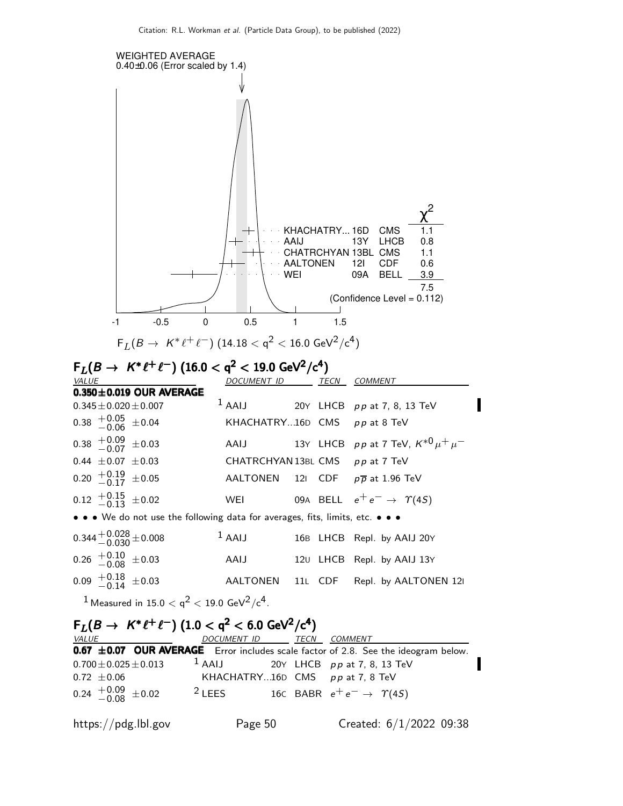

|                                                             |                                                                |  | <b>0.67 ±0.07 OUR AVERAGE</b> Error includes scale factor of 2.8. See the ideogram below. |
|-------------------------------------------------------------|----------------------------------------------------------------|--|-------------------------------------------------------------------------------------------|
|                                                             | $0.700 \pm 0.025 \pm 0.013$ 1 AAIJ 20Y LHCB pp at 7, 8, 13 TeV |  |                                                                                           |
| $0.72 \pm 0.06$                                             | KHACHATRY16D CMS $pp$ at 7, 8 TeV                              |  |                                                                                           |
| $0.24 \begin{array}{c} +0.09 \\ -0.08 \end{array} \pm 0.02$ | <sup>2</sup> LEES 16C BABR $e^+e^- \rightarrow \gamma(45)$     |  |                                                                                           |

https://pdg.lbl.gov Page 50 Created: 6/1/2022 09:38

I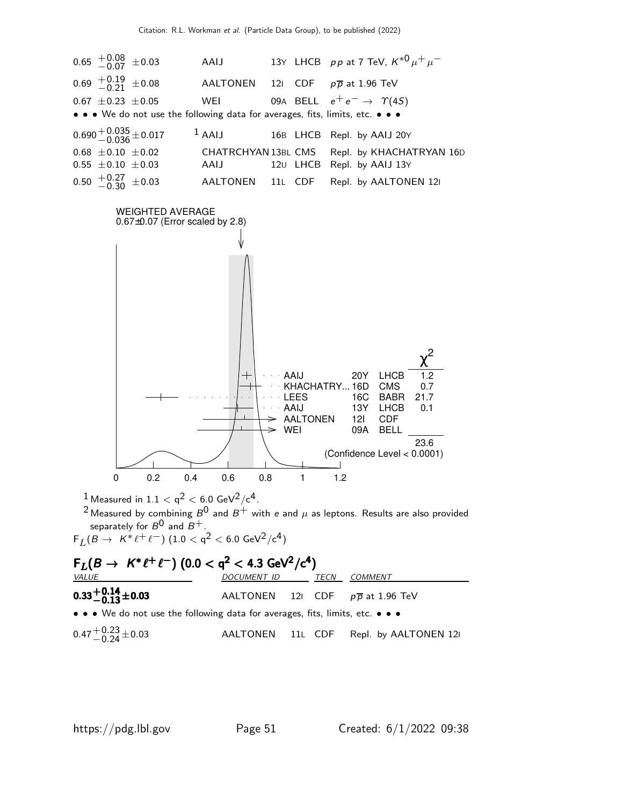

 $0.47 + 0.23 + 0.03$ <sup>−</sup>0.<sup>24</sup> <sup>±</sup>0.03 AALTONEN 11<sup>L</sup> CDF Repl. by AALTONEN 12<sup>I</sup>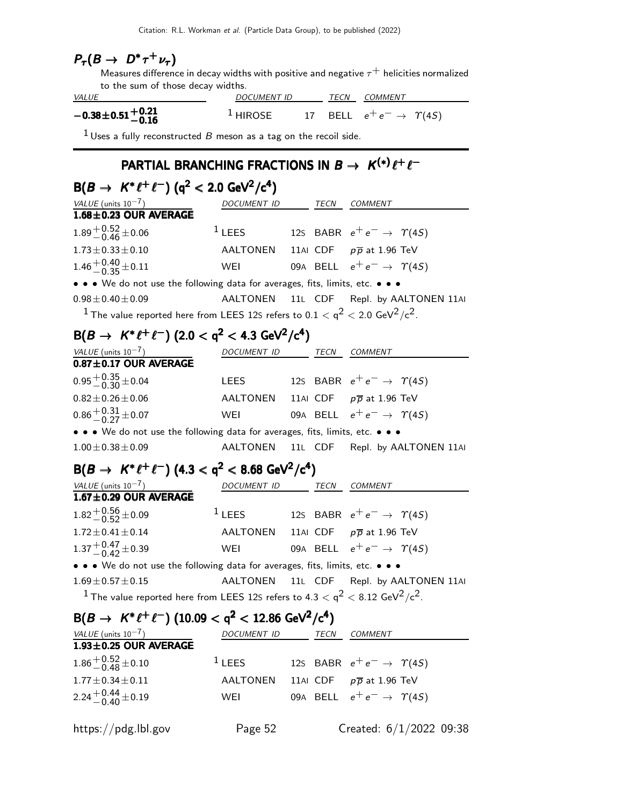|  | $P_\tau(B \to D^* \tau^+ \nu_\tau)$ |
|--|-------------------------------------|
|--|-------------------------------------|

Measures difference in decay widths with positive and negative  $\tau^+$  helicities normalized to the sum of those decay widths.

| <i>VALUE</i>                    | <i>DOCUMENT ID</i> |  |  | <i>TECN COMMENT</i>                              |
|---------------------------------|--------------------|--|--|--------------------------------------------------|
| $-0.38\pm0.51{+0.21\atop-0.16}$ | $^1$ HIROSE        |  |  | - 17 BELL $e^+e^- \rightarrow \ \varUpsilon(4S)$ |

 $1$  Uses a fully reconstructed  $B$  meson as a tag on the recoil side.

## PARTIAL BRANCHING FRACTIONS IN  $B \to K^{(*)} \ell^+ \ell^-$

| $B(B \to K^* \ell^+ \ell^-)$ (q <sup>2</sup> < 2.0 GeV <sup>2</sup> /c <sup>4</sup> )                                           |                          |          |                                            |
|---------------------------------------------------------------------------------------------------------------------------------|--------------------------|----------|--------------------------------------------|
| $\frac{VALUE \text{ (units 10}^{-7})}{1.68 \pm 0.23 \text{ OUR}$ AVERAGE                                                        | DOCUMENT ID TECN COMMENT |          |                                            |
|                                                                                                                                 |                          |          |                                            |
| $1.89 + 0.52 + 0.06$                                                                                                            | $1$ LEES                 |          | 125 BABR $e^+e^- \rightarrow \Upsilon(4S)$ |
| $1.73 \pm 0.33 \pm 0.10$                                                                                                        | AALTONEN                 |          | 11AI CDF $p\overline{p}$ at 1.96 TeV       |
| $1.46 + 0.40 + 0.11$                                                                                                            | WEI                      |          | 09A BELL $e^+e^- \rightarrow \Upsilon(4S)$ |
| • • • We do not use the following data for averages, fits, limits, etc. • • •                                                   |                          |          |                                            |
| $0.98 \pm 0.40 \pm 0.09$                                                                                                        | AALTONEN                 |          | 11L CDF Repl. by AALTONEN 11AI             |
| <sup>1</sup> The value reported here from LEES 12S refers to 0.1 $<$ q <sup>2</sup> $<$ 2.0 GeV <sup>2</sup> /c <sup>2</sup> .  |                          |          |                                            |
| $B(B \to K^* \ell^+ \ell^-)$ (2.0 < q <sup>2</sup> < 4.3 GeV <sup>2</sup> /c <sup>4</sup> )                                     |                          |          |                                            |
| VALUE (units $10^{-7}$ )                                                                                                        | DOCUMENT ID TECN COMMENT |          |                                            |
| $0.87 \pm 0.17$ OUR AVERAGE                                                                                                     |                          |          |                                            |
| $0.95 + 0.35 + 0.04$                                                                                                            | <b>LEES</b>              |          | 125 BABR $e^+e^- \rightarrow \gamma(45)$   |
| $0.82 \pm 0.26 \pm 0.06$                                                                                                        | AALTONEN                 |          | 11AI CDF $p\overline{p}$ at 1.96 TeV       |
| $0.86 + 0.31 + 0.07$                                                                                                            | WEI                      |          | 09A BELL $e^+e^- \rightarrow \Upsilon(4S)$ |
| • • • We do not use the following data for averages, fits, limits, etc. • • •                                                   |                          |          |                                            |
| $1.00 \pm 0.38 \pm 0.09$                                                                                                        | <b>AALTONEN</b>          | 11L CDF  | Repl. by AALTONEN 11AI                     |
| $B(B \to K^* \ell^+ \ell^-)$ (4.3 < q <sup>2</sup> < 8.68 GeV <sup>2</sup> /c <sup>4</sup> )                                    |                          |          |                                            |
| VALUE (units $10^{-7}$ )                                                                                                        | DOCUMENT ID TECN COMMENT |          |                                            |
| $1.67 \pm 0.29$ OUR AVERAGE                                                                                                     |                          |          |                                            |
| $1.82^{+0.56}_{-0.52}$ ± 0.09                                                                                                   | $1$ LEES                 |          | 125 BABR $e^+e^- \rightarrow \gamma(45)$   |
| $1.72 \pm 0.41 \pm 0.14$                                                                                                        | AALTONEN                 |          | 11AI CDF $p\overline{p}$ at 1.96 TeV       |
| $1.37^{+0.47}_{-0.42}$ ± 0.39                                                                                                   | WEI                      |          | 09A BELL $e^+e^- \rightarrow \Upsilon(4S)$ |
| • • • We do not use the following data for averages, fits, limits, etc. • • •                                                   |                          |          |                                            |
| $1.69 \pm 0.57 \pm 0.15$                                                                                                        | AALTONEN                 |          | 11L CDF Repl. by AALTONEN 11AI             |
| <sup>1</sup> The value reported here from LEES 12S refers to 4.3 $<$ q <sup>2</sup> $<$ 8.12 GeV <sup>2</sup> /c <sup>2</sup> . |                          |          |                                            |
| $B(B \to K^* \ell^+ \ell^-)$ (10.09 < q <sup>2</sup> < 12.86 GeV <sup>2</sup> /c <sup>4</sup> )                                 |                          |          |                                            |
| $\frac{VALUE \text{ (units 10}^{-7})}{1.93 \pm 0.25 \text{ OUR}$ AVERAGE                                                        | DOCUMENT ID TECN COMMENT |          |                                            |
|                                                                                                                                 |                          |          |                                            |
| $1.86 + 0.52 + 0.10$                                                                                                            | $1$ LEES                 |          | 125 BABR $e^+e^- \rightarrow \gamma(45)$   |
| $1.77 \pm 0.34 \pm 0.11$                                                                                                        | <b>AALTONEN</b>          | 11AI CDF | $p\overline{p}$ at 1.96 TeV                |

 $2.24 + 0.44 + 0.19$ 

WEI 09A BELL  $e^+e^- \rightarrow \gamma(4S)$ 

https://pdg.lbl.gov Page 52 Created: 6/1/2022 09:38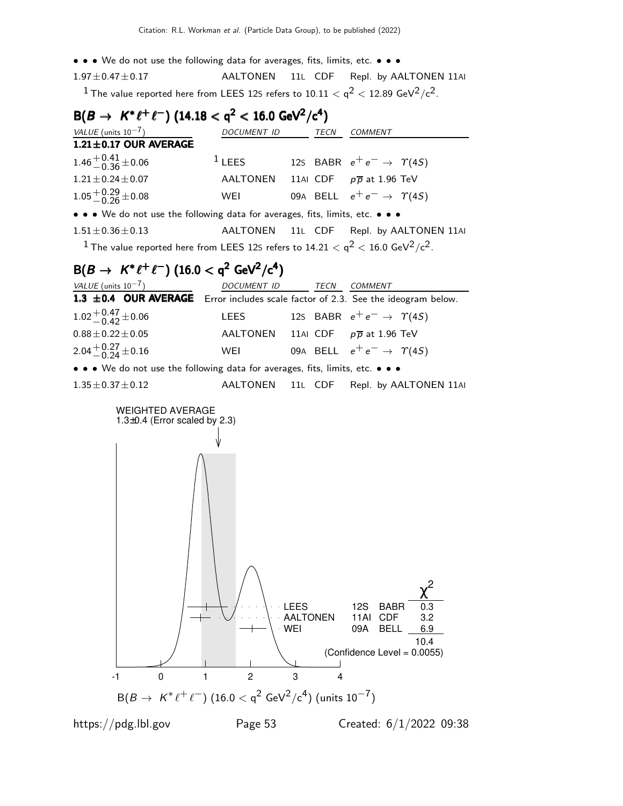- • We do not use the following data for averages, fits, limits, etc. • •
- 1.97±0.47±0.17 AALTONEN 11L CDF Repl. by AALTONEN 11AI  $^{\rm 1}$  The value reported here from LEES 12S refers to 10.11  $<$  q $^{\rm 2}$   $<$  12.89 GeV $^{\rm 2}/$ c $^{\rm 2}.$

| $B(B \to K^* \ell^+ \ell^-)$ (14.18 < q <sup>2</sup> < 16.0 GeV <sup>2</sup> /c <sup>4</sup> )                                    |             |  |      |                                               |  |
|-----------------------------------------------------------------------------------------------------------------------------------|-------------|--|------|-----------------------------------------------|--|
| VALUE (units $10^{-7}$ )                                                                                                          | DOCUMENT ID |  | TECN | COMMENT                                       |  |
| $1.21 \pm 0.17$ OUR AVERAGE                                                                                                       |             |  |      |                                               |  |
| $1.46^{+0.41}_{-0.36}$ ± 0.06                                                                                                     | $1$ LEES    |  |      | 125 BABR $e^+e^- \rightarrow \Upsilon(4S)$    |  |
| $1.21 \pm 0.24 \pm 0.07$                                                                                                          |             |  |      | AALTONEN 11AI CDF $p\overline{p}$ at 1.96 TeV |  |
| $1.05 + 0.29 + 0.08$                                                                                                              | WEI         |  |      | 09A BELL $e^+e^- \rightarrow \Upsilon(4S)$    |  |
| • • • We do not use the following data for averages, fits, limits, etc. • • •                                                     |             |  |      |                                               |  |
| $1.51 \pm 0.36 \pm 0.13$                                                                                                          |             |  |      | AALTONEN 11L CDF Repl. by AALTONEN 11AI       |  |
| <sup>1</sup> The value reported here from LEES 12S refers to 14.21 $<$ q <sup>2</sup> $<$ 16.0 GeV <sup>2</sup> /c <sup>2</sup> . |             |  |      |                                               |  |

## $B(B \to K^* \ell^+ \ell^-)$  (16.0  $<$  q<sup>2</sup> GeV<sup>2</sup>/c<sup>4</sup>)

| VALUE (units $10^{-7}$ )                                                         | DOCUMENT ID      | TECN | COMMENT                                    |
|----------------------------------------------------------------------------------|------------------|------|--------------------------------------------|
| 1.3 ±0.4 OUR AVERAGE Error includes scale factor of 2.3. See the ideogram below. |                  |      |                                            |
| $1.02 + 0.47 + 0.06$                                                             | LEES             |      | 125 BABR $e^+e^- \rightarrow \gamma(4S)$   |
| $0.88 \pm 0.22 \pm 0.05$                                                         | <b>AALTONEN</b>  |      | 11AI CDF $p\overline{p}$ at 1.96 TeV       |
| 2.04 $+0.27$ $\pm$ 0.16                                                          | WEI              |      | 09A BELL $e^+e^- \rightarrow \Upsilon(4S)$ |
| • • • We do not use the following data for averages, fits, limits, etc. • • •    |                  |      |                                            |
| $1.35 \pm 0.37 \pm 0.12$                                                         | AALTONEN 11L CDF |      | Repl. by AALTONEN 11AI                     |



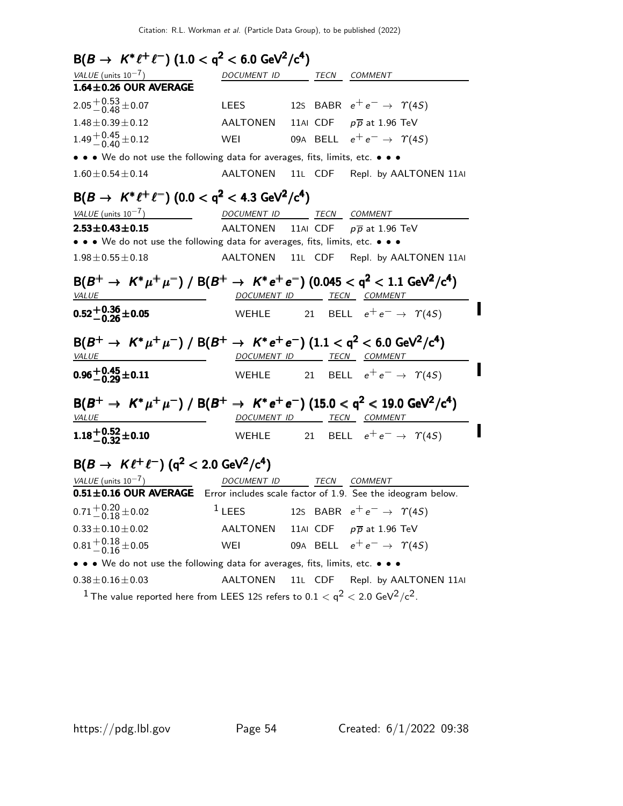$B(B \to K^* \ell^+ \ell^-)$   $(1.0 < q^2 < 6.0 \text{ GeV}^2/\text{c}^4)$ VALUE (units  $10^{-7}$ ) DOCUMENT ID TECN COMMENT  $1.64\pm0.26$  OUR AVERAGE  $2.05 + 0.53 + 0.07$ LEES 12S BABR  $e^+e^- \rightarrow \gamma(4S)$  $1.48\pm0.39\pm0.12$  AALTONEN 11AI CDF  $p\overline{p}$  at 1.96 TeV  $1.49 + 0.45 + 0.12$ WEI 09A BELL  $e^+e^- \rightarrow \gamma(4S)$ • • • We do not use the following data for averages, fits, limits, etc. • • • 1.60±0.54±0.14 AALTONEN 11L CDF Repl. by AALTONEN 11AI  $B(B \to K^* \ell^+ \ell^-)$   $(0.0 < q^2 < 4.3 \text{ GeV}^2/\text{c}^4)$ VALUE (units  $10^{-7}$ ) DOCUMENT ID TECN COMMENT **2.53** $\pm$ **0.43** $\pm$ **0.15** AALTONEN 11AI CDF  $p\overline{p}$  at 1.96 TeV • • • We do not use the following data for averages, fits, limits, etc. • • • 1.98±0.55±0.18 AALTONEN 11L CDF Repl. by AALTONEN 11AI  ${\cal B}(B^+ \to~K^* \mu^+ \mu^-)~/~{\cal B}(B^+ \to~K^* e^+ e^-)~(0.045 < q^2 < 1.1~{\rm GeV^2}/c^4)$ VALUE MERICULARI DOCUMENT ID TECN COMMENT I  $0.52^{+0.36}_{-0.26}$ ±0.05 WEHLE 21 BELL  $e^+e^- \rightarrow \gamma(4S)$  ${\rm B}(B^+ \to~K^* \mu^+ \mu^-)~/~{\rm B}(B^+ \to~K^* e^+ e^-)~(1.1 <{\rm q^2} < 6.0~{\rm GeV^2/c^4})$ VALUE DOCUMENT ID TECN COMMENT I  $0.96^{+0.45}_{-0.29}$ ±0.11 WEHLE 21 BELL  $e^+e^- \rightarrow \gamma(4S)$  $B(B^+ \to K^* \mu^+ \mu^-) / B(B^+ \to K^* e^+ e^-)$  (15.0 <  $\mathsf{q}^2$  < 19.0 GeV<sup>2</sup>/c<sup>4</sup>) VALUE 2000 DOCUMENT ID TECN COMMENT I  $1.18 + 0.52 + 0.10$ WEHLE 21 BELL  $e^+e^- \rightarrow \gamma(4S)$  $B(B \to K \ell^+ \ell^-)$  (q<sup>2</sup> < 2.0 GeV<sup>2</sup>/c<sup>4</sup>)  $VALUE$  (units  $10^{-7}$ ) DOCUMENT ID TECN COMMENT  $0.51\pm0.16$  OUR AVERAGE Error includes scale factor of 1.9. See the ideogram below.  $0.71 + 0.20 + 0.02$ <sup>1</sup> LEES 12S BABR  $e^+e^- \rightarrow \gamma(4S)$  $0.33 \pm 0.10 \pm 0.02$  AALTONEN 11AI CDF  $p\overline{p}$  at 1.96 TeV  $0.81 + 0.18 + 0.05$ WEI 09A BELL  $e^+e^- \rightarrow \gamma(4S)$ • • • We do not use the following data for averages, fits, limits, etc. • • •  $0.38\pm0.16\pm0.03$  AALTONEN 11L CDF Repl. by AALTONEN 11AI

 $^{\rm 1}$  The value reported here from LEES 12S refers to 0.1  $<$  q $^{\rm 2}$   $<$  2.0 GeV $^{\rm 2}/$ c $^{\rm 2}.$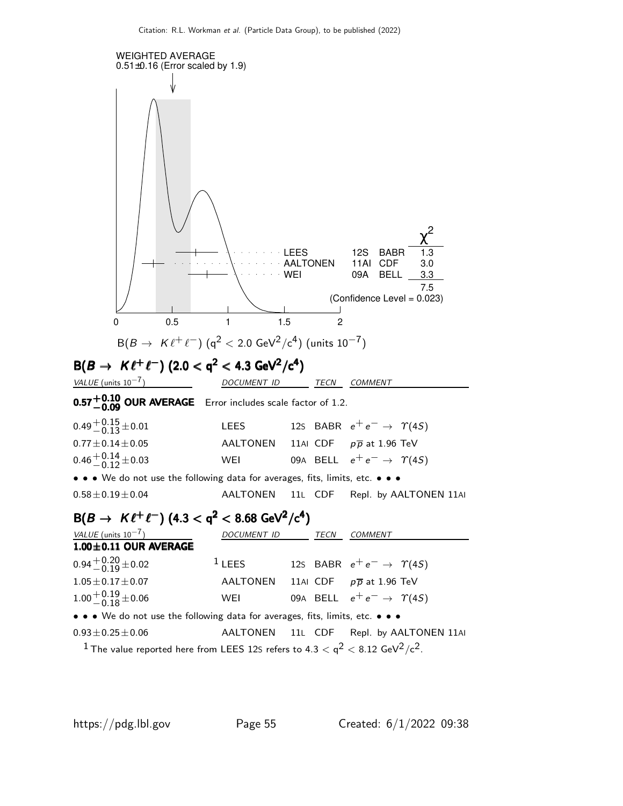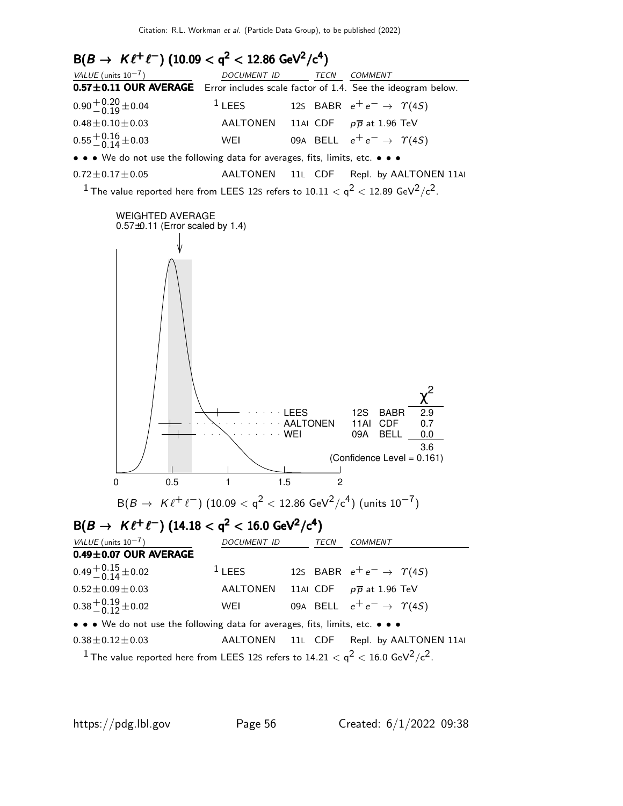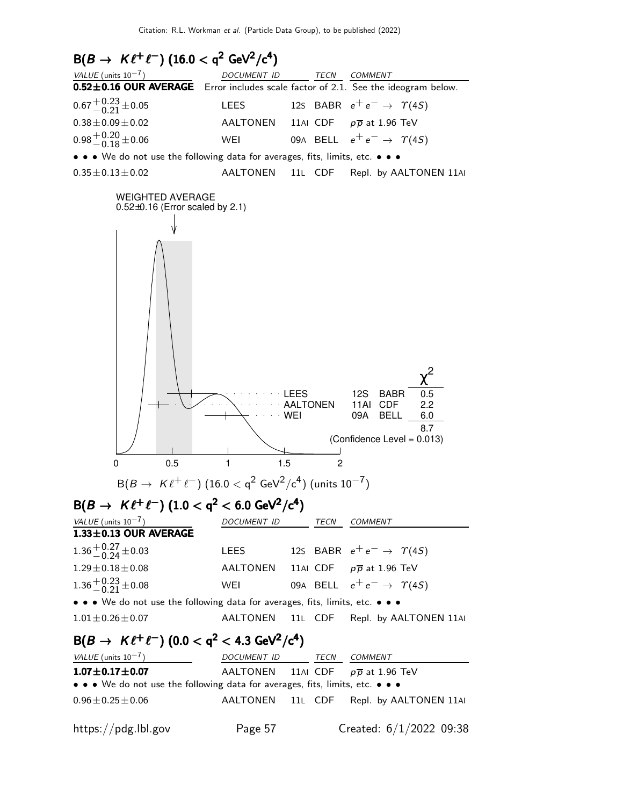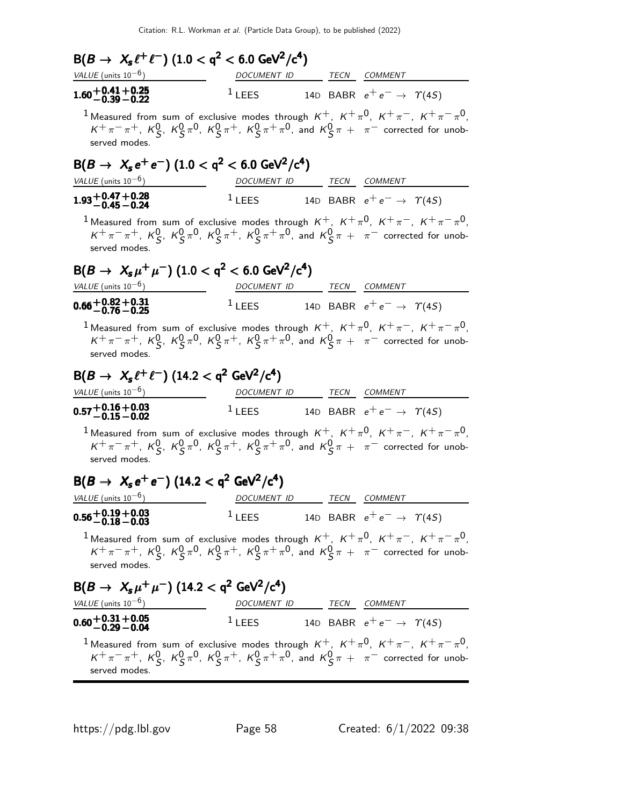| $B(B \to X_s \ell^+ \ell^-)$ (1.0 < q <sup>2</sup> < 6.0 GeV <sup>2</sup> /c <sup>4</sup> )                                                                                                                                                                  |                          |      |                                                            |
|--------------------------------------------------------------------------------------------------------------------------------------------------------------------------------------------------------------------------------------------------------------|--------------------------|------|------------------------------------------------------------|
| VALUE (units $10^{-6}$ )                                                                                                                                                                                                                                     | DOCUMENT ID              |      | TECN COMMENT                                               |
| $1.60 + 0.41 + 0.25$<br>-0.39 -0.22                                                                                                                                                                                                                          | $1$ LEES                 |      | 14D BABR $e^+e^- \rightarrow \Upsilon(4S)$                 |
| <sup>1</sup> Measured from sum of exclusive modes through $K^+$ , $K^+\pi^0$ , $K^+\pi^-$ , $K^+\pi^-\pi^0$ ,<br>$K^+\pi^-\pi^+$ , $K^0_S$ , $K^0_S\pi^0$ , $K^0_S\pi^+$ , $K^0_S\pi^+\pi^0$ , and $K^0_S\pi^+$ $\pi^-$ corrected for unob-<br>served modes. |                          |      |                                                            |
| $B(B \to X_s e^+ e^-)$ (1.0 < q <sup>2</sup> < 6.0 GeV <sup>2</sup> /c <sup>4</sup> )                                                                                                                                                                        |                          |      |                                                            |
| VALUE (units $10^{-6}$ )                                                                                                                                                                                                                                     | DOCUMENT ID              |      | TECN COMMENT                                               |
| $1.93\substack{+0.47 \\ -0.45} \substack{+0.28 \\ -0.24}$                                                                                                                                                                                                    | $1$ LEES                 |      | 14D BABR $e^+e^- \rightarrow \gamma(4S)$                   |
| <sup>1</sup> Measured from sum of exclusive modes through $K^+$ , $K^+\pi^0$ , $K^+\pi^-$ , $K^+\pi^-\pi^0$ ,<br>$K^+\pi^-\pi^+$ , $K^0_S$ , $K^0_S\pi^0$ , $K^0_S\pi^+$ , $K^0_S\pi^+\pi^0$ , and $K^0_S\pi^+$ $\pi^-$ corrected for unob-<br>served modes. |                          |      |                                                            |
| $B(B \to X_s \mu^+ \mu^-)$ (1.0 < q <sup>2</sup> < 6.0 GeV <sup>2</sup> /c <sup>4</sup> )                                                                                                                                                                    |                          |      |                                                            |
| VALUE (units $10^{-6}$ )                                                                                                                                                                                                                                     | DOCUMENT ID TECN COMMENT |      |                                                            |
| $0.66 + 0.82 + 0.31$<br>0.66 $-$ 0.76 $-$ 0.25                                                                                                                                                                                                               | $1$ LEES                 |      | 14D BABR $e^+e^- \rightarrow \gamma(45)$                   |
| <sup>1</sup> Measured from sum of exclusive modes through $K^+$ , $K^+\pi^0$ , $K^+\pi^-$ , $K^+\pi^-\pi^0$ ,<br>$K^+\pi^-\pi^+$ , $K^0_S$ , $K^0_S\pi^0$ , $K^0_S\pi^+$ , $K^0_S\pi^+\pi^0$ , and $K^0_S\pi^+$ $\pi^-$ corrected for unob-<br>served modes. |                          |      |                                                            |
| $B(B \to X_s \ell^+ \ell^-)$ (14.2 < q <sup>2</sup> GeV <sup>2</sup> /c <sup>4</sup> )<br>VALUE (units $10^{-6}$ )                                                                                                                                           | DOCUMENT ID TECN COMMENT |      |                                                            |
| $\rm 0.57^{+0.16}_{-0.15}{}^{+0.03}_{-0.02}$                                                                                                                                                                                                                 | $1$ LEES                 |      | 14D BABR $e^+e^- \rightarrow \gamma(45)$                   |
| <sup>1</sup> Measured from sum of exclusive modes through $K^+$ , $K^+\pi^0$ , $K^+\pi^-$ , $K^+\pi^-\pi^0$ ,<br>$K^+\pi^-\pi^+$ , $K^0_S$ , $K^0_S\pi^0$ , $K^0_S\pi^+$ , $K^0_S\pi^+\pi^0$ , and $K^0_S\pi^+$ $\pi^-$ corrected for unob-<br>served modes. |                          |      |                                                            |
| $B(B \to X_s e^+ e^-)$ (14.2 < q <sup>2</sup> GeV <sup>2</sup> /c <sup>4</sup> )                                                                                                                                                                             |                          |      |                                                            |
| VALUE (units $10^{-6}$ )                                                                                                                                                                                                                                     | <i>DOCUMENT ID</i>       | TECN | COMMENT                                                    |
| $0.56^{+0.19}_{-0.18}\phantom{}_{-0.03}^{+0.09}_{-0.08}$                                                                                                                                                                                                     | $1$ LEES                 |      | 14D BABR $e^+e^- \rightarrow \gamma(45)$                   |
| <sup>1</sup> Measured from sum of exclusive modes through $K^+$ , $K^+\pi^0$ , $K^+\pi^-$ , $K^+\pi^-\pi^0$ ,<br>$K^+\pi^-\pi^+$ , $K^0_S$ , $K^0_S\pi^0$ , $K^0_S\pi^+$ , $K^0_S\pi^+\pi^0$ , and $K^0_S\pi^+$ $\pi^-$ corrected for unob-<br>served modes. |                          |      |                                                            |
| $B(B \to X_s \mu^+ \mu^-)$ (14.2 < q <sup>2</sup> GeV <sup>2</sup> /c <sup>4</sup> )                                                                                                                                                                         |                          |      |                                                            |
| VALUE (units $10^{-6}$ )                                                                                                                                                                                                                                     | DOCUMENT ID TECN COMMENT |      |                                                            |
| $0.60 + 0.31 + 0.05$<br>$-0.29 - 0.04$                                                                                                                                                                                                                       |                          |      | <sup>1</sup> LEES 14D BABR $e^+e^- \rightarrow \gamma(45)$ |
| <sup>1</sup> Measured from sum of exclusive modes through $K^+$ , $K^+\pi^0$ , $K^+\pi^-$ , $K^+\pi^-\pi^0$ ,<br>$K^+\pi^-\pi^+$ , $K^0_S$ , $K^0_S\pi^0$ , $K^0_S\pi^+$ , $K^0_S\pi^+\pi^0$ , and $K^0_S\pi^+$ $\pi^-$ corrected for unob-<br>served modes. |                          |      |                                                            |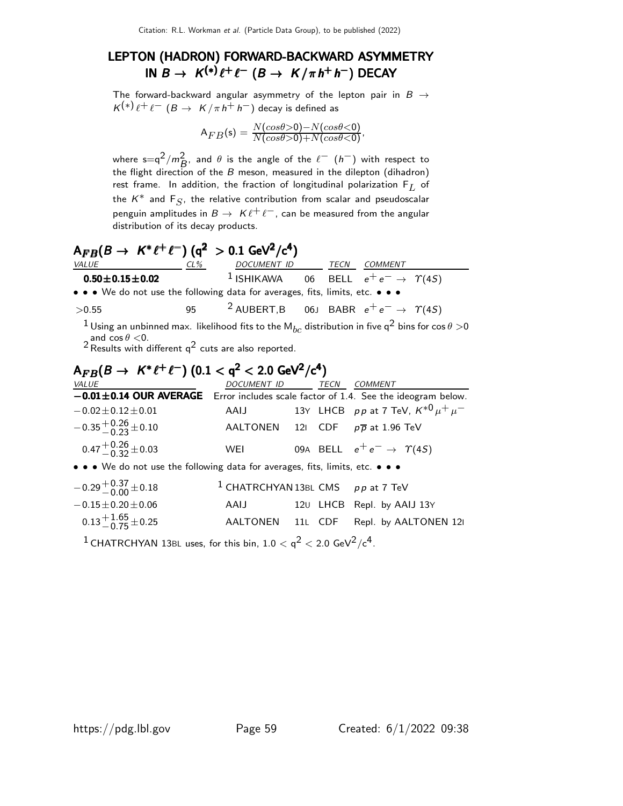### LEPTON (HADRON) FORWARD-BACKWARD ASYMMETRY IN  $B \to K^{(*)} \ell^+ \ell^ (B \to K/\pi \, h^+ \, h^-)$  DECAY

The forward-backward angular asymmetry of the lepton pair in  $B \rightarrow$  $\mathcal{K}^{(*)}\ell^+\ell^ (B\to~\mathcal{K}/\pi\,h^+\,h^-)$  decay is defined as

$$
A_{FB}(s) = \frac{N(cos\theta>0) - N(cos\theta<0)}{N(cos\theta>0) + N(cos\theta<0)},
$$

where s=q<sup>2</sup>/m<sup>2</sup><sub>B</sub>, and  $\theta$  is the angle of the  $\ell^-$  (h<sup>-</sup>) with respect to the flight direction of the  $B$  meson, measured in the dilepton (dihadron) rest frame. In addition, the fraction of longitudinal polarization  $F_L$  of the  $K^*$  and  $\mathsf{F}_S$ , the relative contribution from scalar and pseudoscalar penguin amplitudes in  $B \to K \ell^+ \ell^-$ , can be measured from the angular distribution of its decay products.

## $A_{FB}(B \to K^* \ell^+ \ell^-)$  (q<sup>2</sup> > 0.1 GeV<sup>2</sup>/c<sup>4</sup>)

| VALUE                                                                                                                                                                                                                                             | $CL\%$ | DOCUMENT ID TECN COMMENT                                        |  |  |
|---------------------------------------------------------------------------------------------------------------------------------------------------------------------------------------------------------------------------------------------------|--------|-----------------------------------------------------------------|--|--|
| $0.50 \pm 0.15 \pm 0.02$                                                                                                                                                                                                                          |        | <sup>1</sup> ISHIKAWA 06 BELL $e^+e^- \rightarrow \Upsilon(4S)$ |  |  |
| • • • We do not use the following data for averages, fits, limits, etc. • • •                                                                                                                                                                     |        |                                                                 |  |  |
| >0.55                                                                                                                                                                                                                                             |        | <sup>2</sup> AUBERT, B 06J BABR $e^+e^- \rightarrow \gamma(45)$ |  |  |
| <sup>1</sup> Using an unbinned max. likelihood fits to the M <sub>bc</sub> distribution in five q <sup>2</sup> bins for cos $\theta > 0$<br>and $\cos \theta < 0$ .<br><sup>2</sup> Results with different q <sup>2</sup> cuts are also reported. |        |                                                                 |  |  |

### ${\sf A}_{FB}(B\to~K^*\ell^+\ell^-)~(0.1 <{\sf q}^2 < 2.0~{\sf GeV}^2/{\sf c}^4)$ VALUE DOCUMENT ID TECN COMMENT −0.01±0.14 OUR AVERAGE Error includes scale factor of 1.4. See the ideogram below.  $-0.02 \pm 0.12 \pm 0.01$  AAIJ 13Y LHCB pp at 7 TeV,  $K^{*0} \mu^+ \mu^ -0.35 + 0.26 + 0.10$  $AALTONEN$  12I CDF  $p\overline{p}$  at 1.96 TeV  $0.47 + 0.26 + 0.03$ WEI 09A BELL  $e^+e^- \rightarrow \gamma(4S)$ • • • We do not use the following data for averages, fits, limits, etc. • • •  $-0.29 + 0.37 + 0.18$  $1$  CHATRCHYAN 13BL CMS p p at 7 TeV  $-0.15\pm0.20\pm0.06$  AAIJ 12U LHCB Repl. by AAIJ 13Y  $0.13 + 1.65 + 0.25$ <sup>−</sup>0.<sup>75</sup> <sup>±</sup>0.25 AALTONEN 11<sup>L</sup> CDF Repl. by AALTONEN 12<sup>I</sup>

 $^1$  CHATRCHYAN 13BL uses, for this bin, 1.0  $<$  q $^2$   $<$  2.0 GeV $^2/\mathrm{c}^4$ .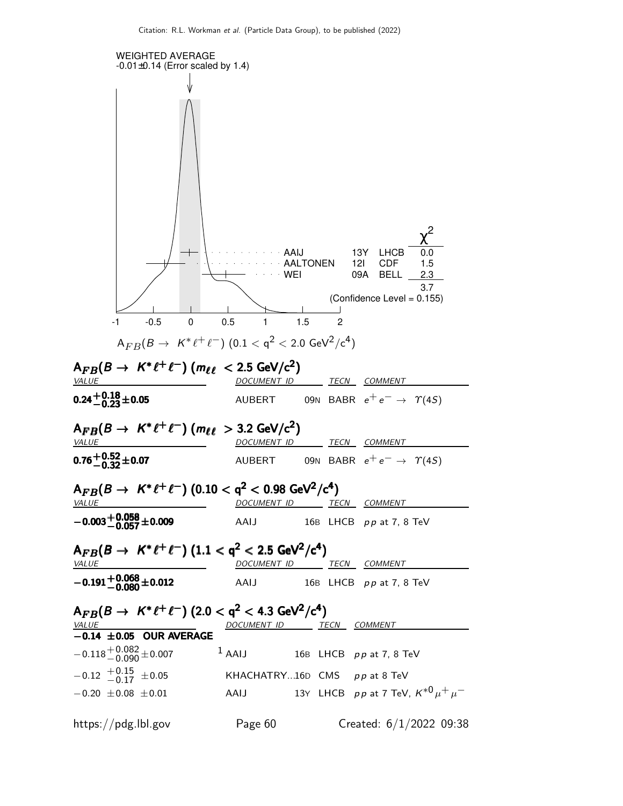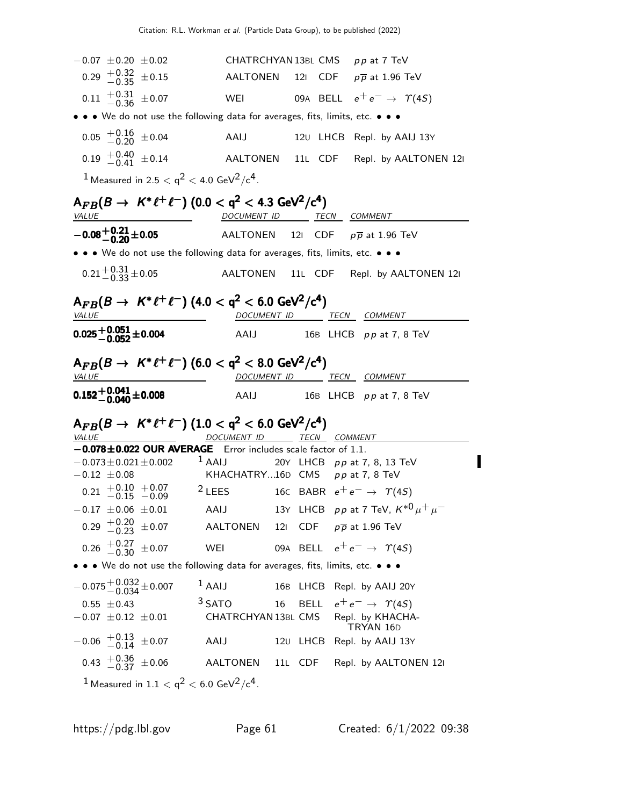|                                                                                                                         |                                   |                                     | CHATRCHYAN 13BL CMS pp at 7 TeV              |
|-------------------------------------------------------------------------------------------------------------------------|-----------------------------------|-------------------------------------|----------------------------------------------|
| $0.29 + 0.32 + 0.15$                                                                                                    | AALTONEN                          |                                     | 121 CDF $p\overline{p}$ at 1.96 TeV          |
| $0.11 \begin{array}{c} +0.31 \\ -0.36 \end{array} \pm 0.07$                                                             |                                   |                                     | WEI 09A BELL $e^+e^- \rightarrow \gamma(4S)$ |
| • • • We do not use the following data for averages, fits, limits, etc. • • •                                           |                                   |                                     |                                              |
| $0.05 \begin{array}{l} +0.16 \\ -0.20 \end{array} \pm 0.04$                                                             | AAIJ                              |                                     | 120 LHCB Repl. by AAIJ 13Y                   |
| $0.19 + 0.40 + 0.14$                                                                                                    |                                   |                                     | AALTONEN 11L CDF Repl. by AALTONEN 121       |
| $1$ Measured in 2.5 $<$ q <sup>2</sup> $<$ 4.0 GeV <sup>2</sup> /c <sup>4</sup> .                                       |                                   |                                     |                                              |
| ${\sf A}_{FB}(B\to~K^*\ell^+\ell^-)$ (0.0 $<$ q <sup>2</sup> $<$ 4.3 GeV <sup>2</sup> /c <sup>4</sup> )<br><b>VALUE</b> | DOCUMENT ID TECN COMMENT          |                                     |                                              |
| $-0.08 + 0.21 + 0.05$                                                                                                   |                                   |                                     | AALTONEN 121 CDF $p\overline{p}$ at 1.96 TeV |
| • • • We do not use the following data for averages, fits, limits, etc. • • •                                           |                                   |                                     |                                              |
| $0.21 + 0.31 + 0.05$                                                                                                    |                                   |                                     | AALTONEN 11L CDF Repl. by AALTONEN 121       |
| ${\sf A}_{FB}(B\to~K^*\ell^+\ell^-)$ (4.0 $<{\sf q}^2<{\sf 6.0~GeV^2/c^4})$<br>VALUE                                    |                                   | DOCUMENT ID TECN COMMENT            |                                              |
| $0.025 + 0.051 + 0.004$                                                                                                 | AAIJ                              |                                     | 16B LHCB $pp$ at 7, 8 TeV                    |
| $A_{FB}(B \to K^* \ell^+ \ell^-)$ (6.0 $<$ q <sup>2</sup> $<$ 8.0 GeV <sup>2</sup> /c <sup>4</sup> )                    |                                   |                                     |                                              |
| <i>VALUE</i>                                                                                                            |                                   | DOCUMENT ID TECN COMMENT            |                                              |
| $0.152 + 0.041 + 0.008$                                                                                                 |                                   |                                     | AAIJ 16B LHCB pp at 7, 8 TeV                 |
|                                                                                                                         |                                   |                                     |                                              |
| ${\sf A}_{FB}(B\to~K^*\ell^+\ell^-)$ $(1.0 <{\sf q}^2 < 6.0$ GeV <sup>2</sup> /c <sup>4</sup> )<br><b>VALUE</b>         | DOCUMENT ID TECN COMMENT          |                                     |                                              |
| -0.078±0.022 OUR AVERAGE Error includes scale factor of 1.1.                                                            |                                   |                                     |                                              |
| $-0.073 \pm 0.021 \pm 0.002$ <sup>1</sup> AAIJ                                                                          |                                   |                                     | 20Y LHCB pp at 7, 8, 13 TeV                  |
| $-0.12 \pm 0.08$                                                                                                        | KHACHATRY16D CMS $pp$ at 7, 8 TeV |                                     |                                              |
| $0.21 \begin{array}{l} +0.10 +0.07 \\ -0.15 -0.09 \end{array}$ 2 LEES                                                   |                                   |                                     | 16C BABR $e^+e^- \rightarrow \gamma(4S)$     |
| $-0.17$ $\pm 0.06$ $\pm 0.01$ AAIJ $13$ Y LHCB ppat 7 TeV, $K^{*0} \mu^+ \mu^-$                                         |                                   |                                     |                                              |
| $0.29 + 0.20 + 0.07$                                                                                                    | AALTONEN                          | 121 CDF $p\overline{p}$ at 1.96 TeV |                                              |
| $0.26 \begin{array}{l} +0.27 \\ -0.30 \end{array} \pm 0.07$                                                             | WEI                               |                                     | 09A BELL $e^+e^- \rightarrow \gamma(4S)$     |
| • • • We do not use the following data for averages, fits, limits, etc. • • •                                           |                                   |                                     |                                              |
| $-0.075^{+0.032}_{-0.034}$ ±0.007                                                                                       | $1$ AAIJ                          |                                     | 16B LHCB Repl. by AAIJ 20Y                   |
| $0.55 \pm 0.43$                                                                                                         | <sup>3</sup> SATO                 | 16                                  | BELL $e^+e^- \rightarrow \gamma(4S)$         |
| $-0.07 \pm 0.12 \pm 0.01$                                                                                               |                                   |                                     | CHATRCHYAN 13BL CMS Repl. by KHACHA-         |
| $-0.06$ $+0.13$ $\pm 0.07$                                                                                              | AAIJ                              | 120 LHCB                            | TRYAN 16D<br>Repl. by AAIJ 13Y               |
| $0.43 \begin{array}{c} +0.36 \\ -0.37 \end{array} \pm 0.06$                                                             | AALTONEN                          | 11L CDF                             | Repl. by AALTONEN 121                        |

 $\blacksquare$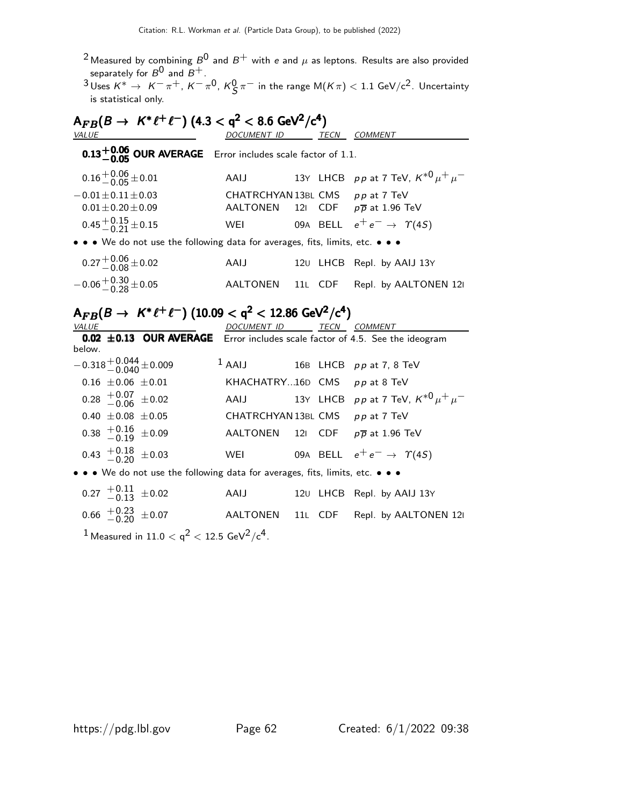- $^2$ Measured by combining  $B^0$  and  $B^+$  with  $e$  and  $\mu$  as leptons. Results are also provided separately for  $\mathcal{B}^{\mathsf{0}}$  and  $\mathcal{B}^{+}.$
- $^3$ Uses  $\mathcal{K}^* \to \ \mathcal{K}^- \, \pi^+, \, \mathcal{K}^- \, \pi^0, \, \mathcal{K}^0_\mathcal{S} \, \pi^-$  in the range M $(\mathcal{K} \pi) < 1.1$  GeV/c<sup>2</sup>. Uncertainty is statistical only.

| $A_{FB}(B \to K^* \ell^+ \ell^-)$ (4.3 < q <sup>2</sup> < 8.6 GeV <sup>2</sup> /c <sup>4</sup> ) |                                 |  |      |                                              |  |  |
|--------------------------------------------------------------------------------------------------|---------------------------------|--|------|----------------------------------------------|--|--|
| VALUE                                                                                            | <b>DOCUMENT ID</b>              |  | TECN | <b>COMMENT</b>                               |  |  |
| $0.13^{+0.06}_{-0.05}$ OUR AVERAGE Error includes scale factor of 1.1.                           |                                 |  |      |                                              |  |  |
| $0.16 + 0.06 + 0.01$                                                                             | AAIJ                            |  |      | 13Y LHCB pp at 7 TeV, $K^{*0} \mu^+ \mu^-$   |  |  |
| $-0.01 \pm 0.11 \pm 0.03$                                                                        | CHATRCHYAN 13BL CMS pp at 7 TeV |  |      |                                              |  |  |
| $0.01 + 0.20 + 0.09$                                                                             |                                 |  |      | AALTONEN 121 CDF $p\overline{p}$ at 1.96 TeV |  |  |
| $0.45 + 0.15 + 0.15$                                                                             | WEI                             |  |      | 09A BELL $e^+e^- \rightarrow \Upsilon(4S)$   |  |  |
| • • • We do not use the following data for averages, fits, limits, etc. • • •                    |                                 |  |      |                                              |  |  |
| $0.27 + 0.06 + 0.02$                                                                             | AAIJ                            |  |      | 120 LHCB Repl. by AAIJ 13Y                   |  |  |
| $-0.06 + {}^{+0.30}_{-0.28} \pm 0.05$                                                            | AALTONEN 11L                    |  | CDF  | Repl. by AALTONEN 12                         |  |  |

## ${\sf A}_{FB}(B\to~K^*\ell^+\ell^-)~(10.09 <{\sf q}^2 < 12.86~{\sf GeV}^2/{\sf c}^4)$

| VALUE  |                                                             |                                                                                              | DOCUMENT ID TECN COMMENT         |  |                                                                             |
|--------|-------------------------------------------------------------|----------------------------------------------------------------------------------------------|----------------------------------|--|-----------------------------------------------------------------------------|
| below. |                                                             |                                                                                              |                                  |  | 0.02 ±0.13 OUR AVERAGE Error includes scale factor of 4.5. See the ideogram |
|        | $-0.318 + 0.044 + 0.009$                                    |                                                                                              | $1$ AAIJ 16B LHCB pp at 7, 8 TeV |  |                                                                             |
|        | $0.16 \pm 0.06 \pm 0.01$                                    |                                                                                              | $KHACHATRY16D$ CMS ppat 8 TeV    |  |                                                                             |
|        | $0.28 \begin{array}{l} +0.07 \\ -0.06 \end{array} \pm 0.02$ |                                                                                              |                                  |  | AAIJ 13Y LHCB pp at 7 TeV, $K^{*0} \mu^+ \mu^-$                             |
|        | $0.40 \pm 0.08 \pm 0.05$                                    |                                                                                              | CHATRCHYAN 13BL CMS pp at 7 TeV  |  |                                                                             |
|        | $0.38$ $^{+0.16}_{-0.19}$ ±0.09                             |                                                                                              |                                  |  | AALTONEN 121 CDF $p\overline{p}$ at 1.96 TeV                                |
|        | $0.43 \begin{array}{l} +0.18 \\ -0.20 \end{array} \pm 0.03$ |                                                                                              |                                  |  | WEI 09A BELL $e^+e^- \rightarrow \gamma(4S)$                                |
|        |                                                             | • • • We do not use the following data for averages, fits, limits, etc. • • •                |                                  |  |                                                                             |
|        | $0.27 \begin{array}{c} +0.11 \\ -0.13 \end{array} \pm 0.02$ |                                                                                              | AAIJ                             |  | 120 LHCB Repl. by AAIJ 13Y                                                  |
|        |                                                             |                                                                                              |                                  |  | $0.66 \frac{+0.23}{-0.20} \pm 0.07$ AALTONEN 11L CDF Repl. by AALTONEN 12   |
|        |                                                             | <sup>1</sup> Measured in 11.0 $<$ q <sup>2</sup> $<$ 12.5 GeV <sup>2</sup> /c <sup>4</sup> . |                                  |  |                                                                             |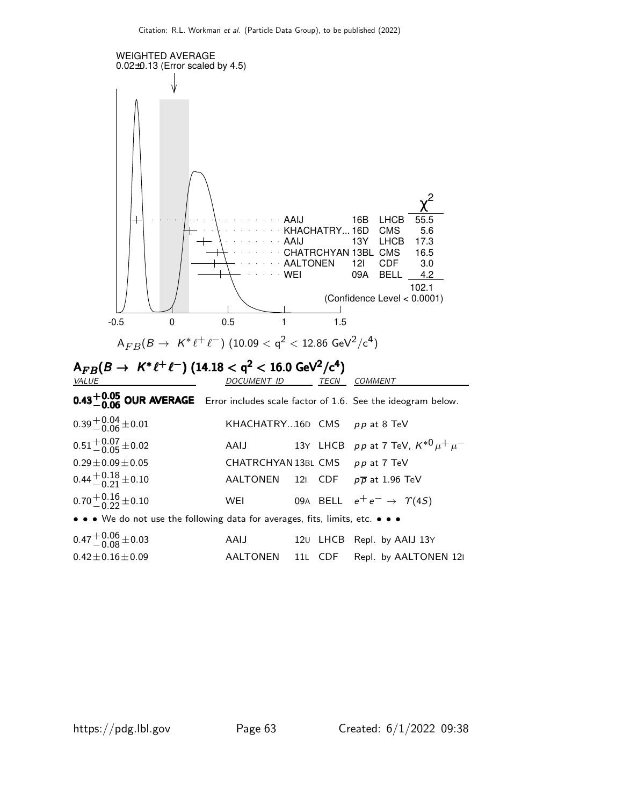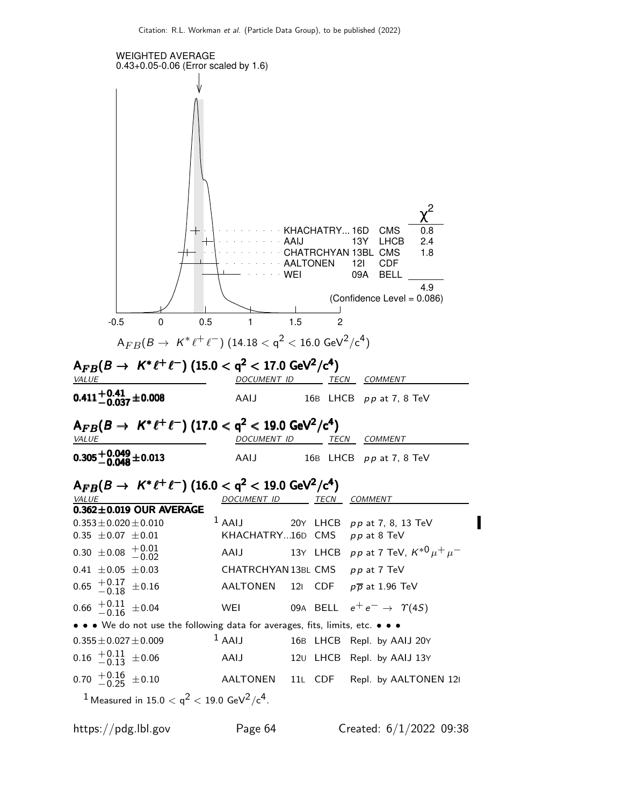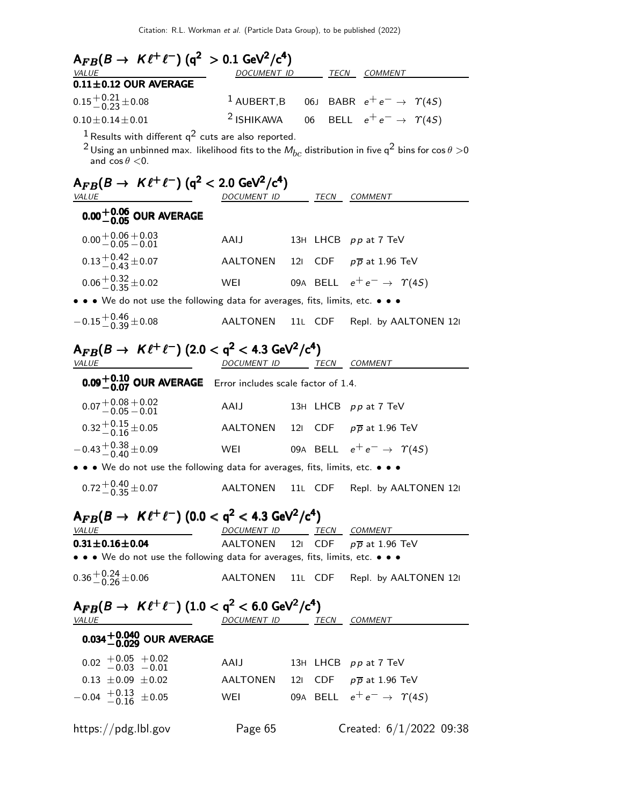| $A_{FB}(B \to K \ell^+ \ell^-)$ (q <sup>2</sup> > 0.1 GeV <sup>2</sup> /c <sup>4</sup> )                                                           |                           |     |         |                                                                |
|----------------------------------------------------------------------------------------------------------------------------------------------------|---------------------------|-----|---------|----------------------------------------------------------------|
| <u>VALUE</u><br>$0.11 \pm 0.12$ OUR AVERAGE                                                                                                        |                           |     |         | DOCUMENT ID TECN COMMENT                                       |
| $0.15 + 0.21 + 0.08$                                                                                                                               |                           |     |         | <sup>1</sup> AUBERT,B 06J BABR $e^+e^- \rightarrow \gamma(45)$ |
| $0.10 \pm 0.14 \pm 0.01$                                                                                                                           | <sup>2</sup> ISHIKAWA     |     |         | 06 BELL $e^+e^- \rightarrow \Upsilon(4S)$                      |
| $1$ Results with different $q^2$ cuts are also reported.                                                                                           |                           |     |         |                                                                |
| $^{2}$ Using an unbinned max. likelihood fits to the $M_{bc}$ distribution in five q $^{2}$ bins for cos $\theta$ $>$ 0<br>and $\cos \theta < 0$ . |                           |     |         |                                                                |
| $A_{FB}(B \to K \ell^+ \ell^-)$ (q <sup>2</sup> < 2.0 GeV <sup>2</sup> /c <sup>4</sup> )<br><b>VALUE</b>                                           | DOCUMENT ID TECN COMMENT  |     |         |                                                                |
| $0.00^{+0.06}_{-0.05}$ OUR AVERAGE                                                                                                                 |                           |     |         |                                                                |
| $0.00 + 0.06 + 0.03$<br>$-0.05 - 0.01$                                                                                                             | AAIJ                      |     |         | 13H LHCB pp at 7 TeV                                           |
| $0.13 + 0.42 + 0.07$                                                                                                                               |                           |     |         | AALTONEN 121 CDF $p\overline{p}$ at 1.96 TeV                   |
| $0.06 + 0.32 + 0.02$                                                                                                                               | WEI                       |     |         | 09A BELL $e^+e^- \rightarrow \Upsilon(4S)$                     |
| • • We do not use the following data for averages, fits, limits, etc. • • •                                                                        |                           |     |         |                                                                |
| $-0.15^{+0.46}_{-0.39}$ ± 0.08                                                                                                                     | <b>AALTONEN</b>           |     |         | 11L CDF Repl. by AALTONEN 121                                  |
| $A_{FB}(B \to K \ell^+ \ell^-)$ (2.0 < q <sup>2</sup> < 4.3 GeV <sup>2</sup> /c <sup>4</sup> )<br><i>VALUE</i>                                     | DOCUMENT ID TECN COMMENT  |     |         |                                                                |
| $0.09^{+0.10}_{-0.07}$ OUR AVERAGE Error includes scale factor of 1.4.                                                                             |                           |     |         |                                                                |
| $0.07 + 0.08 + 0.02$<br>$-0.05 - 0.01$                                                                                                             | AAIJ                      |     |         | 13H LHCB pp at 7 TeV                                           |
| $0.32 + 0.15 + 0.05$                                                                                                                               | AALTONEN                  | 121 |         | CDF $p\overline{p}$ at 1.96 TeV                                |
| $-0.43 + {}^{+0.38}_{-0.40} \pm 0.09$                                                                                                              |                           |     |         | WEI 09A BELL $e^+e^- \rightarrow \gamma(4S)$                   |
| • • We do not use the following data for averages, fits, limits, etc. • • •                                                                        |                           |     |         |                                                                |
| $0.72^{+0.40}_{-0.35}$ ± 0.07                                                                                                                      | <b>AALTONEN</b>           |     | 11L CDF | Repl. by AALTONEN 121                                          |
| $A_{FB}(B \to K \ell^+ \ell^-)$ (0.0 < q <sup>2</sup> < 4.3 GeV <sup>2</sup> /c <sup>4</sup> )                                                     |                           |     |         |                                                                |
| <b>VALUE</b>                                                                                                                                       |                           |     |         | DOCUMENT ID _______ TECN COMMENT                               |
| $0.31 \pm 0.16 \pm 0.04$<br>• • • We do not use the following data for averages, fits, limits, etc. • • •                                          |                           |     |         | AALTONEN 121 CDF $p\overline{p}$ at 1.96 TeV                   |
| $0.36 + 0.24 + 0.06$                                                                                                                               |                           |     |         | AALTONEN 11L CDF Repl. by AALTONEN 12I                         |
| $A_{FB}(B \to K \ell^+ \ell^-)$ (1.0 < q <sup>2</sup> < 6.0 GeV <sup>2</sup> /c <sup>4</sup> )<br>VALUE <b>ACCEPT AND ACCEPT</b>                   | DOCUMENT ID TECN COMMENT  |     |         |                                                                |
| $0.034^{+0.040}_{-0.029}$ OUR AVERAGE                                                                                                              |                           |     |         |                                                                |
| $0.02$ + $0.05$ + $0.02$<br>-0.03 - 0.01                                                                                                           | AAIJ 13H LHCB pp at 7 TeV |     |         |                                                                |
| $0.13 \pm 0.09 \pm 0.02$                                                                                                                           |                           |     |         | AALTONEN 121 CDF $p\overline{p}$ at 1.96 TeV                   |
| $-0.04$ $+0.13$ $\pm 0.05$                                                                                                                         |                           |     |         | WEI 09A BELL $e^+e^- \rightarrow \; \; \gamma(4S)$             |
| https://pdg.lbl.gov                                                                                                                                | Page 65                   |     |         | Created: $6/1/2022$ 09:38                                      |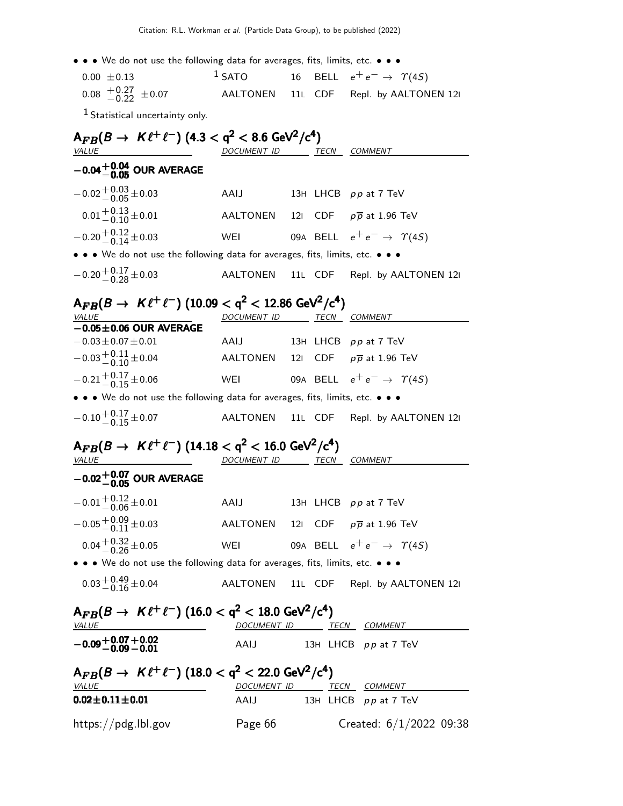| $0.00 \pm 0.13$                                             | $1$ SATO | 16 BELL $e^+e^- \rightarrow \Upsilon(4S)$ |
|-------------------------------------------------------------|----------|-------------------------------------------|
| $0.08 \begin{array}{l} +0.27 \\ -0.22 \end{array} \pm 0.07$ |          | AALTONEN 11L CDF Repl. by AALTONEN 12     |

1 Statistical uncertainty only.

| $A_{FB}(B \to K \ell^+ \ell^-)$ (4.3 < q <sup>2</sup> < 8.6 GeV <sup>2</sup> /c <sup>4</sup> )<br><u>VALUE</u>                       | DOCUMENT ID TECN COMMENT |  |                                                |
|--------------------------------------------------------------------------------------------------------------------------------------|--------------------------|--|------------------------------------------------|
| $-0.04^{+0.04}_{-0.05}$ OUR AVERAGE                                                                                                  |                          |  |                                                |
| $-0.02 + 0.03 + 0.03$                                                                                                                | AAIJ                     |  | 13H LHCB pp at 7 TeV                           |
| $0.01 + 0.13 + 0.01$                                                                                                                 |                          |  | AALTONEN 121 CDF $p\overline{p}$ at 1.96 TeV   |
| $-0.20 + 0.12 + 0.03$                                                                                                                | WEI                      |  | 09A BELL $e^+e^- \rightarrow \Upsilon(4S)$     |
| $\bullet\,\bullet\,\bullet\,$ We do not use the following data for averages, fits, limits, etc. $\bullet\,\bullet\,\bullet\,\bullet$ |                          |  |                                                |
| $-0.20 + 0.17 + 0.03$                                                                                                                | AALTONEN                 |  | 11L CDF Repl. by AALTONEN 121                  |
| $A_{FB}(B \to K \ell^+ \ell^-)$ (10.09 < q <sup>2</sup> < 12.86 GeV <sup>2</sup> /c <sup>4</sup> )<br><b>VALUE</b>                   | DOCUMENT ID TECN COMMENT |  |                                                |
| $-0.05 \pm 0.06$ OUR AVERAGE                                                                                                         |                          |  |                                                |
| $-0.03 \pm 0.07 \pm 0.01$                                                                                                            | AAIJ                     |  | 13H LHCB pp at 7 TeV                           |
| $-0.03 + 0.11 + 0.04$                                                                                                                |                          |  | AALTONEN 121 CDF $p\overline{p}$ at 1.96 TeV   |
| $-0.21 + 0.17 + 0.06$                                                                                                                |                          |  | WEI 09A BELL $e^+e^- \rightarrow \Upsilon(45)$ |
| $\bullet\,\bullet\,\bullet\,$ We do not use the following data for averages, fits, limits, etc. $\bullet\,\bullet\,\bullet\,\bullet$ |                          |  |                                                |
| $-0.10^{+0.17}_{-0.15}$ ± 0.07                                                                                                       |                          |  | AALTONEN 11L CDF Repl. by AALTONEN 12I         |
| $A_{FB}(B \to K \ell^+ \ell^-)$ (14.18 $< q^2 < 16.0$ GeV <sup>2</sup> /c <sup>4</sup> )<br><b>VALUE</b>                             | DOCUMENT ID TECN COMMENT |  |                                                |
| $-0.02^{+0.07}_{-0.05}$ OUR AVERAGE                                                                                                  |                          |  |                                                |
| $-0.01 + 0.12 + 0.01$                                                                                                                | AAIJ                     |  | 13H LHCB pp at 7 TeV                           |
| $-0.05 + 0.09 + 0.03$                                                                                                                |                          |  | AALTONEN 121 CDF $p\overline{p}$ at 1.96 TeV   |
| $0.04 + 0.32 + 0.05$                                                                                                                 |                          |  | WEI 09A BELL $e^+e^- \rightarrow \gamma(4S)$   |
| $\bullet\,\bullet\,\bullet\,$ We do not use the following data for averages, fits, limits, etc. $\bullet\,\bullet\,\bullet\,\bullet$ |                          |  |                                                |
| $0.03\genfrac{}{}{0pt}{}{+0.49}{-0.16}\pm0.04$                                                                                       |                          |  | AALTONEN 11L CDF Repl. by AALTONEN 121         |
| $A_{FB}(B \to K \ell^+ \ell^-)$ (16.0 < q <sup>2</sup> < 18.0 GeV <sup>2</sup> /c <sup>4</sup> )<br>VALUE                            |                          |  | DOCUMENT ID TECN COMMENT                       |
| $-0.09 + 0.07 + 0.02$<br>$-0.09 - 0.01$                                                                                              | AAIJ                     |  | 13H LHCB pp at 7 TeV                           |
| $A_{FB}(B \to K \ell^+ \ell^-)$ (18.0 < q <sup>2</sup> < 22.0 GeV <sup>2</sup> /c <sup>4</sup> )<br><b>VALUE</b>                     |                          |  | DOCUMENT ID TECN COMMENT                       |
| $0.02 \pm 0.11 \pm 0.01$                                                                                                             | AAIJ                     |  | 13H LHCB pp at 7 TeV                           |
| $\frac{h}{\text{https://pdg.lbl.gov}}$                                                                                               | Page 66                  |  | Created: $6/1/2022$ 09:38                      |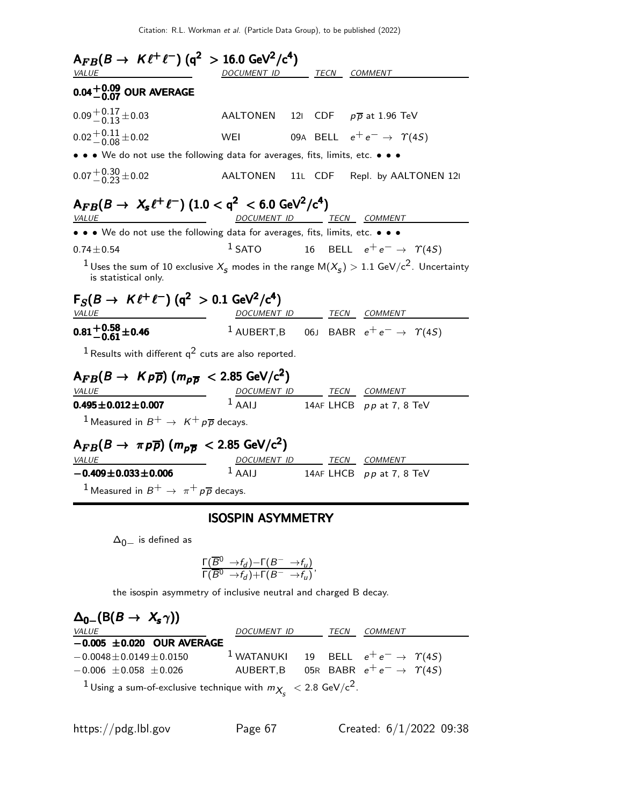| $A_{FB}(B \to K \ell^+ \ell^-)$ (q <sup>2</sup> > 16.0 GeV <sup>2</sup> /c <sup>4</sup> )        |                          |  |                                                                                                                                    |
|--------------------------------------------------------------------------------------------------|--------------------------|--|------------------------------------------------------------------------------------------------------------------------------------|
| <b>VALUE</b>                                                                                     | DOCUMENT ID TECN COMMENT |  |                                                                                                                                    |
| $0.04^{+0.09}_{-0.07}$ OUR AVERAGE                                                               |                          |  |                                                                                                                                    |
| $0.09 + 0.17 + 0.03$                                                                             |                          |  | AALTONEN 121 CDF $p\overline{p}$ at 1.96 TeV                                                                                       |
| $0.02 + 0.11 + 0.02$                                                                             | WEI                      |  | 09A BELL $e^+e^- \rightarrow \Upsilon(4S)$                                                                                         |
| • • We do not use the following data for averages, fits, limits, etc. • • •                      |                          |  |                                                                                                                                    |
| $0.07 + 0.30 + 0.02$                                                                             |                          |  | AALTONEN 11L CDF Repl. by AALTONEN 12I                                                                                             |
| $A_{FB}(B \to X_s \ell^+ \ell^-)$ (1.0 < q <sup>2</sup> < 6.0 GeV <sup>2</sup> /c <sup>4</sup> ) |                          |  |                                                                                                                                    |
| <b>VALUE</b>                                                                                     |                          |  | DOCUMENT ID TECN COMMENT                                                                                                           |
| • • We do not use the following data for averages, fits, limits, etc. • • •                      |                          |  |                                                                                                                                    |
| $0.74 \pm 0.54$                                                                                  | $1$ SATO                 |  | 16 BELL $e^+e^- \rightarrow \Upsilon(4S)$                                                                                          |
| is statistical only.                                                                             |                          |  | <sup>1</sup> Uses the sum of 10 exclusive $X_{\rm s}$ modes in the range M( $X_{\rm s}$ ) $> 1.1$ GeV/c <sup>2</sup> . Uncertainty |
| $F_S(B \to K \ell^+ \ell^-)$ (q <sup>2</sup> > 0.1 GeV <sup>2</sup> /c <sup>4</sup> )            |                          |  |                                                                                                                                    |
| <b>VALUE</b>                                                                                     |                          |  | DOCUMENT ID TECN COMMENT                                                                                                           |
| $0.81^{+0.58}_{-0.61}$ ± 0.46                                                                    |                          |  | <sup>1</sup> AUBERT, B 06J BABR $e^+e^- \rightarrow \gamma(45)$                                                                    |
| <sup>1</sup> Results with different $q^2$ cuts are also reported.                                |                          |  |                                                                                                                                    |
| $A_{FB}(B \to K \rho \overline{\rho})$ $(m_{\rho \overline{\rho}} < 2.85 \text{ GeV/c}^2)$       |                          |  |                                                                                                                                    |
| <i>VALUE</i>                                                                                     |                          |  | DOCUMENT ID TECN COMMENT                                                                                                           |
| $0.495 \pm 0.012 \pm 0.007$                                                                      | $1$ AAIJ                 |  | 14AF LHCB $pp$ at 7, 8 TeV                                                                                                         |
| <sup>1</sup> Measured in $B^+ \rightarrow K^+ p \overline{p}$ decays.                            |                          |  |                                                                                                                                    |
| $A_{FB}(B \to \pi \bar{p})$ ( $m_{\bar{p}B}$ < 2.85 GeV/c <sup>2</sup> )                         |                          |  |                                                                                                                                    |
| <i>VALUE</i>                                                                                     | $1$ AAIJ                 |  | DOCUMENT ID TECN COMMENT                                                                                                           |
| $-0.409 \pm 0.033 \pm 0.006$                                                                     |                          |  | 14AF LHCB $pp$ at 7, 8 TeV                                                                                                         |
| <sup>1</sup> Measured in $B^+ \rightarrow \pi^+ p \overline{p}$ decays.                          |                          |  |                                                                                                                                    |
|                                                                                                  | <b>ISOSPIN ASYMMETRY</b> |  |                                                                                                                                    |

 $\Delta_{0-}$  is defined as

$$
\frac{\Gamma(\overline B{}^0\to\!f_d)\!-\!\Gamma(B^-\to\!f_u)}{\Gamma(\overline B{}^0\to\!f_d)\!+\!\Gamma(B^-\to\!f_u)},
$$

the isospin asymmetry of inclusive neutral and charged B decay.

| $\Delta_{0-}(\mathsf{B}(B \to X_s \gamma))$                                               |                                                               |  |  |
|-------------------------------------------------------------------------------------------|---------------------------------------------------------------|--|--|
| <b>VALUE</b>                                                                              | DOCUMENT ID TECN COMMENT                                      |  |  |
| $-0.005 \pm 0.020$ OUR AVERAGE                                                            |                                                               |  |  |
| $-0.0048 \pm 0.0149 \pm 0.0150$                                                           | <sup>1</sup> WATANUKI 19 BELL $e^+e^- \rightarrow \gamma(45)$ |  |  |
| $-0.006 \pm 0.058 \pm 0.026$                                                              | AUBERT,B 05R BABR $e^+e^- \rightarrow \gamma(45)$             |  |  |
| <sup>1</sup> Using a sum-of-exclusive technique with $m_{X_c}$ < 2.8 GeV/c <sup>2</sup> . |                                                               |  |  |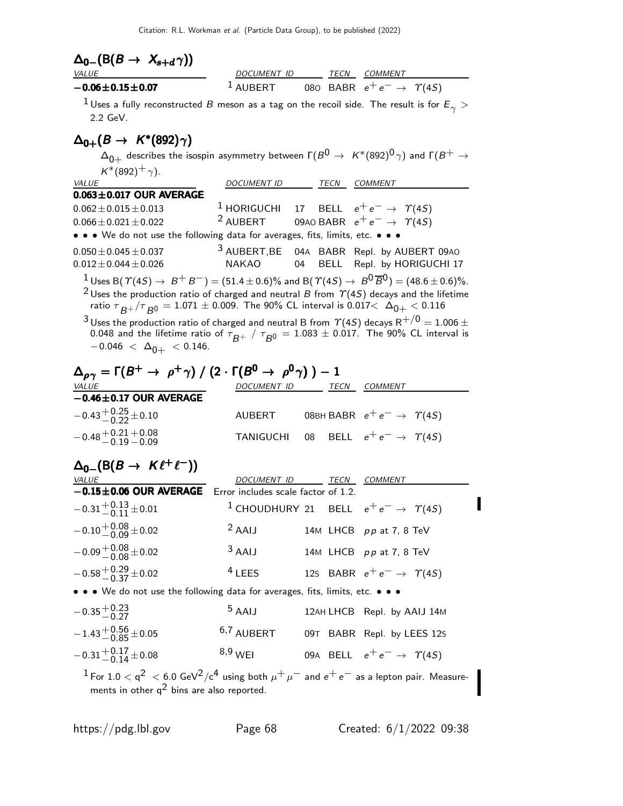| $\Delta_{0-}(\mathsf{B}(B \to X_{s+d}\gamma))$<br>VALUE                                        | DOCUMENT ID TECN COMMENT                                                                              |      |                                                                                                                                                              |
|------------------------------------------------------------------------------------------------|-------------------------------------------------------------------------------------------------------|------|--------------------------------------------------------------------------------------------------------------------------------------------------------------|
| $-0.06 \pm 0.15 \pm 0.07$                                                                      |                                                                                                       |      | <sup>1</sup> AUBERT 080 BABR $e^+e^- \rightarrow \gamma(45)$                                                                                                 |
| 2.2 GeV.                                                                                       |                                                                                                       |      | $^1$ Uses a fully reconstructed $B$ meson as a tag on the recoil side. The result is for $E_\gamma >$                                                        |
| $\Delta_{0+}(B \to K^*(892)\gamma)$                                                            |                                                                                                       |      |                                                                                                                                                              |
| $K^*(892)^+$ $\gamma$ ).                                                                       |                                                                                                       |      | $\Delta_{0+}$ describes the isospin asymmetry between $\Gamma(B^0\to~K^*(892)^0\gamma)$ and $\Gamma(B^+\to$                                                  |
| <b>VALUE</b><br>$0.063 \pm 0.017$ OUR AVERAGE                                                  | DOCUMENT ID TECN COMMENT                                                                              |      |                                                                                                                                                              |
| $0.062 \pm 0.015 \pm 0.013$                                                                    | <sup>1</sup> HORIGUCHI 17 BELL $e^+e^- \rightarrow \gamma(45)$                                        |      |                                                                                                                                                              |
| $0.066 \pm 0.021 \pm 0.022$                                                                    | <sup>2</sup> AUBERT 09AO BABR $e^+e^- \rightarrow \gamma(45)$                                         |      |                                                                                                                                                              |
| • • • We do not use the following data for averages, fits, limits, etc. • • •                  |                                                                                                       |      |                                                                                                                                                              |
| $0.050 \pm 0.045 \pm 0.037$<br>$0.012 \pm 0.044 \pm 0.026$                                     | $3$ AUBERT, BE<br><b>NAKAO</b>                                                                        | 04   | 04A BABR Repl. by AUBERT 09AO<br>BELL Repl. by HORIGUCHI 17                                                                                                  |
|                                                                                                |                                                                                                       |      | $^1$ Uses B( $\varUpsilon(4S) \rightarrow \ B^+ \ B^- ) = (51.4 \pm 0.6)\%$ and B( $\varUpsilon(4S) \rightarrow \ B^0 \overline{B}{}^0) = (48.6 \pm 0.6)\%.$ |
|                                                                                                | ratio $\tau_{B^+}/\tau_{B^0} = 1.071 \pm 0.009$ . The 90% CL interval is 0.017< $\Delta_{0+} < 0.116$ |      | $^2$ Uses the production ratio of charged and neutral B from $\Upsilon(4S)$ decays and the lifetime                                                          |
|                                                                                                |                                                                                                       |      | $^3$ Uses the production ratio of charged and neutral B from $\varUpsilon(4S)$ decays R $^{+/0} = 1.006 \pm 1.005$                                           |
|                                                                                                |                                                                                                       |      | 0.048 and the lifetime ratio of $\tau_{B^+}$ / $\tau_{B^0}$ = 1.083 $\pm$ 0.017. The 90% CL interval is                                                      |
| $-0.046 < \Delta_{0+} < 0.146$ .                                                               |                                                                                                       |      |                                                                                                                                                              |
| $\Delta_{\rho\gamma}=\Gamma(B^+\to~\rho^+\gamma)$ / $(2\cdot\Gamma(B^0\to~\rho^0\gamma)$ $)-1$ |                                                                                                       |      |                                                                                                                                                              |
| <b>VALUE</b>                                                                                   | DOCUMENT ID TECN COMMENT                                                                              |      |                                                                                                                                                              |
| $-0.46 \pm 0.17$ OUR AVERAGE                                                                   |                                                                                                       |      |                                                                                                                                                              |
|                                                                                                |                                                                                                       |      |                                                                                                                                                              |
| $-0.43 + {}^{+0.25}_{-0.22} \pm 0.10$                                                          | AUBERT                                                                                                |      | 08BH BABR $e^+e^- \rightarrow \gamma(4S)$                                                                                                                    |
| $-0.48 + 0.21 + 0.08$<br>$-0.19 - 0.09$                                                        | TANIGUCHI                                                                                             |      | 08 BELL $e^+e^- \rightarrow \Upsilon(4S)$                                                                                                                    |
|                                                                                                |                                                                                                       |      |                                                                                                                                                              |
| $\Delta_{0-}(\mathsf{B}(B\to K\ell^+\ell^-))$<br><b>VALUE</b>                                  | DOCUMENT ID                                                                                           | TECN | COMMENT                                                                                                                                                      |
| $-0.15 \pm 0.06$ OUR AVERAGE Error includes scale factor of 1.2                                |                                                                                                       |      |                                                                                                                                                              |
| $-0.31 + {}^{0.13}_{0.11} \pm 0.01$                                                            |                                                                                                       |      | <sup>1</sup> CHOUDHURY 21 BELL $e^+e^- \rightarrow \gamma(45)$                                                                                               |
| $-0.10 + 0.08 + 0.02$                                                                          | $2$ AAIJ                                                                                              |      | 14M LHCB pp at 7, 8 TeV                                                                                                                                      |
| $-0.09 + 0.08 + 0.02$                                                                          | $3$ AAIJ                                                                                              |      | 14M LHCB pp at 7, 8 TeV                                                                                                                                      |
| $-0.58 + 0.29 + 0.02$                                                                          | $4$ LEES                                                                                              |      | 12s BABR $e^+e^- \rightarrow \gamma(4S)$                                                                                                                     |
| • • • We do not use the following data for averages, fits, limits, etc. • • •                  |                                                                                                       |      |                                                                                                                                                              |
| $-0.35\frac{+0.23}{-0.27}$                                                                     | $5$ AAIJ                                                                                              |      | 12AH LHCB Repl. by AAIJ 14M                                                                                                                                  |
| $-1.43 + 0.56 + 0.05$                                                                          | 6,7 AUBERT                                                                                            |      | 09T BABR Repl. by LEES 12S                                                                                                                                   |

 $^1$ For  $1.0 <$   $\rm q^2\ < 6.0$  GeV $^2/\rm c^4$  using both  $\mu^+ \, \mu^-$  and  $e^+ \, e^-$  as a lepton pair. Measurements in other  $q^2$  bins are also reported.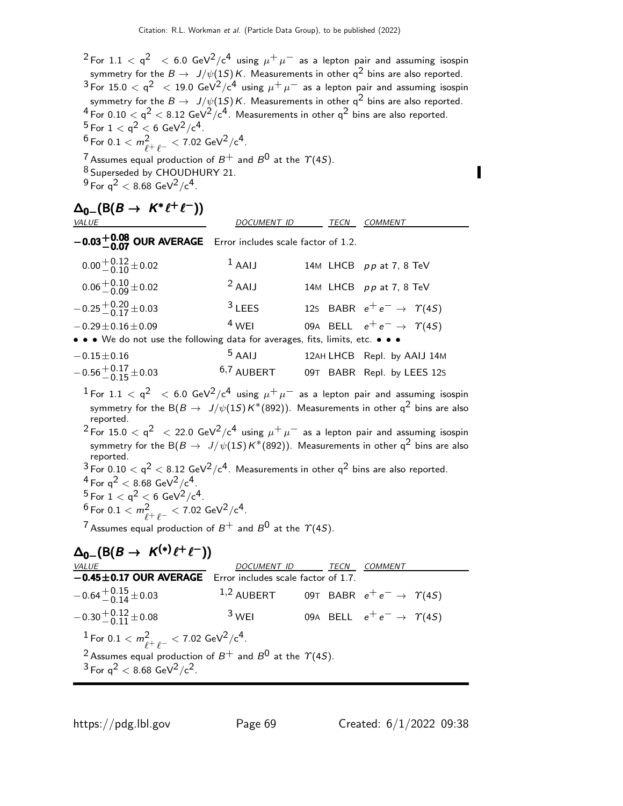$^2$ For  $1.1 <$  q $^2$   $\ <$  6.0 GeV $^2$ /c $^4$  using  $\mu^+ \mu^-$  as a lepton pair and assuming isospin symmetry for the  $B \to J/\psi(1S)K$ . Measurements in other  $q^2$  bins are also reported.  $^3$ For 15.0  $<$  q $^2$   $\ <$  19.0 GeV $^2$ /c $^4$  using  $\mu^+ \mu^-$  as a lepton pair and assuming isospin symmetry for the  $B \to J/\psi(1S)K$ . Measurements in other  $q^2$  bins are also reported.  $^4$  For 0.10  $<$  q $^2$   $<$  8.12 GeV $^2/{\rm c}^4$ . Measurements in other q $^2$  bins are also reported.  $^5$  For  $1 <$  q $^2 <$  6 GeV $^2/{\rm c}^4$  .  $^6$  For  $0.1 < m^2_{\ell^+ \, \ell^-} < 7.02$  GeV $^2/{\rm c}^4$ . <sup>7</sup> Assumes equal production of  $B^+$  and  $B^0$  at the  $\gamma$ (4S). 8 Superseded by CHOUDHURY 21.  $^{9}$  For q<sup>2</sup>  $< 8.68$  GeV<sup>2</sup>/c<sup>4</sup>.

$$
\Delta_{0-}(B(B \to K^* \ell^+ \ell^-))
$$

| $0.02 \pm 0.08$ OUR AVERAGE From includes sole feature of 1.2 |                    |                     |  |
|---------------------------------------------------------------|--------------------|---------------------|--|
| .<br><b>VALUE</b>                                             | <i>DOCUMENT ID</i> | <i>TECN COMMENT</i> |  |

| $-0.03^{+0.08}_{-0.07}$ OUR AVERAGE Error includes scale factor of 1.2.       |              |                                            |
|-------------------------------------------------------------------------------|--------------|--------------------------------------------|
| $0.00 + 0.12 + 0.02$                                                          | $1$ AAIJ     | 14M LHCB pp at 7, 8 TeV                    |
| $0.06 + 0.10 + 0.02$                                                          | $2$ AAIJ     | 14M LHCB pp at 7, 8 TeV                    |
| $-0.25 + 0.20 + 0.03$                                                         | $3$ LEES     | 12s BABR $e^+e^- \rightarrow \Upsilon(4S)$ |
| $-0.29 \pm 0.16 \pm 0.09$                                                     | $4$ WFI      | 09A BELL $e^+e^- \rightarrow \Upsilon(4S)$ |
| • • • We do not use the following data for averages, fits, limits, etc. • • • |              |                                            |
| $-0.15 \pm 0.16$                                                              | $5$ AAIJ     | 12AH LHCB Repl. by AAIJ 14M                |
| $-0.56 + {}^{+0.17}_{-0.15} \pm 0.03$                                         | $6,7$ AUBERT | 09T BABR Repl. by LEES 12s                 |

 $^1$  For  $1.1 <$   $<$   $\rm q^2$   $~ <$   $\rm 6.0$  GeV $^2/ c^4$  using  $\mu^+ \mu^-$  as a lepton pair and assuming isospin symmetry for the B( $B \to J/\psi(1S)K^*(892)$ ). Measurements in other q<sup>2</sup> bins are also reported.

 $^2$ For 15.0  $<$  q $^2$   $\ <$  22.0 GeV $^2$ /c $^4$  using  $\mu^+ \mu^-$  as a lepton pair and assuming isospin symmetry for the B( $B \to J/\psi(1S)K^*(892)$ ). Measurements in other q<sup>2</sup> bins are also reported.

 $^3$ For 0.10  $<$  q $^2$   $<$  8.12 GeV $^2/{\rm c}^4$ . Measurements in other q $^2$  bins are also reported.  $4$  For  $q^2$  < 8.68 GeV<sup>2</sup>/c<sup>4</sup>.  $^5$  For  $1 <$  q $^2 <$  6 GeV $^2/{\rm c}^4$  .

 $^6$  For 0.1  $< m_{\ell^+ \ell^-}^2 <$  7.02 GeV $^2$ /c $^4$ .

<sup>7</sup> Assumes equal production of  $B^+$  and  $B^0$  at the  $\gamma(4S)$ .

$$
\Delta_{0-}(B(B \to K^{(*)} \ell^+ \ell^-))
$$

| <i>VALUE</i>                                                                                                                              | <i>DOCUMENT ID</i>                  |  | TECN | <b>COMMENT</b>                           |  |  |
|-------------------------------------------------------------------------------------------------------------------------------------------|-------------------------------------|--|------|------------------------------------------|--|--|
| $-0.45 \pm 0.17$ OUR AVERAGE                                                                                                              | Error includes scale factor of 1.7. |  |      |                                          |  |  |
| $-0.64 + {}^{+0.15}_{-0.14} \pm 0.03$                                                                                                     | $1,2$ AUBERT                        |  |      | 09T BABR $e^+e^- \rightarrow \gamma(4S)$ |  |  |
| $-0.30 + 0.12 + 0.08$                                                                                                                     | $3$ WEI                             |  |      | 09A BELL $e^+e^- \rightarrow \gamma(4S)$ |  |  |
| <sup>1</sup> For 0.1 $< m^2_{\ell^+ \ell^-} <$ 7.02 GeV <sup>2</sup> /c <sup>4</sup> .                                                    |                                     |  |      |                                          |  |  |
| <sup>2</sup> Assumes equal production of $B^+$ and $B^0$ at the $\gamma$ (4S).<br>$3$ For $q^2$ < 8.68 GeV <sup>2</sup> /c <sup>2</sup> . |                                     |  |      |                                          |  |  |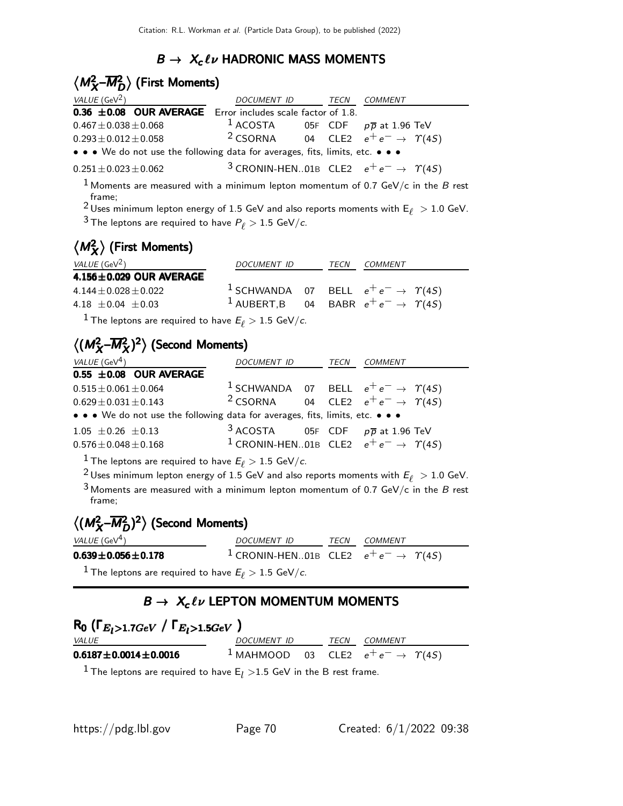## $B \to X_c \ell \nu$  HADRONIC MASS MOMENTS

## $\langle M^2_{X}$ - $\overline{M}^2_{D} \rangle$  (First Moments)

| VALUE (GeV <sup>2</sup> )                                                     | DOCUMENT ID | TECN | COMMENT                                                         |  |
|-------------------------------------------------------------------------------|-------------|------|-----------------------------------------------------------------|--|
| $0.36 \pm 0.08$ OUR AVERAGE Error includes scale factor of 1.8.               |             |      |                                                                 |  |
| $0.467 \pm 0.038 \pm 0.068$                                                   |             |      | <sup>1</sup> ACOSTA 05F CDF $p\overline{p}$ at 1.96 TeV         |  |
| $0.293 \pm 0.012 \pm 0.058$                                                   |             |      | <sup>2</sup> CSORNA 04 CLE2 $e^+e^- \rightarrow \gamma(45)$     |  |
| • • • We do not use the following data for averages, fits, limits, etc. • • • |             |      |                                                                 |  |
| $0.251 \pm 0.023 \pm 0.062$                                                   |             |      | <sup>3</sup> CRONIN-HEN01B CLE2 $e^+e^- \rightarrow \gamma(45)$ |  |

<sup>1</sup> Moments are measured with a minimum lepton momentum of 0.7 GeV/c in the B rest frame;

<sup>2</sup> Uses minimum lepton energy of 1.5 GeV and also reports moments with  $E_{\ell} > 1.0$  GeV. <sup>3</sup> The leptons are required to have  $P_\ell > 1.5$  GeV/c.

# $\langle M_{\chi}^2 \rangle$  (First Moments)

| <i>VALUE</i> (GeV <sup>2</sup> )                          | DOCUMENT ID | TECN | COMMENT                                                                                                                          |
|-----------------------------------------------------------|-------------|------|----------------------------------------------------------------------------------------------------------------------------------|
| $4.156 \pm 0.029$ OUR AVERAGE                             |             |      |                                                                                                                                  |
| $4.144 \pm 0.028 \pm 0.022$<br>4.18 $\pm$ 0.04 $\pm$ 0.03 |             |      | <sup>1</sup> SCHWANDA 07 BELL $e^+e^- \rightarrow \Upsilon(4S)$<br><sup>1</sup> AUBERT,B 04 BABR $e^+e^- \rightarrow \gamma(45)$ |

<sup>1</sup> The leptons are required to have  $E_{\ell} > 1.5$  GeV/c.

## $\langle (M_X^2 - \overline{M}_X^2)^2 \rangle$  (Second Moments)

| VALUE (GeV <sup>4</sup> )                                                     | DOCUMENT ID                                    | TECN | <i>COMMENT</i>                                                  |
|-------------------------------------------------------------------------------|------------------------------------------------|------|-----------------------------------------------------------------|
| $0.55 \pm 0.08$ OUR AVERAGE                                                   |                                                |      |                                                                 |
| $0.515 \pm 0.061 \pm 0.064$                                                   |                                                |      | <sup>1</sup> SCHWANDA 07 BELL $e^+e^- \rightarrow \gamma(45)$   |
| $0.629 \pm 0.031 \pm 0.143$                                                   |                                                |      | <sup>2</sup> CSORNA 04 CLE2 $e^+e^- \rightarrow \gamma(45)$     |
| • • • We do not use the following data for averages, fits, limits, etc. • • • |                                                |      |                                                                 |
| $1.05 \pm 0.26 \pm 0.13$                                                      | $3$ ACOSTA 05F CDF $p\overline{p}$ at 1.96 TeV |      |                                                                 |
| $0.576 \pm 0.048 \pm 0.168$                                                   |                                                |      | <sup>1</sup> CRONIN-HEN01B CLE2 $e^+e^- \rightarrow \gamma(45)$ |

 $^1$  The leptons are required to have  $E_{\ell} > 1.5$  GeV/c.

 $^2$ Uses minimum lepton energy of 1.5 GeV and also reports moments with  $E_{\ell}~>$  1.0 GeV.

 $3$  Moments are measured with a minimum lepton momentum of 0.7 GeV/c in the B rest frame;

## $\langle (M_{X}^2$ - $\overline{M}_{D}^2)^2 \rangle$  (Second Moments)

| <i>VALUE</i> (GeV <sup>4</sup> ) | DOCUMENT ID                                                     |  | TECN COMMENT |  |  |
|----------------------------------|-----------------------------------------------------------------|--|--------------|--|--|
| $0.639 \pm 0.056 \pm 0.178$      | <sup>1</sup> CRONIN-HEN01B CLE2 $e^+e^- \rightarrow \gamma(45)$ |  |              |  |  |
| $1 - 1$                          |                                                                 |  |              |  |  |

The leptons are required to have  $E_{\ell} > 1.5$  GeV/c.

## $B \to X_c \ell \nu$  LEPTON MOMENTUM MOMENTS

| $R_0$ ( $\Gamma_{E_l>1.7GeV}$ / $\Gamma_{E_l>1.5GeV}$ ) |                    |  |  |                                                              |  |  |
|---------------------------------------------------------|--------------------|--|--|--------------------------------------------------------------|--|--|
| <i>VALUE</i>                                            | <i>DOCUMENT ID</i> |  |  | <i>TECN COMMENT</i>                                          |  |  |
| $0.6187 \pm 0.0014 \pm 0.0016$                          |                    |  |  | <sup>1</sup> MAHMOOD 03 CLE2 $e^+e^- \rightarrow \gamma(45)$ |  |  |

<sup>1</sup> The leptons are required to have  $E_l > 1.5$  GeV in the B rest frame.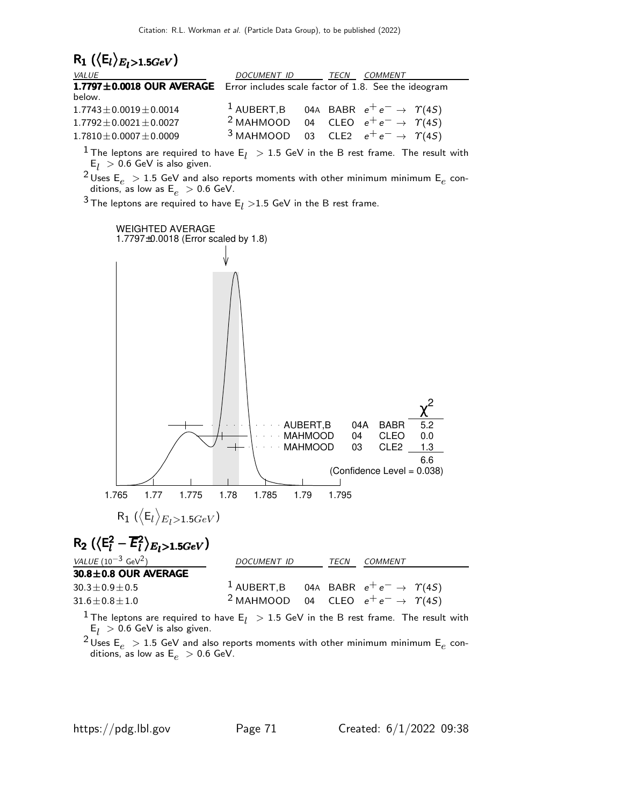

<sup>1</sup> The leptons are required to have  $E_l > 1.5$  GeV in the B rest frame. The result with  $E_l > 0.6$  GeV is also given.

<sup>2</sup> Uses  $E_e > 1.5$  GeV and also reports moments with other minimum minimum  $E_e$  conditions, as low as  $E_e > 0.6$  GeV.

 $3$  The leptons are required to have E<sub>l</sub>  $>$ 1.5 GeV in the B rest frame.



 $E_l > 0.6$  GeV is also given.

<sup>&</sup>lt;sup>2</sup> Uses  $E_e > 1.5$  GeV and also reports moments with other minimum minimum  $E_e$  conditions, as low as  $\mathsf{E}_e >$  0.6 GeV.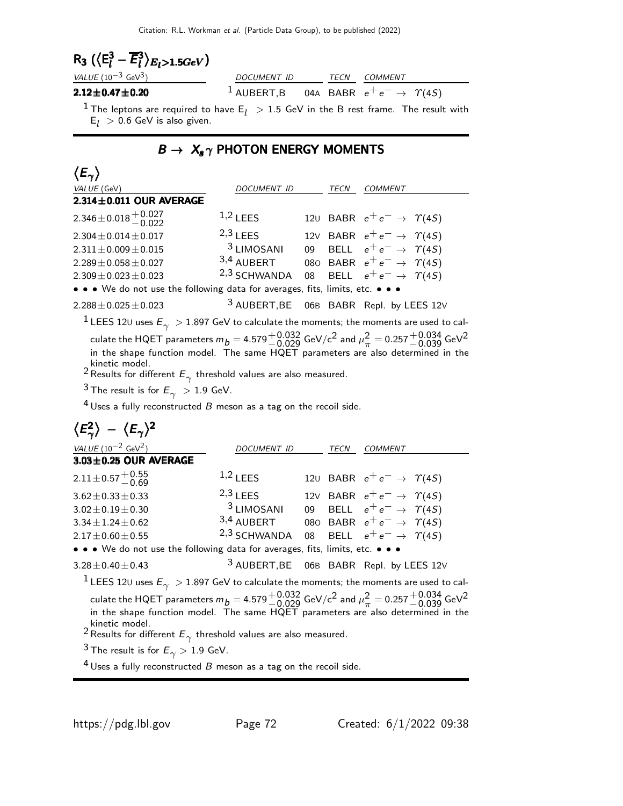$$
\mathsf{R}_3 \left( \langle \mathsf{E}_l^3 - \overline{\mathsf{E}}_l^3 \rangle_{E_l > 1.5 GeV} \right)
$$

| VALUE $(10^{-3} \text{ GeV}^3)$ | DOCUMENT ID |  | <i>TECN COMMENT</i>                                            |  |
|---------------------------------|-------------|--|----------------------------------------------------------------|--|
| $2.12\!\pm\!0.47\!\pm\!0.20$    |             |  | <sup>1</sup> AUBERT,B 04A BABR $e^+e^- \rightarrow \gamma(45)$ |  |
|                                 |             |  |                                                                |  |

<sup>1</sup> The leptons are required to have  $E_l$   $\, > 1.5$  GeV in the B rest frame. The result with  $E_l > 0.6$  GeV is also given.

## $B \rightarrow X_s \gamma$  PHOTON ENERGY MOMENTS

| $\langle E_\gamma \rangle$                                                                                                               |                         |    |      |                                            |
|------------------------------------------------------------------------------------------------------------------------------------------|-------------------------|----|------|--------------------------------------------|
| VALUE (GeV)                                                                                                                              | DOCUMENT ID             |    | TECN | COMMENT                                    |
| $2.314 \pm 0.011$ OUR AVERAGE                                                                                                            |                         |    |      |                                            |
| 2.346 ± 0.018 $^{+0.027}_{-0.027}$                                                                                                       | $1,2$ LEES              |    |      | 120 BABR $e^+e^- \rightarrow \Upsilon(4S)$ |
| $2.304 \pm 0.014 \pm 0.017$                                                                                                              | $2,3$ LEES              |    |      | 12V BABR $e^+e^- \rightarrow \Upsilon(4S)$ |
| $2.311 \pm 0.009 \pm 0.015$                                                                                                              | $3$ LIMOSANI            | 09 |      | BELL $e^+e^- \rightarrow \Upsilon(45)$     |
| $2.289 \pm 0.058 \pm 0.027$                                                                                                              | 3,4 AUBERT              |    |      | 080 BABR $e^+e^- \rightarrow \gamma(45)$   |
| $2.309 \pm 0.023 \pm 0.023$                                                                                                              | <sup>2,3</sup> SCHWANDA | 08 |      | BELL $e^+e^- \rightarrow \Upsilon(45)$     |
| • • • We do not use the following data for averages, fits, limits, etc. • • •                                                            |                         |    |      |                                            |
| $2.288 \pm 0.025 \pm 0.023$                                                                                                              |                         |    |      | 3 AUBERT, BE 06B BABR Repl. by LEES 12V    |
| $^1$ LEES 12U uses $E_\gamma~>$ 1.897 GeV to calculate the moments; the moments are used to cal-                                         |                         |    |      |                                            |
| culate the HQET parameters $m_b = 4.579^{+0.032}_{-0.029}$ GeV/c <sup>2</sup> and $\mu_\pi^2 = 0.257^{+0.034}_{-0.039}$ GeV <sup>2</sup> |                         |    |      |                                            |
| in the shape function model. The same HQET parameters are also determined in the                                                         |                         |    |      |                                            |
| kinetic model.                                                                                                                           |                         |    |      |                                            |
| <sup>2</sup> Results for different $E_\gamma$ threshold values are also measured.                                                        |                         |    |      |                                            |
| $3$ The result is for $E_\gamma~>1.9$ GeV.                                                                                               |                         |    |      |                                            |
| $4$ Uses a fully reconstructed $B$ meson as a tag on the recoil side.                                                                    |                         |    |      |                                            |
| $\langle E_\gamma^2 \rangle - \langle E_\gamma \rangle^2$                                                                                |                         |    |      |                                            |
| VALUE $(10^{-2} \text{ GeV}^2)$                                                                                                          | <i>DOCUMENT ID</i>      |    | TECN | <b>COMMENT</b>                             |
| $3.03 \pm 0.25$ OUR AVERAGE                                                                                                              |                         |    |      |                                            |
| $2.11 \pm 0.57 \begin{array}{c} +0.55 \\ -0.69 \end{array}$                                                                              | $1,2$ LEES              |    |      | 120 BABR $e^+e^- \rightarrow \gamma(45)$   |
| $3.62 \pm 0.33 \pm 0.33$                                                                                                                 | $2,3$ LEES              |    |      | 12V BABR $e^+e^- \rightarrow \gamma(45)$   |
| $3.02 \pm 0.19 \pm 0.30$                                                                                                                 | $3$ LIMOSANI            | 09 |      | BELL $e^+e^- \rightarrow \Upsilon(4S)$     |
| $3.34 \pm 1.24 \pm 0.62$                                                                                                                 | 3,4 AUBERT              |    |      | 080 BABR $e^+e^- \rightarrow \Upsilon(4S)$ |
| $2.17 \pm 0.60 \pm 0.55$                                                                                                                 | 2,3 SCHWANDA            | 08 |      | BELL $e^+e^- \rightarrow \Upsilon(45)$     |
| • • • We do not use the following data for averages, fits, limits, etc. • • •                                                            |                         |    |      |                                            |
| $3.28 \pm 0.40 \pm 0.43$                                                                                                                 | <sup>3</sup> AUBERT, BE |    |      | 06B BABR Repl. by LEES 12V                 |

 $^{-1}$  LEES 12U uses  $E_\gamma~>$  1.897 GeV to calculate the moments; the moments are used to calculate the HQET parameters  $m_{\dot{B}} =$  4.579 $^{+0.032}_{-0.029}$  GeV/c<sup>2</sup> and  $\mu_{\pi}^2$  $\alpha_\pi^2 =$  0.257 $^{+0.034}_{-0.039}$  GeV $^2$ in the shape function model. The same HQET parameters are also determined in the kinetic model.<br><sup>2</sup> Results for different  $E_\gamma$  threshold values are also measured.

<sup>3</sup> The result is for  $E_{\gamma} > 1.9$  GeV.

 $4$  Uses a fully reconstructed  $B$  meson as a tag on the recoil side.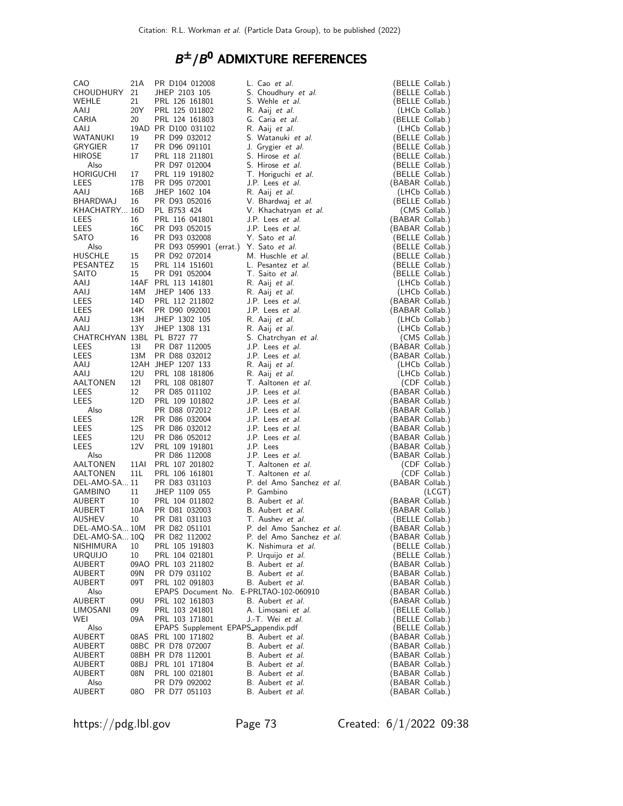## $B^{\pm}/B^0$  admixture references

| CAO.                       | 21A | PR D104 012008                         | L. Cao et al.                    |                 | (BELLE Collab.)                 |
|----------------------------|-----|----------------------------------------|----------------------------------|-----------------|---------------------------------|
| CHOUDHURY                  | 21  | JHEP 2103 105                          | S. Choudhury et al.              |                 | (BELLE Collab.)                 |
| WEHLE                      | 21  | PRL 126 161801                         | S. Wehle et al.                  |                 | (BELLE Collab.)                 |
| AAIJ                       | 20Y | PRL 125 011802                         | R. Aaij <i>et al.</i>            |                 | (LHCb Collab.)                  |
| CARIA                      | 20  | PRL 124 161803                         | G. Caria et al.                  |                 | (BELLE Collab.)                 |
| AAIJ                       |     | 19AD PR D100 031102                    | R. Aaij et al.                   |                 | (LHCb Collab.)                  |
| WATANUKI                   | 19  | PR D99 032012                          | S. Watanuki et al.               |                 | (BELLE Collab.)                 |
| GRYGIER                    | 17  | PR D96 091101                          | J. Grygier et al.                |                 | (BELLE Collab.)                 |
| HIROSE                     | 17  | PRL 118 211801                         | S. Hirose et al.                 |                 | (BELLE Collab.)                 |
| Also                       |     | PR D97 012004                          | S. Hirose et al.                 |                 | (BELLE Collab.)                 |
| HORIGUCHI                  | 17  | PRL 119 191802                         | T. Horiguchi et al.              |                 | (BELLE Collab.)                 |
| LEES                       | 17B | PR D95 072001                          | J.P. Lees et al.                 | (BABAR Collab.) |                                 |
| AAIJ                       | 16B | JHEP 1602 104                          | R. Aaij <i>et al.</i>            |                 | (LHCb Collab.)                  |
| BHARDWAJ                   | 16  | PR D93 052016                          | V. Bhardwaj et al.               | (BELLE Collab.) |                                 |
| KHACHATRY 16D              |     | PL B753 424                            | V. Khachatryan et al.            |                 | (CMS Collab.)                   |
| LEES                       | 16  | PRL 116 041801                         | J.P. Lees <i>et al.</i>          | (BABAR Collab.) |                                 |
| LEES                       | 16C | PR D93 052015                          | J.P. Lees et al.                 | (BABAR Collab.) |                                 |
| SATO                       | 16  | PR D93 032008                          | Y. Sato et al.                   |                 | (BELLE Collab.)                 |
| Also                       |     | PR D93 059901 (errat.) Y. Sato et al.  |                                  |                 | (BELLE Collab.)                 |
| HUSCHLE                    | 15  | PR D92 072014                          | M. Huschle et al.                |                 | (BELLE Collab.)                 |
| PESANTEZ                   | 15  | PRL 114 151601                         | L. Pesantez et al.               |                 | (BELLE Collab.)                 |
| SAITO                      | 15  | PR D91 052004                          | T. Saito et al.                  |                 | (BELLE Collab.)                 |
| AAIJ                       |     | 14AF PRL 113 141801                    | R. Aaij et al.                   |                 | (LHCb Collab.)                  |
| AAIJ                       | 14M | JHEP 1406 133                          | R. Aaij <i>et al.</i>            |                 | (LHCb Collab.)                  |
| LEES                       | 14D | PRL 112 211802                         | J.P. Lees et al.                 | (BABAR Collab.) |                                 |
| LEES                       | 14K | PR D90 092001                          | J.P. Lees et al.                 | (BABAR Collab.) |                                 |
| AAIJ                       | 13H | JHEP 1302 105                          | R. Aaij et al.                   |                 |                                 |
|                            | 13Y |                                        |                                  |                 | (LHCb Collab.)                  |
| AAIJ                       |     | JHEP 1308 131                          | R. Aaij et al.                   |                 | (LHCb Collab.)<br>(CMS Collab.) |
| CHATRCHYAN 13BL PL B727 77 |     |                                        | S. Chatrchyan et al.             |                 |                                 |
| LEES                       | 13I | PR D87 112005                          | J.P. Lees et al.                 | (BABAR Collab.) |                                 |
| LEES                       | 13M | PR D88 032012                          | J.P. Lees et al.                 | (BABAR Collab.) |                                 |
| AAIJ                       |     | 12AH JHEP 1207 133                     | R. Aaij et al.                   |                 | (LHCb Collab.)                  |
| AAIJ                       | 12U | PRL 108 181806                         | R. Aaij <i>et al.</i>            |                 | (LHCb Collab.)                  |
| AALTONEN                   | 12I | PRL 108 081807                         | T. Aaltonen et al.               |                 | (CDF Collab.)                   |
| LEES                       | 12  | PR D85 011102                          | J.P. Lees et al.                 | (BABAR Collab.) |                                 |
| LEES                       | 12D | PRL 109 101802                         | J.P. Lees et al.                 | (BABAR Collab.) |                                 |
| Also                       |     | PR D88 072012                          | J.P. Lees et al.                 | (BABAR Collab.) |                                 |
| LEES                       | 12R | PR D86 032004                          | J.P. Lees et al.                 | (BABAR Collab.) |                                 |
| LEES                       | 12S | PR D86 032012                          | J.P. Lees et al.                 | (BABAR Collab.) |                                 |
| LEES                       | 12U | PR D86 052012                          | J.P. Lees et al.                 | (BABAR Collab.) |                                 |
| LEES                       | 12V | PRL 109 191801                         | J.P. Lees                        | (BABAR Collab.) |                                 |
| Also                       |     | PR D86 112008                          | J.P. Lees et al.                 | (BABAR Collab.) |                                 |
| AALTONEN                   |     | 11AI PRL 107 201802                    | T. Aaltonen et al.               |                 | (CDF Collab.)                   |
| AALTONEN                   | 11L | PRL 106 161801                         | T. Aaltonen et al.               |                 | (CDF Collab.)                   |
| DEL-AMO-SA 11              |     | PR D83 031103                          | P. del Amo Sanchez et al.        | (BABAR Collab.) |                                 |
| GAMBINO                    | 11  | JHEP 1109 055                          | P. Gambino                       |                 | (LCGT)                          |
| AUBERT                     | 10  | PRL 104 011802                         | B. Aubert et al.                 | (BABAR Collab.) |                                 |
| AUBERT                     | 10A | PR D81 032003                          | B. Aubert et al.                 | (BABAR Collab.) |                                 |
| AUSHEV                     | 10  | PR D81 031103                          | T. Aushev et al.                 | (BELLE Collab.) |                                 |
| DEL-AMO-SA 10M             |     | PR D82 051101                          | P. del Amo Sanchez et al.        | (BABAR Collab.) |                                 |
| DEL-AMO-SA 10Q             |     | PR D82 112002                          | P. del Amo Sanchez <i>et al.</i> | (BABAR Collab.) |                                 |
| NISHIMURA                  | 10  | PRL 105 191803                         | K. Nishimura et al.              |                 | (BELLE Collab.)                 |
| <b>URQUIJO</b>             | 10  | PRL 104 021801                         | P. Urquijo et al.                |                 | (BELLE Collab.)                 |
| AUBERT                     |     | 09AO PRL 103 211802                    | B. Aubert et al.                 | (BABAR Collab.) |                                 |
| AUBERT                     | 09N | PR D79 031102                          | B. Aubert et al.                 | BABAR Collab.)  |                                 |
| AUBERT                     | 09T | PRL 102 091803                         | B. Aubert et al.                 |                 | BABAR Collab.)                  |
| Also                       |     | EPAPS Document No. E-PRLTAO-102-060910 |                                  |                 | BABAR Collab.)                  |
| AUBERT                     | 09U | PRL 102 161803                         | B. Aubert et al.                 | (BABAR Collab.) |                                 |
| LIMOSANI                   | 09  | PRL 103 241801                         | A. Limosani et al.               |                 | (BELLE Collab.)                 |
| WEI                        | 09A | PRL 103 171801                         | J.-T. Wei et al.                 |                 | (BELLE Collab.)                 |
| Also                       |     | EPAPS Supplement EPAPS appendix.pdf    |                                  |                 | (BELLE Collab.)                 |
| <b>AUBERT</b>              |     | 08AS PRL 100 171802                    | B. Aubert et al.                 | (BABAR Collab.) |                                 |
| AUBERT                     |     | 08BC PR D78 072007                     | B. Aubert et al.                 | (BABAR Collab.) |                                 |
| AUBERT                     |     | 08BH PR D78 112001                     | B. Aubert et al.                 | (BABAR Collab.) |                                 |
| AUBERT                     | 08B | PRL 101 171804                         | B. Aubert et al.                 | (BABAR Collab.) |                                 |
| AUBERT                     | 08N | PRL 100 021801                         | B. Aubert et al.                 | (BABAR Collab.) |                                 |
| Also                       |     | PR D79 092002                          | B. Aubert et al.                 | (BABAR Collab.) |                                 |
| AUBERT                     | 08O | PR D77 051103                          | B. Aubert et al.                 | (BABAR Collab.) |                                 |

https://pdg.lbl.gov Page 73 Created: 6/1/2022 09:38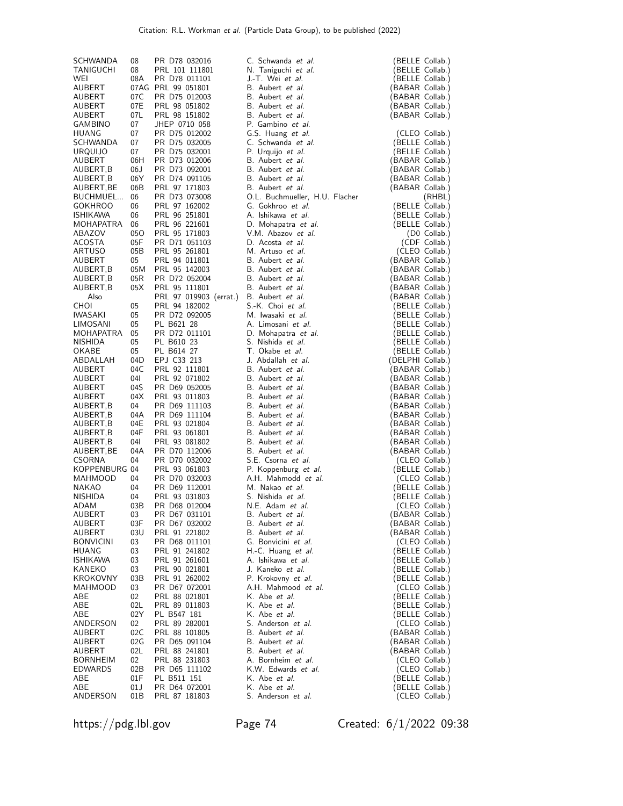| SCHWANDA                   | 08            | PR D78 032016                           | C. Schwanda et al.                                   | (BELLE Collab.)                    |
|----------------------------|---------------|-----------------------------------------|------------------------------------------------------|------------------------------------|
| TANIGUCHI                  | 08            | PRL 101 111801                          | N. Taniguchi et al.                                  | (BELLE Collab.)                    |
| WEI                        | 08A           | PR D78 011101                           | J.-T. Wei et al.                                     | (BELLE Collab.)                    |
| AUBERT                     |               | 07AG PRL 99 051801                      | B. Aubert et al.                                     | (BABAR Collab.)                    |
| AUBERT                     | 07C           | PR D75 012003                           | B. Aubert <i>et al.</i>                              | (BABAR Collab.)                    |
| AUBERT<br>AUBERT           | 07E<br>07L    | PRL 98 051802<br>PRL 98 151802          | B. Aubert et al.<br>B. Aubert et al.                 | (BABAR Collab.)                    |
| GAMBINO                    | 07            | JHEP 0710 058                           | P. Gambino et al.                                    | (BABAR Collab.)                    |
| HUANG                      | 07            | PR D75 012002                           | G.S. Huang et al.                                    | (CLEO Collab.)                     |
| SCHWANDA                   | 07            | PR D75 032005                           | C. Schwanda et al.                                   | (BELLE Collab.)                    |
| URQUIJO                    | 07            | PR D75 032001                           | P. Urquijo et al.                                    | (BELLE Collab.)                    |
| AUBERT                     | 06H           | PR D73 012006                           | B. Aubert <i>et al.</i>                              | (BABAR Collab.)                    |
| AUBERT,B                   | 06 J          | PR D73 092001                           | B. Aubert et al.                                     | (BABAR Collab.)                    |
| AUBERT,B                   | 06Y           | PR D74 091105                           | B. Aubert et al.                                     | (BABAR Collab.)                    |
| AUBERT,BE                  | 06B           | PRL 97 171803                           | B. Aubert <i>et al.</i>                              | (BABAR Collab.)                    |
| BUCHMUEL<br><b>GOKHROO</b> | 06<br>06      | PR D73 073008<br>PRL 97 162002          | O.L. Buchmueller, H.U. Flacher<br>G. Gokhroo et al.  | (RHBL)<br>(BELLE Collab.)          |
| <b>ISHIKAWA</b>            | 06            | PRL 96 251801                           | A. Ishikawa <i>et al.</i>                            | (BELLE Collab.)                    |
| MOHAPATRA                  | 06            | PRL 96 221601                           | D. Mohapatra et al.                                  | (BELLE Collab.)                    |
| ABAZOV                     | 050           | PRL 95 171803                           | V.M. Abazov et al.                                   | (D0 Collab.)                       |
| ACOSTA                     | 05F           | PR D71 051103                           | D. Acosta et al.                                     | (CDF Collab.)                      |
| <b>ARTUSO</b>              | 05B           | PRL 95 261801                           | M. Artuso et al.                                     | (CLEO Collab.)                     |
| AUBERT                     | 05            | PRL 94 011801                           | B. Aubert et al.                                     | (BABAR Collab.)                    |
| AUBERT, B                  | 05M           | PRL 95 142003                           | B. Aubert et al.                                     | 'BABAR Collab.)                    |
| AUBERT, B                  | 05R           | PR D72 052004                           | B. Aubert et al.                                     | (BABAR Collab.)                    |
| AUBERT, B<br>Also          | 05X           | PRL 95 111801                           | B. Aubert et al.<br>B. Aubert et al.                 | (BABAR Collab.)                    |
| <b>CHOI</b>                | 05            | PRL 97 019903 (errat.)<br>PRL 94 182002 | S.-K. Choi et al.                                    | (BABAR Collab.)<br>(BELLE Collab.) |
| IWASAKI                    | 05            | PR D72 092005                           | M. Iwasaki et al.                                    | (BELLE Collab.)                    |
| LIMOSANI                   | 05            | PL B621 28                              | A. Limosani et al.                                   | (BELLE Collab.)                    |
| MOHAPATRA                  | 05            | PR D72 011101                           | D. Mohapatra et al.                                  | (BELLE Collab.)                    |
| <b>NISHIDA</b>             | 05            | PL B610 23                              | S. Nishida et al.                                    | (BELLE Collab.)                    |
| OKABE                      | 05            | PL B614 27                              | T. Okabe <i>et al.</i>                               | (BELLE Collab.)                    |
| ABDALLAH                   | 04D           | EPJ C33 213                             | J. Abdallah et al.                                   | (DELPHI Collab.)                   |
| AUBERT                     | 04C           | PRL 92 111801                           | B. Aubert et al.                                     | (BABAR Collab.)                    |
| AUBERT                     | 04I           | PRL 92 071802                           | B. Aubert et al.                                     | (BABAR Collab.)                    |
| AUBERT<br>AUBERT           | 04S<br>04X    | PR D69 052005<br>PRL 93 011803          | B. Aubert et al.<br>B. Aubert et al.                 | (BABAR Collab.)<br>(BABAR Collab.) |
| AUBERT,B                   | 04            | PR D69 111103                           | B. Aubert et al.                                     | (BABAR Collab.)                    |
| AUBERT,B                   | 04A           | PR D69 111104                           | B. Aubert et al.                                     | (BABAR Collab.)                    |
| AUBERT,B                   | 04E           | PRL 93 021804                           | B. Aubert et al.                                     | (BABAR Collab.)                    |
| AUBERT,B                   | 04F           | PRL 93 061801                           | B. Aubert et al.                                     | (BABAR Collab.)                    |
| AUBERT,B                   | 04I           | PRL 93 081802                           | B. Aubert et al.                                     | (BABAR Collab.)                    |
| AUBERT,BE                  | 04A           | PR D70 112006                           | B. Aubert et al.                                     | (BABAR Collab.)                    |
| <b>CSORNA</b>              | 04            | PR D70 032002                           | S.E. Csorna et al.                                   | (CLEO Collab.)                     |
| KOPPENBURG 04              |               | PRL 93 061803                           | P. Koppenburg et al.<br>A.H. Mahmodd et al.          | (BELLE Collab.)                    |
| MAHMOOD<br><b>NAKAO</b>    | 04<br>04      | PR D70 032003<br>PR D69 112001          | M. Nakao et al.                                      | (CLEO Collab.)<br>(BELLE Collab.)  |
| NISHIDA                    | 04            | PRL 93 031803                           | S. Nishida <i>et al.</i>                             | (BELLE Collab.)                    |
| ADAM                       | 03B           | PR D68 012004                           | N.E. Adam et al.                                     | (CLEO Collab.)                     |
| AUBERT                     | 03            | PR D67 031101                           | B. Aubert et al.                                     | (BABAR Collab.)                    |
| AUBERT                     | 03F           | PR D67 032002                           | B. Aubert <i>et al.</i>                              | (BABAR Collab.)                    |
| AUBERT                     | 03U           | PRL 91 221802                           | B. Aubert et al.                                     | (BABAR Collab.)                    |
| BONVICINI                  | 03            | PR D68 011101                           | G. Bonvicini et al.                                  | (CLEO Collab.)                     |
| HUANG                      | 03            | PRL 91 241802                           | H.-C. Huang et al.                                   | (BELLE Collab.)                    |
| <b>ISHIKAWA</b>            | 03            | PRL 91 261601                           | A. Ishikawa <i>et al.</i><br>J. Kaneko <i>et al.</i> | (BELLE Collab.)<br>(BELLE Collab.) |
| KANEKO<br>KROKOVNY         | 03<br>03B     | PRL 90 021801<br>PRL 91 262002          | P. Krokovny et al.                                   | (BELLE Collab.)                    |
| MAHMOOD                    | 03            | PR D67 072001                           | A.H. Mahmood et al.                                  | (CLEO Collab.)                     |
| ABE                        | 02            | PRL 88 021801                           | K. Abe <i>et al.</i>                                 | (BELLE Collab.)                    |
| ABE                        | 02L           | PRL 89 011803                           | K. Abe et al.                                        | (BELLE Collab.)                    |
| ABE                        | 02Y           | PL B547 181                             | K. Abe <i>et al.</i>                                 | (BELLE Collab.)                    |
| ANDERSON                   | $02\,$        | PRL 89 282001                           | S. Anderson et al.                                   | (CLEO Collab.)                     |
| AUBERT                     | 02C           | PRL 88 101805                           | B. Aubert et al.                                     | (BABAR Collab.)                    |
| AUBERT                     | 02G           | PR D65 091104                           | B. Aubert et al.                                     | (BABAR Collab.)                    |
| AUBERT<br><b>BORNHEIM</b>  | 02L<br>$02\,$ | PRL 88 241801<br>PRL 88 231803          | B. Aubert et al.<br>A. Bornheim <i>et al.</i>        | (BABAR Collab.)<br>(CLEO Collab.)  |
| EDWARDS                    | 02B           | PR D65 111102                           | K.W. Edwards et al.                                  | (CLEO Collab.)                     |
| ABE                        | 01F           | PL B511 151                             | K. Abe <i>et al.</i>                                 | (BELLE Collab.)                    |
| ABE                        | 01J           | PR D64 072001                           | K. Abe <i>et al.</i>                                 | (BELLE Collab.)                    |
| ANDERSON                   | 01B           | PRL 87 181803                           | S. Anderson et al.                                   | (CLEO Collab.)                     |

https://pdg.lbl.gov Page 74 Created: 6/1/2022 09:38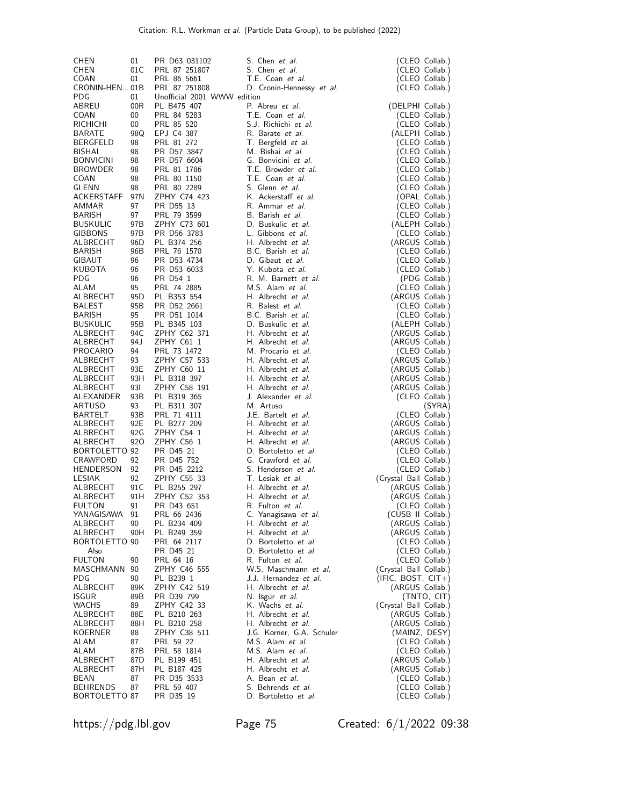| <b>CHEN</b>                 | 01         | PR D63 031102                | S. Chen et al.                                | (CLEO Collab.)                            |
|-----------------------------|------------|------------------------------|-----------------------------------------------|-------------------------------------------|
| <b>CHEN</b>                 | 01C        | PRL 87 251807                | S. Chen et al.                                | (CLEO Collab.)                            |
| COAN<br>CRONIN-HEN 01B      | 01         | PRL 86 5661<br>PRL 87 251808 | T.E. Coan et al.<br>D. Cronin-Hennessy et al. | (CLEO Collab.)<br>(CLEO Collab.)          |
| PDG                         | 01         | Unofficial 2001 WWW edition  |                                               |                                           |
| ABREU                       | 00R        | PL B475 407                  | P. Abreu et al.                               | (DELPHI Collab.)                          |
| COAN                        | 00         | PRL 84 5283                  | T.E. Coan et al.                              | (CLEO Collab.)                            |
| <b>RICHICHI</b>             | 00         | PRL 85 520                   | S.J. Richichi et al.                          | (CLEO Collab.)                            |
| BARATE                      | 98Q        | EPJ C4 387                   | R. Barate et al.                              | (ALEPH Collab.)                           |
| <b>BERGFELD</b><br>BISHAI   | 98<br>98   | PRL 81 272<br>PR D57 3847    | T. Bergfeld et al.<br>M. Bishai et al.        | (CLEO Collab.)<br>(CLEO Collab.)          |
| <b>BONVICINI</b>            | 98         | PR D57 6604                  | G. Bonvicini et al.                           | (CLEO Collab.)                            |
| <b>BROWDER</b>              | 98         | PRL 81 1786                  | T.E. Browder et al.                           | (CLEO Collab.)                            |
| COAN                        | 98         | PRL 80 1150                  | T.E. Coan et al.                              | (CLEO Collab.)                            |
| GLENN                       | 98         | PRL 80 2289                  | S. Glenn et al.                               | (CLEO Collab.)                            |
| ACKERSTAFF                  | 97 N       | ZPHY C74 423                 | K. Ackerstaff et al.                          | (OPAL Collab.)                            |
| AMMAR                       | 97         | PR D55 13                    | R. Ammar et al.<br>B. Barish et al.           | (CLEO Collab.)                            |
| BARISH<br><b>BUSKULIC</b>   | 97<br>97B  | PRL 79 3599<br>ZPHY C73 601  | D. Buskulic et al.                            | (CLEO Collab.)<br>(ALEPH Collab.)         |
| <b>GIBBONS</b>              | 97B        | PR D56 3783                  | L. Gibbons et al.                             | (CLEO Collab.)                            |
| ALBRECHT                    | 96D        | PL B374 256                  | H. Albrecht et al.                            | (ARGUS Collab.)                           |
| BARISH                      | 96B        | PRL 76 1570                  | B.C. Barish et al.                            | (CLEO Collab.)                            |
| GIBAUT                      | 96         | PR D53 4734                  | D. Gibaut et al.                              | (CLEO Collab.)                            |
| KUBOTA                      | 96         | PR D53 6033                  | Y. Kubota et al.                              | (CLEO Collab.)                            |
| PDG<br>ALAM                 | 96<br>95   | PR D54 1<br>PRL 74 2885      | R. M. Barnett et al.<br>M.S. Alam et al.      | (PDG Collab.)<br>(CLEO Collab.)           |
| ALBRECHT                    | 95D        | PL B353 554                  | H. Albrecht et al.                            | (ARGUS Collab.)                           |
| <b>BALEST</b>               | 95B        | PR D52 2661                  | R. Balest et al.                              | (CLEO Collab.)                            |
| BARISH                      | 95         | PR D51 1014                  | B.C. Barish et al.                            | (CLEO Collab.)                            |
| <b>BUSKULIC</b>             | 95B        | PL B345 103                  | D. Buskulic et al.                            | (ALEPH Collab.)                           |
| ALBRECHT                    | 94C        | ZPHY C62 371                 | H. Albrecht et al.                            | (ARGUS Collab.)                           |
| ALBRECHT<br><b>PROCARIO</b> | 94 J<br>94 | ZPHY C61 1<br>PRL 73 1472    | H. Albrecht et al.<br>M. Procario et al.      | (ARGUS Collab.)<br>(CLEO Collab.)         |
| ALBRECHT                    | 93         | ZPHY C57 533                 | H. Albrecht et al.                            | (ARGUS Collab.)                           |
| ALBRECHT                    | 93E        | ZPHY C60 11                  | H. Albrecht et al.                            | (ARGUS Collab.)                           |
| ALBRECHT                    | 93H        | PL B318 397                  | H. Albrecht et al.                            | (ARGUS Collab.)                           |
| ALBRECHT                    | 931        | ZPHY C58 191                 | H. Albrecht et al.                            | (ARGUS Collab.)                           |
| ALEXANDER                   | 93B        | PL B319 365                  | J. Alexander et al.                           | (CLEO Collab.)                            |
| ARTUSO                      | 93<br>93B  | PL B311 307                  | M. Artuso                                     | (SYRA)                                    |
| <b>BARTELT</b><br>ALBRECHT  | 92E        | PRL 71 4111<br>PL B277 209   | J.E. Bartelt et al.<br>H. Albrecht et al.     | (CLEO Collab.)<br>(ARGUS Collab.)         |
| ALBRECHT                    | 92G        | ZPHY C54 1                   | H. Albrecht et al.                            | (ARGUS Collab.)                           |
| ALBRECHT                    | 920        | ZPHY C56 1                   | H. Albrecht et al.                            | (ARGUS Collab.)                           |
| BORTOLETTO 92               |            | PR D45 21                    | D. Bortoletto et al.                          | (CLEO Collab.)                            |
| CRAWFORD                    | 92         | PR D45 752                   | G. Crawford et al.                            | (CLEO Collab.)                            |
| <b>HENDERSON</b>            | 92         | PR D45 2212                  | S. Henderson et al.<br>T. Lesiak et al.       | (CLEO Collab.)                            |
| LESIAK<br>ALBRECHT          | 92<br>91 C | ZPHY C55 33<br>PL B255 297   | H. Albrecht et al.                            | (Crystal Ball Collab.)<br>(ARGUS Collab.) |
| ALBRECHT                    | 91H        | ZPHY C52 353                 | H. Albrecht et al.                            | (ARGUS Collab.)                           |
| <b>FULTON</b>               | 91         | PR D43 651                   | R. Fulton et al.                              | (CLEO Collab.)                            |
| YANAGISAWA                  | 91         | PRL 66 2436                  | C. Yanagisawa et al.                          | (CUSB II Collab.)                         |
| ALBRECHT                    | 90         | PL B234 409                  | H. Albrecht et al.                            | (ARGUS Collab.)                           |
| ALBRECHT                    | 90H        | PL B249 359                  | H. Albrecht et al.                            | (ARGUS Collab.)                           |
| BORTOLETTO 90<br>Also       |            | PRL 64 2117<br>PR D45 21     | D. Bortoletto et al.<br>D. Bortoletto et al.  | (CLEO Collab.)<br>(CLEO Collab.)          |
| <b>FULTON</b>               | 90         | PRL 64 16                    | R. Fulton et al.                              | (CLEO Collab.)                            |
| MASCHMANN                   | 90         | ZPHY C46 555                 | W.S. Maschmann et al.                         | (Crystal Ball Collab.)                    |
| PDG.                        | 90         | PL B239 1                    | J.J. Hernandez et al.                         | $(IFIC, BOST, CIT+)$                      |
| ALBRECHT                    | 89K        | ZPHY C42 519                 | H. Albrecht et al.                            | (ARGUS Collab.)                           |
| <b>ISGUR</b>                | 89B        | PR D39 799                   | N. Isgur et al.                               | (TNTO, CIT)                               |
| <b>WACHS</b><br>ALBRECHT    | 89<br>88E  | ZPHY C42 33<br>PL B210 263   | K. Wachs et al.<br>H. Albrecht et al.         | (Crystal Ball Collab.)<br>(ARGUS Collab.) |
| ALBRECHT                    | 88H        | PL B210 258                  | H. Albrecht et al.                            | (ARGUS Collab.)                           |
| KOERNER                     | 88         | ZPHY C38 511                 | J.G. Korner, G.A. Schuler                     | (MAINZ, DESY)                             |
| ALAM                        | 87         | PRL 59 22                    | M.S. Alam et al.                              | (CLEO Collab.)                            |
| ALAM                        | 87B        | PRL 58 1814                  | M.S. Alam et al.                              | (CLEO Collab.)                            |
| ALBRECHT                    | 87D        | PL B199 451                  | H. Albrecht et al.                            | (ARGUS Collab.)                           |
| ALBRECHT<br>BEAN            | 87H<br>87  | PL B187 425<br>PR D35 3533   | H. Albrecht et al.<br>A. Bean et al.          | (ARGUS Collab.)<br>(CLEO Collab.)         |
| <b>BEHRENDS</b>             | 87         | PRL 59 407                   | S. Behrends et al.                            | (CLEO Collab.)                            |
| BORTOLETTO 87               |            | PR D35 19                    | D. Bortoletto et al.                          | (CLEO Collab.)                            |

https://pdg.lbl.gov Page 75 Created: 6/1/2022 09:38